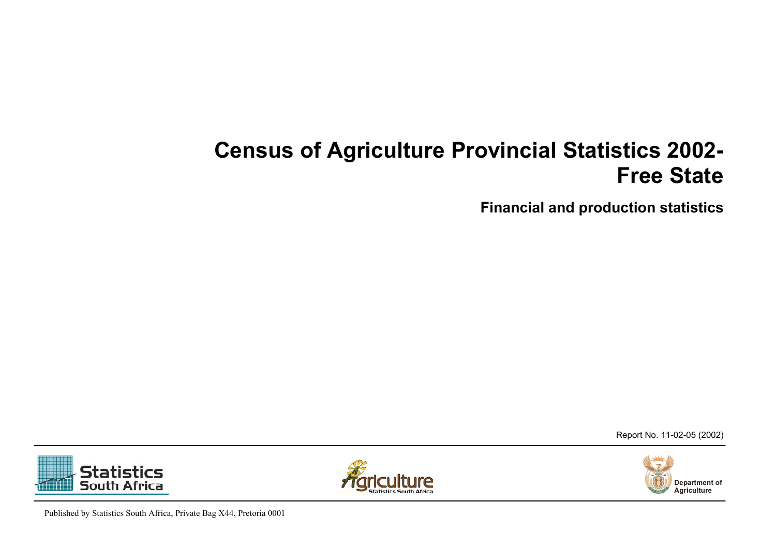## **Census of Agriculture Provincial Statistics 2002- Free State**

**Financial and production statistics**

Report No. 11-02-05 (2002)



**Statistics South Africa** 

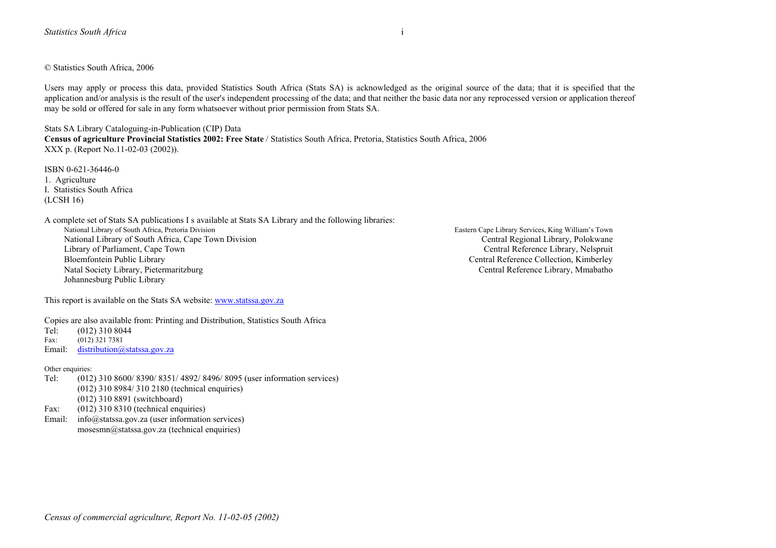© Statistics South Africa, 2006

Users may apply or process this data, provided Statistics South Africa (Stats SA) is acknowledged as the original source of the data; that it is specified that the application and/or analysis is the result of the user's independent processing of the data; and that neither the basic data nor any reprocessed version or application thereof may be sold or offered for sale in any form whatsoever without prior permission from Stats SA.

Stats SA Library Cataloguing-in-Publication (CIP) Data **Census of agriculture Provincial Statistics 2002: Free State** / Statistics South Africa, Pretoria, Statistics South Africa, 2006 XXX p. (Report No.11-02-03 (2002)).

ISBN 0-621-36446-0 1. Agriculture I. Statistics South Africa (LCSH 16)

A complete set of Stats SA publications I s available at Stats SA Library and the following libraries:

National Library of South Africa, Cape Town Division Central Regional Library, Polokwane Library of Parliament, Cape Town Central Reference Library, Nelspruit<br>Bloemfontein Public Library Central Reference Collection, Kimberley Natal Society Library, Pietermaritzburg Central Reference Library, Mmabatho Johannesburg Public Library

This report is available on the Stats SA website: [www.statssa.gov.za](http://www.statssa.gov.za/)

Copies are also available from: Printing and Distribution, Statistics South Africa

Tel: (012) 310 8044<br>Fax: (012) 321 7381

 $(012)$  321 7381

Email: [distribution@statssa.gov.za](mailto:distribution@statssa.gov.za)

#### Other enquiries:

- Tel: (012) 310 8600/ 8390/ 8351/ 4892/ 8496/ 8095 (user information services) (012) 310 8984/ 310 2180 (technical enquiries) (012) 310 8891 (switchboard)
- Fax: (012) 310 8310 (technical enquiries)
- Email: info@statssa.gov.za (user information services) mosesmn@statssa.gov.za (technical enquiries)

Eastern Cape Library Services, King William's Town Central Reference Collection, Kimberley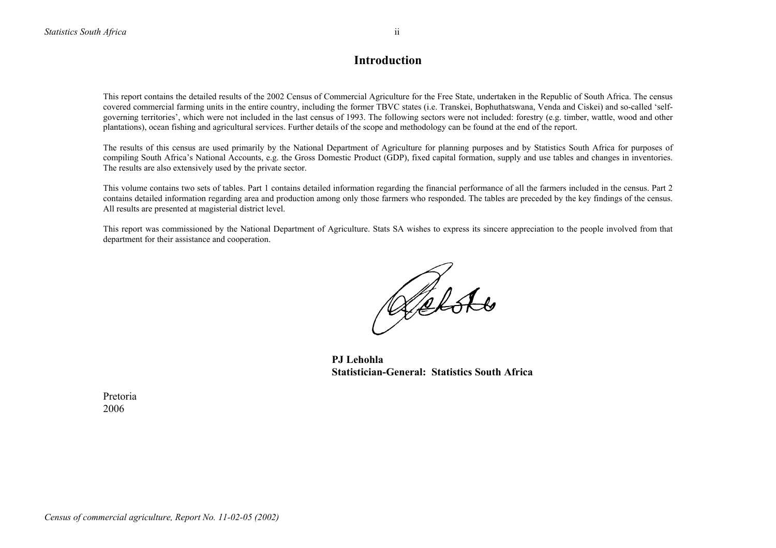## **Introduction**

This report contains the detailed results of the 2002 Census of Commercial Agriculture for the Free State, undertaken in the Republic of South Africa. The census covered commercial farming units in the entire country, including the former TBVC states (i.e. Transkei, Bophuthatswana, Venda and Ciskei) and so-called 'selfgoverning territories', which were not included in the last census of 1993. The following sectors were not included: forestry (e.g. timber, wattle, wood and other plantations), ocean fishing and agricultural services. Further details of the scope and methodology can be found at the end of the report.

The results of this census are used primarily by the National Department of Agriculture for planning purposes and by Statistics South Africa for purposes of compiling South Africa's National Accounts, e.g. the Gross Domestic Product (GDP), fixed capital formation, supply and use tables and changes in inventories. The results are also extensively used by the private sector.

This volume contains two sets of tables. Part 1 contains detailed information regarding the financial performance of all the farmers included in the census. Part 2 contains detailed information regarding area and production among only those farmers who responded. The tables are preceded by the key findings of the census. All results are presented at magisterial district level.

This report was commissioned by the National Department of Agriculture. Stats SA wishes to express its sincere appreciation to the people involved from that department for their assistance and cooperation.

Retste

 **PJ Lehohla Statistician-General: Statistics South Africa**

 Pretoria 2006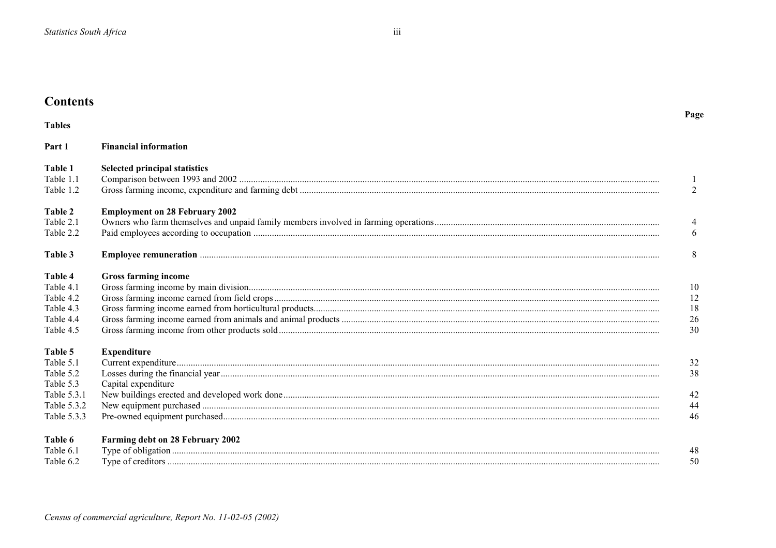| <b>Contents</b>                                                                             |                                           |                            |
|---------------------------------------------------------------------------------------------|-------------------------------------------|----------------------------|
| <b>Tables</b>                                                                               |                                           | Page                       |
| Part 1                                                                                      | <b>Financial information</b>              |                            |
| Table 1<br>Table 1.1<br>Table 1.2                                                           | <b>Selected principal statistics</b>      | 1<br>2                     |
| Table 2<br>Table 2.1<br>Table 2.2                                                           | <b>Employment on 28 February 2002</b>     | 4<br>6                     |
| Table 3                                                                                     |                                           | 8                          |
| Table 4<br>Table 4.1<br>Table 4.2<br>Table 4.3<br>Table 4.4<br>Table 4.5                    | <b>Gross farming income</b>               | 10<br>12<br>18<br>26<br>30 |
| Table 5<br>Table 5.1<br>Table 5.2<br>Table 5.3<br>Table 5.3.1<br>Table 5.3.2<br>Table 5.3.3 | <b>Expenditure</b><br>Capital expenditure | 32<br>38<br>42<br>44<br>46 |
| Table 6<br>Table 6.1<br>Table 6.2                                                           | Farming debt on 28 February 2002          | 48<br>50                   |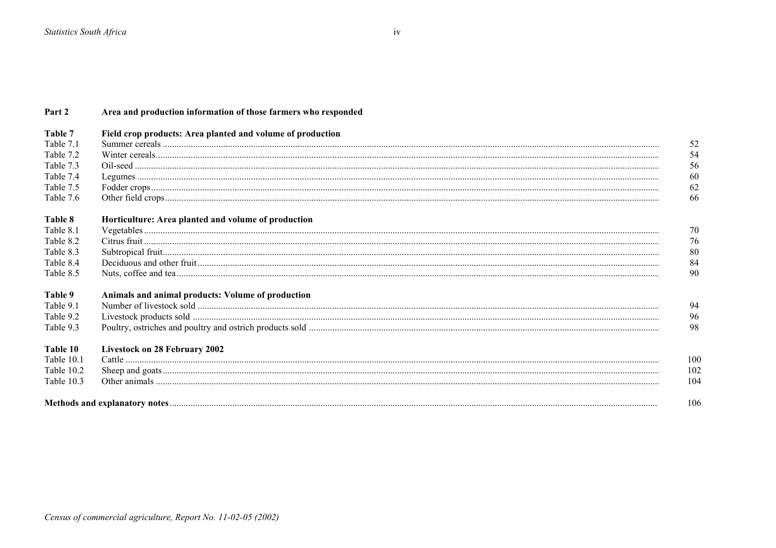| Part 2     | Area and production information of those farmers who responded |     |
|------------|----------------------------------------------------------------|-----|
| Table 7    | Field crop products: Area planted and volume of production     |     |
| Table 7.1  |                                                                | 52  |
| Table 7.2  |                                                                | 54  |
| Table 7.3  |                                                                | 56  |
| Table 7.4  |                                                                | 60  |
| Table 7.5  |                                                                | 62  |
| Table 7.6  |                                                                | 66  |
| Table 8    | Horticulture: Area planted and volume of production            |     |
| Table 8.1  |                                                                | 70  |
| Table 8.2  |                                                                | 76  |
| Table 8.3  |                                                                | 80  |
| Table 8.4  |                                                                | 84  |
| Table 8.5  |                                                                | 90  |
| Table 9    | Animals and animal products: Volume of production              |     |
| Table 9.1  |                                                                | 94  |
| Table 9.2  |                                                                | 96  |
| Table 9.3  |                                                                | 98  |
| Table 10   | Livestock on 28 February 2002                                  |     |
| Table 10.1 |                                                                | 100 |
| Table 10.2 |                                                                | 102 |
| Table 10.3 |                                                                | 104 |
|            |                                                                | 106 |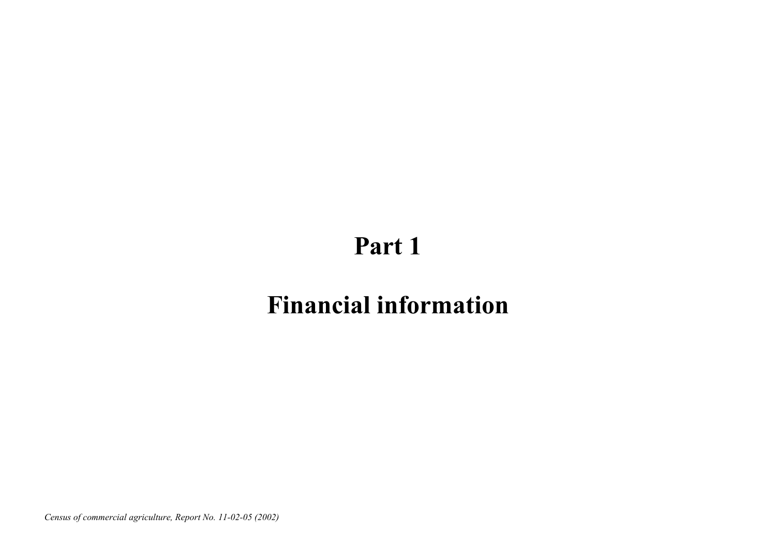# **Part 1**

## **Financial information**

*Census of commercial agriculture, Report No. 11-02-05 (2002)*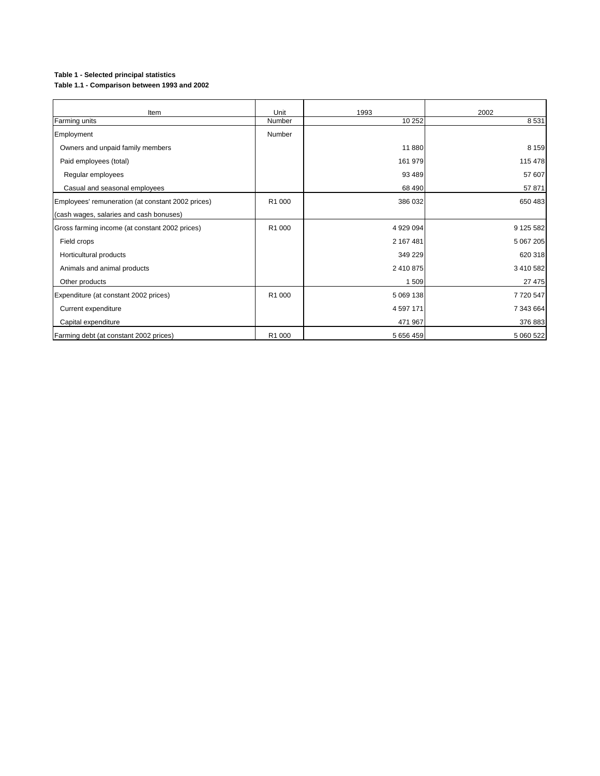### **Table 1 - Selected principal statistics**

**Table 1.1 - Comparison between 1993 and 2002**

| Item                                              | Unit   | 1993          | 2002      |
|---------------------------------------------------|--------|---------------|-----------|
| Farming units                                     | Number | 10 25 2       | 8531      |
| Employment                                        | Number |               |           |
| Owners and unpaid family members                  |        | 11880         | 8 1 5 9   |
| Paid employees (total)                            |        | 161 979       | 115 478   |
| Regular employees                                 |        | 93 489        | 57 607    |
| Casual and seasonal employees                     |        | 68 490        | 57 871    |
| Employees' remuneration (at constant 2002 prices) | R1 000 | 386 032       | 650 483   |
| (cash wages, salaries and cash bonuses)           |        |               |           |
| Gross farming income (at constant 2002 prices)    | R1 000 | 4 929 094     | 9 125 582 |
| Field crops                                       |        | 2 167 481     | 5 067 205 |
| Horticultural products                            |        | 349 229       | 620 318   |
| Animals and animal products                       |        | 2 410 875     | 3 410 582 |
| Other products                                    |        | 1509          | 27 475    |
| Expenditure (at constant 2002 prices)             | R1 000 | 5 069 138     | 7720 547  |
| Current expenditure                               |        | 4 5 9 7 1 7 1 | 7 343 664 |
| Capital expenditure                               |        | 471 967       | 376 883   |
| Farming debt (at constant 2002 prices)            | R1 000 | 5 656 459     | 5 060 522 |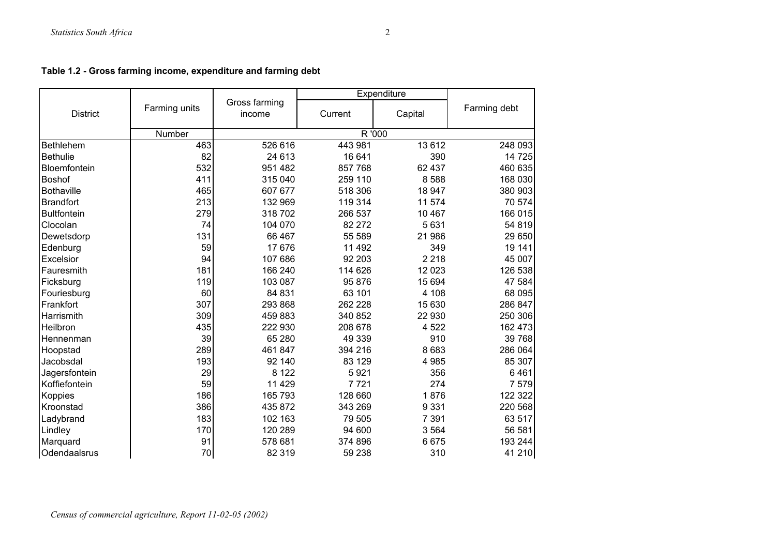|  |  | Table 1.2 - Gross farming income, expenditure and farming debt |  |
|--|--|----------------------------------------------------------------|--|
|--|--|----------------------------------------------------------------|--|

|                    |               |                         | Expenditure |         |              |
|--------------------|---------------|-------------------------|-------------|---------|--------------|
| <b>District</b>    | Farming units | Gross farming<br>income | Current     | Capital | Farming debt |
|                    | Number        |                         |             | R '000  |              |
| <b>Bethlehem</b>   | 463           | 526 616                 | 443 981     | 13 6 12 | 248 093      |
| <b>Bethulie</b>    | 82            | 24 613                  | 16 641      | 390     | 14 725       |
| Bloemfontein       | 532           | 951 482                 | 857 768     | 62 437  | 460 635      |
| Boshof             | 411           | 315 040                 | 259 110     | 8588    | 168 030      |
| <b>Bothaville</b>  | 465           | 607 677                 | 518 306     | 18 947  | 380 903      |
| <b>Brandfort</b>   | 213           | 132 969                 | 119 314     | 11 574  | 70 574       |
| <b>Bultfontein</b> | 279           | 318 702                 | 266 537     | 10 467  | 166 015      |
| Clocolan           | 74            | 104 070                 | 82 272      | 5 6 3 1 | 54 819       |
| Dewetsdorp         | 131           | 66 467                  | 55 589      | 21 986  | 29 650       |
| Edenburg           | 59            | 17 676                  | 11 492      | 349     | 19 141       |
| Excelsior          | 94            | 107 686                 | 92 203      | 2 2 1 8 | 45 007       |
| Fauresmith         | 181           | 166 240                 | 114 626     | 12 0 23 | 126 538      |
| Ficksburg          | 119           | 103 087                 | 95 876      | 15 694  | 47 584       |
| Fouriesburg        | 60            | 84 831                  | 63 101      | 4 108   | 68 095       |
| Frankfort          | 307           | 293 868                 | 262 228     | 15 630  | 286 847      |
| Harrismith         | 309           | 459 883                 | 340 852     | 22 930  | 250 306      |
| Heilbron           | 435           | 222 930                 | 208 678     | 4 5 22  | 162 473      |
| Hennenman          | 39            | 65 280                  | 49 339      | 910     | 39 768       |
| Hoopstad           | 289           | 461 847                 | 394 216     | 8683    | 286 064      |
| Jacobsdal          | 193           | 92 140                  | 83 129      | 4 9 8 5 | 85 307       |
| Jagersfontein      | 29            | 8 1 2 2                 | 5921        | 356     | 6461         |
| Koffiefontein      | 59            | 11 4 29                 | 7721        | 274     | 7 5 7 9      |
| Koppies            | 186           | 165 793                 | 128 660     | 1876    | 122 322      |
| Kroonstad          | 386           | 435 872                 | 343 269     | 9 3 3 1 | 220 568      |
| Ladybrand          | 183           | 102 163                 | 79 505      | 7 3 9 1 | 63 517       |
| Lindley            | 170           | 120 289                 | 94 600      | 3 5 6 4 | 56 581       |
| Marquard           | 91            | 578 681                 | 374 896     | 6675    | 193 244      |
| Odendaalsrus       | 70            | 82 319                  | 59 238      | 310     | 41 210       |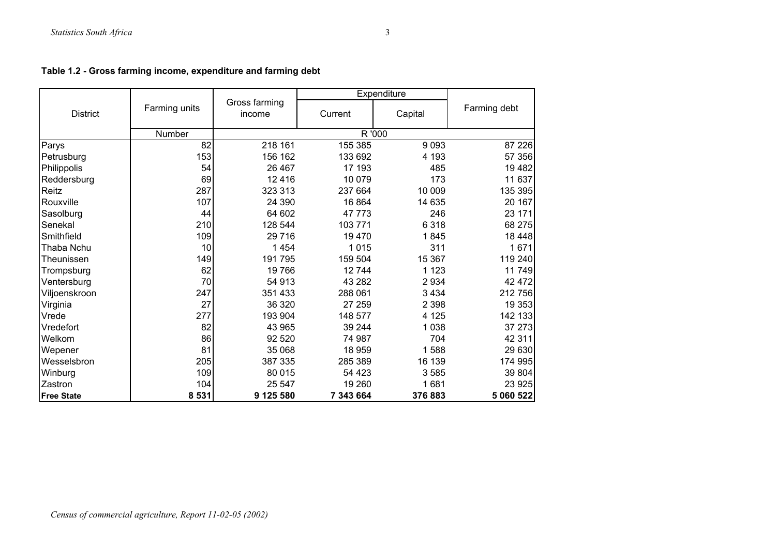|  | Table 1.2 - Gross farming income, expenditure and farming debt |  |
|--|----------------------------------------------------------------|--|
|--|----------------------------------------------------------------|--|

|                   |               |                         | Expenditure |         |              |
|-------------------|---------------|-------------------------|-------------|---------|--------------|
| <b>District</b>   | Farming units | Gross farming<br>income | Current     | Capital | Farming debt |
|                   | Number        |                         |             | R'000   |              |
| Parys             | 82            | 218 161                 | 155 385     | 9093    | 87 226       |
| Petrusburg        | 153           | 156 162                 | 133 692     | 4 1 9 3 | 57 356       |
| Philippolis       | 54            | 26 4 67                 | 17 193      | 485     | 19 4 82      |
| Reddersburg       | 69            | 12416                   | 10 079      | 173     | 11 637       |
| Reitz             | 287           | 323 313                 | 237 664     | 10 009  | 135 395      |
| Rouxville         | 107           | 24 390                  | 16 864      | 14 635  | 20 167       |
| Sasolburg         | 44            | 64 602                  | 47 773      | 246     | 23 171       |
| Senekal           | 210           | 128 544                 | 103 771     | 6318    | 68 275       |
| Smithfield        | 109           | 29 7 16                 | 19 470      | 1845    | 18 4 48      |
| Thaba Nchu        | 10            | 1 4 5 4                 | 1015        | 311     | 1671         |
| Theunissen        | 149           | 191795                  | 159 504     | 15 367  | 119 240      |
| Trompsburg        | 62            | 19766                   | 12744       | 1 1 2 3 | 11749        |
| Ventersburg       | 70            | 54 913                  | 43 282      | 2 9 3 4 | 42 472       |
| Viljoenskroon     | 247           | 351 433                 | 288 061     | 3 4 3 4 | 212 756      |
| Virginia          | 27            | 36 320                  | 27 259      | 2 3 9 8 | 19 353       |
| Vrede             | 277           | 193 904                 | 148 577     | 4 1 2 5 | 142 133      |
| Vredefort         | 82            | 43 965                  | 39 244      | 1 0 3 8 | 37 273       |
| Welkom            | 86            | 92 520                  | 74 987      | 704     | 42 311       |
| Wepener           | 81            | 35 068                  | 18 959      | 1588    | 29 630       |
| Wesselsbron       | 205           | 387 335                 | 285 389     | 16 139  | 174 995      |
| Winburg           | 109           | 80 015                  | 54 4 23     | 3585    | 39 804       |
| Zastron           | 104           | 25 547                  | 19 260      | 1681    | 23 925       |
| <b>Free State</b> | 8 5 3 1       | 9 125 580               | 7 343 664   | 376883  | 5 060 522    |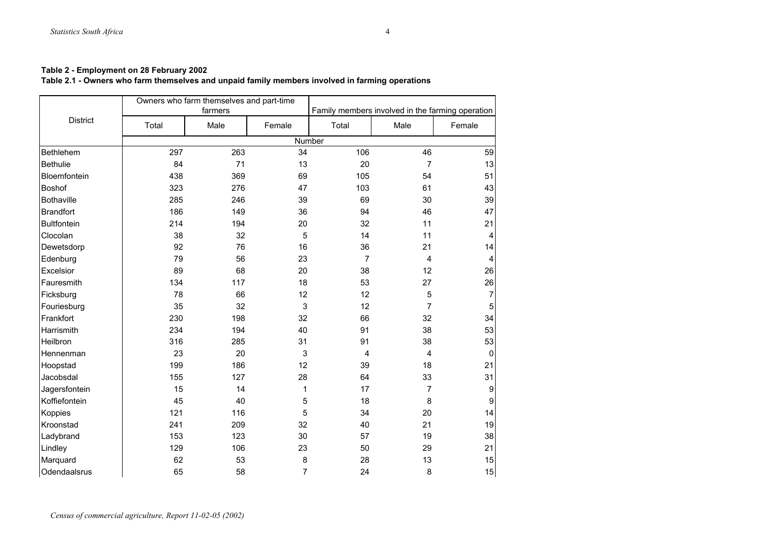## **Table 2.1 - Owners who farm themselves and unpaid family members involved in farming operations**

|                    |       | Owners who farm themselves and part-time |                |                |                                                  |                         |
|--------------------|-------|------------------------------------------|----------------|----------------|--------------------------------------------------|-------------------------|
|                    |       | farmers                                  |                |                | Family members involved in the farming operation |                         |
| <b>District</b>    | Total | Male                                     | Female         | Total          | Male                                             | Female                  |
|                    |       |                                          | Number         |                |                                                  |                         |
| Bethlehem          | 297   | 263                                      | 34             | 106            | 46                                               | 59                      |
| <b>Bethulie</b>    | 84    | 71                                       | 13             | 20             | $\overline{7}$                                   | 13                      |
| Bloemfontein       | 438   | 369                                      | 69             | 105            | 54                                               | 51                      |
| Boshof             | 323   | 276                                      | 47             | 103            | 61                                               | 43                      |
| <b>Bothaville</b>  | 285   | 246                                      | 39             | 69             | 30                                               | 39                      |
| <b>Brandfort</b>   | 186   | 149                                      | 36             | 94             | 46                                               | 47                      |
| <b>Bultfontein</b> | 214   | 194                                      | 20             | 32             | 11                                               | 21                      |
| Clocolan           | 38    | 32                                       | 5              | 14             | 11                                               | $\overline{4}$          |
| Dewetsdorp         | 92    | 76                                       | 16             | 36             | 21                                               | 14                      |
| Edenburg           | 79    | 56                                       | 23             | $\overline{7}$ | $\overline{4}$                                   | $\overline{\mathbf{4}}$ |
| Excelsior          | 89    | 68                                       | 20             | 38             | 12                                               | 26                      |
| Fauresmith         | 134   | 117                                      | 18             | 53             | 27                                               | 26                      |
| Ficksburg          | 78    | 66                                       | 12             | 12             | 5                                                | $\overline{7}$          |
| Fouriesburg        | 35    | 32                                       | $\mathsf 3$    | 12             | $\overline{7}$                                   | $\overline{5}$          |
| Frankfort          | 230   | 198                                      | 32             | 66             | 32                                               | 34                      |
| Harrismith         | 234   | 194                                      | 40             | 91             | 38                                               | 53                      |
| Heilbron           | 316   | 285                                      | 31             | 91             | 38                                               | 53                      |
| Hennenman          | 23    | 20                                       | 3              | 4              | 4                                                | 0                       |
| Hoopstad           | 199   | 186                                      | 12             | 39             | 18                                               | 21                      |
| Jacobsdal          | 155   | 127                                      | 28             | 64             | 33                                               | 31                      |
| Jagersfontein      | 15    | 14                                       | 1              | 17             | $\overline{7}$                                   | $\boldsymbol{9}$        |
| Koffiefontein      | 45    | 40                                       | 5              | 18             | 8                                                | 9                       |
| Koppies            | 121   | 116                                      | 5              | 34             | 20                                               | 14                      |
| Kroonstad          | 241   | 209                                      | 32             | 40             | 21                                               | 19                      |
| Ladybrand          | 153   | 123                                      | 30             | 57             | 19                                               | 38                      |
| Lindley            | 129   | 106                                      | 23             | 50             | 29                                               | 21                      |
| Marquard           | 62    | 53                                       | 8              | 28             | 13                                               | 15                      |
| Odendaalsrus       | 65    | 58                                       | $\overline{7}$ | 24             | 8                                                | 15                      |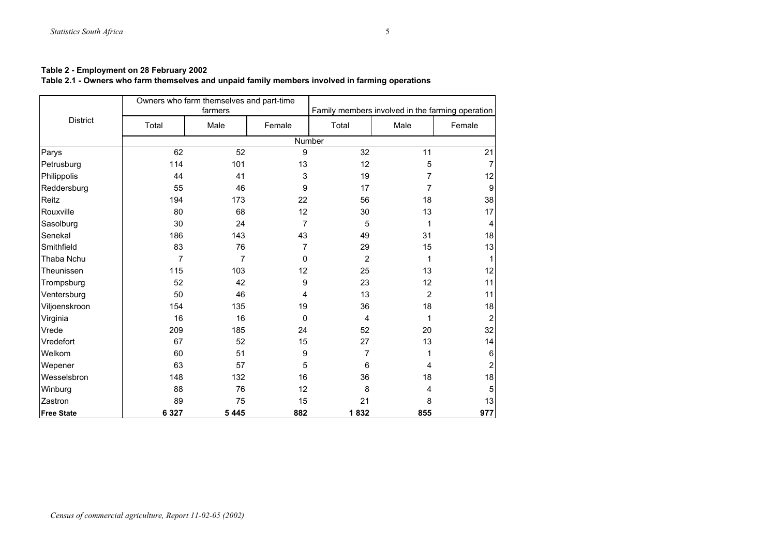## **Table 2.1 - Owners who farm themselves and unpaid family members involved in farming operations**

|                   |                | Owners who farm themselves and part-time<br>farmers |                | Family members involved in the farming operation |                |                |  |
|-------------------|----------------|-----------------------------------------------------|----------------|--------------------------------------------------|----------------|----------------|--|
| <b>District</b>   | Total          | Male                                                | Female         | Total                                            | Male           | Female         |  |
|                   |                |                                                     |                | Number                                           |                |                |  |
| Parys             | 62             | 52                                                  | 9              | 32                                               | 11             | 21             |  |
| Petrusburg        | 114            | 101                                                 | 13             | 12                                               | 5              |                |  |
| Philippolis       | 44             | 41                                                  | 3              | 19                                               | 7              | 12             |  |
| Reddersburg       | 55             | 46                                                  | 9              | 17                                               | $\overline{7}$ | 9              |  |
| Reitz             | 194            | 173                                                 | 22             | 56                                               | 18             | 38             |  |
| Rouxville         | 80             | 68                                                  | 12             | 30                                               | 13             | 17             |  |
| Sasolburg         | 30             | 24                                                  | $\overline{7}$ | 5                                                | 1              | 4              |  |
| Senekal           | 186            | 143                                                 | 43             | 49                                               | 31             | 18             |  |
| Smithfield        | 83             | 76                                                  | 7              | 29                                               | 15             | 13             |  |
| Thaba Nchu        | $\overline{7}$ | 7                                                   | 0              | $\overline{2}$                                   | 1              | 1              |  |
| Theunissen        | 115            | 103                                                 | 12             | 25                                               | 13             | 12             |  |
| Trompsburg        | 52             | 42                                                  | 9              | 23                                               | 12             | 11             |  |
| Ventersburg       | 50             | 46                                                  | 4              | 13                                               | $\overline{2}$ | 11             |  |
| Viljoenskroon     | 154            | 135                                                 | 19             | 36                                               | 18             | 18             |  |
| Virginia          | 16             | 16                                                  | 0              | 4                                                | 1              | $\overline{2}$ |  |
| Vrede             | 209            | 185                                                 | 24             | 52                                               | 20             | 32             |  |
| Vredefort         | 67             | 52                                                  | 15             | 27                                               | 13             | 14             |  |
| Welkom            | 60             | 51                                                  | 9              | 7                                                | 1              | $6 \,$         |  |
| Wepener           | 63             | 57                                                  | 5              | 6                                                | 4              | $\overline{2}$ |  |
| Wesselsbron       | 148            | 132                                                 | 16             | 36                                               | 18             | 18             |  |
| Winburg           | 88             | 76                                                  | 12             | 8                                                | 4              | 5              |  |
| Zastron           | 89             | 75                                                  | 15             | 21                                               | 8              | 13             |  |
| <b>Free State</b> | 6 3 2 7        | 5445                                                | 882            | 1832                                             | 855            | 977            |  |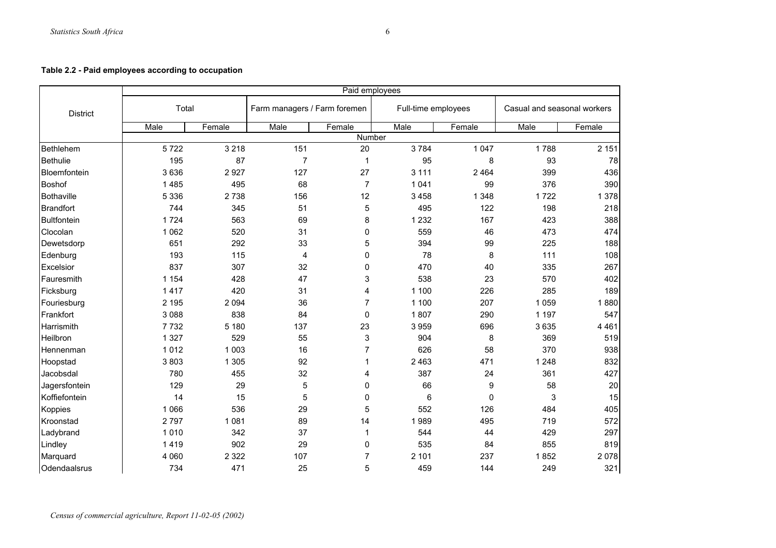## **Table 2.2 - Paid employees according to occupation**

|                    | Paid employees |         |                              |                |                     |              |                             |         |  |
|--------------------|----------------|---------|------------------------------|----------------|---------------------|--------------|-----------------------------|---------|--|
| <b>District</b>    | Total          |         | Farm managers / Farm foremen |                | Full-time employees |              | Casual and seasonal workers |         |  |
|                    | Male           | Female  | Male                         | Female         | Male                | Female       | Male                        | Female  |  |
|                    |                |         |                              | Number         |                     |              |                             |         |  |
| Bethlehem          | 5722           | 3 2 1 8 | 151                          | 20             | 3784                | 1 0 4 7      | 1788                        | 2 1 5 1 |  |
| <b>Bethulie</b>    | 195            | 87      | $\overline{7}$               | 1              | 95                  | 8            | 93                          | 78      |  |
| Bloemfontein       | 3636           | 2927    | 127                          | 27             | 3 1 1 1             | 2 4 6 4      | 399                         | 436     |  |
| <b>Boshof</b>      | 1 4 8 5        | 495     | 68                           | $\overline{7}$ | 1 0 4 1             | 99           | 376                         | 390     |  |
| Bothaville         | 5 3 3 6        | 2738    | 156                          | 12             | 3 4 5 8             | 1 3 4 8      | 1722                        | 1 378   |  |
| <b>Brandfort</b>   | 744            | 345     | 51                           | 5              | 495                 | 122          | 198                         | 218     |  |
| <b>Bultfontein</b> | 1724           | 563     | 69                           | 8              | 1 2 3 2             | 167          | 423                         | 388     |  |
| Clocolan           | 1 0 6 2        | 520     | 31                           | 0              | 559                 | 46           | 473                         | 474     |  |
| Dewetsdorp         | 651            | 292     | 33                           | 5              | 394                 | 99           | 225                         | 188     |  |
| Edenburg           | 193            | 115     | 4                            | 0              | 78                  | 8            | 111                         | 108     |  |
| Excelsior          | 837            | 307     | 32                           | 0              | 470                 | 40           | 335                         | 267     |  |
| Fauresmith         | 1 1 5 4        | 428     | 47                           | 3              | 538                 | 23           | 570                         | 402     |  |
| Ficksburg          | 1417           | 420     | 31                           | 4              | 1 100               | 226          | 285                         | 189     |  |
| Fouriesburg        | 2 1 9 5        | 2 0 9 4 | 36                           | $\overline{7}$ | 1 100               | 207          | 1 0 5 9                     | 1880    |  |
| Frankfort          | 3 0 8 8        | 838     | 84                           | $\mathbf 0$    | 1807                | 290          | 1 1 9 7                     | 547     |  |
| Harrismith         | 7732           | 5 1 8 0 | 137                          | 23             | 3959                | 696          | 3635                        | 4 4 6 1 |  |
| Heilbron           | 1 3 2 7        | 529     | 55                           | 3              | 904                 | 8            | 369                         | 519     |  |
| Hennenman          | 1012           | 1 0 0 3 | 16                           | $\overline{7}$ | 626                 | 58           | 370                         | 938     |  |
| Hoopstad           | 3803           | 1 3 0 5 | 92                           | $\mathbf{1}$   | 2 4 6 3             | 471          | 1 2 4 8                     | 832     |  |
| Jacobsdal          | 780            | 455     | 32                           | 4              | 387                 | 24           | 361                         | 427     |  |
| Jagersfontein      | 129            | 29      | 5                            | 0              | 66                  | 9            | 58                          | 20      |  |
| Koffiefontein      | 14             | 15      | 5                            | 0              | 6                   | $\mathbf{0}$ | 3                           | 15      |  |
| Koppies            | 1 0 6 6        | 536     | 29                           | 5              | 552                 | 126          | 484                         | 405     |  |
| Kroonstad          | 2797           | 1 0 8 1 | 89                           | 14             | 1989                | 495          | 719                         | 572     |  |
| Ladybrand          | 1010           | 342     | 37                           | $\mathbf{1}$   | 544                 | 44           | 429                         | 297     |  |
| Lindley            | 1419           | 902     | 29                           | 0              | 535                 | 84           | 855                         | 819     |  |
| Marquard           | 4 0 6 0        | 2 3 2 2 | 107                          | 7              | 2 101               | 237          | 1852                        | 2078    |  |
| Odendaalsrus       | 734            | 471     | 25                           | 5              | 459                 | 144          | 249                         | 321     |  |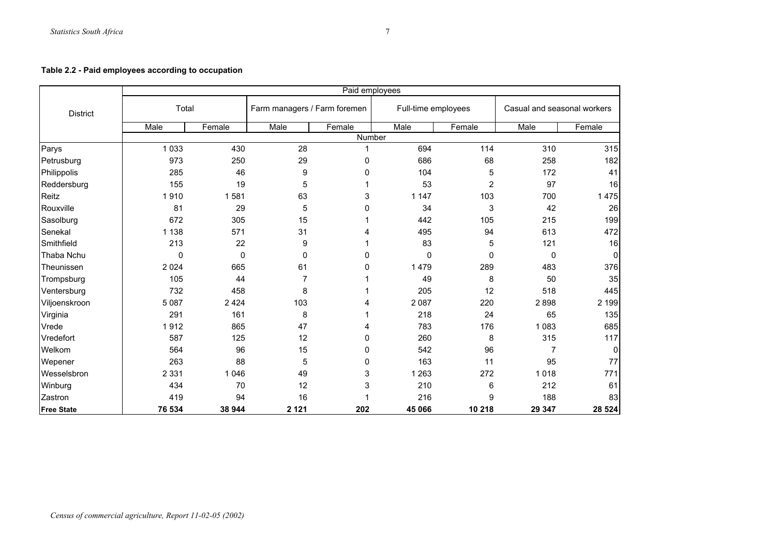## **Table 2.2 - Paid employees according to occupation**

|                   | Paid employees |         |                  |                              |         |                     |                             |              |  |
|-------------------|----------------|---------|------------------|------------------------------|---------|---------------------|-----------------------------|--------------|--|
| <b>District</b>   | Total          |         |                  | Farm managers / Farm foremen |         | Full-time employees | Casual and seasonal workers |              |  |
|                   | Male           | Female  | Male             | Female                       | Male    | Female              | Male                        | Female       |  |
|                   |                |         |                  | Number                       |         |                     |                             |              |  |
| Parys             | 1 0 3 3        | 430     | 28               | 1                            | 694     | 114                 | 310                         | 315          |  |
| Petrusburg        | 973            | 250     | 29               | 0                            | 686     | 68                  | 258                         | 182          |  |
| Philippolis       | 285            | 46      | $\boldsymbol{9}$ | $\mathbf 0$                  | 104     | 5                   | 172                         | 41           |  |
| Reddersburg       | 155            | 19      | 5                |                              | 53      | 2                   | 97                          | 16           |  |
| Reitz             | 1910           | 1581    | 63               | 3                            | 1 1 4 7 | 103                 | 700                         | 1 4 7 5      |  |
| Rouxville         | 81             | 29      | 5                | $\mathbf 0$                  | 34      | 3                   | 42                          | 26           |  |
| Sasolburg         | 672            | 305     | 15               |                              | 442     | 105                 | 215                         | 199          |  |
| Senekal           | 1 1 3 8        | 571     | 31               | 4                            | 495     | 94                  | 613                         | 472          |  |
| Smithfield        | 213            | 22      | $\boldsymbol{9}$ |                              | 83      | 5                   | 121                         | 16           |  |
| Thaba Nchu        | 0              | 0       | 0                | 0                            | 0       | 0                   | 0                           | $\mathbf 0$  |  |
| Theunissen        | 2 0 2 4        | 665     | 61               | 0                            | 1479    | 289                 | 483                         | 376          |  |
| Trompsburg        | 105            | 44      | $\overline{7}$   |                              | 49      | 8                   | 50                          | 35           |  |
| Ventersburg       | 732            | 458     | 8                |                              | 205     | 12                  | 518                         | 445          |  |
| Viljoenskroon     | 5 0 8 7        | 2 4 2 4 | 103              | 4                            | 2 0 8 7 | 220                 | 2898                        | 2 199        |  |
| Virginia          | 291            | 161     | 8                |                              | 218     | 24                  | 65                          | 135          |  |
| Vrede             | 1912           | 865     | 47               | 4                            | 783     | 176                 | 1 0 8 3                     | 685          |  |
| Vredefort         | 587            | 125     | 12               | 0                            | 260     | 8                   | 315                         | 117          |  |
| Welkom            | 564            | 96      | 15               | 0                            | 542     | 96                  | $\overline{7}$              | $\mathbf{0}$ |  |
| Wepener           | 263            | 88      | 5                | 0                            | 163     | 11                  | 95                          | 77           |  |
| Wesselsbron       | 2 3 3 1        | 1 0 4 6 | 49               | 3                            | 1 2 6 3 | 272                 | 1018                        | 771          |  |
| Winburg           | 434            | 70      | 12               | $\mathsf 3$                  | 210     | 6                   | 212                         | 61           |  |
| Zastron           | 419            | 94      | 16               |                              | 216     | 9                   | 188                         | 83           |  |
| <b>Free State</b> | 76 534         | 38 944  | 2 1 2 1          | 202                          | 45 066  | 10 218              | 29 347                      | 28 5 24      |  |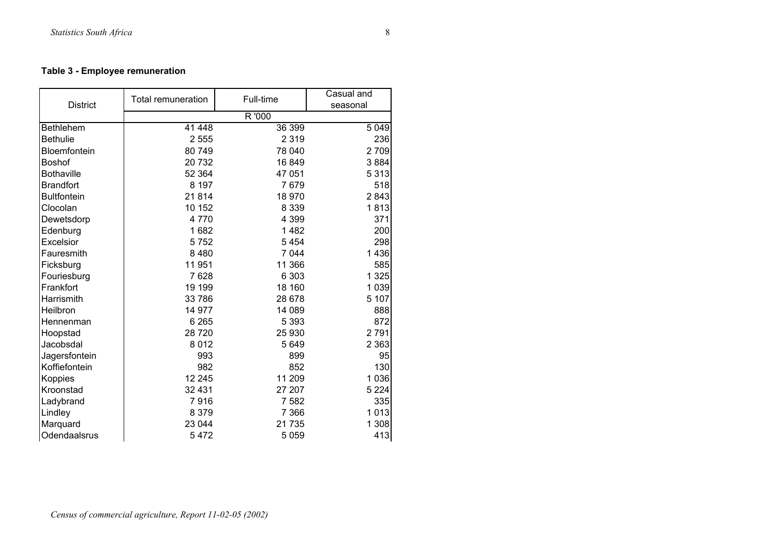## **Table 3 - Employee remuneration**

| <b>District</b>    | <b>Total remuneration</b> | Full-time | Casual and<br>seasonal |
|--------------------|---------------------------|-----------|------------------------|
|                    |                           | R '000    |                        |
| <b>Bethlehem</b>   | 41 448                    | 36 399    | 5 0 4 9                |
| <b>Bethulie</b>    | 2 5 5 5                   | 2 3 1 9   | 236                    |
| Bloemfontein       | 80 749                    | 78 040    | 2709                   |
| <b>Boshof</b>      | 20732                     | 16849     | 3884                   |
| <b>Bothaville</b>  | 52 364                    | 47 051    | 5 3 1 3                |
| <b>Brandfort</b>   | 8 1 9 7                   | 7679      | 518                    |
| <b>Bultfontein</b> | 21814                     | 18 970    | 2843                   |
| Clocolan           | 10 152                    | 8 3 3 9   | 1813                   |
| Dewetsdorp         | 4770                      | 4 3 9 9   | 371                    |
| Edenburg           | 1682                      | 1482      | 200                    |
| Excelsior          | 5752                      | 5 4 5 4   | 298                    |
| Fauresmith         | 8 4 8 0                   | 7 0 4 4   | 1436                   |
| Ficksburg          | 11 951                    | 11 366    | 585                    |
| Fouriesburg        | 7628                      | 6 3 0 3   | 1 3 2 5                |
| Frankfort          | 19 199                    | 18 160    | 1 0 3 9                |
| Harrismith         | 33 786                    | 28 678    | 5 107                  |
| Heilbron           | 14 977                    | 14 089    | 888                    |
| Hennenman          | 6 2 6 5                   | 5 3 9 3   | 872                    |
| Hoopstad           | 28 7 20                   | 25 930    | 2791                   |
| Jacobsdal          | 8 0 1 2                   | 5 6 4 9   | 2 3 6 3                |
| Jagersfontein      | 993                       | 899       | 95                     |
| Koffiefontein      | 982                       | 852       | 130                    |
| Koppies            | 12 245                    | 11 209    | 1 0 3 6                |
| Kroonstad          | 32 431                    | 27 207    | 5 2 2 4                |
| Ladybrand          | 7916                      | 7 5 8 2   | 335                    |
| Lindley            | 8 3 7 9                   | 7 3 6 6   | 1013                   |
| Marquard           | 23 044                    | 21 735    | 1 308                  |
| Odendaalsrus       | 5472                      | 5 0 5 9   | 413                    |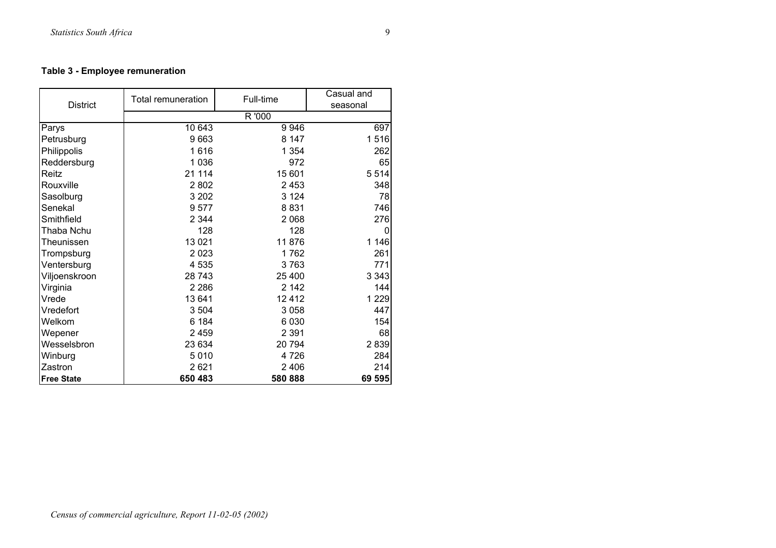## **Table 3 - Employee remuneration**

| <b>District</b>   | <b>Total remuneration</b> | Full-time | Casual and<br>seasonal |
|-------------------|---------------------------|-----------|------------------------|
|                   |                           | R '000    |                        |
| Parys             | 10 643                    | 9946      | 697                    |
| Petrusburg        | 9663                      | 8 147     | 1516                   |
| Philippolis       | 1616                      | 1 3 5 4   | 262                    |
| Reddersburg       | 1 0 3 6                   | 972       | 65                     |
| Reitz             | 21 114                    | 15 601    | 5 5 1 4                |
| Rouxville         | 2 8 0 2                   | 2 4 5 3   | 348                    |
| Sasolburg         | 3 2 0 2                   | 3 1 2 4   | 78                     |
| Senekal           | 9577                      | 8831      | 746                    |
| Smithfield        | 2 3 4 4                   | 2 0 6 8   | 276                    |
| Thaba Nchu        | 128                       | 128       | 0                      |
| Theunissen        | 13 0 21                   | 11876     | 1 1 4 6                |
| Trompsburg        | 2 0 2 3                   | 1762      | 261                    |
| Ventersburg       | 4 5 3 5                   | 3763      | 771                    |
| Viljoenskroon     | 28 743                    | 25 400    | 3 3 4 3                |
| Virginia          | 2 2 8 6                   | 2 1 4 2   | 144                    |
| Vrede             | 13 641                    | 12412     | 1 2 2 9                |
| Vredefort         | 3 5 0 4                   | 3 0 5 8   | 447                    |
| Welkom            | 6 184                     | 6 0 3 0   | 154                    |
| Wepener           | 2 4 5 9                   | 2 3 9 1   | 68                     |
| Wesselsbron       | 23 634                    | 20 794    | 2839                   |
| Winburg           | 5010                      | 4 7 2 6   | 284                    |
| Zastron           | 2621                      | 2 4 0 6   | 214                    |
| <b>Free State</b> | 650 483                   | 580 888   | 69 595                 |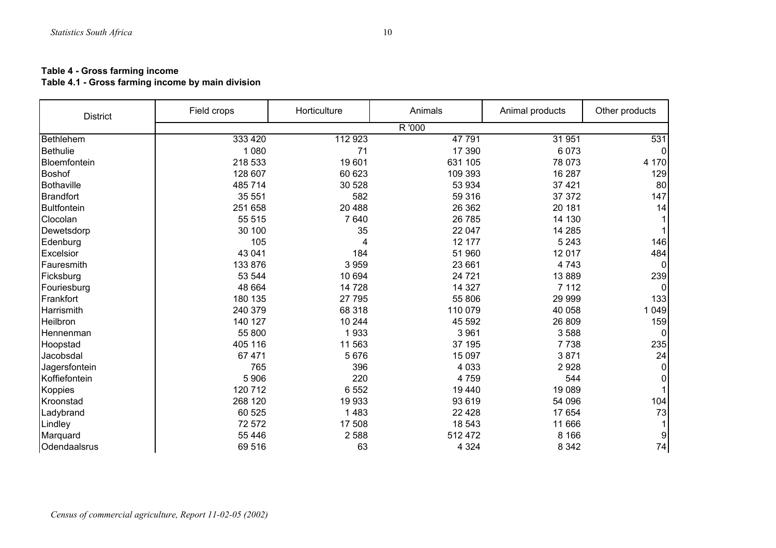## **Table 4 - Gross farming income**

#### **Table 4.1 - Gross farming income by main division**

| <b>District</b>    | Field crops | Horticulture | Animals | Animal products | Other products |
|--------------------|-------------|--------------|---------|-----------------|----------------|
|                    |             |              | R '000  |                 |                |
| Bethlehem          | 333 420     | 112 923      | 47 791  | 31 951          | 531            |
| <b>Bethulie</b>    | 1 0 8 0     | 71           | 17 390  | 6073            |                |
| Bloemfontein       | 218 533     | 19601        | 631 105 | 78 073          | 4 170          |
| <b>Boshof</b>      | 128 607     | 60 623       | 109 393 | 16 287          | 129            |
| Bothaville         | 485 714     | 30 528       | 53 934  | 37 4 21         | 80             |
| <b>Brandfort</b>   | 35 551      | 582          | 59 316  | 37 372          | 147            |
| <b>Bultfontein</b> | 251 658     | 20 488       | 26 362  | 20 181          | 14             |
| Clocolan           | 55 515      | 7640         | 26 785  | 14 130          |                |
| Dewetsdorp         | 30 100      | 35           | 22 047  | 14 285          |                |
| Edenburg           | 105         |              | 12 177  | 5 2 4 3         | 146            |
| Excelsior          | 43 041      | 184          | 51 960  | 12 0 17         | 484            |
| Fauresmith         | 133 876     | 3 9 5 9      | 23 661  | 4743            | $\Omega$       |
| Ficksburg          | 53 544      | 10 694       | 24 7 21 | 13889           | 239            |
| Fouriesburg        | 48 664      | 14 7 28      | 14 3 27 | 7 1 1 2         |                |
| Frankfort          | 180 135     | 27 795       | 55 806  | 29 999          | 133            |
| Harrismith         | 240 379     | 68 318       | 110 079 | 40 058          | 1 0 4 9        |
| Heilbron           | 140 127     | 10 244       | 45 592  | 26 809          | 159            |
| Hennenman          | 55 800      | 1933         | 3 9 6 1 | 3588            |                |
| Hoopstad           | 405 116     | 11 563       | 37 195  | 7738            | 235            |
| Jacobsdal          | 67 471      | 5676         | 15 097  | 3871            | 24             |
| Jagersfontein      | 765         | 396          | 4 0 3 3 | 2928            | 0              |
| Koffiefontein      | 5 906       | 220          | 4759    | 544             | 0              |
| <b>Koppies</b>     | 120 712     | 6 5 5 2      | 19 440  | 19 0 89         |                |
| Kroonstad          | 268 120     | 19 933       | 93 619  | 54 096          | 104            |
| Ladybrand          | 60 525      | 1483         | 22 4 28 | 17 654          | 73             |
| Lindley            | 72 572      | 17 508       | 18 543  | 11 666          |                |
| Marquard           | 55 4 46     | 2588         | 512 472 | 8 1 6 6         | 9              |
| Odendaalsrus       | 69 516      | 63           | 4 3 2 4 | 8 3 4 2         | 74             |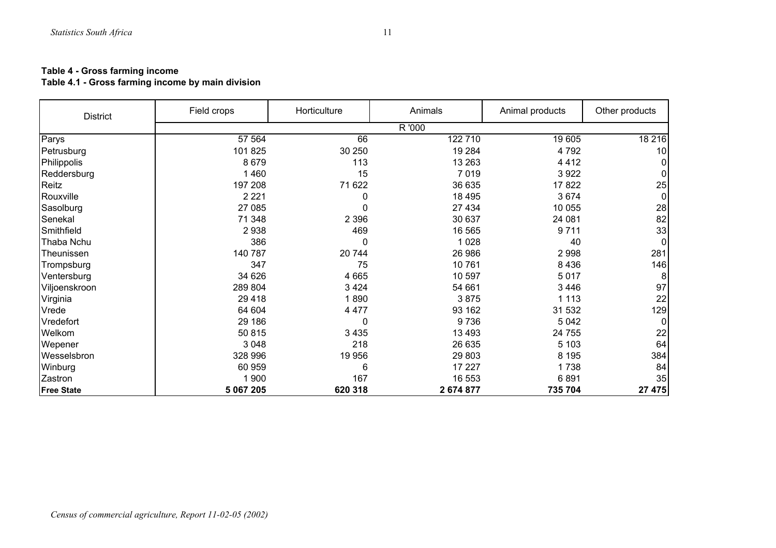## **Table 4 - Gross farming income**

### **Table 4.1 - Gross farming income by main division**

| <b>District</b>   | Field crops | Horticulture | Animals   | Animal products | Other products |
|-------------------|-------------|--------------|-----------|-----------------|----------------|
|                   |             |              | R '000    |                 |                |
| Parys             | 57 564      | 66           | 122 710   | 19 605          | 18 216         |
| Petrusburg        | 101 825     | 30 250       | 19 284    | 4792            | 10             |
| Philippolis       | 8679        | 113          | 13 263    | 4412            |                |
| Reddersburg       | 1460        | 15           | 7019      | 3922            | 0              |
| Reitz             | 197 208     | 71 622       | 36 635    | 17822           | 25             |
| Rouxville         | 2 2 2 1     | 0            | 18 4 95   | 3674            | $\mathbf 0$    |
| Sasolburg         | 27 085      | 0            | 27 434    | 10 055          | 28             |
| Senekal           | 71 348      | 2 3 9 6      | 30 637    | 24 081          | 82             |
| Smithfield        | 2938        | 469          | 16 565    | 9711            | 33             |
| Thaba Nchu        | 386         | 0            | 1 0 2 8   | 40              | 0              |
| Theunissen        | 140 787     | 20744        | 26 986    | 2998            | 281            |
| Trompsburg        | 347         | 75           | 10 761    | 8436            | 146            |
| Ventersburg       | 34 626      | 4 6 6 5      | 10 597    | 5017            | 8              |
| Viljoenskroon     | 289 804     | 3424         | 54 661    | 3446            | 97             |
| Virginia          | 29 4 18     | 1890         | 3875      | 1 1 1 3         | 22             |
| Vrede             | 64 604      | 4 4 7 7      | 93 162    | 31 532          | 129            |
| Vredefort         | 29 186      | 0            | 9736      | 5 0 4 2         | $\Omega$       |
| Welkom            | 50 815      | 3 4 3 5      | 13 4 93   | 24 755          | 22             |
| Wepener           | 3 0 4 8     | 218          | 26 635    | 5 1 0 3         | 64             |
| Wesselsbron       | 328 996     | 19 956       | 29 803    | 8 1 9 5         | 384            |
| Winburg           | 60 959      | 6            | 17 227    | 1738            | 84             |
| Zastron           | 1 900       | 167          | 16 553    | 6891            | 35             |
| <b>Free State</b> | 5 067 205   | 620 318      | 2 674 877 | 735 704         | 27 475         |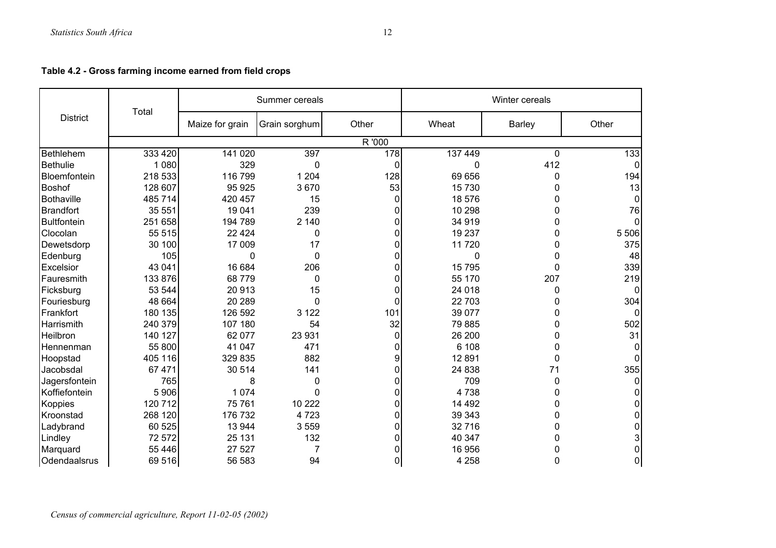**Table 4.2 - Gross farming income earned from field crops** 

|                    |         |                 | Summer cereals |                | Winter cereals |               |                |  |
|--------------------|---------|-----------------|----------------|----------------|----------------|---------------|----------------|--|
| <b>District</b>    | Total   | Maize for grain | Grain sorghum  | Other          | Wheat          | <b>Barley</b> | Other          |  |
|                    |         |                 |                | R '000         |                |               |                |  |
| Bethlehem          | 333 420 | 141 020         | 397            | 178            | 137 449        | 0             | 133            |  |
| <b>Bethulie</b>    | 1 0 8 0 | 329             | 0              | $\Omega$       | 0              | 412           |                |  |
| Bloemfontein       | 218 533 | 116 799         | 1 2 0 4        | 128            | 69 656         | 0             | 194            |  |
| <b>Boshof</b>      | 128 607 | 95 925          | 3670           | 53             | 15 730         | 0             | 13             |  |
| Bothaville         | 485 714 | 420 457         | 15             | $\overline{0}$ | 18 576         | 0             |                |  |
| <b>Brandfort</b>   | 35 551  | 19 041          | 239            | $\Omega$       | 10 298         | 0             | 76             |  |
| <b>Bultfontein</b> | 251 658 | 194 789         | 2 140          | $\Omega$       | 34 919         | 0             |                |  |
| Clocolan           | 55 515  | 22 4 24         | $\mathbf 0$    | $\Omega$       | 19 237         | 0             | 5 5 0 6        |  |
| Dewetsdorp         | 30 100  | 17 009          | 17             | $\mathbf{0}$   | 11 720         | 0             | 375            |  |
| Edenburg           | 105     | $\mathbf 0$     | $\mathbf 0$    | $\Omega$       | 0              | 0             | 48             |  |
| Excelsior          | 43 041  | 16 684          | 206            | $\Omega$       | 15 795         | 0             | 339            |  |
| Fauresmith         | 133 876 | 68779           | 0              | $\Omega$       | 55 170         | 207           | 219            |  |
| Ficksburg          | 53 544  | 20 913          | 15             | 0              | 24 018         | 0             |                |  |
| Fouriesburg        | 48 664  | 20 289          | $\mathbf 0$    | $\Omega$       | 22 703         | 0             | 304            |  |
| Frankfort          | 180 135 | 126 592         | 3 1 2 2        | 101            | 39 077         | $\Omega$      |                |  |
| Harrismith         | 240 379 | 107 180         | 54             | 32             | 79 885         | 0             | 502            |  |
| Heilbron           | 140 127 | 62 077          | 23 931         | $\mathbf 0$    | 26 200         | 0             | 31             |  |
| Hennenman          | 55 800  | 41 047          | 471            | $\Omega$       | 6 108          | 0             |                |  |
| Hoopstad           | 405 116 | 329 835         | 882            | 9              | 12 8 9 1       | $\Omega$      |                |  |
| Jacobsdal          | 67 471  | 30 514          | 141            | $\overline{0}$ | 24 838         | 71            | 355            |  |
| Jagersfontein      | 765     | 8               | 0              | $\Omega$       | 709            | $\mathbf 0$   |                |  |
| Koffiefontein      | 5 906   | 1074            | $\Omega$       | $\Omega$       | 4738           | 0             |                |  |
| Koppies            | 120 712 | 75 761          | 10 222         | $\Omega$       | 14 492         | 0             |                |  |
| Kroonstad          | 268 120 | 176 732         | 4723           | $\overline{0}$ | 39 343         | 0             |                |  |
| Ladybrand          | 60 525  | 13 944          | 3559           | $\Omega$       | 32 716         | 0             | 0              |  |
| Lindley            | 72 572  | 25 131          | 132            | $\Omega$       | 40 347         | 0             | 3              |  |
| Marquard           | 55 4 46 | 27 527          | $\overline{7}$ | 0              | 16 956         | 0             | 01             |  |
| Odendaalsrus       | 69 516  | 56 583          | 94             | $\overline{0}$ | 4 2 5 8        | 0             | $\overline{0}$ |  |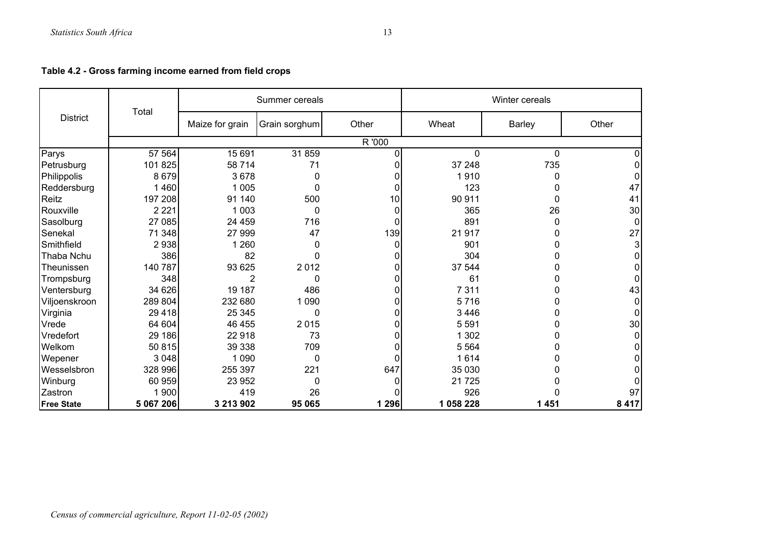**Table 4.2 - Gross farming income earned from field crops** 

|                   |           |                 | Summer cereals |          | Winter cereals |               |             |  |
|-------------------|-----------|-----------------|----------------|----------|----------------|---------------|-------------|--|
| <b>District</b>   | Total     | Maize for grain | Grain sorghum  | Other    | Wheat          | <b>Barley</b> | Other       |  |
|                   |           |                 |                | R '000   |                |               |             |  |
| Parys             | 57 564    | 15 691          | 31859          | 0        | 0              | 0             |             |  |
| Petrusburg        | 101 825   | 58 714          | 71             |          | 37 248         | 735           |             |  |
| Philippolis       | 8 6 7 9   | 3678            | 0              |          | 1910           | 0             | 0           |  |
| Reddersburg       | 1 4 6 0   | 1 0 0 5         | 0              |          | 123            | 0             | 47          |  |
| Reitz             | 197 208   | 91 140          | 500            | 10       | 90 911         | 0             | 41          |  |
| Rouxville         | 2 2 2 1   | 1 0 0 3         | 0              | $\Omega$ | 365            | 26            | 30          |  |
| Sasolburg         | 27 085    | 24 459          | 716            | 0        | 891            | 0             | $\Omega$    |  |
| Senekal           | 71 348    | 27 999          | 47             | 139      | 21 917         | 0             | 27          |  |
| Smithfield        | 2938      | 1 2 6 0         | 0              |          | 901            | 0             | 3           |  |
| Thaba Nchu        | 386       | 82              | 0              |          | 304            | 0             |             |  |
| Theunissen        | 140 787   | 93 625          | 2012           | 0        | 37 544         | 0             | 0           |  |
| Trompsburg        | 348       | $\overline{2}$  | 0              | 0        | 61             | 0             | 0           |  |
| Ventersburg       | 34 626    | 19 187          | 486            |          | 7 3 1 1        | 0             | 43          |  |
| Viljoenskroon     | 289 804   | 232 680         | 1 0 9 0        |          | 5716           | 0             | $\mathbf 0$ |  |
| Virginia          | 29 4 18   | 25 345          | 0              | $\Omega$ | 3 4 4 6        | 0             | $\Omega$    |  |
| Vrede             | 64 604    | 46 455          | 2015           |          | 5 5 9 1        | 0             | 30          |  |
| Vredefort         | 29 186    | 22 918          | 73             |          | 1 302          | 0             | 0           |  |
| Welkom            | 50 815    | 39 338          | 709            |          | 5 5 6 4        | 0             |             |  |
| Wepener           | 3 0 4 8   | 1 0 9 0         | $\pmb{0}$      | $\Omega$ | 1614           | 0             | 0           |  |
| Wesselsbron       | 328 996   | 255 397         | 221            | 647      | 35 030         | 0             |             |  |
| Winburg           | 60 959    | 23 952          | 0              |          | 21 7 25        |               |             |  |
| Zastron           | 1 900     | 419             | 26             |          | 926            |               | 97          |  |
| <b>Free State</b> | 5 067 206 | 3 213 902       | 95 065         | 1 2 9 6  | 1 058 228      | 1 4 5 1       | 8 4 1 7     |  |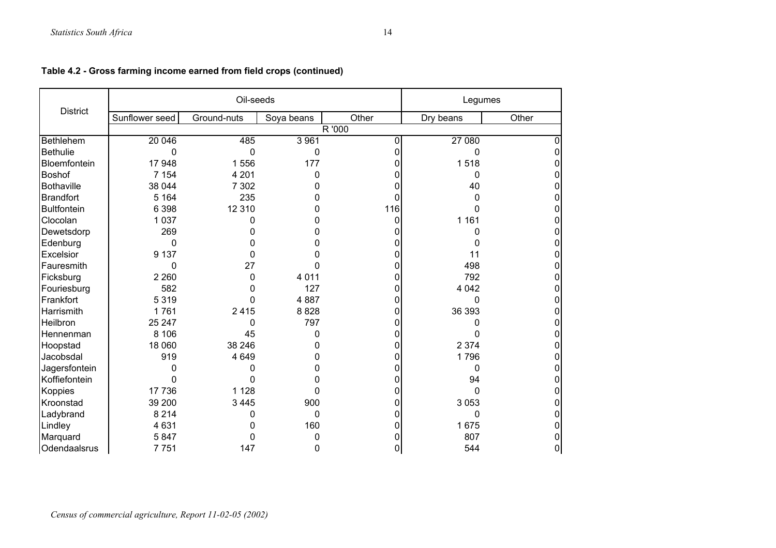|                    |                | Oil-seeds   |              |          | Legumes   |       |
|--------------------|----------------|-------------|--------------|----------|-----------|-------|
| <b>District</b>    | Sunflower seed | Ground-nuts | Soya beans   | Other    | Dry beans | Other |
|                    |                |             |              | R '000   |           |       |
| Bethlehem          | 20 046         | 485         | 3 9 6 1      | $\Omega$ | 27 080    | ŋ     |
| <b>Bethulie</b>    | 0              | $\mathbf 0$ | $\mathbf 0$  | U        | $\Omega$  |       |
| Bloemfontein       | 17 948         | 1556        | 177          |          | 1518      |       |
| <b>Boshof</b>      | 7 1 5 4        | 4 2 0 1     | $\Omega$     |          | 0         |       |
| <b>Bothaville</b>  | 38 044         | 7 3 0 2     | 0            |          | 40        |       |
| <b>Brandfort</b>   | 5 1 6 4        | 235         | 0            | 0        | 0         | 0     |
| <b>Bultfontein</b> | 6 3 9 8        | 12 310      | 0            | 116      | 0         | 0     |
| Clocolan           | 1 0 3 7        | 0           | 0            | 0        | 1 1 6 1   |       |
| Dewetsdorp         | 269            | 0           | 0            |          | 0         |       |
| Edenburg           | 0              | 0           | 0            |          |           |       |
| Excelsior          | 9 1 3 7        | 0           | n            | ი        | 11        |       |
| Fauresmith         | 0              | 27          |              |          | 498       | 0     |
| Ficksburg          | 2 2 6 0        | 0           | 4 0 1 1      |          | 792       | 0     |
| Fouriesburg        | 582            | 0           | 127          | 0        | 4 0 4 2   |       |
| Frankfort          | 5 3 1 9        | 0           | 4887         |          | 0         |       |
| Harrismith         | 1761           | 2415        | 8828         | 0        | 36 393    | 0     |
| Heilbron           | 25 247         | 0           | 797          |          |           |       |
| Hennenman          | 8 10 6         | 45          | 0            |          |           |       |
| Hoopstad           | 18 060         | 38 246      | 0            | 0        | 2 3 7 4   | 0     |
| Jacobsdal          | 919            | 4649        | 0            |          | 1796      | 0     |
| Jagersfontein      | n              | 0           | 0            |          | $\Omega$  |       |
| Koffiefontein      | 0              | 0           | O            |          | 94        |       |
| Koppies            | 17 736         | 1 1 2 8     | 0            |          | 0         | 0     |
| Kroonstad          | 39 200         | 3 4 4 5     | 900          | 0        | 3 0 5 3   |       |
| Ladybrand          | 8 2 1 4        | 0           | $\mathbf{0}$ |          | 0         |       |
| Lindley            | 4 6 31         | 0           | 160          |          | 1675      | 0     |
| Marquard           | 5847           | 0           | $\Omega$     |          | 807       | 0     |
| Odendaalsrus       | 7751           | 147         | 0            | 0        | 544       | 0     |

## **Table 4.2 - Gross farming income earned from field crops (continued)**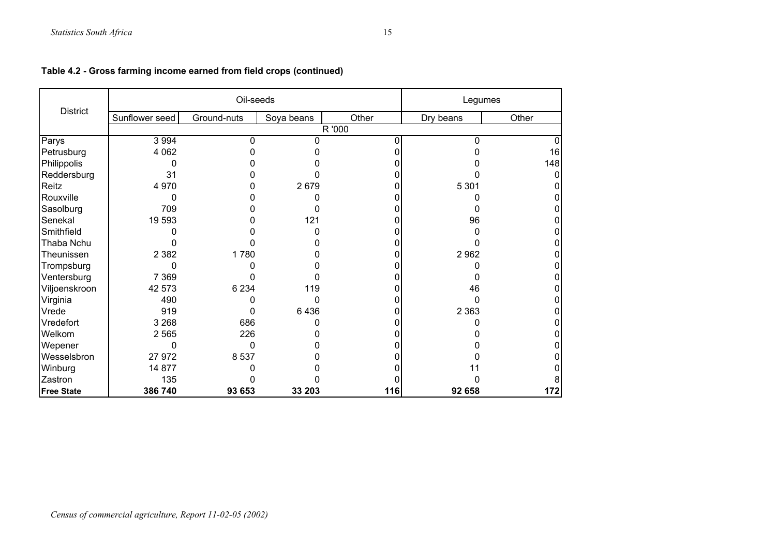|                   |                | Oil-seeds   |            |        | Legumes   |       |  |
|-------------------|----------------|-------------|------------|--------|-----------|-------|--|
| <b>District</b>   | Sunflower seed | Ground-nuts | Soya beans | Other  | Dry beans | Other |  |
|                   |                |             |            | R '000 |           |       |  |
| Parys             | 3 9 9 4        | 0           | n          |        | 0         |       |  |
| Petrusburg        | 4 0 6 2        |             |            |        |           | 16    |  |
| Philippolis       | 0              |             |            |        |           | 148   |  |
| Reddersburg       | 31             |             |            |        |           | O     |  |
| Reitz             | 4 9 7 0        |             | 2679       |        | 5 3 0 1   |       |  |
| Rouxville         | 0              |             |            |        |           |       |  |
| Sasolburg         | 709            |             |            |        |           |       |  |
| Senekal           | 19 593         |             | 121        |        | 96        |       |  |
| Smithfield        |                |             |            |        |           |       |  |
| Thaba Nchu        |                |             |            |        |           |       |  |
| Theunissen        | 2 3 8 2        | 1780        |            |        | 2 9 6 2   |       |  |
| Trompsburg        | 0              |             |            |        |           |       |  |
| Ventersburg       | 7 3 6 9        |             |            |        |           |       |  |
| Viljoenskroon     | 42 573         | 6 2 3 4     | 119        |        | 46        |       |  |
| Virginia          | 490            |             |            |        |           |       |  |
| Vrede             | 919            | 0           | 6436       |        | 2 3 6 3   |       |  |
| Vredefort         | 3 2 6 8        | 686         |            |        |           |       |  |
| Welkom            | 2 5 6 5        | 226         |            |        |           |       |  |
| Wepener           | 0              | 0           |            |        |           |       |  |
| Wesselsbron       | 27 972         | 8 5 3 7     |            |        |           |       |  |
| Winburg           | 14 877         |             |            |        |           |       |  |
| Zastron           | 135            |             |            |        |           |       |  |
| <b>Free State</b> | 386 740        | 93 653      | 33 203     | 116    | 92 658    | 172   |  |

## **Table 4.2 - Gross farming income earned from field crops (continued)**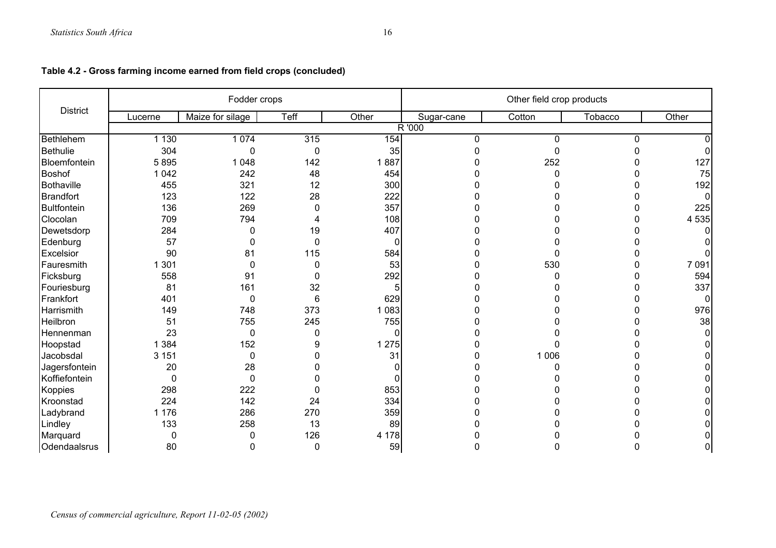|                 |         | Fodder crops     |              |          | Other field crop products |          |         |       |  |
|-----------------|---------|------------------|--------------|----------|---------------------------|----------|---------|-------|--|
| <b>District</b> | Lucerne | Maize for silage | Teff         | Other    | Sugar-cane                | Cotton   | Tobacco | Other |  |
|                 |         |                  |              |          | R '000                    |          |         |       |  |
| Bethlehem       | 1 1 3 0 | 1 0 7 4          | 315          | 154      | $\mathbf{0}$              | 0        | 0       |       |  |
| <b>Bethulie</b> | 304     | 0                | $\mathbf 0$  | 35       | <sup>0</sup>              | $\Omega$ |         | n     |  |
| Bloemfontein    | 5895    | 1 0 4 8          | 142          | 1887     |                           | 252      |         | 127   |  |
| <b>Boshof</b>   | 1 0 4 2 | 242              | 48           | 454      |                           | $\Omega$ |         | 75    |  |
| Bothaville      | 455     | 321              | 12           | 300      |                           |          |         | 192   |  |
| Brandfort       | 123     | 122              | 28           | 222      |                           |          |         | 0     |  |
| Bultfontein     | 136     | 269              | 0            | 357      |                           |          |         | 225   |  |
| Clocolan        | 709     | 794              | Δ            | 108      |                           |          |         | 4 535 |  |
| Dewetsdorp      | 284     | 0                | 19           | 407      |                           |          |         |       |  |
| Edenburg        | 57      | 0                | $\Omega$     | 0        |                           |          |         |       |  |
| Excelsior       | 90      | 81               | 115          | 584      | n                         |          |         |       |  |
| Fauresmith      | 301     | $\Omega$         | $\Omega$     | 53       | n                         | 530      |         | 7 091 |  |
| Ficksburg       | 558     | 91               | $\mathbf{0}$ | 292      |                           |          |         | 594   |  |
| Fouriesburg     | 81      | 161              | 32           |          |                           |          | U       | 337   |  |
| Frankfort       | 401     | $\mathbf 0$      | 6            | 629      |                           |          |         | 0     |  |
| Harrismith      | 149     | 748              | 373          | 1 0 8 3  |                           |          |         | 976   |  |
| Heilbron        | 51      | 755              | 245          | 755      |                           |          |         | 38    |  |
| Hennenman       | 23      | 0                | 0            | $\Omega$ |                           |          |         |       |  |
| Hoopstad        | 1 3 8 4 | 152              | 9            | 1 2 7 5  |                           |          |         |       |  |
| Jacobsdal       | 3 1 5 1 | $\mathbf 0$      |              | 31       |                           | 1 0 0 6  |         |       |  |
| Jagersfontein   | 20      | 28               | n            |          | n                         | n        |         |       |  |
| Koffiefontein   | 0       | $\mathbf 0$      | 0            |          |                           |          |         |       |  |
| Koppies         | 298     | 222              | 0            | 853      |                           |          |         |       |  |
| Kroonstad       | 224     | 142              | 24           | 334      |                           |          |         |       |  |
| Ladybrand       | 1 1 7 6 | 286              | 270          | 359      |                           |          |         |       |  |
| Lindley         | 133     | 258              | 13           | 89       |                           |          |         | ი     |  |
| Marquard        | 0       | 0                | 126          | 4 1 7 8  |                           |          |         |       |  |
| Odendaalsrus    | 80      | 0                | 0            | 59       | n                         |          |         | 0     |  |

## **Table 4.2 - Gross farming income earned from field crops (concluded)**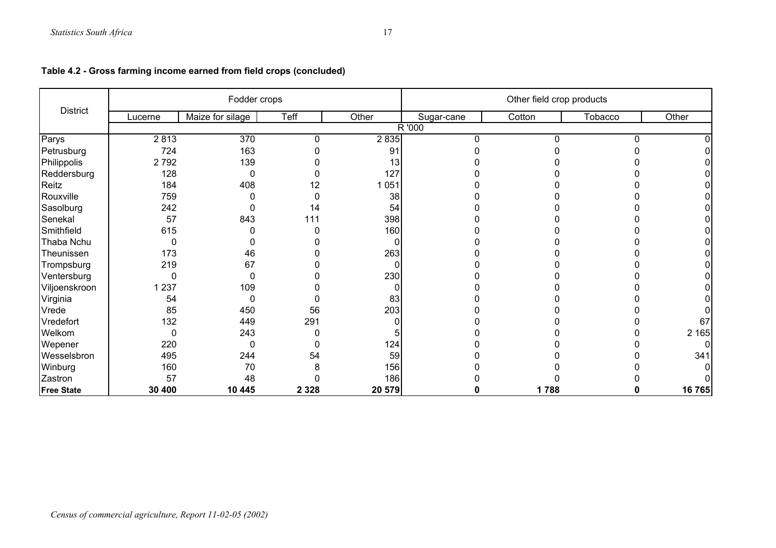|                 |         | Fodder crops     |          |         | Other field crop products |        |         |         |  |
|-----------------|---------|------------------|----------|---------|---------------------------|--------|---------|---------|--|
| <b>District</b> | Lucerne | Maize for silage | Teff     | Other   | Sugar-cane                | Cotton | Tobacco | Other   |  |
|                 |         |                  |          |         | R '000                    |        |         |         |  |
| Parys           | 2813    | 370              | $\Omega$ | 2835    |                           |        |         |         |  |
| Petrusburg      | 724     | 163              |          | 91      |                           |        |         |         |  |
| Philippolis     | 2792    | 139              |          | 13      |                           |        |         |         |  |
| Reddersburg     | 128     | $\Omega$         |          | 127     |                           |        |         |         |  |
| Reitz           | 184     | 408              | 12       | 1 0 5 1 |                           |        |         |         |  |
| Rouxville       | 759     |                  |          | 38      |                           |        |         |         |  |
| Sasolburg       | 242     | 0                | 14       | 54      |                           |        |         |         |  |
| Senekal         | 57      | 843              | 111      | 398     |                           |        |         |         |  |
| Smithfield      | 615     | 0                |          | 160     |                           |        |         |         |  |
| Thaba Nchu      | 0       |                  |          |         |                           |        |         |         |  |
| Theunissen      | 173     | 46               |          | 263     |                           |        |         |         |  |
| Trompsburg      | 219     | 67               |          |         |                           |        |         |         |  |
| Ventersburg     | 0       | 0                |          | 230     |                           |        |         |         |  |
| Viljoenskroon   | 237     | 109              |          |         |                           |        |         |         |  |
| Virginia        | 54      | 0                |          | 83      |                           |        |         |         |  |
| Vrede           | 85      | 450              | 56       | 203     |                           |        |         |         |  |
| Vredefort       | 132     | 449              | 291      |         |                           |        |         | 67      |  |
| Welkom          | 0       | 243              |          |         |                           |        |         | 2 1 6 5 |  |
| Wepener         | 220     | 0                |          | 124     |                           |        |         |         |  |
| Wesselsbron     | 495     | 244              | 54       | 59      |                           |        |         | 341     |  |
| Winburg         | 160     | 70               |          | 156     |                           |        |         |         |  |
| Zastron         | 57      | 48               |          | 186     |                           |        |         |         |  |
| Free State      | 30 400  | 10 445           | 2 3 2 8  | 20 579  |                           | 1788   |         | 16 765  |  |

## **Table 4.2 - Gross farming income earned from field crops (concluded)**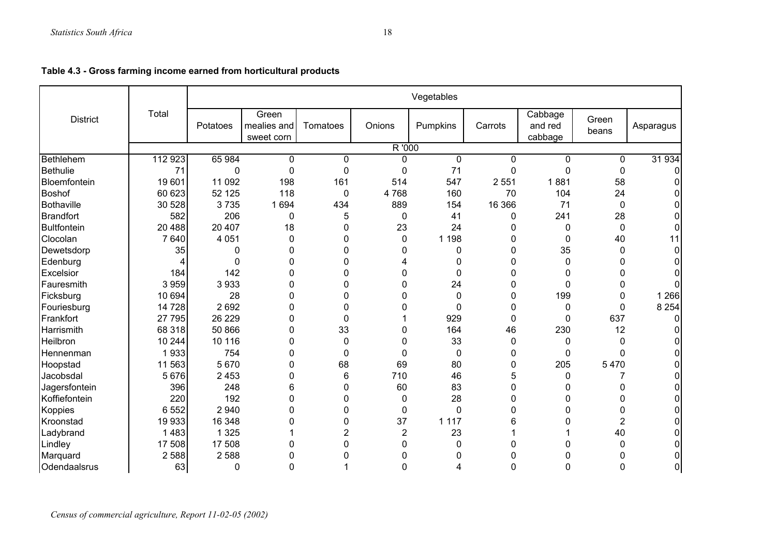|                   |         |          |                                    |             |                | Vegetables   |              |                               |                |           |
|-------------------|---------|----------|------------------------------------|-------------|----------------|--------------|--------------|-------------------------------|----------------|-----------|
| <b>District</b>   | Total   | Potatoes | Green<br>mealies and<br>sweet corn | Tomatoes    | Onions         | Pumpkins     | Carrots      | Cabbage<br>and red<br>cabbage | Green<br>beans | Asparagus |
|                   |         |          |                                    |             | R '000         |              |              |                               |                |           |
| Bethlehem         | 112 923 | 65 984   | 0                                  | 0           | 0              | $\mathbf{0}$ | $\Omega$     | 0                             | 0              | 31 934    |
| <b>Bethulie</b>   | 71      | 0        | $\mathbf 0$                        | 0           | 0              | 71           | 0            | $\mathbf 0$                   | $\pmb{0}$      |           |
| Bloemfontein      | 19 601  | 11 092   | 198                                | 161         | 514            | 547          | 2 5 5 1      | 1881                          | 58             |           |
| <b>Boshof</b>     | 60 623  | 52 125   | 118                                | 0           | 4768           | 160          | 70           | 104                           | 24             |           |
| <b>Bothaville</b> | 30 528  | 3735     | 1 6 9 4                            | 434         | 889            | 154          | 16 366       | 71                            | 0              |           |
| Brandfort         | 582     | 206      | 0                                  | 5           | 0              | 41           | 0            | 241                           | 28             |           |
| Bultfontein       | 20 488  | 20 407   | 18                                 | 0           | 23             | 24           | 0            | 0                             | $\mathbf 0$    |           |
| Clocolan          | 7640    | 4 0 5 1  | $\mathbf 0$                        | 0           | $\mathbf 0$    | 1 1 9 8      | 0            | 0                             | 40             | 11        |
| Dewetsdorp        | 35      | 0        | $\mathbf{0}$                       | 0           | 0              | 0            | 0            | 35                            | $\mathbf{0}$   |           |
| Edenburg          |         | 0        | $\mathbf{0}$                       | 0           | 4              | 0            | 0            | 0                             | 0              |           |
| Excelsior         | 184     | 142      | $\mathbf{0}$                       | 0           | 0              | 0            | 0            | 0                             | 0              |           |
| Fauresmith        | 3 9 5 9 | 3933     | $\mathbf{0}$                       | 0           | 0              | 24           | 0            | $\mathbf 0$                   | 0              |           |
| Ficksburg         | 10 694  | 28       | $\mathbf{0}$                       | 0           | 0              | 0            | 0            | 199                           | 0              | 1 2 6 6   |
| Fouriesburg       | 14 728  | 2 6 9 2  | $\Omega$                           | 0           | 0              | $\mathbf 0$  | 0            | 0                             | $\mathbf 0$    | 8 2 5 4   |
| Frankfort         | 27 795  | 26 229   | $\mathbf{0}$                       | $\mathbf 0$ |                | 929          | $\mathbf{0}$ | 0                             | 637            |           |
| Harrismith        | 68 318  | 50 866   | 0                                  | 33          | 0              | 164          | 46           | 230                           | 12             |           |
| Heilbron          | 10 244  | 10 116   | $\mathbf 0$                        | 0           | 0              | 33           | 0            | 0                             | 0              |           |
| Hennenman         | 1933    | 754      | 0                                  | 0           | $\mathbf 0$    | 0            | 0            | 0                             | $\mathbf{0}$   |           |
| Hoopstad          | 11 563  | 5 6 7 0  | $\Omega$                           | 68          | 69             | 80           | 0            | 205                           | 5470           |           |
| Jacobsdal         | 5676    | 2 4 5 3  | 0                                  | 6           | 710            | 46           | 5            | 0                             |                |           |
| Jagersfontein     | 396     | 248      | 6                                  | 0           | 60             | 83           | 0            | 0                             | 0              |           |
| Koffiefontein     | 220     | 192      | $\mathbf 0$                        | 0           | $\pmb{0}$      | 28           | 0            | 0                             | 0              |           |
| Koppies           | 6552    | 2 9 4 0  | 0                                  | 0           | $\pmb{0}$      | 0            | 0            | 0                             | 0              |           |
| Kroonstad         | 19 933  | 16 348   | 0                                  | 0           | 37             | 1 1 1 7      | 6            | 0                             | 2              |           |
| Ladybrand         | 1483    | 1 3 2 5  |                                    | 2           | $\overline{2}$ | 23           |              |                               | 40             |           |
| Lindley           | 17 508  | 17 508   | 0                                  | 0           | 0              | 0            | 0            | U                             | 0              |           |
| Marquard          | 2588    | 2 5 8 8  | $\Omega$                           |             |                | ŋ            | n            |                               | U              |           |
| Odendaalsrus      | 63      | 0        | 0                                  |             |                |              | 0            | 0                             | 0              | $\Omega$  |

**Table 4.3 - Gross farming income earned from horticultural products**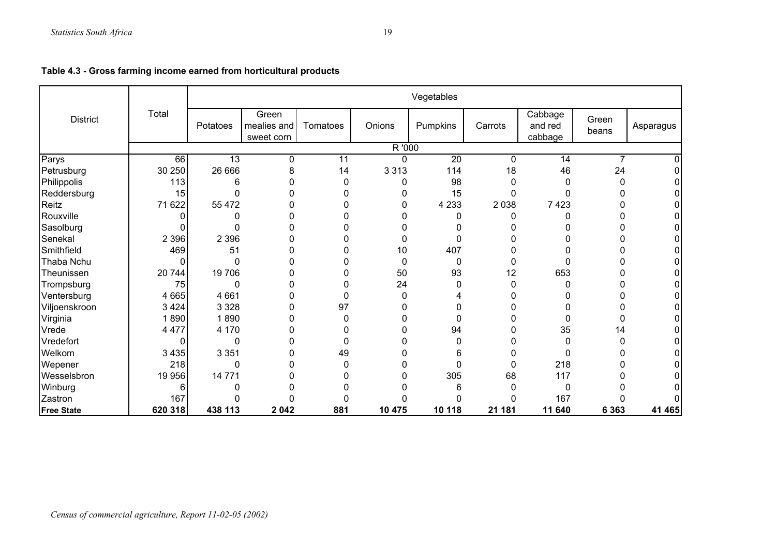|                   |          |                 |                                    |          |          | Vegetables      |          |                               |                |           |
|-------------------|----------|-----------------|------------------------------------|----------|----------|-----------------|----------|-------------------------------|----------------|-----------|
| <b>District</b>   | Total    | Potatoes        | Green<br>mealies and<br>sweet corn | Tomatoes | Onions   | Pumpkins        | Carrots  | Cabbage<br>and red<br>cabbage | Green<br>beans | Asparagus |
|                   |          |                 |                                    |          | R '000   |                 |          |                               |                |           |
| Parys             | 66       | $\overline{13}$ | 0                                  | 11       | 0        | $\overline{20}$ | $\Omega$ | 14                            | $\overline{7}$ |           |
| Petrusburg        | 30 250   | 26 666          | 8                                  | 14       | 3 3 1 3  | 114             | 18       | 46                            | 24             |           |
| Philippolis       | 113      | 6               | $\Omega$                           | 0        | 0        | 98              | 0        | 0                             | $\Omega$       |           |
| Reddersburg       | 15       | 0               | 0                                  |          | 0        | 15              |          | 0                             |                |           |
| Reitz             | 71 622   | 55 472          | $\Omega$                           |          | 0        | 4 2 3 3         | 2 0 3 8  | 7 4 2 3                       |                |           |
| Rouxville         |          |                 | $\Omega$                           |          |          | 0               |          |                               |                |           |
| Sasolburg         |          | n               | $\Omega$                           |          | 0        |                 |          | 0                             |                |           |
| Senekal           | 2 3 9 6  | 2 3 9 6         | 0                                  | 0        | 0        | 0               |          | 0                             |                |           |
| Smithfield        | 469      | 51              | 0                                  | 0        | 10       | 407             |          | 0                             |                |           |
| Thaba Nchu        | $\Omega$ | $\Omega$        | $\Omega$                           | 0        | 0        | 0               | 0        | 0                             | ი              |           |
| Theunissen        | 20 744   | 19706           | 0                                  | 0        | 50       | 93              | 12       | 653                           |                |           |
| Trompsburg        | 75       | 0               | 0                                  | 0        | 24       | 0               | $\Omega$ | 0                             |                |           |
| Ventersburg       | 4 6 6 5  | 4 6 6 1         | 0                                  | 0        | 0        |                 |          | 0                             |                |           |
| Viljoenskroon     | 3 4 2 4  | 3 3 2 8         | $\Omega$                           | 97       | 0        |                 |          | 0                             |                |           |
| Virginia          | 1890     | 1890            | 0                                  | 0        | 0        | 0               |          | 0                             | 0              |           |
| Vrede             | 4 4 7 7  | 4 170           | 0                                  | 0        | $\Omega$ | 94              |          | 35                            | 14             |           |
| Vredefort         | 0        | $\Omega$        | $\Omega$                           | 0        | 0        | 0               |          | 0                             | 0              |           |
| Welkom            | 3 4 3 5  | 3 3 5 1         | 0                                  | 49       | 0        | 6               |          | 0                             |                |           |
| Wepener           | 218      | $\Omega$        | $\Omega$                           | 0        | 0        | 0               | 0        | 218                           |                |           |
| Wesselsbron       | 19 956   | 14 771          | 0                                  |          |          | 305             | 68       | 117                           |                |           |
| Winburg           | 6        |                 | O                                  |          |          | 6               |          | 0                             |                |           |
| Zastron           | 167      |                 | 0                                  | 0        |          | 0               |          | 167                           |                |           |
| <b>Free State</b> | 620 318  | 438 113         | 2 0 4 2                            | 881      | 10 475   | 10 118          | 21 181   | 11 640                        | 6 3 6 3        | 41 465    |

| Table 4.3 - Gross farming income earned from horticultural products |  |  |  |  |
|---------------------------------------------------------------------|--|--|--|--|
|---------------------------------------------------------------------|--|--|--|--|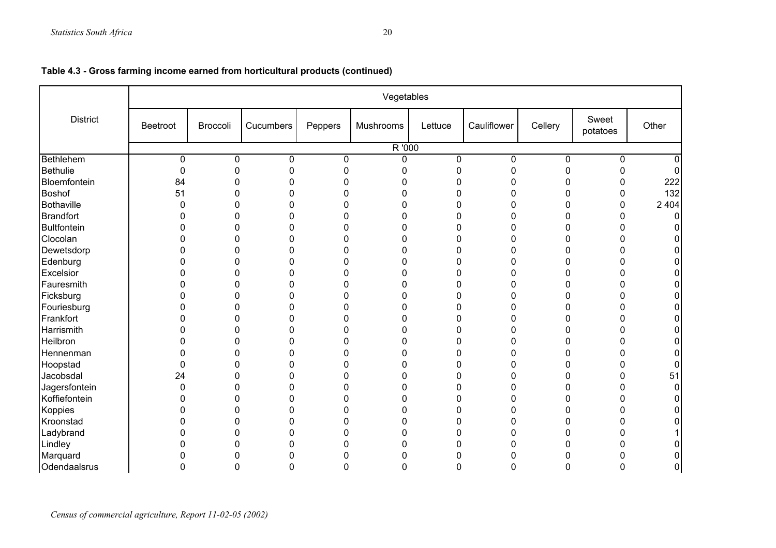|                 |             |          |                |         | Vegetables |             |                |         |                   |              |  |  |  |
|-----------------|-------------|----------|----------------|---------|------------|-------------|----------------|---------|-------------------|--------------|--|--|--|
| <b>District</b> | Beetroot    | Broccoli | Cucumbers      | Peppers | Mushrooms  | Lettuce     | Cauliflower    | Cellery | Sweet<br>potatoes | Other        |  |  |  |
|                 |             | R '000   |                |         |            |             |                |         |                   |              |  |  |  |
| Bethlehem       | $\mathbf 0$ | 0        | 0              | 0       | 0          | 0           | $\mathbf 0$    | 0       | 0                 |              |  |  |  |
| Bethulie        | 0           | 0        | 0              | 0       | 0          | $\mathbf 0$ | 0              | 0       | $\mathbf 0$       | <sup>0</sup> |  |  |  |
| Bloemfontein    | 84          | 0        | 0              | 0       | 0          | 0           | 0              | 0       | 0                 | 222          |  |  |  |
| <b>Boshof</b>   | 51          | 0        | 0              | 0       | 0          | 0           | 0              | 0       | 0                 | 132          |  |  |  |
| Bothaville      | $\Omega$    | 0        | 0              | 0       | 0          | O           | 0              | 0       | 0                 | 2 4 0 4      |  |  |  |
| Brandfort       | O           | 0        | 0              | 0       | 0          | 0           | 0              | 0       | 0                 |              |  |  |  |
| Bultfontein     | 0           | 0        | 0              | 0       | 0          | 0           | $\Omega$       | 0       | 0                 |              |  |  |  |
| Clocolan        | ⋂           | 0        | $\mathbf 0$    | 0       | 0          | 0           | 0              | 0       | $\mathbf 0$       |              |  |  |  |
| Dewetsdorp      |             | 0        | 0              | 0       | 0          | 0           | 0              | 0       | 0                 | O.           |  |  |  |
| Edenburg        |             | 0        | 0              | 0       | 0          | 0           | 0              | 0       | 0                 | 0            |  |  |  |
| Excelsior       | ŋ           | 0        | 0              | 0       | 0          | 0           | 0              | 0       | 0                 | O.           |  |  |  |
| Fauresmith      |             | 0        | 0              | 0       | 0          | 0           | 0              | 0       | $\mathbf{0}$      | 0            |  |  |  |
| Ficksburg       | O           | 0        | 0              | 0       | 0          | 0           | $\Omega$       | 0       | 0                 | 0            |  |  |  |
| Fouriesburg     | O           | 0        | $\mathbf 0$    | 0       | 0          | 0           | $\overline{0}$ | 0       | $\mathbf 0$       | 0            |  |  |  |
| Frankfort       |             | 0        | 0              | 0       | 0          | 0           | 0              | 0       | 0                 | 0            |  |  |  |
| Harrismith      |             | 0        | 0              | 0       | 0          | 0           | 0              | 0       | 0                 | 0            |  |  |  |
| Heilbron        |             | 0        | 0              | 0       | $\Omega$   | ŋ           | 0              | 0       | $\mathbf{0}$      | U            |  |  |  |
| Hennenman       |             | 0        | 0              | 0       | 0          | 0           | ŋ              | 0       | 0                 | 0            |  |  |  |
| Hoopstad        | 0           | O        | 0              | 0       | 0          | 0           | n              | 0       | $\mathbf{0}$      | 0            |  |  |  |
| Jacobsdal       | 24          | 0        | $\overline{0}$ | 0       | 0          | 0           | 0              | 0       | $\mathbf 0$       | 51           |  |  |  |
| Jagersfontein   | 0           | 0        | 0              | 0       | 0          | 0           | 0              | 0       | 0                 | 0            |  |  |  |
| Koffiefontein   | $\Omega$    | 0        | 0              | 0       | 0          | 0           | 0              | 0       | 0                 |              |  |  |  |
| Koppies         | n           | 0        | 0              | 0       | 0          | 0           | $\Omega$       | 0       | $\mathbf{0}$      |              |  |  |  |
| Kroonstad       | O           | 0        | 0              | 0       | 0          | 0           | 0              | 0       | $\mathbf{0}$      |              |  |  |  |
| Ladybrand       | n           | 0        | 0              | 0       | 0          | 0           | ŋ              | 0       | $\mathbf 0$       |              |  |  |  |
| Lindley         |             | 0        | $\overline{0}$ | 0       | 0          | 0           | 0              | 0       | 0                 |              |  |  |  |
| Marquard        |             | 0        | 0              | 0       |            |             |                |         | 0                 | O.           |  |  |  |
| Odendaalsrus    |             | n        | r              |         |            |             |                |         | n                 |              |  |  |  |

## **Table 4.3 - Gross farming income earned from horticultural products (continued)**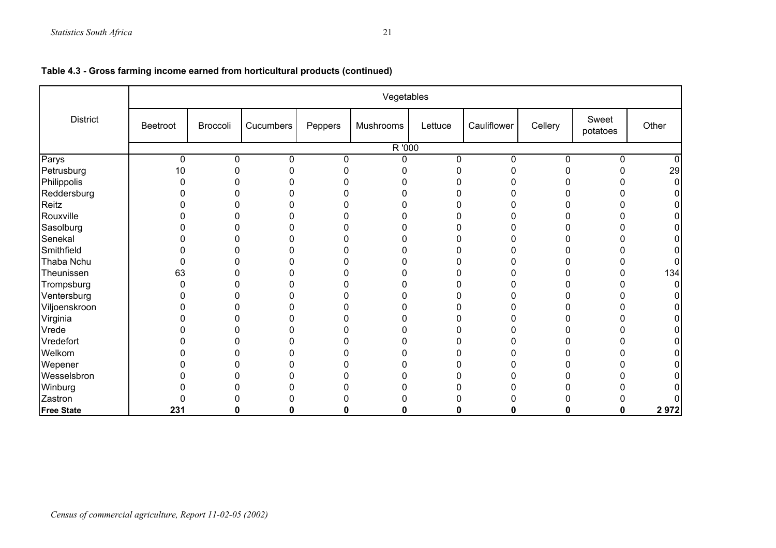|                   |          |          |           |         | Vegetables |         |             |         |                   |       |
|-------------------|----------|----------|-----------|---------|------------|---------|-------------|---------|-------------------|-------|
| <b>District</b>   | Beetroot | Broccoli | Cucumbers | Peppers | Mushrooms  | Lettuce | Cauliflower | Cellery | Sweet<br>potatoes | Other |
|                   |          |          |           |         | R'000      |         |             |         |                   |       |
| Parys             | 0        | 0        | 0         | 0       | n          | 0       | 0           | 0       | 0                 |       |
| Petrusburg        | 10       |          |           |         |            |         |             |         | N                 | 29    |
| Philippolis       |          |          |           |         |            |         |             |         |                   |       |
| Reddersburg       |          |          |           |         |            |         |             |         | n                 |       |
| Reitz             |          |          |           |         |            |         |             |         |                   |       |
| Rouxville         |          |          |           |         |            |         |             |         |                   |       |
| Sasolburg         |          |          |           |         |            |         |             |         | O                 |       |
| Senekal           |          |          |           |         |            |         |             |         | n                 |       |
| Smithfield        |          |          |           |         |            |         |             |         | N                 |       |
| Thaba Nchu        |          |          |           |         |            |         |             |         | N                 |       |
| Theunissen        | 63       |          |           |         |            |         |             |         | 0                 | 134   |
| Trompsburg        |          |          |           |         |            |         |             |         | N                 |       |
| Ventersburg       |          |          |           |         |            |         |             |         | O                 |       |
| Viljoenskroon     |          |          |           |         |            |         |             |         | N                 |       |
| Virginia          |          |          |           |         |            |         |             | n       | 0                 |       |
| Vrede             |          |          |           |         |            |         |             | ი       | 0                 |       |
| Vredefort         |          |          |           |         |            |         |             | n       | 0                 |       |
| Welkom            |          |          |           |         |            |         |             |         | ი                 |       |
| Wepener           |          |          |           |         |            | 0       |             | n       | 0                 |       |
| Wesselsbron       |          |          |           |         |            |         |             |         | ი                 |       |
| Winburg           |          |          |           |         |            |         |             | n       | 0                 |       |
| Zastron           | 0        |          |           |         |            |         |             |         | ი                 |       |
| <b>Free State</b> | 231      | 0        | 0         | 0       | 0          | 0       | 0           | 0       | 0                 | 2972  |

| Table 4.3 - Gross farming income earned from horticultural products (continued) |  |  |
|---------------------------------------------------------------------------------|--|--|
|---------------------------------------------------------------------------------|--|--|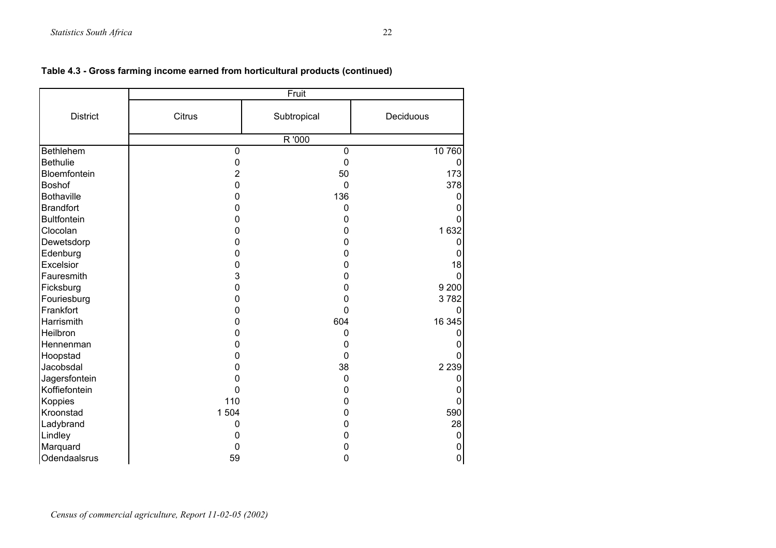|                    | Fruit       |             |           |  |  |  |  |  |  |
|--------------------|-------------|-------------|-----------|--|--|--|--|--|--|
| <b>District</b>    | Citrus      | Subtropical | Deciduous |  |  |  |  |  |  |
|                    |             | R '000      |           |  |  |  |  |  |  |
| Bethlehem          | $\mathbf 0$ | $\mathbf 0$ | 10 760    |  |  |  |  |  |  |
| <b>Bethulie</b>    | $\mathbf 0$ | $\mathbf 0$ | 0         |  |  |  |  |  |  |
| Bloemfontein       | 2           | 50          | 173       |  |  |  |  |  |  |
| <b>Boshof</b>      | 0           | 0           | 378       |  |  |  |  |  |  |
| <b>Bothaville</b>  | 0           | 136         | 0         |  |  |  |  |  |  |
| <b>Brandfort</b>   | 0           | 0           | 0         |  |  |  |  |  |  |
| <b>Bultfontein</b> | 0           | 0           |           |  |  |  |  |  |  |
| Clocolan           | 0           | 0           | 1632      |  |  |  |  |  |  |
| Dewetsdorp         | 0           | 0           | 0         |  |  |  |  |  |  |
| Edenburg           | 0           | 0           | O         |  |  |  |  |  |  |
| Excelsior          | 0           | 0           | 18        |  |  |  |  |  |  |
| Fauresmith         | 3           | 0           | 0         |  |  |  |  |  |  |
| Ficksburg          | 0           | 0           | 9 2 0 0   |  |  |  |  |  |  |
| Fouriesburg        | 0           | 0           | 3782      |  |  |  |  |  |  |
| Frankfort          | 0           | 0           | 0         |  |  |  |  |  |  |
| Harrismith         | 0           | 604         | 16 345    |  |  |  |  |  |  |
| Heilbron           | 0           | 0           | 0         |  |  |  |  |  |  |
| Hennenman          | 0           | 0           |           |  |  |  |  |  |  |
| Hoopstad           | 0           | 0           | ი         |  |  |  |  |  |  |
| Jacobsdal          | 0           | 38          | 2 2 3 9   |  |  |  |  |  |  |
| Jagersfontein      | 0           | $\mathbf 0$ | 0         |  |  |  |  |  |  |
| Koffiefontein      | 0           | 0           | 0         |  |  |  |  |  |  |
| Koppies            | 110         | 0           | 0         |  |  |  |  |  |  |
| Kroonstad          | 1 504       | 0           | 590       |  |  |  |  |  |  |
| Ladybrand          | 0           | 0           | 28        |  |  |  |  |  |  |
| Lindley            | 0           | 0           | 0         |  |  |  |  |  |  |
| Marquard           | 0           | 0           | 0         |  |  |  |  |  |  |
| Odendaalsrus       | 59          | 0           | $\pmb{0}$ |  |  |  |  |  |  |

## **Table 4.3 - Gross farming income earned from horticultural products (continued)**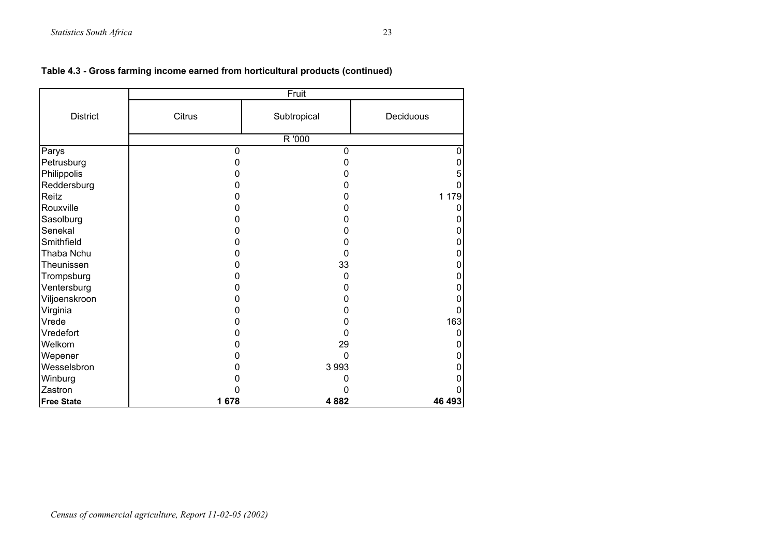|                   |        | Fruit       |           |
|-------------------|--------|-------------|-----------|
| <b>District</b>   | Citrus | Subtropical | Deciduous |
|                   |        | R '000      |           |
| Parys             | 0      | $\mathbf 0$ | 0         |
| Petrusburg        | 0      | 0           | 0         |
| Philippolis       | 0      | O           | 5         |
| Reddersburg       | O      | O           |           |
| Reitz             | 0      | 0           | 179<br>1  |
| Rouxville         | O      | n           |           |
| Sasolburg         | 0      | 0           |           |
| Senekal           | 0      | 0           | 0         |
| Smithfield        | O      | O           |           |
| Thaba Nchu        | 0      | $\Omega$    |           |
| Theunissen        | 0      | 33          | 0         |
| Trompsburg        | ი      | 0           |           |
| Ventersburg       | 0      | O           |           |
| Viljoenskroon     | 0      | 0           |           |
| Virginia          | 0      | O           |           |
| Vrede             | 0      | 0           | 163       |
| Vredefort         | 0      | 0           | 0         |
| Welkom            | O      | 29          |           |
| Wepener           | 0      | $\Omega$    |           |
| Wesselsbron       | 0      | 3 9 9 3     |           |
| Winburg           |        |             |           |
| Zastron           | 0      |             |           |
| <b>Free State</b> | 1678   | 4882        | 46 493    |

**Table 4.3 - Gross farming income earned from horticultural products (continued)**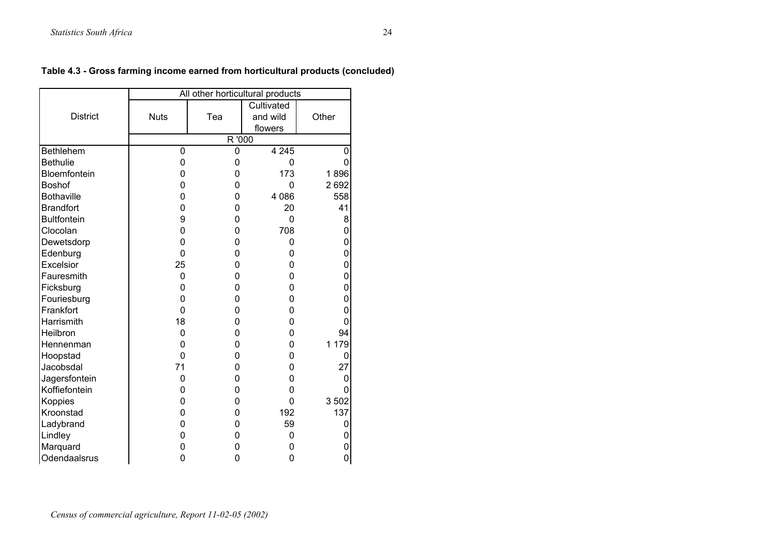|                    | All other horticultural products |        |            |         |  |  |  |  |  |  |
|--------------------|----------------------------------|--------|------------|---------|--|--|--|--|--|--|
|                    |                                  |        | Cultivated |         |  |  |  |  |  |  |
| <b>District</b>    | <b>Nuts</b>                      | Tea    | and wild   | Other   |  |  |  |  |  |  |
|                    |                                  |        | flowers    |         |  |  |  |  |  |  |
|                    |                                  | R '000 |            |         |  |  |  |  |  |  |
| <b>Bethlehem</b>   | 0                                | 0      | 4 2 4 5    | 0       |  |  |  |  |  |  |
| <b>Bethulie</b>    | 0                                | 0      | 0          | 0       |  |  |  |  |  |  |
| Bloemfontein       | 0                                | 0      | 173        | 1896    |  |  |  |  |  |  |
| <b>Boshof</b>      | 0                                | 0      | 0          | 2692    |  |  |  |  |  |  |
| <b>Bothaville</b>  | 0                                | 0      | 4 0 8 6    | 558     |  |  |  |  |  |  |
| <b>Brandfort</b>   | 0                                | 0      | 20         | 41      |  |  |  |  |  |  |
| <b>Bultfontein</b> | 9                                | 0      | $\Omega$   | 8       |  |  |  |  |  |  |
| Clocolan           | 0                                | 0      | 708        | 0       |  |  |  |  |  |  |
| Dewetsdorp         | 0                                | 0      | 0          | 0       |  |  |  |  |  |  |
| Edenburg           | 0                                | 0      | 0          | 0       |  |  |  |  |  |  |
| Excelsior          | 25                               | 0      | 0          | 0       |  |  |  |  |  |  |
| Fauresmith         | 0                                | 0      | 0          | 0       |  |  |  |  |  |  |
| Ficksburg          | 0                                | 0      | 0          | 0       |  |  |  |  |  |  |
| Fouriesburg        | 0                                | 0      | 0          | 0       |  |  |  |  |  |  |
| Frankfort          | $\Omega$                         | 0      | 0          | 0       |  |  |  |  |  |  |
| Harrismith         | 18                               | 0      | 0          | 0       |  |  |  |  |  |  |
| Heilbron           | $\Omega$                         | 0      | 0          | 94      |  |  |  |  |  |  |
| Hennenman          | 0                                | 0      | 0          | 1 179   |  |  |  |  |  |  |
| Hoopstad           | 0                                | 0      | 0          | 0       |  |  |  |  |  |  |
| Jacobsdal          | 71                               | 0      | 0          | 27      |  |  |  |  |  |  |
| Jagersfontein      | 0                                | 0      | 0          | 0       |  |  |  |  |  |  |
| Koffiefontein      | 0                                | 0      | 0          | 0       |  |  |  |  |  |  |
| Koppies            | 0                                | 0      | $\Omega$   | 3 5 0 2 |  |  |  |  |  |  |
| Kroonstad          | 0                                | 0      | 192        | 137     |  |  |  |  |  |  |
| Ladybrand          | 0                                | 0      | 59         | 0       |  |  |  |  |  |  |
| Lindley            | 0                                | 0      | 0          | 0       |  |  |  |  |  |  |
| Marquard           | 0                                | 0      | 0          | 0       |  |  |  |  |  |  |
| Odendaalsrus       | 0                                | 0      | 0          | 0       |  |  |  |  |  |  |

## **Table 4.3 - Gross farming income earned from horticultural products (concluded)**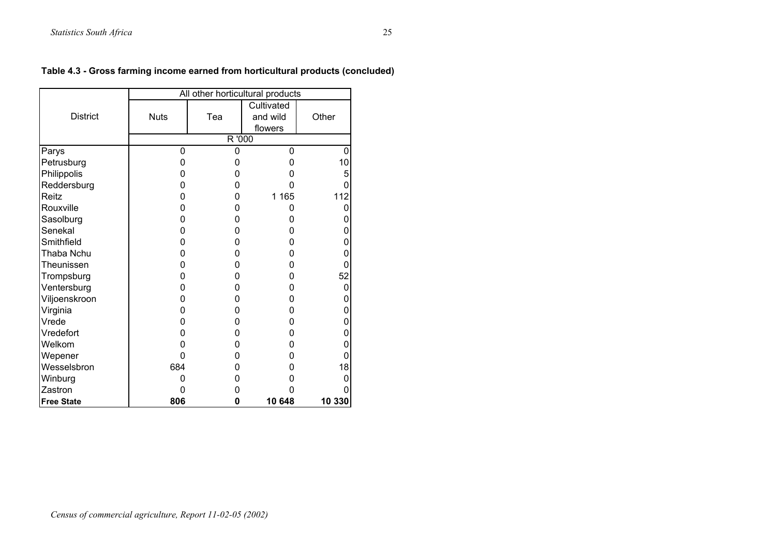|                   | All other horticultural products |     |                                   |        |  |  |  |  |  |
|-------------------|----------------------------------|-----|-----------------------------------|--------|--|--|--|--|--|
| <b>District</b>   | <b>Nuts</b>                      | Tea | Cultivated<br>and wild<br>flowers | Other  |  |  |  |  |  |
|                   | R '000                           |     |                                   |        |  |  |  |  |  |
| Parys             | 0                                | 0   | 0                                 | 0      |  |  |  |  |  |
| Petrusburg        | 0                                | O   | 0                                 | 10     |  |  |  |  |  |
| Philippolis       | 0                                | 0   | 0                                 | 5      |  |  |  |  |  |
| Reddersburg       | 0                                | O   | ი                                 | 0      |  |  |  |  |  |
| Reitz             | 0                                | 0   | 1 1 6 5                           | 112    |  |  |  |  |  |
| Rouxville         | 0                                | ი   | 0                                 | 0      |  |  |  |  |  |
| Sasolburg         | 0                                | 0   | 0                                 | 0      |  |  |  |  |  |
| Senekal           | 0                                | ი   | 0                                 | 0      |  |  |  |  |  |
| Smithfield        | 0                                | 0   | 0                                 | 0      |  |  |  |  |  |
| Thaba Nchu        | 0                                | 0   | 0                                 | 0      |  |  |  |  |  |
| Theunissen        | ი                                | 0   | 0                                 | 0      |  |  |  |  |  |
| Trompsburg        | O                                | O   | 0                                 | 52     |  |  |  |  |  |
| Ventersburg       | 0                                | 0   | 0                                 | 0      |  |  |  |  |  |
| Viljoenskroon     | 0                                | 0   | 0                                 | 0      |  |  |  |  |  |
| Virginia          | 0                                | O   | 0                                 | 0      |  |  |  |  |  |
| Vrede             | 0                                | 0   | 0                                 | 0      |  |  |  |  |  |
| Vredefort         | 0                                | 0   | 0                                 | 0      |  |  |  |  |  |
| Welkom            |                                  | 0   | 0                                 | 0      |  |  |  |  |  |
| Wepener           | 0                                | 0   | 0                                 | 0      |  |  |  |  |  |
| Wesselsbron       | 684                              | ი   | 0                                 | 18     |  |  |  |  |  |
| Winburg           | 0                                | O   | 0                                 | 0      |  |  |  |  |  |
| Zastron           | ი                                | Ω   | 0                                 | 0      |  |  |  |  |  |
| <b>Free State</b> | 806                              | 0   | 10 648                            | 10 330 |  |  |  |  |  |

## **Table 4.3 - Gross farming income earned from horticultural products (concluded)**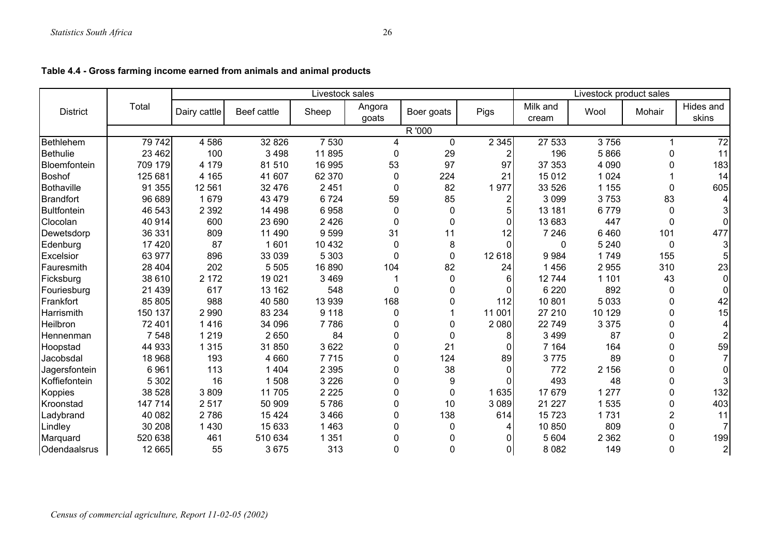|                    |         |              |             | Livestock sales |                 |            |                | Livestock product sales |         |                |                    |
|--------------------|---------|--------------|-------------|-----------------|-----------------|------------|----------------|-------------------------|---------|----------------|--------------------|
| <b>District</b>    | Total   | Dairy cattle | Beef cattle | Sheep           | Angora<br>goats | Boer goats | Pigs           | Milk and<br>cream       | Wool    | Mohair         | Hides and<br>skins |
|                    |         |              |             |                 |                 | R '000     |                |                         |         |                |                    |
| <b>Bethlehem</b>   | 79 742  | 4 5 8 6      | 32 8 26     | 7 5 3 0         | 4               | 0          | 2 3 4 5        | 27 533                  | 3756    |                | $\overline{72}$    |
| <b>Bethulie</b>    | 23 4 62 | 100          | 3 4 9 8     | 11 895          | 0               | 29         | 2              | 196                     | 5866    | 0              | 11                 |
| Bloemfontein       | 709 179 | 4 1 7 9      | 81510       | 16 995          | 53              | 97         | 97             | 37 353                  | 4 0 9 0 | 0              | 183                |
| Boshof             | 125 681 | 4 1 6 5      | 41 607      | 62 370          | 0               | 224        | 21             | 15 012                  | 1 0 2 4 |                | 14                 |
| <b>Bothaville</b>  | 91 355  | 12 5 61      | 32 476      | 2 4 5 1         | 0               | 82         | 1977           | 33 526                  | 1 1 5 5 | 0              | 605                |
| <b>Brandfort</b>   | 96 689  | 1679         | 43 4 79     | 6724            | 59              | 85         | 2              | 3 0 9 9                 | 3753    | 83             |                    |
| <b>Bultfontein</b> | 46 543  | 2 3 9 2      | 14 4 98     | 6958            | $\mathbf 0$     | 0          | 5              | 13 181                  | 6779    | 0              |                    |
| Clocolan           | 40 914  | 600          | 23 690      | 2 4 2 6         | $\mathbf 0$     | 0          | $\mathbf{0}$   | 13 683                  | 447     | 0              | 0                  |
| Dewetsdorp         | 36 331  | 809          | 11 490      | 9599            | 31              | 11         | 12             | 7 2 4 6                 | 6460    | 101            | 477                |
| Edenburg           | 17420   | 87           | 1601        | 10 4 32         | $\mathbf 0$     | 8          | $\Omega$       | $\Omega$                | 5 2 4 0 | $\mathbf 0$    |                    |
| Excelsior          | 63 977  | 896          | 33 039      | 5 3 0 3         | $\mathbf{0}$    | 0          | 12 618         | 9984                    | 1749    | 155            |                    |
| Fauresmith         | 28 404  | 202          | 5 5 0 5     | 16 890          | 104             | 82         | 24             | 1456                    | 2955    | 310            | 23                 |
| Ficksburg          | 38 610  | 2 1 7 2      | 19 0 21     | 3 4 6 9         |                 | 0          | 6              | 12744                   | 1 1 0 1 | 43             | $\Omega$           |
| Fouriesburg        | 21 4 39 | 617          | 13 162      | 548             | $\mathbf 0$     | 0          | $\Omega$       | 6 2 2 0                 | 892     | 0              |                    |
| Frankfort          | 85 805  | 988          | 40 580      | 13 939          | 168             | 0          | 112            | 10 801                  | 5 0 3 3 | 0              | 42                 |
| Harrismith         | 150 137 | 2 9 9 0      | 83 234      | 9 1 1 8         | 0               |            | 11 001         | 27 210                  | 10 129  | 0              | 15                 |
| Heilbron           | 72 401  | 1416         | 34 096      | 7 7 8 6         | $\mathbf{0}$    | 0          | 2 0 8 0        | 22 749                  | 3 3 7 5 | 0              | 4                  |
| Hennenman          | 7 5 4 8 | 1 2 1 9      | 2 6 5 0     | 84              | 0               | 0          | 8              | 3 4 9 9                 | 87      | 0              |                    |
| Hoopstad           | 44 933  | 1 3 1 5      | 31 850      | 3 6 2 2         | 0               | 21         | $\Omega$       | 7 1 6 4                 | 164     | 0              | 59                 |
| Jacobsdal          | 18 968  | 193          | 4 6 6 0     | 7715            | $\mathbf{0}$    | 124        | 89             | 3775                    | 89      | $\Omega$       |                    |
| Jagersfontein      | 6961    | 113          | 1 4 0 4     | 2 3 9 5         | 0               | 38         | $\mathbf{0}$   | 772                     | 2 156   | 0              |                    |
| Koffiefontein      | 5 3 0 2 | 16           | 1508        | 3 2 2 6         | $\mathbf 0$     | 9          | $\Omega$       | 493                     | 48      | 0              |                    |
| Koppies            | 38 528  | 3809         | 11 705      | 2 2 2 5         | 0               | 0          | 1 6 3 5        | 17 679                  | 1 2 7 7 | 0              | 132                |
| Kroonstad          | 147 714 | 2517         | 50 909      | 5786            | $\mathbf 0$     | 10         | 3 0 8 9        | 21 227                  | 1 535   | 0              | 403                |
| Ladybrand          | 40 082  | 2786         | 15 4 24     | 3 4 6 6         | $\mathbf{0}$    | 138        | 614            | 15 7 23                 | 1731    | $\overline{2}$ | 11                 |
| Lindley            | 30 208  | 1 4 3 0      | 15 633      | 1 4 6 3         | 0               | 0          | 4              | 10 850                  | 809     | 0              |                    |
| Marquard           | 520 638 | 461          | 510 634     | 1 3 5 1         | 0               | 0          | $\Omega$       | 5 604                   | 2 3 6 2 | 0              | 199                |
| Odendaalsrus       | 12 665  | 55           | 3675        | 313             | 0               | 0          | $\overline{0}$ | 8 0 8 2                 | 149     | 0              | $\sqrt{2}$         |

## **Table 4.4 - Gross farming income earned from animals and animal products**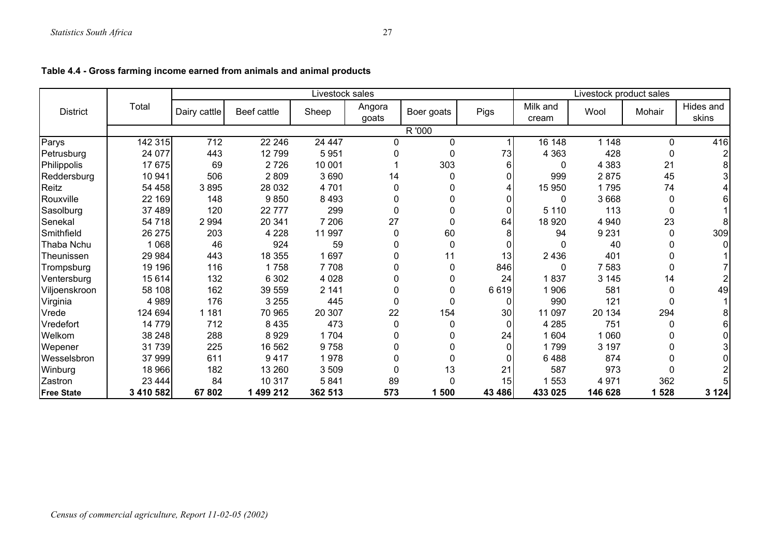|                          |              |             |         | Livestock sales |            |        |                   | Livestock product sales |         |                    |         |  |
|--------------------------|--------------|-------------|---------|-----------------|------------|--------|-------------------|-------------------------|---------|--------------------|---------|--|
| Total<br><b>District</b> | Dairy cattle | Beef cattle | Sheep   | Angora<br>goats | Boer goats | Pigs   | Milk and<br>cream | Wool                    | Mohair  | Hides and<br>skins |         |  |
|                          |              |             |         |                 |            | R '000 |                   |                         |         |                    |         |  |
| Parys                    | 142 315      | 712         | 22 246  | 24 447          | 0          | 0      |                   | 16 148                  | 1 1 4 8 | $\mathbf{0}$       | 416     |  |
| Petrusburg               | 24 077       | 443         | 12799   | 5951            |            | 0      | 73                | 4 3 6 3                 | 428     |                    |         |  |
| Philippolis              | 17 675       | 69          | 2726    | 10 001          |            | 303    | 6                 | $\Omega$                | 4 3 8 3 | 21                 |         |  |
| Reddersburg              | 10 941       | 506         | 2809    | 3690            | 14         | 0      | 0                 | 999                     | 2875    | 45                 |         |  |
| Reitz                    | 54 458       | 3895        | 28 0 32 | 4 701           | 0          | 0      | 4                 | 15 950                  | 1795    | 74                 |         |  |
| Rouxville                | 22 169       | 148         | 9850    | 8 4 9 3         | 0          | 0      | 0                 | 0                       | 3668    |                    |         |  |
| Sasolburg                | 37 489       | 120         | 22777   | 299             | 0          | 0      | $\Omega$          | 5 1 1 0                 | 113     |                    |         |  |
| Senekal                  | 54 718       | 2 9 9 4     | 20 341  | 7 206           | 27         | 0      | 64                | 18 9 20                 | 4 9 4 0 | 23                 |         |  |
| Smithfield               | 26 275       | 203         | 4 2 2 8 | 11 997          | 0          | 60     | 8                 | 94                      | 9 2 3 1 | 0                  | 309     |  |
| Thaba Nchu               | 1 0 6 8      | 46          | 924     | 59              | 0          | 0      | $\Omega$          | O                       | 40      |                    |         |  |
| Theunissen               | 29 984       | 443         | 18 355  | 1 6 9 7         | 0          | 11     | 13                | 2436                    | 401     |                    |         |  |
| Trompsburg               | 19 19 6      | 116         | 1758    | 7 7 0 8         | 0          | 0      | 846               | 0                       | 7 5 8 3 |                    |         |  |
| Ventersburg              | 15 614       | 132         | 6 3 0 2 | 4 0 28          | 0          | 0      | 24                | 1837                    | 3 1 4 5 | 14                 |         |  |
| Viljoenskroon            | 58 108       | 162         | 39 559  | 2 141           | 0          | 0      | 6619              | 1906                    | 581     |                    | 49      |  |
| Virginia                 | 4 9 8 9      | 176         | 3 2 5 5 | 445             | 0          | 0      | 0                 | 990                     | 121     |                    |         |  |
| Vrede                    | 124 694      | 1 1 8 1     | 70 965  | 20 307          | 22         | 154    | 30                | 11 097                  | 20 134  | 294                |         |  |
| Vredefort                | 14 779       | 712         | 8 4 3 5 | 473             | 0          | 0      | $\Omega$          | 4 2 8 5                 | 751     |                    |         |  |
| Welkom                   | 38 248       | 288         | 8929    | 1704            | 0          | 0      | 24                | 1 604                   | 1 0 6 0 |                    |         |  |
| Wepener                  | 31739        | 225         | 16 562  | 9758            | 0          | 0      | $\Omega$          | 1799                    | 3 197   |                    |         |  |
| Wesselsbron              | 37 999       | 611         | 9417    | 1978            | 0          | 0      | $\Omega$          | 6488                    | 874     |                    |         |  |
| Winburg                  | 18 966       | 182         | 13 260  | 3 509           | U          | 13     | 21                | 587                     | 973     |                    |         |  |
| Zastron                  | 23 4 44      | 84          | 10 317  | 5841            | 89         | 0      | 15                | 1 553                   | 4 9 7 1 | 362                |         |  |
| <b>Free State</b>        | 3 410 582    | 67802       | 499 212 | 362 513         | 573        | 1500   | 43 486            | 433 025                 | 146 628 | 1528               | 3 1 2 4 |  |

## **Table 4.4 - Gross farming income earned from animals and animal products**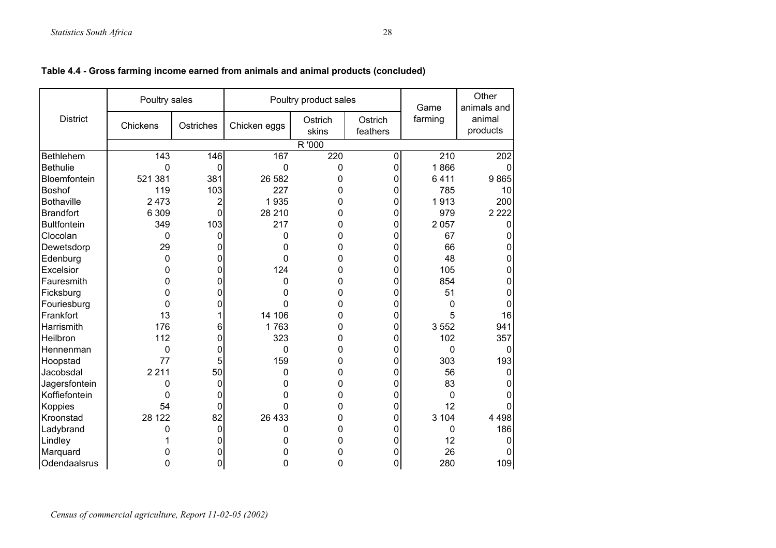|                     | Poultry sales    |                |              | Poultry product sales |                     | Game             | Other<br>animals and |
|---------------------|------------------|----------------|--------------|-----------------------|---------------------|------------------|----------------------|
| <b>District</b>     | Chickens         | Ostriches      | Chicken eggs | Ostrich<br>skins      | Ostrich<br>feathers | farming          | animal<br>products   |
|                     |                  |                |              | R '000                |                     |                  |                      |
| Bethlehem           | $\overline{143}$ | 146            | 167          | 220                   | 0                   | $\overline{210}$ | $\overline{202}$     |
| <b>Bethulie</b>     | $\mathbf 0$      | 0              | 0            | 0                     | 0                   | 1866             | Ω                    |
| <b>Bloemfontein</b> | 521 381          | 381            | 26 582       | 0                     | 0                   | 6411             | 9865                 |
| <b>Boshof</b>       | 119              | 103            | 227          | 0                     | 0                   | 785              | 10                   |
| <b>Bothaville</b>   | 2 4 7 3          | 2              | 1935         | 0                     | 0                   | 1913             | 200                  |
| <b>Brandfort</b>    | 6 3 0 9          | 0              | 28 210       | 0                     | 0                   | 979              | 2 2 2 2              |
| <b>Bultfontein</b>  | 349              | 103            | 217          | 0                     | 0                   | 2 0 5 7          | O                    |
| Clocolan            | 0                | 0              | 0            | 0                     | 0                   | 67               |                      |
| Dewetsdorp          | 29               | 0              | 0            | 0                     | 0                   | 66               |                      |
| Edenburg            | 0                | 0              | 0            | 0                     | 0                   | 48               | ი                    |
| Excelsior           | 0                | 0              | 124          | 0                     | 0                   | 105              | 0                    |
| Fauresmith          | 0                | 0              | 0            | 0                     | 0                   | 854              | ი                    |
| Ficksburg           | 0                | 0              | 0            | 0                     | 0                   | 51               |                      |
| Fouriesburg         | 0                | 0              | 0            | 0                     | 0                   | 0                |                      |
| Frankfort           | 13               |                | 14 106       | 0                     | 0                   | 5                | 16                   |
| Harrismith          | 176              | 6              | 1763         | 0                     | 0                   | 3 5 5 2          | 941                  |
| Heilbron            | 112              | 0              | 323          | 0                     | 0                   | 102              | 357                  |
| Hennenman           | 0                | 0              | 0            | 0                     | 0                   | $\Omega$         | 0                    |
| Hoopstad            | 77               | 5              | 159          | 0                     | 0                   | 303              | 193                  |
| Jacobsdal           | 2 2 1 1          | 50             | 0            | 0                     | 0                   | 56               | 0                    |
| Jagersfontein       | 0                | 0              | 0            | 0                     | 0                   | 83               |                      |
| Koffiefontein       | 0                | 0              | 0            | 0                     | 0                   | 0                |                      |
| Koppies             | 54               | 0              | 0            | 0                     | 0                   | 12               |                      |
| Kroonstad           | 28 122           | 82             | 26 433       | 0                     | 0                   | 3 104            | 4 4 9 8              |
| Ladybrand           | 0                | 0              | 0            | 0                     | 0                   | 0                | 186                  |
| Lindley             |                  | 0              | 0            | 0                     | 0                   | 12               | 0                    |
| Marquard            | 0                | O              | 0            | 0                     | 0                   | 26               |                      |
| Odendaalsrus        | 0                | $\overline{0}$ | 0            | 0                     | 0                   | 280              | 109                  |

## **Table 4.4 - Gross farming income earned from animals and animal products (concluded)**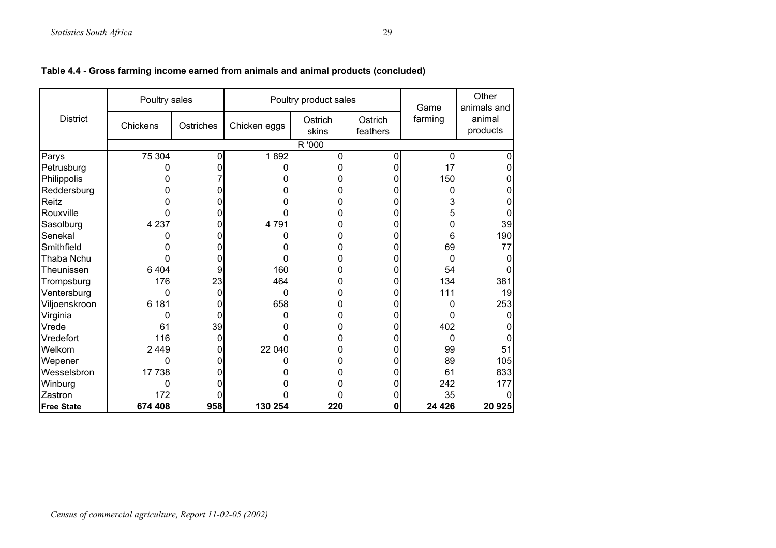|                   | Poultry sales |              |              | Poultry product sales |                     | Game        | Other<br>animals and |
|-------------------|---------------|--------------|--------------|-----------------------|---------------------|-------------|----------------------|
| <b>District</b>   | Chickens      | Ostriches    | Chicken eggs | Ostrich<br>skins      | Ostrich<br>feathers | farming     | animal<br>products   |
|                   |               |              |              | R '000                |                     |             |                      |
| Parys             | 75 304        | $\mathbf{0}$ | 1892         | 0                     | 0                   | $\mathbf 0$ | 0                    |
| Petrusburg        |               | ი            | 0            | 0                     | 0                   | 17          | 0                    |
| Philippolis       |               |              | n            | 0                     | 0                   | 150         | 0                    |
| Reddersburg       |               | ი            | O            | ი                     | 0                   | 0           | 0                    |
| Reitz             |               | 0            |              | 0                     | 0                   | 3           | 0                    |
| Rouxville         | 0             | ი            | n            | O                     | 0                   | 5           | 0                    |
| Sasolburg         | 4 2 3 7       | 0            | 4791         | 0                     | 0                   | 0           | 39                   |
| Senekal           |               | O            |              | 0                     | 0                   | 6           | 190                  |
| Smithfield        |               |              | O            | 0                     | 0                   | 69          | 77                   |
| Thaba Nchu        | 0             | 0            | 0            | 0                     | 0                   | 0           | 0                    |
| Theunissen        | 6 4 0 4       | 9            | 160          | ი                     | 0                   | 54          | 0                    |
| Trompsburg        | 176           | 23           | 464          | 0                     | 0                   | 134         | 381                  |
| Ventersburg       | 0             | 0            | 0            | 0                     | 0                   | 111         | 19                   |
| Viljoenskroon     | 6 181         | ი            | 658          | ი                     | 0                   | 0           | 253                  |
| Virginia          | 0             | 0            | 0            | 0                     | 0                   | 0           | 0                    |
| Vrede             | 61            | 39           | n            | 0                     | 0                   | 402         | 0                    |
| Vredefort         | 116           | 0            |              | 0                     | 0                   | 0           | 0                    |
| Welkom            | 2 4 4 9       | O            | 22 040       | ი                     | 0                   | 99          | 51                   |
| Wepener           | $\Omega$      |              | ი            | 0                     | 0                   | 89          | 105                  |
| Wesselsbron       | 17738         | 0            |              | 0                     | 0                   | 61          | 833                  |
| Winburg           | 0             |              |              |                       | 0                   | 242         | 177                  |
| Zastron           | 172           |              |              | 0                     | 0                   | 35          | 0                    |
| <b>Free State</b> | 674 408       | 958          | 130 254      | 220                   | $\mathbf 0$         | 24 4 26     | 20 925               |

**Table 4.4 - Gross farming income earned from animals and animal products (concluded)**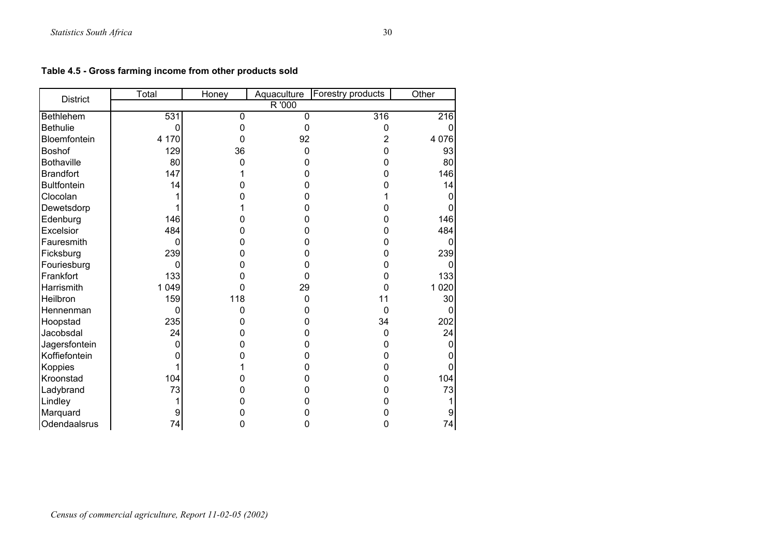**Table 4.5 - Gross farming income from other products sold**

| <b>District</b>    | Total   | Honey          | Aquaculture    | Forestry products | Other   |
|--------------------|---------|----------------|----------------|-------------------|---------|
|                    |         |                | R '000         |                   |         |
| <b>Bethlehem</b>   | 531     | $\overline{0}$ | $\overline{0}$ | 316               | 216     |
| <b>Bethulie</b>    |         | 0              | $\Omega$       | 0                 |         |
| Bloemfontein       | 4 170   | 0              | 92             | 2                 | 4 0 7 6 |
| <b>Boshof</b>      | 129     | 36             | $\Omega$       | 0                 | 93      |
| <b>Bothaville</b>  | 80      | 0              | ი              | n                 | 80      |
| <b>Brandfort</b>   | 147     |                | ი              | ი                 | 146     |
| <b>Bultfontein</b> | 14      |                |                |                   | 14      |
| Clocolan           |         |                |                |                   |         |
| Dewetsdorp         |         |                |                |                   |         |
| Edenburg           | 146     |                |                | o                 | 146     |
| Excelsior          | 484     | ი              |                | ი                 | 484     |
| Fauresmith         | 0       |                |                | 0                 |         |
| Ficksburg          | 239     |                |                | O                 | 239     |
| Fouriesburg        | 0       |                |                | 0                 |         |
| Frankfort          | 133     | 0              | ი              | 0                 | 133     |
| Harrismith         | 1 0 4 9 | 0              | 29             | 0                 | 1 0 2 0 |
| Heilbron           | 159     | 118            | 0              | 11                | 30      |
| Hennenman          | 0       | 0              | 0              | $\mathbf{0}$      |         |
| Hoopstad           | 235     | ŋ              | ი              | 34                | 202     |
| Jacobsdal          | 24      |                |                | $\mathbf 0$       | 24      |
| Jagersfontein      |         |                |                | 0                 |         |
| Koffiefontein      |         |                |                | 0                 |         |
| Koppies            |         |                | ი              | 0                 |         |
| Kroonstad          | 104     |                |                | ი                 | 104     |
| Ladybrand          | 73      |                |                |                   | 73      |
| Lindley            |         |                |                |                   |         |
| Marquard           |         |                |                |                   |         |
| Odendaalsrus       | 74      | 0              | 0              | 0                 | 74      |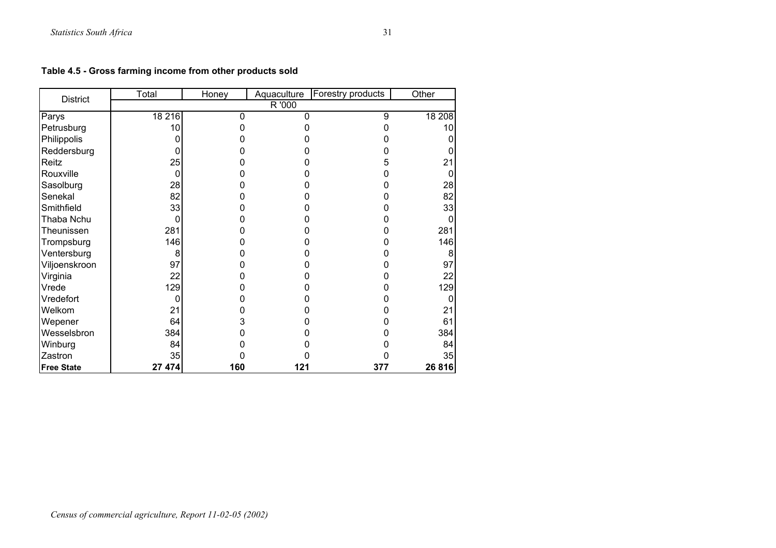**Table 4.5 - Gross farming income from other products sold**

| <b>District</b>   | Total  | Honey | Aquaculture | Forestry products | Other  |
|-------------------|--------|-------|-------------|-------------------|--------|
|                   |        |       | R '000      |                   |        |
| Parys             | 18 216 | 0     | U           | 9                 | 18 208 |
| Petrusburg        | 10     |       |             |                   | 10     |
| Philippolis       |        |       |             |                   |        |
| Reddersburg       |        |       |             |                   |        |
| Reitz             | 25     |       |             | 5                 | 21     |
| Rouxville         | 0      |       |             |                   | 0      |
| Sasolburg         | 28     |       |             |                   | 28     |
| Senekal           | 82     |       |             |                   | 82     |
| Smithfield        | 33     |       |             |                   | 33     |
| Thaba Nchu        | 0      |       |             |                   | 0      |
| Theunissen        | 281    |       |             | ი                 | 281    |
| Trompsburg        | 146    |       |             | Ŋ                 | 146    |
| Ventersburg       | 8      |       |             |                   | 8      |
| Viljoenskroon     | 97     |       |             |                   | 97     |
| Virginia          | 22     |       |             |                   | 22     |
| Vrede             | 129    |       |             |                   | 129    |
| Vredefort         |        |       |             |                   |        |
| Welkom            | 21     |       |             |                   | 21     |
| Wepener           | 64     | 3     |             |                   | 61     |
| Wesselsbron       | 384    | 0     |             |                   | 384    |
| Winburg           | 84     | 0     |             |                   | 84     |
| Zastron           | 35     |       |             |                   | 35     |
| <b>Free State</b> | 27 474 | 160   | 121         | 377               | 26816  |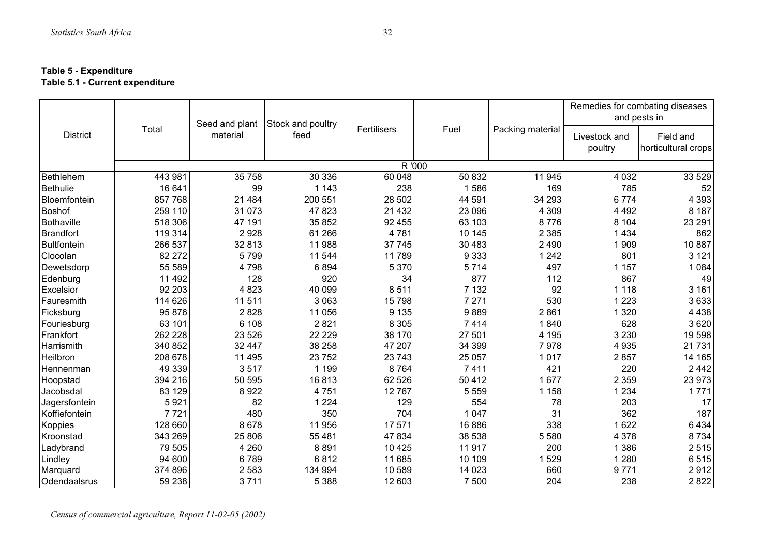#### **Table 5 - Expenditure Table 5.1 - Current expenditure**

|                    | Total   | Seed and plant | Stock and poultry | Fertilisers |         |                  | Remedies for combating diseases<br>and pests in |                                  |
|--------------------|---------|----------------|-------------------|-------------|---------|------------------|-------------------------------------------------|----------------------------------|
| <b>District</b>    |         | material       | feed              |             | Fuel    | Packing material | Livestock and<br>poultry                        | Field and<br>horticultural crops |
|                    |         |                |                   |             | R '000  |                  |                                                 |                                  |
| <b>Bethlehem</b>   | 443 981 | 35 758         | 30 336            | 60 048      | 50 832  | 11 945           | 4 0 3 2                                         | 33 529                           |
| <b>Bethulie</b>    | 16 641  | 99             | 1 1 4 3           | 238         | 1586    | 169              | 785                                             | 52                               |
| Bloemfontein       | 857 768 | 21 4 8 4       | 200 551           | 28 502      | 44 591  | 34 293           | 6774                                            | 4 3 9 3                          |
| <b>Boshof</b>      | 259 110 | 31 073         | 47 823            | 21 4 3 2    | 23 096  | 4 3 0 9          | 4 4 9 2                                         | 8 1 8 7                          |
| <b>Bothaville</b>  | 518 306 | 47 191         | 35 852            | 92 455      | 63 103  | 8776             | 8 1 0 4                                         | 23 291                           |
| <b>Brandfort</b>   | 119 314 | 2928           | 61 266            | 4781        | 10 145  | 2 3 8 5          | 1 4 3 4                                         | 862                              |
| <b>Bultfontein</b> | 266 537 | 32 813         | 11 988            | 37 745      | 30 483  | 2 4 9 0          | 1909                                            | 10 887                           |
| Clocolan           | 82 272  | 5799           | 11 544            | 11789       | 9 3 3 3 | 1 2 4 2          | 801                                             | 3 1 2 1                          |
| Dewetsdorp         | 55 589  | 4798           | 6894              | 5 3 7 0     | 5714    | 497              | 1 1 5 7                                         | 1 0 8 4                          |
| Edenburg           | 11 492  | 128            | 920               | 34          | 877     | 112              | 867                                             | 49                               |
| Excelsior          | 92 203  | 4823           | 40 099            | 8511        | 7 1 3 2 | 92               | 1 1 1 8                                         | 3 1 6 1                          |
| Fauresmith         | 114 626 | 11 511         | 3 0 6 3           | 15798       | 7 2 7 1 | 530              | 1 2 2 3                                         | 3633                             |
| Ficksburg          | 95 876  | 2828           | 11 056            | 9 1 3 5     | 9889    | 2861             | 1 3 2 0                                         | 4 4 3 8                          |
| Fouriesburg        | 63 101  | 6 108          | 2821              | 8 3 0 5     | 7414    | 1840             | 628                                             | 3 6 20                           |
| Frankfort          | 262 228 | 23 5 26        | 22 2 2 9          | 38 170      | 27 501  | 4 1 9 5          | 3 2 3 0                                         | 19 598                           |
| Harrismith         | 340 852 | 32 447         | 38 258            | 47 207      | 34 399  | 7978             | 4 9 3 5                                         | 21 731                           |
| Heilbron           | 208 678 | 11 4 9 5       | 23 752            | 23 743      | 25 057  | 1017             | 2857                                            | 14 165                           |
| Hennenman          | 49 339  | 3517           | 1 1 9 9           | 8764        | 7411    | 421              | 220                                             | 2442                             |
| Hoopstad           | 394 216 | 50 595         | 16813             | 62 526      | 50 412  | 1677             | 2 3 5 9                                         | 23 973                           |
| Jacobsdal          | 83 129  | 8922           | 4751              | 12767       | 5 5 5 9 | 1 1 5 8          | 1 2 3 4                                         | 1771                             |
| Jagersfontein      | 5921    | 82             | 1 2 2 4           | 129         | 554     | 78               | 203                                             | 17                               |
| Koffiefontein      | 7721    | 480            | 350               | 704         | 1 0 4 7 | 31               | 362                                             | 187                              |
| Koppies            | 128 660 | 8678           | 11 956            | 17 571      | 16 886  | 338              | 1622                                            | 6434                             |
| Kroonstad          | 343 269 | 25 806         | 55 481            | 47 834      | 38 538  | 5 5 8 0          | 4 3 7 8                                         | 8 7 3 4                          |
| Ladybrand          | 79 505  | 4 2 6 0        | 8891              | 10 4 25     | 11 917  | 200              | 1 3 8 6                                         | 2515                             |
| Lindley            | 94 600  | 6789           | 6812              | 11 685      | 10 109  | 1529             | 1 2 8 0                                         | 6515                             |
| Marquard           | 374 896 | 2 5 8 3        | 134 994           | 10 589      | 14 0 23 | 660              | 9771                                            | 2912                             |
| Odendaalsrus       | 59 238  | 3711           | 5 3 8 8           | 12 603      | 7 500   | 204              | 238                                             | 2822                             |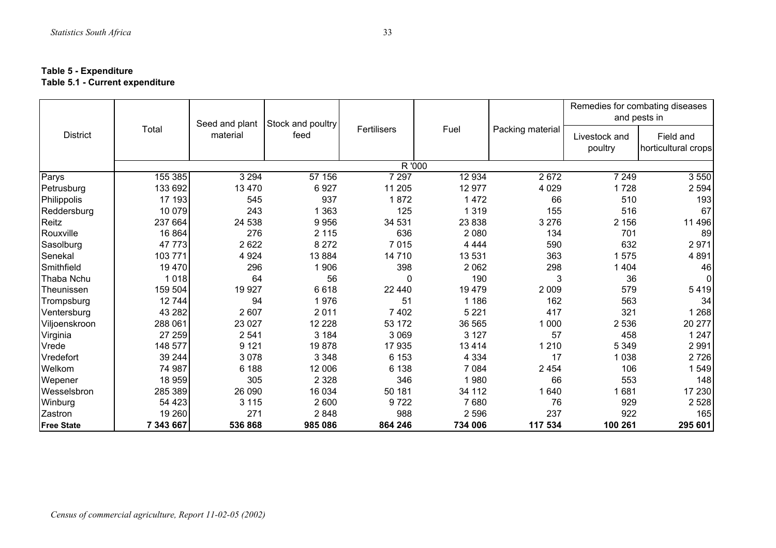#### **Table 5 - Expenditure Table 5.1 - Current expenditure**

|                   | Total     | Seed and plant<br>material | Stock and poultry<br>feed |             |         |                  | Remedies for combating diseases<br>and pests in |                                  |
|-------------------|-----------|----------------------------|---------------------------|-------------|---------|------------------|-------------------------------------------------|----------------------------------|
| <b>District</b>   |           |                            |                           | Fertilisers | Fuel    | Packing material | Livestock and<br>poultry                        | Field and<br>horticultural crops |
|                   |           |                            |                           | R '000      |         |                  |                                                 |                                  |
| Parys             | 155 385   | 3 2 9 4                    | 57 156                    | 7 2 9 7     | 12 934  | 2672             | 7 2 4 9                                         | 3550                             |
| Petrusburg        | 133 692   | 13 4 70                    | 6927                      | 11 205      | 12 977  | 4 0 2 9          | 1728                                            | 2 5 9 4                          |
| Philippolis       | 17 193    | 545                        | 937                       | 1872        | 1 4 7 2 | 66               | 510                                             | 193                              |
| Reddersburg       | 10 0 79   | 243                        | 1 3 6 3                   | 125         | 1 3 1 9 | 155              | 516                                             | 67                               |
| Reitz             | 237 664   | 24 538                     | 9956                      | 34 531      | 23 838  | 3 2 7 6          | 2 1 5 6                                         | 11 496                           |
| Rouxville         | 16 864    | 276                        | 2 1 1 5                   | 636         | 2 0 8 0 | 134              | 701                                             | 89                               |
| Sasolburg         | 47773     | 2622                       | 8 2 7 2                   | 7015        | 4 4 4 4 | 590              | 632                                             | 2971                             |
| Senekal           | 103 771   | 4 9 24                     | 13 8 84                   | 14 710      | 13 531  | 363              | 1575                                            | 4891                             |
| Smithfield        | 19470     | 296                        | 1 906                     | 398         | 2 0 6 2 | 298              | 1 4 0 4                                         | 46                               |
| Thaba Nchu        | 1018      | 64                         | 56                        | 0           | 190     | 3                | 36                                              | 0                                |
| Theunissen        | 159 504   | 19 9 27                    | 6618                      | 22 440      | 19 479  | 2 0 0 9          | 579                                             | 5419                             |
| Trompsburg        | 12744     | 94                         | 1976                      | 51          | 1 1 8 6 | 162              | 563                                             | 34                               |
| Ventersburg       | 43 28 2   | 2 607                      | 2011                      | 7 4 0 2     | 5 2 2 1 | 417              | 321                                             | 1 2 6 8                          |
| Viljoenskroon     | 288 061   | 23 0 27                    | 12 2 28                   | 53 172      | 36 565  | 1 0 0 0          | 2536                                            | 20 277                           |
| Virginia          | 27 259    | 2 5 4 1                    | 3 1 8 4                   | 3 0 6 9     | 3 1 2 7 | 57               | 458                                             | 1 2 4 7                          |
| Vrede             | 148 577   | 9 1 2 1                    | 19878                     | 17 935      | 13 4 14 | 1 2 1 0          | 5 3 4 9                                         | 2991                             |
| Vredefort         | 39 244    | 3 0 7 8                    | 3 3 4 8                   | 6 1 5 3     | 4 3 3 4 | 17               | 1038                                            | 2726                             |
| Welkom            | 74 987    | 6 188                      | 12 006                    | 6 1 3 8     | 7 0 8 4 | 2 4 5 4          | 106                                             | 1549                             |
| Wepener           | 18 959    | 305                        | 2 3 2 8                   | 346         | 1980    | 66               | 553                                             | 148                              |
| Wesselsbron       | 285 389   | 26 090                     | 16 034                    | 50 181      | 34 112  | 1640             | 1681                                            | 17 230                           |
| Winburg           | 54 423    | 3 1 1 5                    | 2 600                     | 9722        | 7680    | 76               | 929                                             | 2 5 2 8                          |
| Zastron           | 19 260    | 271                        | 2848                      | 988         | 2596    | 237              | 922                                             | 165                              |
| <b>Free State</b> | 7 343 667 | 536868                     | 985 086                   | 864 246     | 734 006 | 117 534          | 100 261                                         | 295 601                          |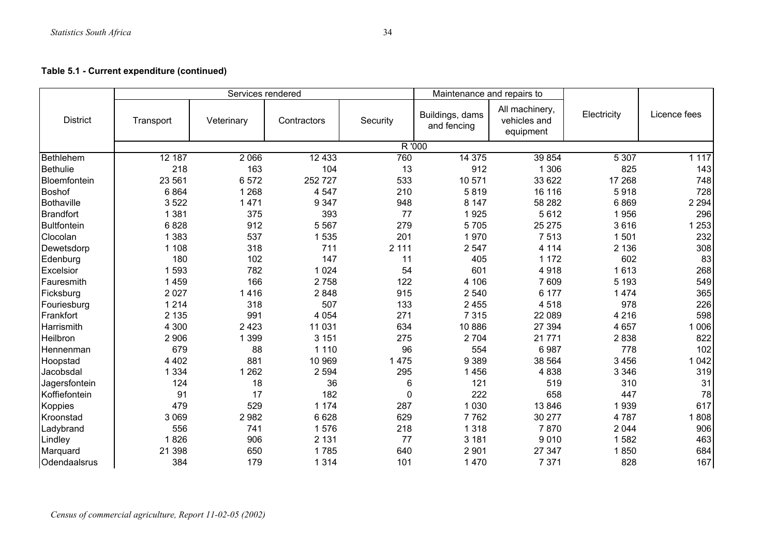|                    |           | Services rendered |             |          | Maintenance and repairs to     |                                             |             |              |
|--------------------|-----------|-------------------|-------------|----------|--------------------------------|---------------------------------------------|-------------|--------------|
| <b>District</b>    | Transport | Veterinary        | Contractors | Security | Buildings, dams<br>and fencing | All machinery,<br>vehicles and<br>equipment | Electricity | Licence fees |
|                    |           |                   |             | R '000   |                                |                                             |             |              |
| Bethlehem          | 12 187    | 2 0 6 6           | 12 4 33     | 760      | 14 3 75                        | 39 854                                      | 5 3 0 7     | 1 1 1 7      |
| <b>Bethulie</b>    | 218       | 163               | 104         | 13       | 912                            | 1 3 0 6                                     | 825         | 143          |
| Bloemfontein       | 23 561    | 6572              | 252727      | 533      | 10 571                         | 33 622                                      | 17 268      | 748          |
| <b>Boshof</b>      | 6864      | 1 2 6 8           | 4 5 4 7     | 210      | 5819                           | 16 116                                      | 5918        | 728          |
| <b>Bothaville</b>  | 3522      | 1 4 7 1           | 9 3 4 7     | 948      | 8 1 4 7                        | 58 282                                      | 6869        | 2 2 9 4      |
| <b>Brandfort</b>   | 1 3 8 1   | 375               | 393         | 77       | 1925                           | 5612                                        | 1956        | 296          |
| <b>Bultfontein</b> | 6828      | 912               | 5 5 6 7     | 279      | 5705                           | 25 275                                      | 3616        | 1 2 5 3      |
| Clocolan           | 1 3 8 3   | 537               | 1535        | 201      | 1970                           | 7513                                        | 1501        | 232          |
| Dewetsdorp         | 1 1 0 8   | 318               | 711         | 2 1 1 1  | 2547                           | 4 1 1 4                                     | 2 1 3 6     | 308          |
| Edenburg           | 180       | 102               | 147         | 11       | 405                            | 1 1 7 2                                     | 602         | 83           |
| Excelsior          | 1593      | 782               | 1 0 2 4     | 54       | 601                            | 4918                                        | 1613        | 268          |
| Fauresmith         | 1 4 5 9   | 166               | 2758        | 122      | 4 10 6                         | 7 609                                       | 5 1 9 3     | 549          |
| Ficksburg          | 2 0 2 7   | 1416              | 2848        | 915      | 2 5 4 0                        | 6 177                                       | 1474        | 365          |
| Fouriesburg        | 1 2 1 4   | 318               | 507         | 133      | 2 4 5 5                        | 4518                                        | 978         | 226          |
| Frankfort          | 2 1 3 5   | 991               | 4 0 5 4     | 271      | 7 3 1 5                        | 22 089                                      | 4 2 1 6     | 598          |
| Harrismith         | 4 300     | 2 4 2 3           | 11 031      | 634      | 10 886                         | 27 394                                      | 4 6 5 7     | 1 0 0 6      |
| Heilbron           | 2 9 0 6   | 1 3 9 9           | 3 1 5 1     | 275      | 2 7 0 4                        | 21 771                                      | 2838        | 822          |
| Hennenman          | 679       | 88                | 1 1 1 0     | 96       | 554                            | 6987                                        | 778         | 102          |
| Hoopstad           | 4 4 0 2   | 881               | 10 969      | 1 4 7 5  | 9 3 8 9                        | 38 564                                      | 3 4 5 6     | 1 0 4 2      |
| Jacobsdal          | 1 3 3 4   | 1 2 6 2           | 2 5 9 4     | 295      | 1456                           | 4838                                        | 3 3 4 6     | 319          |
| Jagersfontein      | 124       | 18                | 36          | 6        | 121                            | 519                                         | 310         | 31           |
| Koffiefontein      | 91        | 17                | 182         | $\Omega$ | 222                            | 658                                         | 447         | 78           |
| Koppies            | 479       | 529               | 1 1 7 4     | 287      | 1 0 3 0                        | 13 846                                      | 1939        | 617          |
| Kroonstad          | 3 0 6 9   | 2982              | 6 6 28      | 629      | 7762                           | 30 277                                      | 4787        | 1808         |
| Ladybrand          | 556       | 741               | 1576        | 218      | 1 3 1 8                        | 7870                                        | 2044        | 906          |
| Lindley            | 1826      | 906               | 2 1 3 1     | 77       | 3 1 8 1                        | 9010                                        | 1582        | 463          |
| Marquard           | 21 398    | 650               | 1785        | 640      | 2 9 0 1                        | 27 347                                      | 1850        | 684          |
| Odendaalsrus       | 384       | 179               | 1 3 1 4     | 101      | 1470                           | 7 3 7 1                                     | 828         | 167          |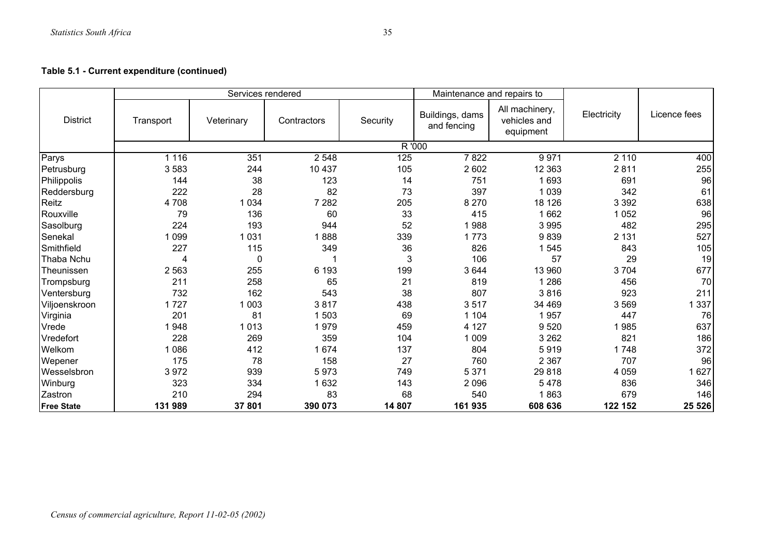|                   |           | Services rendered |             |          | Maintenance and repairs to     |                                             |             |              |
|-------------------|-----------|-------------------|-------------|----------|--------------------------------|---------------------------------------------|-------------|--------------|
| <b>District</b>   | Transport | Veterinary        | Contractors | Security | Buildings, dams<br>and fencing | All machinery,<br>vehicles and<br>equipment | Electricity | Licence fees |
|                   |           |                   |             |          | R '000                         |                                             |             |              |
| Parys             | 1 1 1 6   | 351               | 2 5 4 8     | 125      | 7822                           | 9971                                        | 2 1 1 0     | 400          |
| Petrusburg        | 3583      | 244               | 10 437      | 105      | 2602                           | 12 3 63                                     | 2811        | 255          |
| Philippolis       | 144       | 38                | 123         | 14       | 751                            | 1693                                        | 691         | 96           |
| Reddersburg       | 222       | 28                | 82          | 73       | 397                            | 1 0 3 9                                     | 342         | 61           |
| Reitz             | 4708      | 1 0 3 4           | 7 2 8 2     | 205      | 8 2 7 0                        | 18 126                                      | 3 3 9 2     | 638          |
| Rouxville         | 79        | 136               | 60          | 33       | 415                            | 1662                                        | 1 0 5 2     | 96           |
| Sasolburg         | 224       | 193               | 944         | 52       | 1988                           | 3995                                        | 482         | 295          |
| Senekal           | 099       | 1 0 3 1           | 888         | 339      | 1773                           | 9839                                        | 2 1 3 1     | 527          |
| Smithfield        | 227       | 115               | 349         | 36       | 826                            | 1545                                        | 843         | 105          |
| Thaba Nchu        | 4         | $\mathbf 0$       |             | 3        | 106                            | 57                                          | 29          | 19           |
| Theunissen        | 2 5 6 3   | 255               | 6 1 9 3     | 199      | 3644                           | 13 960                                      | 3704        | 677          |
| Trompsburg        | 211       | 258               | 65          | 21       | 819                            | 1 2 8 6                                     | 456         | 70           |
| Ventersburg       | 732       | 162               | 543         | 38       | 807                            | 3816                                        | 923         | 211          |
| Viljoenskroon     | 1727      | 1 0 0 3           | 3817        | 438      | 3517                           | 34 469                                      | 3569        | 1 3 3 7      |
| Virginia          | 201       | 81                | 1503        | 69       | 1 1 0 4                        | 1957                                        | 447         | 76           |
| Vrede             | 948       | 1013              | 1979        | 459      | 4 1 2 7                        | 9520                                        | 1985        | 637          |
| Vredefort         | 228       | 269               | 359         | 104      | 1 0 0 9                        | 3 2 6 2                                     | 821         | 186          |
| Welkom            | 086       | 412               | 1 674       | 137      | 804                            | 5919                                        | 1748        | 372          |
| Wepener           | 175       | 78                | 158         | 27       | 760                            | 2 3 6 7                                     | 707         | 96           |
| Wesselsbron       | 3972      | 939               | 5973        | 749      | 5 3 7 1                        | 29818                                       | 4 0 5 9     | 1627         |
| Winburg           | 323       | 334               | 1632        | 143      | 2096                           | 5478                                        | 836         | 346          |
| Zastron           | 210       | 294               | 83          | 68       | 540                            | 1863                                        | 679         | 146          |
| <b>Free State</b> | 131 989   | 37 801            | 390 073     | 14 807   | 161 935                        | 608 636                                     | 122 152     | 25 5 26      |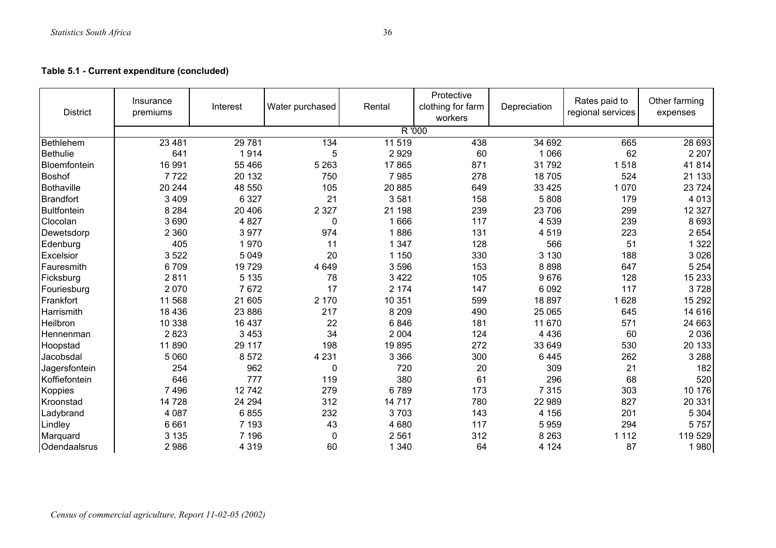**Table 5.1 - Current expenditure (concluded)**

| <b>District</b>    | Insurance<br>premiums | Interest | Water purchased  | Rental  | Protective<br>clothing for farm<br>workers | Depreciation | Rates paid to<br>regional services | Other farming<br>expenses |
|--------------------|-----------------------|----------|------------------|---------|--------------------------------------------|--------------|------------------------------------|---------------------------|
|                    |                       |          |                  |         | R '000                                     |              |                                    |                           |
| Bethlehem          | 23 4 81               | 29 781   | $\overline{134}$ | 11 519  | 438                                        | 34 692       | 665                                | 28 693                    |
| <b>Bethulie</b>    | 641                   | 1914     | 5                | 2929    | 60                                         | 1 0 6 6      | 62                                 | 2 2 0 7                   |
| Bloemfontein       | 16 991                | 55 466   | 5 2 6 3          | 17865   | 871                                        | 31 792       | 518                                | 41814                     |
| <b>Boshof</b>      | 7722                  | 20 132   | 750              | 7985    | 278                                        | 18705        | 524                                | 21 133                    |
| Bothaville         | 20 244                | 48 550   | 105              | 20 885  | 649                                        | 33 4 25      | 070<br>1                           | 23 7 24                   |
| <b>Brandfort</b>   | 3 4 0 9               | 6 3 2 7  | 21               | 3581    | 158                                        | 5808         | 179                                | 4 0 1 3                   |
| <b>Bultfontein</b> | 8 2 8 4               | 20 40 6  | 2 3 2 7          | 21 198  | 239                                        | 23 706       | 299                                | 12 3 27                   |
| Clocolan           | 3690                  | 4 8 2 7  | 0                | 1666    | 117                                        | 4 5 3 9      | 239                                | 8693                      |
| Dewetsdorp         | 2 3 6 0               | 3977     | 974              | 1886    | 131                                        | 4519         | 223                                | 2654                      |
| Edenburg           | 405                   | 1970     | 11               | 1 3 4 7 | 128                                        | 566          | 51                                 | 1 3 2 2                   |
| Excelsior          | 3 5 2 2               | 5 0 4 9  | 20               | 1 150   | 330                                        | 3 1 3 0      | 188                                | 3026                      |
| Fauresmith         | 6709                  | 19729    | 4 6 4 9          | 3596    | 153                                        | 8898         | 647                                | 5 2 5 4                   |
| Ficksburg          | 2811                  | 5 1 3 5  | 78               | 3422    | 105                                        | 9676         | 128                                | 15 2 33                   |
| Fouriesburg        | 2 0 7 0               | 7672     | 17               | 2 174   | 147                                        | 6 0 9 2      | 117                                | 3728                      |
| Frankfort          | 11 568                | 21 605   | 2 170            | 10 351  | 599                                        | 18 897       | 628                                | 15 29 2                   |
| Harrismith         | 18 4 36               | 23 886   | 217              | 8 2 0 9 | 490                                        | 25 065       | 645                                | 14 616                    |
| Heilbron           | 10 338                | 16 437   | 22               | 6846    | 181                                        | 11 670       | 571                                | 24 663                    |
| <b>Hennenman</b>   | 2823                  | 3 4 5 3  | 34               | 2 0 0 4 | 124                                        | 4 4 3 6      | 60                                 | 2036                      |
| Hoopstad           | 11890                 | 29 117   | 198              | 19895   | 272                                        | 33 649       | 530                                | 20 133                    |
| Jacobsdal          | 5 0 6 0               | 8572     | 4 2 3 1          | 3 3 6 6 | 300                                        | 6445         | 262                                | 3 2 8 8                   |
| Jagersfontein      | 254                   | 962      | 0                | 720     | 20                                         | 309          | 21                                 | 182                       |
| Koffiefontein      | 646                   | 777      | 119              | 380     | 61                                         | 296          | 68                                 | 520                       |
| Koppies            | 7 4 9 6               | 12742    | 279              | 6789    | 173                                        | 7 3 1 5      | 303                                | 10 176                    |
| Kroonstad          | 14 728                | 24 294   | 312              | 14 7 17 | 780                                        | 22 989       | 827                                | 20 331                    |
| Ladybrand          | 4 0 8 7               | 6855     | 232              | 3703    | 143                                        | 4 1 5 6      | 201                                | 5 3 0 4                   |
| Lindley            | 6 6 6 1               | 7 1 9 3  | 43               | 4680    | 117                                        | 5959         | 294                                | 5757                      |
| Marquard           | 3 1 3 5               | 7 196    | 0                | 2 5 6 1 | 312                                        | 8 2 6 3      | 1 1 1 2                            | 119 529                   |
| Odendaalsrus       | 2986                  | 4 3 1 9  | 60               | 1 3 4 0 | 64                                         | 4 1 2 4      | 87                                 | 1980                      |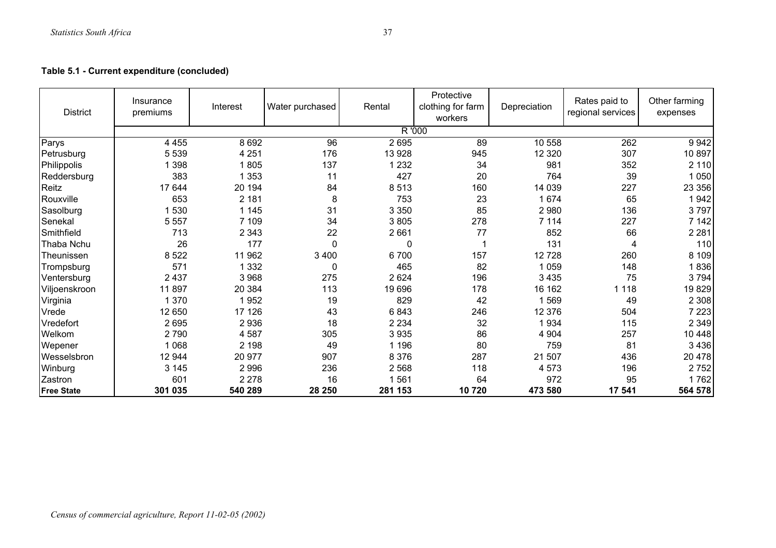| <b>District</b>   | Insurance<br>premiums | Interest | Water purchased | Rental  | Protective<br>clothing for farm<br>workers | Depreciation | Rates paid to<br>regional services | Other farming<br>expenses |
|-------------------|-----------------------|----------|-----------------|---------|--------------------------------------------|--------------|------------------------------------|---------------------------|
|                   |                       |          |                 | R '000  |                                            |              |                                    |                           |
| Parys             | 4 4 5 5               | 8 6 9 2  | 96              | 2695    | 89                                         | 10 558       | 262                                | 9942                      |
| Petrusburg        | 5 5 3 9               | 4 2 5 1  | 176             | 13 928  | 945                                        | 12 3 20      | 307                                | 10 897                    |
| Philippolis       | 398                   | 805      | 137             | 232     | 34                                         | 981          | 352                                | 2 1 1 0                   |
| Reddersburg       | 383                   | 353      | 11              | 427     | 20                                         | 764          | 39                                 | 1 0 5 0                   |
| Reitz             | 17 644                | 20 194   | 84              | 8513    | 160                                        | 14 039       | 227                                | 23 356                    |
| Rouxville         | 653                   | 2 181    | 8               | 753     | 23                                         | 1674         | 65                                 | 1942                      |
| Sasolburg         | 1530                  | 1 1 4 5  | 31              | 3 3 5 0 | 85                                         | 2980         | 136                                | 3797                      |
| Senekal           | 5 5 5 7               | 7 109    | 34              | 3805    | 278                                        | 7 1 1 4      | 227                                | 7 142                     |
| Smithfield        | 713                   | 2 3 4 3  | 22              | 2661    | 77                                         | 852          | 66                                 | 2 2 8 1                   |
| Thaba Nchu        | 26                    | 177      | 0               | 0       |                                            | 131          | 4                                  | 110                       |
| Theunissen        | 8 5 22                | 11 962   | 3 4 0 0         | 6700    | 157                                        | 12728        | 260                                | 8 1 0 9                   |
| Trompsburg        | 571                   | 1 3 3 2  | $\mathbf 0$     | 465     | 82                                         | 1 0 5 9      | 148                                | 1836                      |
| Ventersburg       | 2 4 3 7               | 3 9 6 8  | 275             | 2624    | 196                                        | 3 4 3 5      | 75                                 | 3794                      |
| Viljoenskroon     | 11897                 | 20 384   | 113             | 19 696  | 178                                        | 16 162       | 1 1 1 8                            | 19829                     |
| Virginia          | 1 370                 | 952      | 19              | 829     | 42                                         | ∣ 569        | 49                                 | 2 3 0 8                   |
| Vrede             | 12 650                | 17 126   | 43              | 6843    | 246                                        | 12 376       | 504                                | 7 2 2 3                   |
| Vredefort         | 2695                  | 2936     | 18              | 2 2 3 4 | 32                                         | 1934         | 115                                | 2 3 4 9                   |
| Welkom            | 2790                  | 4587     | 305             | 3 9 3 5 | 86                                         | 4 9 0 4      | 257                                | 10 448                    |
| Wepener           | 068                   | 2 1 9 8  | 49              | 1 1 9 6 | 80                                         | 759          | 81                                 | 3 4 3 6                   |
| Wesselsbron       | 12 944                | 20 977   | 907             | 8 3 7 6 | 287                                        | 21 507       | 436                                | 20 478                    |
| Winburg           | 3 1 4 5               | 2 9 9 6  | 236             | 2 5 6 8 | 118                                        | 4573         | 196                                | 2752                      |
| Zastron           | 601                   | 2 2 7 8  | 16              | 1561    | 64                                         | 972          | 95                                 | 1762                      |
| <b>Free State</b> | 301 035               | 540 289  | 28 250          | 281 153 | 10720                                      | 473 580      | 17 541                             | 564 578                   |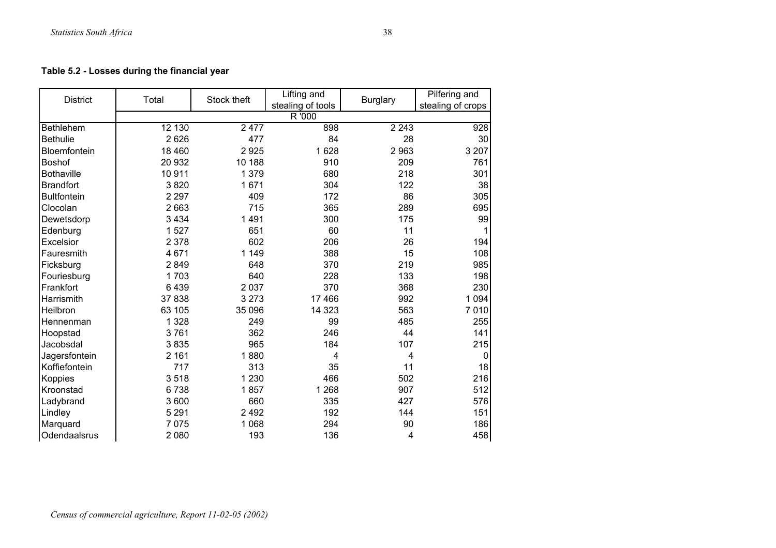| <b>District</b>    | Total   | Stock theft | Lifting and<br>stealing of tools | <b>Burglary</b> | Pilfering and<br>stealing of crops |
|--------------------|---------|-------------|----------------------------------|-----------------|------------------------------------|
|                    |         |             | R '000                           |                 |                                    |
| <b>Bethlehem</b>   | 12 130  | 2477        | 898                              | 2 2 4 3         | 928                                |
| <b>Bethulie</b>    | 2626    | 477         | 84                               | 28              | 30                                 |
| Bloemfontein       | 18 460  | 2925        | 1628                             | 2963            | 3 2 0 7                            |
| <b>Boshof</b>      | 20 932  | 10 188      | 910                              | 209             | 761                                |
| <b>Bothaville</b>  | 10911   | 1 3 7 9     | 680                              | 218             | 301                                |
| <b>Brandfort</b>   | 3820    | 1671        | 304                              | 122             | 38                                 |
| <b>Bultfontein</b> | 2 2 9 7 | 409         | 172                              | 86              | 305                                |
| Clocolan           | 2 6 6 3 | 715         | 365                              | 289             | 695                                |
| Dewetsdorp         | 3 4 3 4 | 1491        | 300                              | 175             | 99                                 |
| Edenburg           | 1527    | 651         | 60                               | 11              |                                    |
| Excelsior          | 2 3 7 8 | 602         | 206                              | 26              | 194                                |
| Fauresmith         | 4671    | 1 1 4 9     | 388                              | 15              | 108                                |
| Ficksburg          | 2849    | 648         | 370                              | 219             | 985                                |
| Fouriesburg        | 1703    | 640         | 228                              | 133             | 198                                |
| Frankfort          | 6439    | 2 0 3 7     | 370                              | 368             | 230                                |
| Harrismith         | 37 838  | 3 2 7 3     | 17 466                           | 992             | 1 0 9 4                            |
| Heilbron           | 63 105  | 35 096      | 14 3 23                          | 563             | 7010                               |
| Hennenman          | 1 3 2 8 | 249         | 99                               | 485             | 255                                |
| Hoopstad           | 3761    | 362         | 246                              | 44              | 141                                |
| Jacobsdal          | 3835    | 965         | 184                              | 107             | 215                                |
| Jagersfontein      | 2 1 6 1 | 1880        | $\overline{4}$                   | 4               | 0                                  |
| Koffiefontein      | 717     | 313         | 35                               | 11              | 18                                 |
| <b>Koppies</b>     | 3518    | 1 2 3 0     | 466                              | 502             | 216                                |
| Kroonstad          | 6738    | 1857        | 1 2 6 8                          | 907             | 512                                |
| Ladybrand          | 3 600   | 660         | 335                              | 427             | 576                                |
| Lindley            | 5 2 9 1 | 2 4 9 2     | 192                              | 144             | 151                                |
| Marquard           | 7075    | 1 0 6 8     | 294                              | 90              | 186                                |
| Odendaalsrus       | 2 0 8 0 | 193         | 136                              | 4               | 458                                |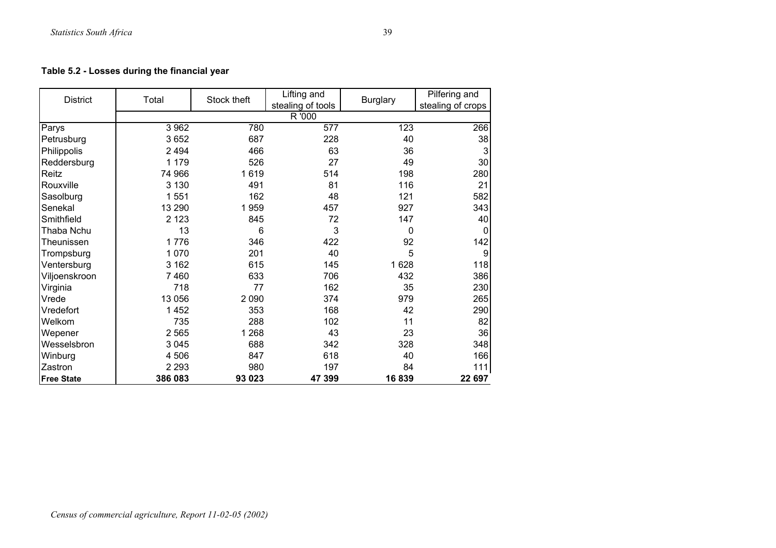| <b>District</b>   | Total   | Stock theft | Lifting and                 | <b>Burglary</b> | Pilfering and     |
|-------------------|---------|-------------|-----------------------------|-----------------|-------------------|
|                   |         |             | stealing of tools<br>R '000 |                 | stealing of crops |
| Parys             | 3 9 6 2 | 780         | 577                         | 123             | 266               |
| Petrusburg        | 3652    | 687         | 228                         | 40              | 38                |
| Philippolis       | 2 4 9 4 | 466         | 63                          | 36              | 3                 |
| Reddersburg       | 1 1 7 9 | 526         | 27                          | 49              | 30                |
| Reitz             | 74 966  | 1619        | 514                         | 198             | 280               |
| Rouxville         | 3 1 3 0 | 491         | 81                          | 116             | 21                |
| Sasolburg         | 1551    | 162         | 48                          | 121             | 582               |
| Senekal           | 13 290  | 1959        | 457                         | 927             | 343               |
| Smithfield        | 2 1 2 3 | 845         | 72                          | 147             | 40                |
| Thaba Nchu        | 13      | 6           | 3                           | 0               | $\mathbf 0$       |
| Theunissen        | 1776    | 346         | 422                         | 92              | 142               |
| Trompsburg        | 1 0 7 0 | 201         | 40                          | 5               | 9                 |
| Ventersburg       | 3 1 6 2 | 615         | 145                         | 1628            | 118               |
| Viljoenskroon     | 7460    | 633         | 706                         | 432             | 386               |
| Virginia          | 718     | 77          | 162                         | 35              | 230               |
| Vrede             | 13 0 56 | 2 0 9 0     | 374                         | 979             | 265               |
| Vredefort         | 1452    | 353         | 168                         | 42              | 290               |
| Welkom            | 735     | 288         | 102                         | 11              | 82                |
|                   | 2 5 6 5 | 1 2 6 8     | 43                          | 23              | 36                |
| Wepener           |         |             |                             |                 |                   |
| Wesselsbron       | 3 0 4 5 | 688         | 342                         | 328             | 348               |
| Winburg           | 4 506   | 847         | 618                         | 40              | 166               |
| Zastron           | 2 2 9 3 | 980         | 197                         | 84              | 111               |
| <b>Free State</b> | 386 083 | 93 023      | 47 399                      | 16839           | 22 697            |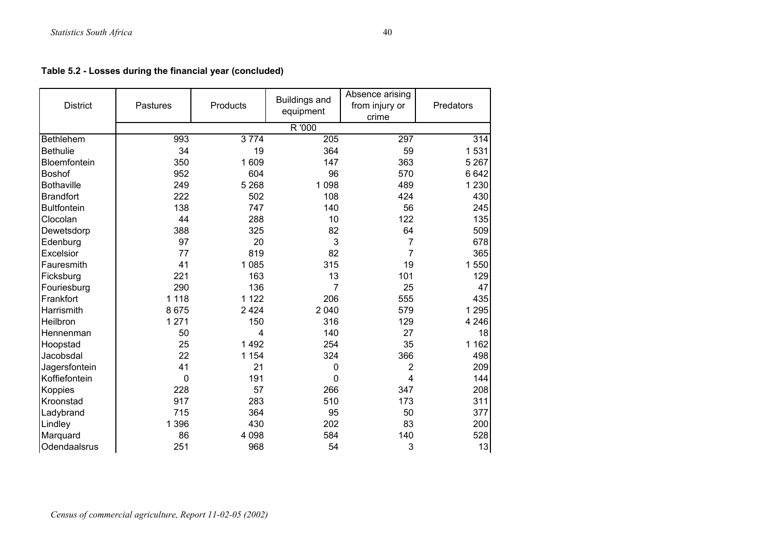**Table 5.2 - Losses during the financial year (concluded)**

| <b>District</b>    | Products<br>Pastures |         | <b>Buildings and</b><br>equipment | Absence arising<br>from injury or<br>crime | Predators        |
|--------------------|----------------------|---------|-----------------------------------|--------------------------------------------|------------------|
|                    |                      |         | R '000                            |                                            |                  |
| Bethlehem          | 993                  | 3774    | $\overline{205}$                  | 297                                        | $\overline{314}$ |
| <b>Bethulie</b>    | 34                   | 19      | 364                               | 59                                         | 1531             |
| Bloemfontein       | 350                  | 1609    | 147                               | 363                                        | 5 2 6 7          |
| Boshof             | 952                  | 604     | 96                                | 570                                        | 6 6 4 2          |
| <b>Bothaville</b>  | 249                  | 5 2 6 8 | 1 0 9 8                           | 489                                        | 1 2 3 0          |
| <b>Brandfort</b>   | 222                  | 502     | 108                               | 424                                        | 430              |
| <b>Bultfontein</b> | 138                  | 747     | 140                               | 56                                         | 245              |
| Clocolan           | 44                   | 288     | 10                                | 122                                        | 135              |
| Dewetsdorp         | 388                  | 325     | 82                                | 64                                         | 509              |
| Edenburg           | 97                   | 20      | 3                                 | 7                                          | 678              |
| Excelsior          | 77                   | 819     | 82                                | 7                                          | 365              |
| Fauresmith         | 41                   | 1 0 8 5 | 315                               | 19                                         | 1 550            |
| Ficksburg          | 221                  | 163     | 13                                | 101                                        | 129              |
| Fouriesburg        | 290                  | 136     | 7                                 | 25                                         | 47               |
| Frankfort          | 1 1 1 8              | 1 1 2 2 | 206                               | 555                                        | 435              |
| Harrismith         | 8675                 | 2 4 2 4 | 2 0 4 0                           | 579                                        | 1 2 9 5          |
| Heilbron           | 1 2 7 1              | 150     | 316                               | 129                                        | 4 2 4 6          |
| Hennenman          | 50                   | 4       | 140                               | 27                                         | 18               |
| Hoopstad           | 25                   | 1492    | 254                               | 35                                         | 1 1 6 2          |
| Jacobsdal          | 22                   | 1 1 5 4 | 324                               | 366                                        | 498              |
| Jagersfontein      | 41                   | 21      | 0                                 | 2                                          | 209              |
| Koffiefontein      | 0                    | 191     | $\mathbf 0$                       | 4                                          | 144              |
| <b>Koppies</b>     | 228                  | 57      | 266                               | 347                                        | 208              |
| Kroonstad          | 917                  | 283     | 510                               | 173                                        | 311              |
| Ladybrand          | 715                  | 364     | 95                                | 50                                         | 377              |
| Lindley            | 1 3 9 6              | 430     | 202                               | 83                                         | 200              |
| Marquard           | 86                   | 4 0 9 8 | 584                               | 140                                        | 528              |
| Odendaalsrus       | 251                  | 968     | 54                                | 3                                          | 13               |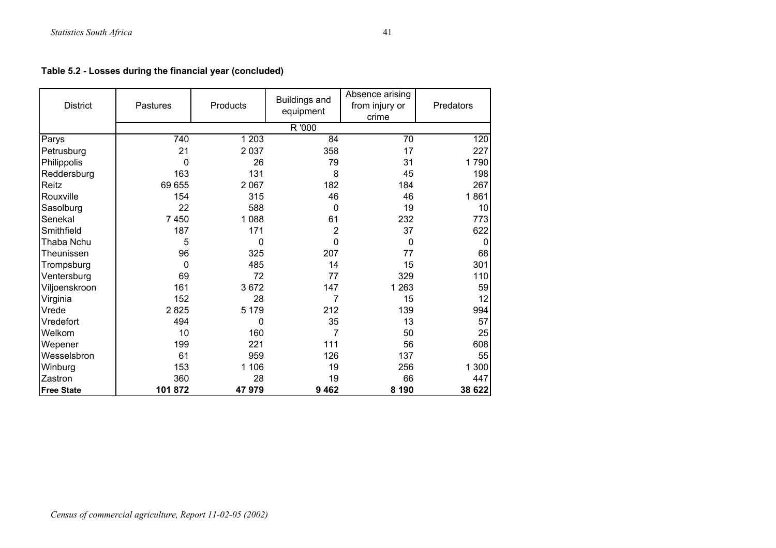**Table 5.2 - Losses during the financial year (concluded)**

| <b>District</b>   | Products<br>Pastures |             | <b>Buildings and</b><br>equipment | Absence arising<br>from injury or<br>crime | Predators |
|-------------------|----------------------|-------------|-----------------------------------|--------------------------------------------|-----------|
|                   |                      |             | R '000                            |                                            |           |
| Parys             | 740                  | 1 2 0 3     | 84                                | $\overline{70}$                            | 120       |
| Petrusburg        | 21                   | 2037        | 358                               | 17                                         | 227       |
| Philippolis       | $\mathbf 0$          | 26          | 79                                | 31                                         | 1790      |
| Reddersburg       | 163                  | 131         | 8                                 | 45                                         | 198       |
| Reitz             | 69 655               | 2 0 6 7     | 182                               | 184                                        | 267       |
| Rouxville         | 154                  | 315         | 46                                | 46                                         | 1861      |
| Sasolburg         | 22                   | 588         | 0                                 | 19                                         | 10        |
| Senekal           | 7 4 5 0              | 1088        | 61                                | 232                                        | 773       |
| Smithfield        | 187                  | 171         | $\overline{2}$                    | 37                                         | 622       |
| Thaba Nchu        | 5                    | $\mathbf 0$ | 0                                 | 0                                          | $\Omega$  |
| Theunissen        | 96                   | 325         | 207                               | 77                                         | 68        |
| Trompsburg        | $\mathbf 0$          | 485         | 14                                | 15                                         | 301       |
| Ventersburg       | 69                   | 72          | 77                                | 329                                        | 110       |
| Viljoenskroon     | 161                  | 3672        | 147                               | 1 2 6 3                                    | 59        |
| Virginia          | 152                  | 28          | 7                                 | 15                                         | 12        |
| Vrede             | 2825                 | 5 1 7 9     | 212                               | 139                                        | 994       |
| Vredefort         | 494                  | 0           | 35                                | 13                                         | 57        |
| Welkom            | 10                   | 160         | 7                                 | 50                                         | 25        |
| Wepener           | 199                  | 221         | 111                               | 56                                         | 608       |
| Wesselsbron       | 61                   | 959         | 126                               | 137                                        | 55        |
| Winburg           | 153                  | 1 1 0 6     | 19                                | 256                                        | 300<br>1  |
| Zastron           | 360                  | 28          | 19                                | 66                                         | 447       |
| <b>Free State</b> | 101872               | 47979       | 9 4 6 2                           | 8 1 9 0                                    | 38 622    |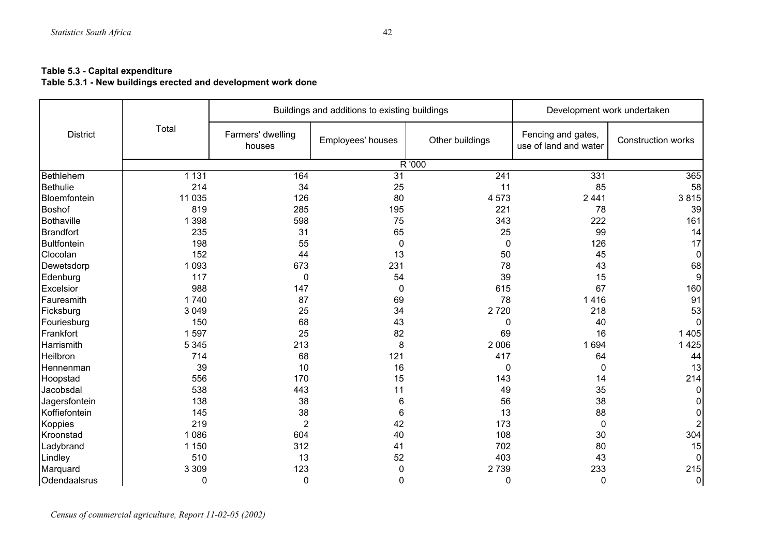#### **Table 5.3 - Capital expenditure**

**Table 5.3.1 - New buildings erected and development work done** 

|                    |             |                             | Buildings and additions to existing buildings |                 | Development work undertaken                 |                    |  |
|--------------------|-------------|-----------------------------|-----------------------------------------------|-----------------|---------------------------------------------|--------------------|--|
| <b>District</b>    | Total       | Farmers' dwelling<br>houses | Employees' houses                             | Other buildings | Fencing and gates,<br>use of land and water | Construction works |  |
|                    |             |                             |                                               | R'000           |                                             |                    |  |
| Bethlehem          | 1 1 3 1     | 164                         | 31                                            | 241             | 331                                         | 365                |  |
| Bethulie           | 214         | 34                          | 25                                            | 11              | 85                                          | 58                 |  |
| Bloemfontein       | 11 0 35     | 126                         | 80                                            | 4573            | 2441                                        | 3815               |  |
| <b>Boshof</b>      | 819         | 285                         | 195                                           | 221             | 78                                          | 39                 |  |
| Bothaville         | 1 3 9 8     | 598                         | 75                                            | 343             | 222                                         | 161                |  |
| <b>Brandfort</b>   | 235         | 31                          | 65                                            | 25              | 99                                          | 14                 |  |
| <b>Bultfontein</b> | 198         | 55                          | $\mathbf 0$                                   | 0               | 126                                         | 17                 |  |
| Clocolan           | 152         | 44                          | 13                                            | 50              | 45                                          | 0                  |  |
| Dewetsdorp         | 1 0 9 3     | 673                         | 231                                           | 78              | 43                                          | 68                 |  |
| Edenburg           | 117         | 0                           | 54                                            | 39              | 15                                          | 9                  |  |
| Excelsior          | 988         | 147                         | $\mathbf 0$                                   | 615             | 67                                          | 160                |  |
| Fauresmith         | 1740        | 87                          | 69                                            | 78              | 1416                                        | 91                 |  |
| Ficksburg          | 3 0 4 9     | 25                          | 34                                            | 2720            | 218                                         | 53                 |  |
| Fouriesburg        | 150         | 68                          | 43                                            | 0               | 40                                          | $\Omega$           |  |
| Frankfort          | 1597        | 25                          | 82                                            | 69              | 16                                          | 1 4 0 5            |  |
| Harrismith         | 5 3 4 5     | 213                         | 8                                             | 2 0 0 6         | 1 6 9 4                                     | 1425               |  |
| Heilbron           | 714         | 68                          | 121                                           | 417             | 64                                          | 44                 |  |
| Hennenman          | 39          | 10                          | 16                                            | 0               | 0                                           | 13                 |  |
| Hoopstad           | 556         | 170                         | 15                                            | 143             | 14                                          | 214                |  |
| Jacobsdal          | 538         | 443                         | 11                                            | 49              | 35                                          | 0                  |  |
| Jagersfontein      | 138         | 38                          | 6                                             | 56              | 38                                          |                    |  |
| Koffiefontein      | 145         | 38                          | 6                                             | 13              | 88                                          | 0                  |  |
| Koppies            | 219         | $\overline{2}$              | 42                                            | 173             | 0                                           | $\overline{2}$     |  |
| Kroonstad          | 1 0 8 6     | 604                         | 40                                            | 108             | 30                                          | 304                |  |
| Ladybrand          | 1 1 5 0     | 312                         | 41                                            | 702             | 80                                          | 15                 |  |
| Lindley            | 510         | 13                          | 52                                            | 403             | 43                                          |                    |  |
| Marquard           | 3 3 0 9     | 123                         | $\mathbf 0$                                   | 2739            | 233                                         | 215                |  |
| Odendaalsrus       | $\mathbf 0$ | 0                           | $\mathbf 0$                                   | 0               | 0                                           | $\mathbf 0$        |  |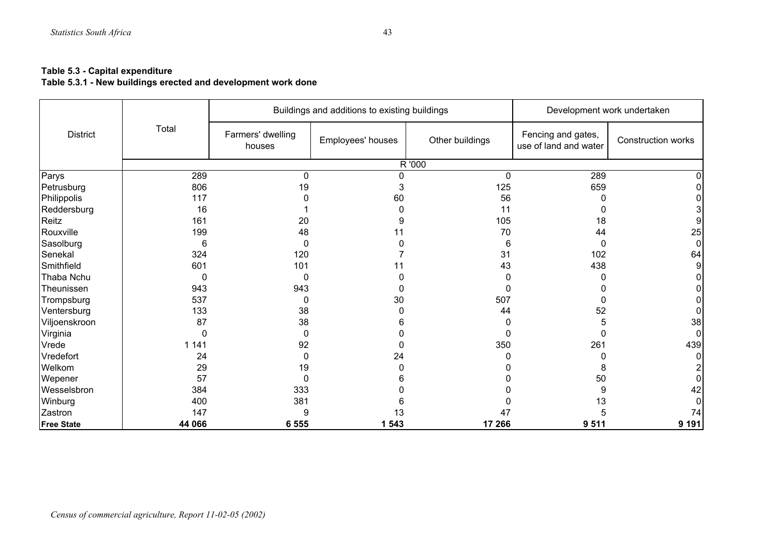#### **Table 5.3 - Capital expenditure**

**Table 5.3.1 - New buildings erected and development work done** 

|                   |          |                             | Buildings and additions to existing buildings | Development work undertaken |                                             |                    |
|-------------------|----------|-----------------------------|-----------------------------------------------|-----------------------------|---------------------------------------------|--------------------|
| <b>District</b>   | Total    | Farmers' dwelling<br>houses | Employees' houses                             | Other buildings             | Fencing and gates,<br>use of land and water | Construction works |
|                   |          |                             |                                               | R '000                      |                                             |                    |
| Parys             | 289      | 0                           | <sup>0</sup>                                  | $\Omega$                    | 289                                         |                    |
| Petrusburg        | 806      | 19                          |                                               | 125                         | 659                                         |                    |
| Philippolis       | 117      |                             | 60                                            | 56                          |                                             |                    |
| Reddersburg       | 16       |                             |                                               | 11                          |                                             |                    |
| Reitz             | 161      | 20                          | 9                                             | 105                         | 18                                          |                    |
| Rouxville         | 199      | 48                          |                                               | 70                          | 44                                          | 25                 |
| Sasolburg         | 6        | $\Omega$                    |                                               | 6                           | 0                                           | $\Omega$           |
| Senekal           | 324      | 120                         |                                               | 31                          | 102                                         | 64                 |
| Smithfield        | 601      | 101                         | 11                                            | 43                          | 438                                         | 9                  |
| Thaba Nchu        | $\Omega$ | 0                           |                                               |                             | n                                           |                    |
| Theunissen        | 943      | 943                         |                                               |                             |                                             |                    |
| Trompsburg        | 537      | 0                           | 30                                            | 507                         | 0                                           |                    |
| Ventersburg       | 133      | 38                          |                                               | 44                          | 52                                          |                    |
| Viljoenskroon     | 87       | 38                          |                                               |                             |                                             | 38                 |
| Virginia          | 0        | 0                           |                                               |                             |                                             | <sup>0</sup>       |
| Vrede             | 1 1 4 1  | 92                          |                                               | 350                         | 261                                         | 439                |
| Vredefort         | 24       | 0                           | 24                                            |                             |                                             |                    |
| Welkom            | 29       | 19                          |                                               |                             | 8                                           |                    |
| Wepener           | 57       | $\Omega$                    |                                               |                             | 50                                          |                    |
| Wesselsbron       | 384      | 333                         |                                               |                             | 9                                           | 42                 |
| Winburg           | 400      | 381                         |                                               |                             | 13                                          |                    |
| Zastron           | 147      | 9                           | 13                                            | 47                          |                                             | 74                 |
| <b>Free State</b> | 44 066   | 6 5 5 5                     | 1 543                                         | 17 266                      | 9511                                        | 9 1 9 1            |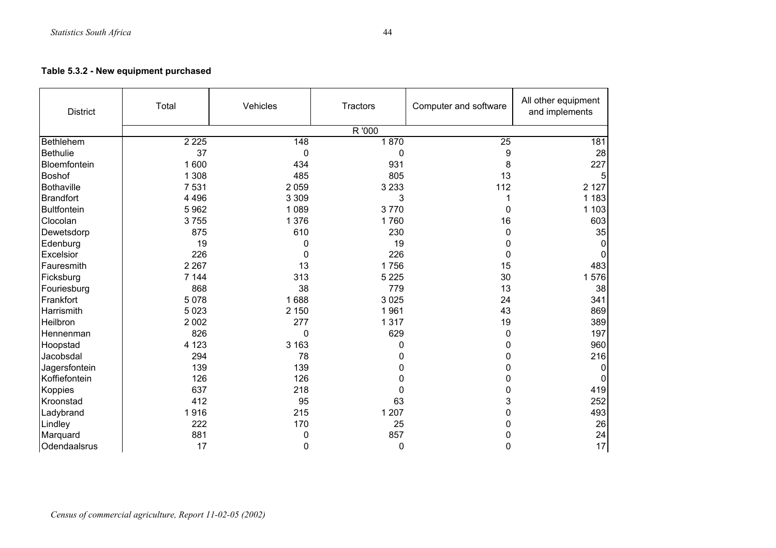# **Table 5.3.2 - New equipment purchased**

| <b>District</b>    | Total   | Vehicles | Computer and software<br><b>Tractors</b> |          | All other equipment<br>and implements |
|--------------------|---------|----------|------------------------------------------|----------|---------------------------------------|
|                    |         |          | R '000                                   |          |                                       |
| Bethlehem          | 2 2 2 5 | 148      | 1870                                     | 25       | 181                                   |
| <b>Bethulie</b>    | 37      | 0        | 0                                        | 9        | 28                                    |
| Bloemfontein       | 1 600   | 434      | 931                                      | 8        | 227                                   |
| <b>Boshof</b>      | 1 3 0 8 | 485      | 805                                      | 13       |                                       |
| <b>Bothaville</b>  | 7 5 31  | 2 0 5 9  | 3 2 3 3                                  | 112      | 2 1 2 7                               |
| <b>Brandfort</b>   | 4 4 9 6 | 3 3 0 9  | 3                                        |          | 1 1 8 3                               |
| <b>Bultfontein</b> | 5962    | 1 0 8 9  | 3770                                     | 0        | 1 1 0 3                               |
| Clocolan           | 3755    | 1 3 7 6  | 1760                                     | 16       | 603                                   |
| Dewetsdorp         | 875     | 610      | 230                                      | 0        | 35                                    |
| Edenburg           | 19      | 0        | 19                                       | 0        | $\Omega$                              |
| Excelsior          | 226     | 0        | 226                                      | $\Omega$ | $\Omega$                              |
| Fauresmith         | 2 2 6 7 | 13       | 1756                                     | 15       | 483                                   |
| Ficksburg          | 7 1 4 4 | 313      | 5 2 2 5                                  | 30       | 576<br>1                              |
| Fouriesburg        | 868     | 38       | 779                                      | 13       | 38                                    |
| Frankfort          | 5 0 7 8 | 1688     | 3 0 2 5                                  | 24       | 341                                   |
| Harrismith         | 5 0 2 3 | 2 1 5 0  | 1961                                     | 43       | 869                                   |
| Heilbron           | 2 0 0 2 | 277      | 1 3 1 7                                  | 19       | 389                                   |
| Hennenman          | 826     | 0        | 629                                      | 0        | 197                                   |
| Hoopstad           | 4 1 2 3 | 3 1 6 3  | 0                                        | 0        | 960                                   |
| Jacobsdal          | 294     | 78       | 0                                        | 0        | 216                                   |
| Jagersfontein      | 139     | 139      | 0                                        | 0        | 0                                     |
| Koffiefontein      | 126     | 126      | 0                                        | 0        | $\mathbf 0$                           |
| Koppies            | 637     | 218      | 0                                        | 0        | 419                                   |
| Kroonstad          | 412     | 95       | 63                                       | 3        | 252                                   |
| Ladybrand          | 1916    | 215      | 1 207                                    | 0        | 493                                   |
| Lindley            | 222     | 170      | 25                                       | 0        | 26                                    |
| Marquard           | 881     | 0        | 857                                      | 0        | 24                                    |
| Odendaalsrus       | 17      | 0        | 0                                        | 0        | 17                                    |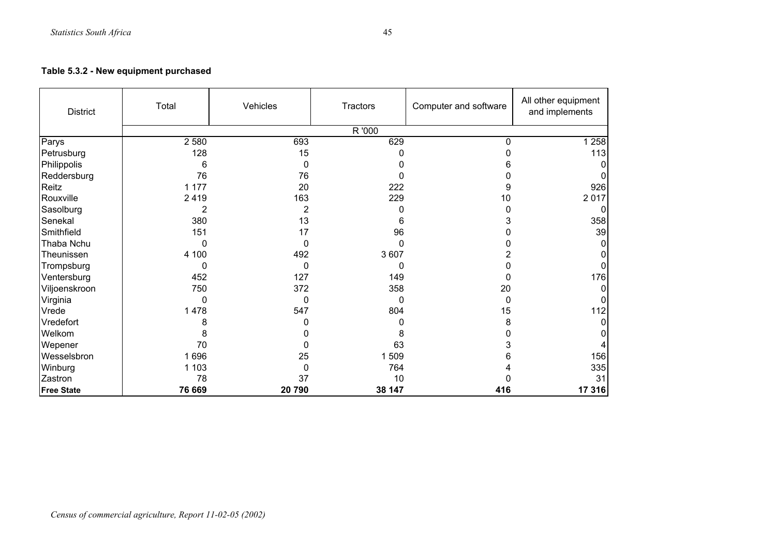## **Table 5.3.2 - New equipment purchased**

| <b>District</b>   | Total    | Vehicles | Tractors | Computer and software | All other equipment<br>and implements |
|-------------------|----------|----------|----------|-----------------------|---------------------------------------|
|                   |          |          | R '000   |                       |                                       |
| Parys             | 2 5 8 0  | 693      | 629      | $\Omega$              | 1 2 5 8                               |
| Petrusburg        | 128      | 15       | 0        |                       | 113                                   |
| Philippolis       | 6        | 0        |          | 6                     |                                       |
| Reddersburg       | 76       | 76       |          |                       |                                       |
| Reitz             | 1 1 7 7  | 20       | 222      | 9                     | 926                                   |
| Rouxville         | 2419     | 163      | 229      | 10                    | 2017                                  |
| Sasolburg         | 2        | 2        | O        |                       |                                       |
| Senekal           | 380      | 13       | 6        |                       | 358                                   |
| Smithfield        | 151      | 17       | 96       |                       | 39                                    |
| Thaba Nchu        | O        | 0        | O        |                       | 0                                     |
| Theunissen        | 4 100    | 492      | 3 607    |                       |                                       |
| Trompsburg        | O        | 0        | 0        |                       |                                       |
| Ventersburg       | 452      | 127      | 149      |                       | 176                                   |
| Viljoenskroon     | 750      | 372      | 358      | 20                    |                                       |
| Virginia          | $\Omega$ | 0        | 0        | $\Omega$              |                                       |
| Vrede             | 1478     | 547      | 804      | 15                    | 112                                   |
| Vredefort         |          |          |          | 8                     | 0                                     |
| Welkom            | 8        |          | 8        |                       |                                       |
| Wepener           | 70       |          | 63       | 3                     |                                       |
| Wesselsbron       | 1696     | 25       | 1509     | 6                     | 156                                   |
| Winburg           | 1 1 0 3  | 0        | 764      |                       | 335                                   |
| Zastron           | 78       | 37       | 10       |                       | 31                                    |
| <b>Free State</b> | 76 669   | 20790    | 38 147   | 416                   | 17 316                                |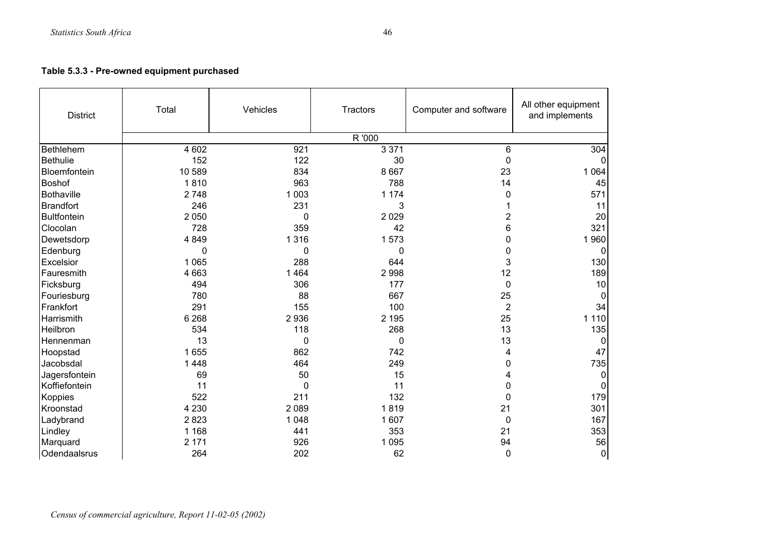**Table 5.3.3 - Pre-owned equipment purchased** 

| <b>District</b>  | Total    | Vehicles | Computer and software<br>Tractors |                | All other equipment<br>and implements |
|------------------|----------|----------|-----------------------------------|----------------|---------------------------------------|
|                  |          |          | R '000                            |                |                                       |
| Bethlehem        | 4 602    | 921      | 3 3 7 1                           | 6              | 304                                   |
| <b>Bethulie</b>  | 152      | 122      | 30                                | $\Omega$       |                                       |
| Bloemfontein     | 10 589   | 834      | 8 6 6 7                           | 23             | 1 0 6 4                               |
| <b>Boshof</b>    | 1810     | 963      | 788                               | 14             | 45                                    |
| Bothaville       | 2748     | 1 0 0 3  | 1 1 7 4                           | 0              | 571                                   |
| <b>Brandfort</b> | 246      | 231      | 3                                 |                | 11                                    |
| Bultfontein      | 2 0 5 0  | 0        | 2 0 2 9                           | 2              | 20                                    |
| Clocolan         | 728      | 359      | 42                                | 6              | 321                                   |
| Dewetsdorp       | 4 8 4 9  | 1 3 1 6  | 1573                              | 0              | 1960                                  |
| Edenburg         | $\Omega$ | 0        | $\mathbf{0}$                      | 0              | 0                                     |
| Excelsior        | 1 0 6 5  | 288      | 644                               | 3              | 130                                   |
| Fauresmith       | 4 6 6 3  | 1464     | 2998                              | 12             | 189                                   |
| Ficksburg        | 494      | 306      | 177                               | 0              | 10                                    |
| Fouriesburg      | 780      | 88       | 667                               | 25             | 0                                     |
| Frankfort        | 291      | 155      | 100                               | $\overline{2}$ | 34                                    |
| Harrismith       | 6 2 6 8  | 2936     | 2 1 9 5                           | 25             | 1 1 1 0                               |
| Heilbron         | 534      | 118      | 268                               | 13             | 135                                   |
| Hennenman        | 13       | 0        | $\mathbf 0$                       | 13             | 0                                     |
| Hoopstad         | 1 6 5 5  | 862      | 742                               | 4              | 47                                    |
| Jacobsdal        | 1 4 4 8  | 464      | 249                               | 0              | 735                                   |
| Jagersfontein    | 69       | 50       | 15                                |                | 0                                     |
| Koffiefontein    | 11       | 0        | 11                                | 0              | 0                                     |
| <b>Koppies</b>   | 522      | 211      | 132                               | 0              | 179                                   |
| Kroonstad        | 4 2 3 0  | 2 0 8 9  | 1819                              | 21             | 301                                   |
| Ladybrand        | 2823     | 1 0 4 8  | 1 607                             | 0              | 167                                   |
| Lindley          | 1 1 6 8  | 441      | 353                               | 21             | 353                                   |
| Marquard         | 2 171    | 926      | 1 0 9 5                           | 94             | 56                                    |
| Odendaalsrus     | 264      | 202      | 62                                | 0              | $\overline{0}$                        |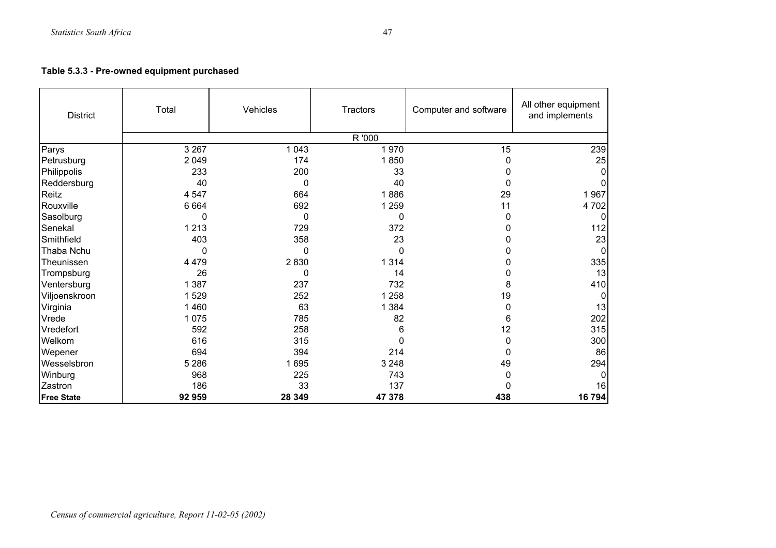# **Table 5.3.3 - Pre-owned equipment purchased**

| <b>District</b>   | Total<br>Vehicles |         | Tractors | Computer and software | All other equipment<br>and implements |  |
|-------------------|-------------------|---------|----------|-----------------------|---------------------------------------|--|
|                   |                   |         | R '000   |                       |                                       |  |
| Parys             | 3 2 6 7           | 1 0 4 3 | 1970     | 15                    | 239                                   |  |
| Petrusburg        | 2 0 4 9           | 174     | 1850     | O                     | 25                                    |  |
| Philippolis       | 233               | 200     | 33       | O                     | $\mathbf{0}$                          |  |
| Reddersburg       | 40                | 0       | 40       | O                     |                                       |  |
| Reitz             | 4 5 4 7           | 664     | 1886     | 29                    | 1967                                  |  |
| Rouxville         | 6 6 6 4           | 692     | 1 2 5 9  | 11                    | 4702                                  |  |
| Sasolburg         | 0                 | 0       | 0        | O                     | 0                                     |  |
| Senekal           | 1 2 1 3           | 729     | 372      | O                     | 112                                   |  |
| Smithfield        | 403               | 358     | 23       | 0                     | 23                                    |  |
| Thaba Nchu        | 0                 | 0       | 0        |                       | $\mathbf 0$                           |  |
| Theunissen        | 4 4 7 9           | 2830    | 1 3 1 4  | O                     | 335                                   |  |
| Trompsburg        | 26                | 0       | 14       | 0                     | 13                                    |  |
| Ventersburg       | 1 3 8 7           | 237     | 732      | 8                     | 410                                   |  |
| Viljoenskroon     | 1529              | 252     | 1 2 5 8  | 19                    | $\Omega$                              |  |
| Virginia          | 1 4 6 0           | 63      | 1 3 8 4  | 0                     | 13                                    |  |
| Vrede             | 1 0 7 5           | 785     | 82       | 6                     | 202                                   |  |
| Vredefort         | 592               | 258     | 6        | 12                    | 315                                   |  |
| Welkom            | 616               | 315     | 0        | 0                     | 300                                   |  |
| Wepener           | 694               | 394     | 214      | O                     | 86                                    |  |
| Wesselsbron       | 5 2 8 6           | 1695    | 3 2 4 8  | 49                    | 294                                   |  |
| Winburg           | 968               | 225     | 743      | 0                     | $\Omega$                              |  |
| Zastron           | 186               | 33      | 137      | O                     | 16                                    |  |
| <b>Free State</b> | 92 959            | 28 349  | 47 378   | 438                   | 16 794                                |  |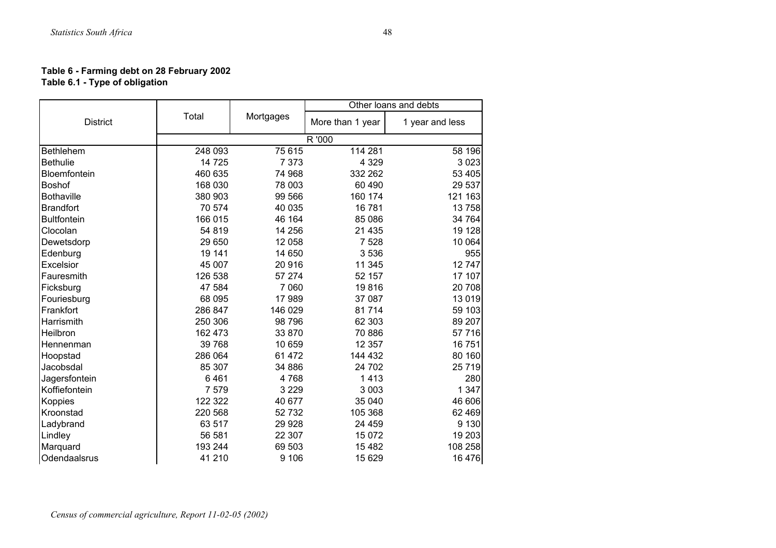#### **Table 6 - Farming debt on 28 February 2002 Table 6.1 - Type of obligation**

|                    |         |           |                  | Other loans and debts |
|--------------------|---------|-----------|------------------|-----------------------|
| <b>District</b>    | Total   | Mortgages | More than 1 year | 1 year and less       |
|                    |         |           | R '000           |                       |
| <b>Bethlehem</b>   | 248 093 | 75 615    | 114 281          | 58 196                |
| <b>Bethulie</b>    | 14 7 25 | 7 3 7 3   | 4 3 2 9          | 3 0 2 3               |
| Bloemfontein       | 460 635 | 74 968    | 332 262          | 53 405                |
| Boshof             | 168 030 | 78 003    | 60 490           | 29 537                |
| <b>Bothaville</b>  | 380 903 | 99 566    | 160 174          | 121 163               |
| <b>Brandfort</b>   | 70 574  | 40 035    | 16781            | 13 758                |
| <b>Bultfontein</b> | 166 015 | 46 164    | 85 086           | 34 764                |
| Clocolan           | 54 819  | 14 256    | 21 4 35          | 19 128                |
| Dewetsdorp         | 29 650  | 12 058    | 7528             | 10 064                |
| Edenburg           | 19 141  | 14 650    | 3536             | 955                   |
| Excelsior          | 45 007  | 20916     | 11 345           | 12747                 |
| Fauresmith         | 126 538 | 57 274    | 52 157           | 17 107                |
| Ficksburg          | 47 584  | 7 0 6 0   | 19816            | 20 708                |
| Fouriesburg        | 68 095  | 17989     | 37 087           | 13 0 19               |
| Frankfort          | 286 847 | 146 029   | 81714            | 59 103                |
| Harrismith         | 250 306 | 98 796    | 62 303           | 89 207                |
| Heilbron           | 162 473 | 33 870    | 70 886           | 57 716                |
| Hennenman          | 39 768  | 10 659    | 12 3 5 7         | 16751                 |
| Hoopstad           | 286 064 | 61 472    | 144 432          | 80 160                |
| Jacobsdal          | 85 307  | 34 886    | 24 702           | 25 7 19               |
| Jagersfontein      | 6461    | 4768      | 1413             | 280                   |
| Koffiefontein      | 7579    | 3 2 2 9   | 3 0 0 3          | 1 3 4 7               |
| Koppies            | 122 322 | 40 677    | 35 040           | 46 606                |
| Kroonstad          | 220 568 | 52732     | 105 368          | 62 4 69               |
| Ladybrand          | 63 517  | 29 9 28   | 24 459           | 9 1 3 0               |
| Lindley            | 56 581  | 22 307    | 15 0 72          | 19 203                |
| Marquard           | 193 244 | 69 503    | 15 4 82          | 108 258               |
| Odendaalsrus       | 41 210  | 9 1 0 6   | 15 629           | 16 476                |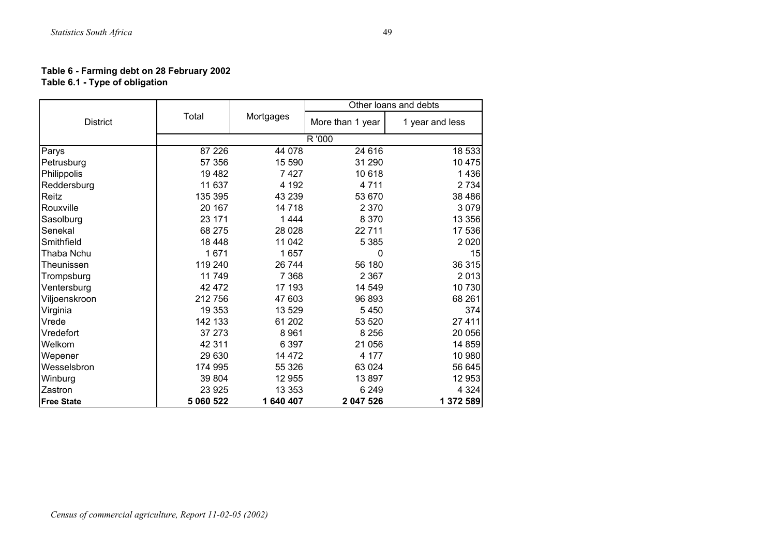#### **Table 6 - Farming debt on 28 February 2002 Table 6.1 - Type of obligation**

|                   |           |           |                  | Other loans and debts |
|-------------------|-----------|-----------|------------------|-----------------------|
| <b>District</b>   | Total     | Mortgages | More than 1 year | 1 year and less       |
|                   |           |           | R '000           |                       |
| Parys             | 87 226    | 44 0 78   | 24 616           | 18 533                |
| Petrusburg        | 57 356    | 15 590    | 31 290           | 10 475                |
| Philippolis       | 19482     | 7427      | 10 618           | 1436                  |
| Reddersburg       | 11 637    | 4 1 9 2   | 4711             | 2 7 3 4               |
| Reitz             | 135 395   | 43 239    | 53 670           | 38 4 86               |
| Rouxville         | 20 167    | 14718     | 2 3 7 0          | 3 0 7 9               |
| Sasolburg         | 23 171    | 1444      | 8 3 7 0          | 13 356                |
| Senekal           | 68 275    | 28 0 28   | 22 711           | 17 536                |
| Smithfield        | 18 4 48   | 11 042    | 5 3 8 5          | 2 0 2 0               |
| Thaba Nchu        | 1671      | 1657      | 0                | 15                    |
| Theunissen        | 119 240   | 26 744    | 56 180           | 36 315                |
| Trompsburg        | 11749     | 7 3 6 8   | 2 3 6 7          | 2013                  |
| Ventersburg       | 42 472    | 17 193    | 14 549           | 10 730                |
| Viljoenskroon     | 212756    | 47 603    | 96 893           | 68 261                |
| Virginia          | 19 353    | 13 529    | 5450             | 374                   |
| Vrede             | 142 133   | 61 202    | 53 520           | 27 411                |
| Vredefort         | 37 273    | 8961      | 8 2 5 6          | 20 056                |
| Welkom            | 42 311    | 6 3 9 7   | 21 056           | 14 859                |
| Wepener           | 29 630    | 14 472    | 4 177            | 10 980                |
| Wesselsbron       | 174 995   | 55 326    | 63 0 24          | 56 645                |
| Winburg           | 39 804    | 12 955    | 13897            | 12 953                |
| Zastron           | 23 9 25   | 13 3 5 3  | 6 2 4 9          | 4 3 2 4               |
| <b>Free State</b> | 5 060 522 | 1 640 407 | 2 047 526        | 1 372 589             |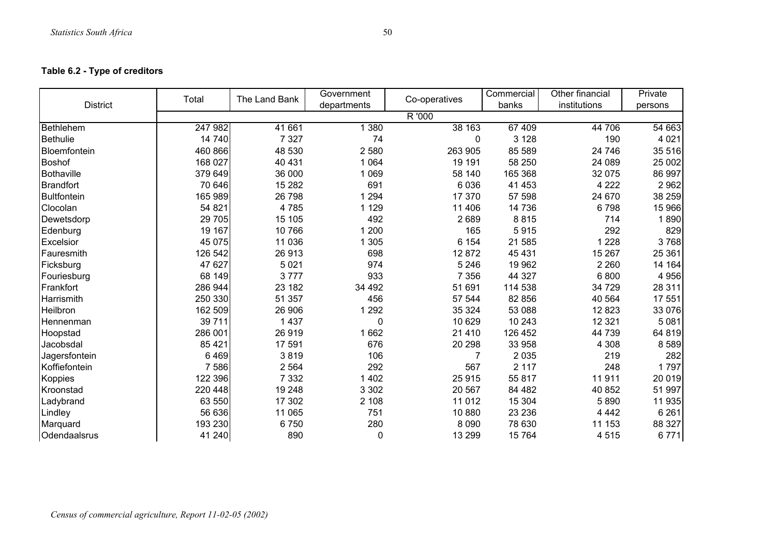## **Table 6.2 - Type of creditors**

|                    | Total           | The Land Bank | Government  | Co-operatives | Commercial | Other financial | Private |
|--------------------|-----------------|---------------|-------------|---------------|------------|-----------------|---------|
| <b>District</b>    |                 |               | departments |               | banks      | institutions    | persons |
|                    |                 |               |             | R '000        |            |                 |         |
| <b>Bethlehem</b>   | $\sqrt{247}982$ | 41 661        | 1 3 8 0     | 38 163        | 67 409     | 44 706          | 54 663  |
| <b>Bethulie</b>    | 14 740          | 7 3 2 7       | 74          | 0             | 3 1 2 8    | 190             | 4 0 21  |
| Bloemfontein       | 460 866         | 48 530        | 2580        | 263 905       | 85 589     | 24 746          | 35 516  |
| <b>Boshof</b>      | 168 027         | 40 431        | 1 0 6 4     | 19 191        | 58 250     | 24 089          | 25 002  |
| Bothaville         | 379 649         | 36 000        | 1 0 6 9     | 58 140        | 165 368    | 32 075          | 86 997  |
| <b>Brandfort</b>   | 70 646          | 15 2 8 2      | 691         | 6036          | 41 453     | 4 2 2 2         | 2962    |
| <b>Bultfontein</b> | 165 989         | 26 798        | 1 2 9 4     | 17 370        | 57 598     | 24 670          | 38 259  |
| Clocolan           | 54 821          | 4785          | 1 1 2 9     | 11 40 6       | 14 736     | 6798            | 15 966  |
| Dewetsdorp         | 29 705          | 15 105        | 492         | 2689          | 8815       | 714             | 1890    |
| Edenburg           | 19 167          | 10766         | 1 200       | 165           | 5915       | 292             | 829     |
| Excelsior          | 45 0 75         | 11 0 36       | 1 3 0 5     | 6 1 5 4       | 21 585     | 1 2 2 8         | 3768    |
| Fauresmith         | 126 542         | 26 913        | 698         | 12 872        | 45 431     | 15 267          | 25 361  |
| Ficksburg          | 47 627          | 5 0 21        | 974         | 5 2 4 6       | 19 962     | 2 2 6 0         | 14 164  |
| Fouriesburg        | 68 149          | 3777          | 933         | 7 3 5 6       | 44 327     | 6800            | 4 9 5 6 |
| Frankfort          | 286 944         | 23 182        | 34 492      | 51 691        | 114 538    | 34 729          | 28 311  |
| Harrismith         | 250 330         | 51 357        | 456         | 57 544        | 82 856     | 40 564          | 17 551  |
| Heilbron           | 162 509         | 26 906        | 1 2 9 2     | 35 324        | 53 088     | 12823           | 33 076  |
| Hennenman          | 39711           | 1 4 3 7       | 0           | 10 629        | 10 243     | 12 3 21         | 5 0 8 1 |
| Hoopstad           | 286 001         | 26919         | 1662        | 21 4 10       | 126 452    | 44 739          | 64 819  |
| Jacobsdal          | 85 421          | 17 591        | 676         | 20 298        | 33 958     | 4 3 0 8         | 8589    |
| Jagersfontein      | 6469            | 3819          | 106         |               | 2 0 3 5    | 219             | 282     |
| Koffiefontein      | 7586            | 2 5 6 4       | 292         | 567           | 2 1 1 7    | 248             | 1797    |
| Koppies            | 122 396         | 7 3 3 2       | 1 4 0 2     | 25 915        | 55 817     | 11911           | 20 019  |
| Kroonstad          | 220 448         | 19 248        | 3 3 0 2     | 20 567        | 84 4 82    | 40 852          | 51 997  |
| Ladybrand          | 63 550          | 17 302        | 2 1 0 8     | 11 012        | 15 304     | 5890            | 11 935  |
| Lindley            | 56 636          | 11 065        | 751         | 10880         | 23 236     | 4 4 4 2         | 6 2 6 1 |
| Marquard           | 193 230         | 6750          | 280         | 8 0 9 0       | 78 630     | 11 153          | 88 327  |
| Odendaalsrus       | 41 240          | 890           | 0           | 13 299        | 15 7 64    | 4515            | 6771    |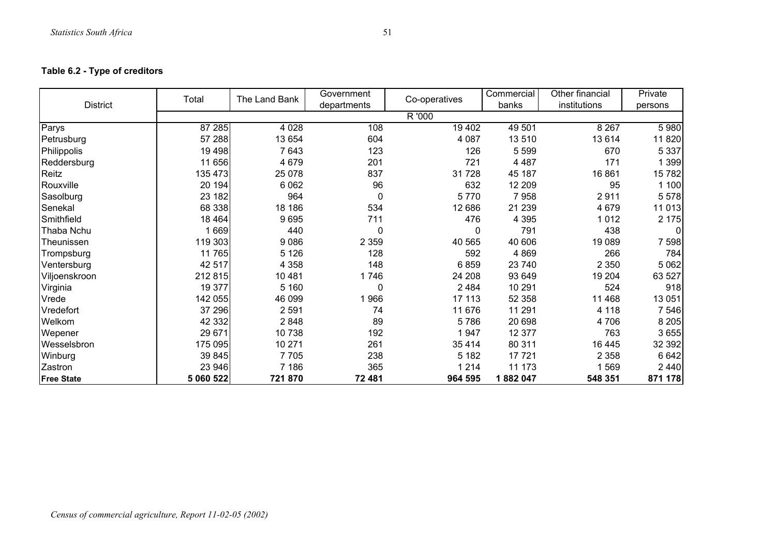# **Table 6.2 - Type of creditors**

|                   | Total     | The Land Bank | Government  | Co-operatives | Commercial | Other financial | Private |  |  |  |  |
|-------------------|-----------|---------------|-------------|---------------|------------|-----------------|---------|--|--|--|--|
| <b>District</b>   |           |               | departments |               | banks      | institutions    | persons |  |  |  |  |
|                   | R '000    |               |             |               |            |                 |         |  |  |  |  |
| Parys             | 87 285    | 4 0 28        | 108         | 19 402        | 49 501     | 8 2 6 7         | 5 980   |  |  |  |  |
| Petrusburg        | 57 288    | 13 654        | 604         | 4 0 8 7       | 13510      | 13614           | 11 8 20 |  |  |  |  |
| Philippolis       | 19 4 98   | 7643          | 123         | 126           | 5 5 9 9    | 670             | 5 3 3 7 |  |  |  |  |
| Reddersburg       | 11 656    | 4 6 7 9       | 201         | 721           | 4 4 8 7    | 171             | 1 399   |  |  |  |  |
| Reitz             | 135 473   | 25 0 78       | 837         | 31728         | 45 187     | 16861           | 15782   |  |  |  |  |
| Rouxville         | 20 194    | 6 0 62        | 96          | 632           | 12 209     | 95              | 1 100   |  |  |  |  |
| Sasolburg         | 23 182    | 964           | 0           | 5770          | 7958       | 2911            | 5 5 7 8 |  |  |  |  |
| Senekal           | 68 338    | 18 18 6       | 534         | 12 686        | 21 239     | 4 6 7 9         | 11 013  |  |  |  |  |
| Smithfield        | 18 4 64   | 9695          | 711         | 476           | 4 3 9 5    | 1012            | 2 175   |  |  |  |  |
| Thaba Nchu        | 1669      | 440           | 0           | 0             | 791        | 438             |         |  |  |  |  |
| Theunissen        | 119 303   | 9086          | 2 3 5 9     | 40 565        | 40 606     | 19 0 89         | 7 5 9 8 |  |  |  |  |
| Trompsburg        | 11765     | 5 1 2 6       | 128         | 592           | 4 8 6 9    | 266             | 784     |  |  |  |  |
| Ventersburg       | 42 517    | 4 3 5 8       | 148         | 6859          | 23 740     | 2 3 5 0         | 5 0 6 2 |  |  |  |  |
| Viljoenskroon     | 212 815   | 10 4 8 1      | 1746        | 24 208        | 93 649     | 19 204          | 63 527  |  |  |  |  |
| Virginia          | 19 377    | 5 1 6 0       | 0           | 2 4 8 4       | 10 291     | 524             | 918     |  |  |  |  |
| Vrede             | 142 055   | 46 099        | 1966        | 17 113        | 52 358     | 11 4 68         | 13 051  |  |  |  |  |
| Vredefort         | 37 296    | 2 5 9 1       | 74          | 11 676        | 11 291     | 4 1 1 8         | 7 546   |  |  |  |  |
| Welkom            | 42 332    | 2848          | 89          | 5786          | 20 698     | 4706            | 8 2 0 5 |  |  |  |  |
| Wepener           | 29 671    | 10738         | 192         | 1947          | 12 377     | 763             | 3 6 5 5 |  |  |  |  |
| Wesselsbron       | 175 095   | 10 271        | 261         | 35 4 14       | 80 311     | 16 445          | 32 392  |  |  |  |  |
| Winburg           | 39 845    | 7705          | 238         | 5 1 8 2       | 17721      | 2 3 5 8         | 6 6 4 2 |  |  |  |  |
| Zastron           | 23 946    | 7 186         | 365         | 1 2 1 4       | 11 173     | 1569            | 2 4 4 0 |  |  |  |  |
| <b>Free State</b> | 5 060 522 | 721870        | 72 481      | 964 595       | 1882047    | 548 351         | 871 178 |  |  |  |  |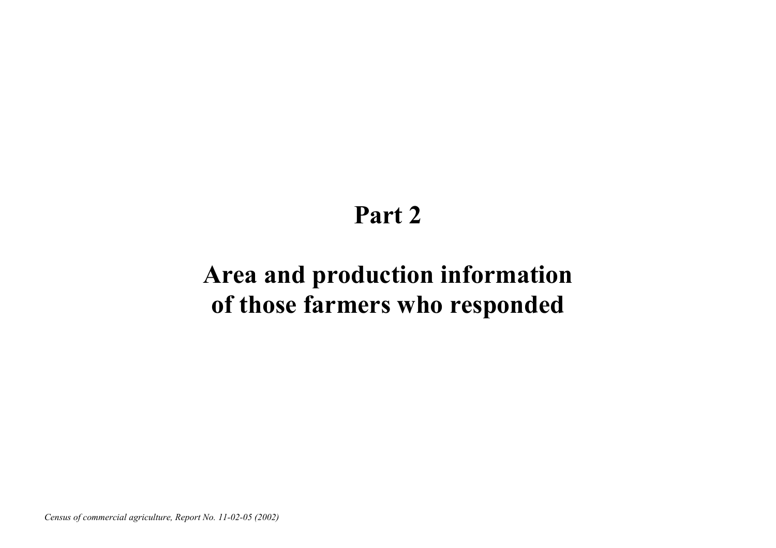# **Part 2**

# **Area and production information of those farmers who responded**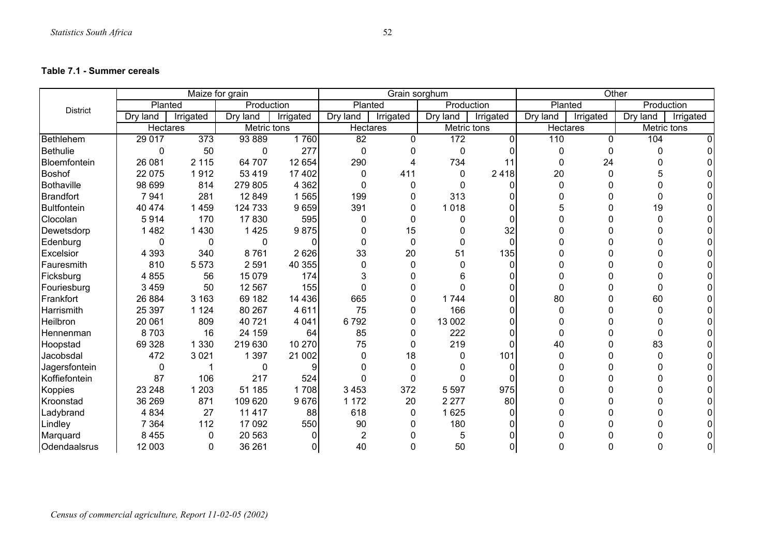#### **Table 7.1 - Summer cereals**

|                 |          |           | Maize for grain |           |                | Grain sorghum |             |                | Other    |           |             |           |
|-----------------|----------|-----------|-----------------|-----------|----------------|---------------|-------------|----------------|----------|-----------|-------------|-----------|
| <b>District</b> | Planted  |           | Production      |           | Planted        |               | Production  |                | Planted  |           | Production  |           |
|                 | Dry land | Irrigated | Dry land        | Irrigated | Dry land       | Irrigated     | Dry land    | Irrigated      | Dry land | Irrigated | Dry land    | Irrigated |
|                 | Hectares |           | Metric tons     |           | Hectares       |               | Metric tons |                | Hectares |           | Metric tons |           |
| Bethlehem       | 29 017   | 373       | 93 889          | 1760      | 82             | $\mathbf{0}$  | 172         | $\overline{0}$ | 110      | $\Omega$  | 104         |           |
| <b>Bethulie</b> | 0        | 50        | 0               | 277       | $\Omega$       | 0             | 0           | <sup>n</sup>   | 0        | 0         |             |           |
| Bloemfontein    | 26 081   | 2 1 1 5   | 64 707          | 12 654    | 290            | 4             | 734         | 11             | $\Omega$ | 24        |             |           |
| Boshof          | 22 075   | 1912      | 53 4 19         | 17 402    | 0              | 411           | 0           | 2418           | 20       | $\Omega$  |             |           |
| Bothaville      | 98 699   | 814       | 279 805         | 4 3 6 2   | $\Omega$       | 0             | 0           | $\Omega$       |          | 0         |             |           |
| Brandfort       | 7941     | 281       | 12 849          | 1565      | 199            | 0             | 313         | 0              |          | 0         |             |           |
| Bultfontein     | 40 474   | 1459      | 124 733         | 9659      | 391            | 0             | 1 0 1 8     | <sup>0</sup>   |          | 0         | 19          |           |
| Clocolan        | 5914     | 170       | 17830           | 595       | $\Omega$       | 0             |             | <sup>n</sup>   |          | 0         |             |           |
| Dewetsdorp      | 1482     | 1 4 3 0   | 1 4 2 5         | 9875      | 0              | 15            |             | 32             |          | 0         |             |           |
| Edenburg        | 0        | 0         | 0               | 0         | 0              | $\mathbf 0$   | 0           | $\Omega$       |          | N         |             |           |
| Excelsior       | 4 3 9 3  | 340       | 8761            | 2 6 2 6   | 33             | 20            | 51          | 135            |          | 0         |             |           |
| Fauresmith      | 810      | 5573      | 2 5 9 1         | 40 355    | 0              | $\Omega$      |             | $\Omega$       |          | n         |             |           |
| Ficksburg       | 4855     | 56        | 15 0 79         | 174       |                | 0             | 6           | 0              |          | N         |             |           |
| Fouriesburg     | 3 4 5 9  | 50        | 12 5 67         | 155       | O              | $\Omega$      | ∩           | <sup>0</sup>   | N        | 0         |             |           |
| Frankfort       | 26 884   | 3 1 6 3   | 69 182          | 14 4 36   | 665            | 0             | 1744        | $\Omega$       | 80       | ი         | 60          |           |
| Harrismith      | 25 397   | 1 1 2 4   | 80 267          | 4611      | 75             | 0             | 166         | $\Omega$       | 0        | 0         |             |           |
| Heilbron        | 20 061   | 809       | 40721           | 4 0 4 1   | 6792           | 0             | 13 002      | $\Omega$       |          | n         |             |           |
| Hennenman       | 8703     | 16        | 24 159          | 64        | 85             | $\Omega$      | 222         | $\Omega$       |          |           |             |           |
| Hoopstad        | 69 328   | 1 3 3 0   | 219 630         | 10 270    | 75             | 0             | 219         | $\Omega$       | 40       | 0         | 83          |           |
| Jacobsdal       | 472      | 3 0 21    | 1 3 9 7         | 21 002    | $\Omega$       | 18            |             | 101            | 0        | 0         | n           |           |
| Jagersfontein   | 0        |           |                 |           |                | $\Omega$      |             | <sup>0</sup>   |          |           |             |           |
| Koffiefontein   | 87       | 106       | 217             | 524       |                | 0             |             | $\Omega$       |          | 0         |             |           |
| Koppies         | 23 248   | 1 2 0 3   | 51 185          | 1708      | 3 4 5 3        | 372           | 5 5 9 7     | 975            |          | 0         |             |           |
| Kroonstad       | 36 269   | 871       | 109 620         | 9676      | 1 1 7 2        | 20            | 2 2 7 7     | 80             |          | n         |             |           |
| Ladybrand       | 4834     | 27        | 11 4 17         | 88        | 618            | 0             | 1 6 2 5     | $\Omega$       |          | N         |             |           |
| Lindley         | 7 3 6 4  | 112       | 17 092          | 550       | 90             | $\Omega$      | 180         | <sup>0</sup>   |          | O         |             |           |
| Marquard        | 8 4 5 5  | 0         | 20 563          |           | $\overline{2}$ | O             | 5           | U              |          |           |             |           |
| Odendaalsrus    | 12 003   | $\Omega$  | 36 261          | $\Omega$  | 40             | $\Omega$      | 50          | $\Omega$       |          | N         |             |           |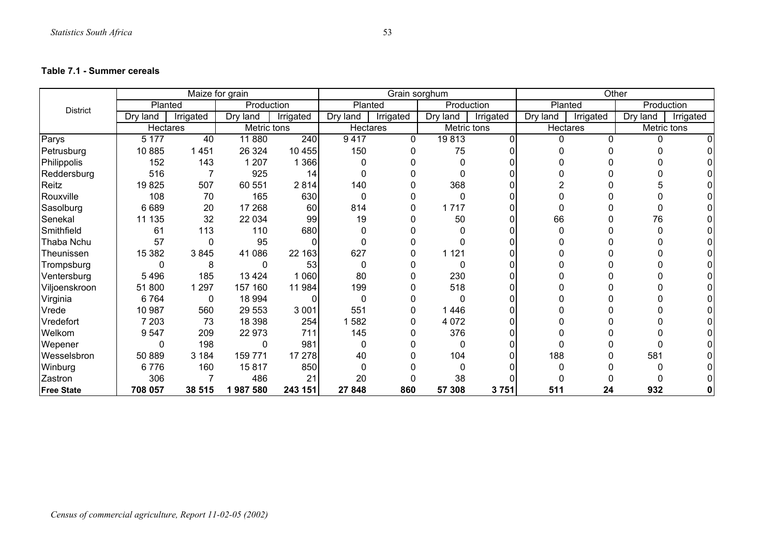#### **Table 7.1 - Summer cereals**

|                   |          | Maize for grain |             |           |          | Grain sorghum |              |           | Other    |           |            |             |
|-------------------|----------|-----------------|-------------|-----------|----------|---------------|--------------|-----------|----------|-----------|------------|-------------|
| <b>District</b>   | Planted  |                 | Production  |           | Planted  |               | Production   |           |          | Planted   | Production |             |
|                   | Dry land | Irrigated       | Dry land    | Irrigated | Dry land | Irrigated     | Dry land     | Irrigated | Dry land | Irrigated | Dry land   | Irrigated   |
|                   | Hectares |                 | Metric tons |           | Hectares |               | Metric tons  |           | Hectares |           |            | Metric tons |
| Parys             | 5 1 7 7  | 40              | 11880       | 240       | 9417     | 0             | 19813        | $\Omega$  | $\Omega$ | 0         | 0          |             |
| Petrusburg        | 10885    | 1451            | 26 3 24     | 10 455    | 150      | $\Omega$      | 75           |           |          |           |            |             |
| Philippolis       | 152      | 143             | 1 207       | 1 366     |          |               | <sup>0</sup> |           |          |           |            |             |
| Reddersburg       | 516      |                 | 925         | 14        |          |               | n            |           |          |           |            |             |
| Reitz             | 19825    | 507             | 60 551      | 2814      | 140      |               | 368          |           |          |           |            |             |
| Rouxville         | 108      | 70              | 165         | 630       | $\Omega$ |               | $\Omega$     |           |          |           |            |             |
| Sasolburg         | 6689     | 20              | 17 268      | 60        | 814      | 0             | 1717         |           |          |           | n          |             |
| Senekal           | 11 135   | 32              | 22 034      | 99        | 19       |               | 50           |           | 66       |           | 76         |             |
| Smithfield        | 61       | 113             | 110         | 680       |          |               | 0            |           |          |           |            |             |
| Thaba Nchu        | 57       | 0               | 95          |           |          |               | $\Omega$     |           |          |           |            |             |
| Theunissen        | 15 3 8 2 | 3845            | 41 086      | 22 163    | 627      | 0             | 1 1 2 1      |           |          |           |            |             |
| Trompsburg        | 0        | 8               |             | 53        |          |               | $\Omega$     |           |          |           |            |             |
| Ventersburg       | 5496     | 185             | 13 4 24     | 1 060     | 80       | 0             | 230          |           |          |           |            |             |
| Viljoenskroon     | 51 800   | 1 2 9 7         | 157 160     | 11 984    | 199      | 0             | 518          |           |          |           |            |             |
| Virginia          | 6764     | 0               | 18 994      |           | $\Omega$ | 0             | $\Omega$     |           |          |           |            |             |
| Vrede             | 10 987   | 560             | 29 553      | 3 0 0 1   | 551      | 0             | 1 4 4 6      |           |          |           |            |             |
| Vredefort         | 7 2 0 3  | 73              | 18 3 98     | 254       | 582      | 0             | 4 0 7 2      |           |          |           |            |             |
| Welkom            | 9547     | 209             | 22 973      | 711       | 145      | 0             | 376          |           |          |           |            |             |
| Wepener           | 0        | 198             | 0           | 981       | 0        |               | $\Omega$     |           |          |           | n          |             |
| Wesselsbron       | 50 889   | 3 1 8 4         | 159 771     | 17 278    | 40       |               | 104          |           | 188      |           | 581        |             |
| Winburg           | 6776     | 160             | 15817       | 850       |          |               | $\Omega$     |           |          |           |            |             |
| Zastron           | 306      |                 | 486         | 21        | 20       |               | 38           |           |          |           |            |             |
| <b>Free State</b> | 708 057  | 38 515          | 1987580     | 243 151   | 27 848   | 860           | 57 308       | 3751      | 511      | 24        | 932        |             |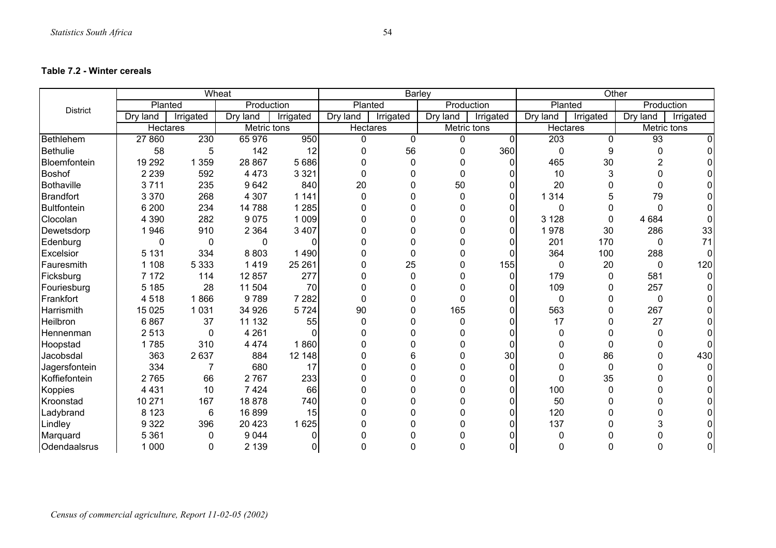#### **Table 7.2 - Winter cereals**

|                    |          |           | Wheat       |              |             | <b>Barley</b> |             |                |             | Other     |             |           |  |
|--------------------|----------|-----------|-------------|--------------|-------------|---------------|-------------|----------------|-------------|-----------|-------------|-----------|--|
| <b>District</b>    | Planted  |           | Production  |              | Planted     |               | Production  |                | Planted     |           | Production  |           |  |
|                    | Dry land | Irrigated | Dry land    | Irrigated    | Dry land    | Irrigated     | Dry land    | Irrigated      | Dry land    | Irrigated | Dry land    | Irrigated |  |
|                    | Hectares |           | Metric tons |              | Hectares    |               | Metric tons |                | Hectares    |           | Metric tons |           |  |
| <b>Bethlehem</b>   | 27 860   | 230       | 65 976      | 950          | 0           | $\mathbf 0$   | 0           | $\overline{0}$ | 203         | 0         | 93          |           |  |
| Bethulie           | 58       | 5         | 142         | 12           | 0           | 56            | 0           | 360            | $\mathbf 0$ | 9         | 0           |           |  |
| Bloemfontein       | 19 29 2  | 1 3 5 9   | 28 867      | 5 6 8 6      | 0           | $\Omega$      |             | 0              | 465         | 30        | 2           |           |  |
| <b>Boshof</b>      | 2 2 3 9  | 592       | 4 4 7 3     | 3 3 2 1      | $\mathbf 0$ | $\mathbf 0$   | 0           | 0              | 10          | 3         | 0           |           |  |
| <b>Bothaville</b>  | 3711     | 235       | 9642        | 840          | 20          | $\Omega$      | 50          | 0              | 20          | 0         | 0           |           |  |
| <b>Brandfort</b>   | 3 3 7 0  | 268       | 4 3 0 7     | 1 1 4 1      | $\mathbf 0$ | $\Omega$      |             | $\Omega$       | 314         | 5         | 79          |           |  |
| <b>Bultfontein</b> | 6 200    | 234       | 14 788      | 1 2 8 5      | 0           | $\Omega$      |             | 0              | 0           | 0         | 0           |           |  |
| Clocolan           | 4 3 9 0  | 282       | 9075        | 1 0 0 9      | $\Omega$    | $\Omega$      |             | $\Omega$       | 128<br>3    | $\Omega$  | 4 6 8 4     |           |  |
| Dewetsdorp         | 1946     | 910       | 2 3 6 4     | 3 4 0 7      | 0           | 0             |             | $\Omega$       | 1978        | 30        | 286         | 33        |  |
| Edenburg           | 0        | 0         | 0           | 0            |             | 0             |             | 0              | 201         | 170       | 0           | 71        |  |
| Excelsior          | 5 1 3 1  | 334       | 8803        | 1490         | $\Omega$    | 0             |             | <sup>0</sup>   | 364         | 100       | 288         |           |  |
| Fauresmith         | 1 1 0 8  | 5 3 3 3   | 1419        | 25 261       | 0           | 25            |             | 155            | 0           | 20        | 0           | 120       |  |
| Ficksburg          | 7 172    | 114       | 12 857      | 277          | 0           | 0             |             | 0              | 179         | 0         | 581         |           |  |
| Fouriesburg        | 5 1 8 5  | 28        | 11 504      | 70           | $\Omega$    | $\Omega$      | O           | 0              | 109         | 0         | 257         |           |  |
| Frankfort          | 4518     | 1866      | 9789        | 7 2 8 2      | 0           | $\Omega$      |             | $\Omega$       | 0           | 0         | 0           |           |  |
| Harrismith         | 15 0 25  | 1 0 3 1   | 34 926      | 5724         | 90          | 0             | 165         | 0              | 563         | 0         | 267         |           |  |
| Heilbron           | 6867     | 37        | 11 132      | 55           | $\Omega$    | $\Omega$      | 0           | $\Omega$       | 17          | 0         | 27          |           |  |
| Hennenman          | 2513     | 0         | 4 2 6 1     |              | 0           | 0             |             | 0              | 0           | 0         | $\Omega$    |           |  |
| Hoopstad           | 1785     | 310       | 4 4 7 4     | 1860         | 0           | 0             |             | $\Omega$       |             | 0         |             |           |  |
| Jacobsdal          | 363      | 2637      | 884         | 12 148       | 0           | 6             | 0           | 30             | 0           | 86        | ი           | 430       |  |
| Jagersfontein      | 334      | 7         | 680         | 17           | 0           | $\Omega$      |             | $\Omega$       | 0           | 0         |             |           |  |
| Koffiefontein      | 2765     | 66        | 2767        | 233          |             | 0             |             | 0              | 0           | 35        |             |           |  |
| Koppies            | 4 4 3 1  | 10        | 7 4 2 4     | 66           | O           | 0             |             | 0              | 100         | $\Omega$  |             |           |  |
| Kroonstad          | 10 271   | 167       | 18878       | 740          | $\Omega$    | $\Omega$      |             | $\Omega$       | 50          | 0         |             |           |  |
| Ladybrand          | 8 1 2 3  | 6         | 16899       | 15           |             | $\Omega$      |             | 0              | 120         | 0         |             |           |  |
| Lindley            | 9 3 2 2  | 396       | 20 4 23     | 1 6 2 5      |             | 0             |             | 0              | 137         | 0         |             |           |  |
| Marquard           | 5 3 6 1  | 0         | 9 0 4 4     | <sup>n</sup> |             | n             |             |                |             | 0         |             |           |  |
| Odendaalsrus       | 1 0 0 0  | $\Omega$  | 2 1 3 9     | $\Omega$     |             | $\Omega$      |             | $\Omega$       | 0           | 0         | ი           |           |  |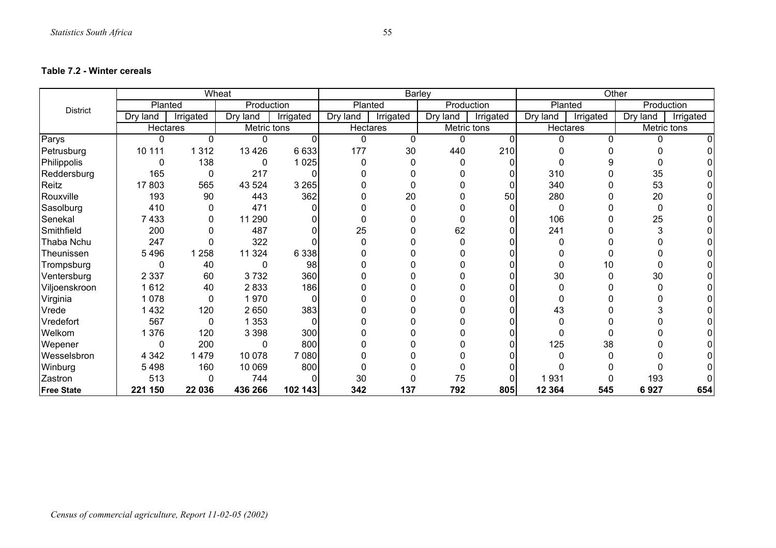#### **Table 7.2 - Winter cereals**

|                   |                 |           | Wheat       |           |          | <b>Barley</b> |              |             | Other    |           |          |             |
|-------------------|-----------------|-----------|-------------|-----------|----------|---------------|--------------|-------------|----------|-----------|----------|-------------|
| <b>District</b>   | Planted         |           | Production  |           | Planted  |               | Production   |             | Planted  |           |          | Production  |
|                   | Dry land        | Irrigated | Dry<br>land | Irrigated | Dry land | Irrigated     | Dry land     | Irrigated   | Dry land | Irrigated | Dry land | Irrigated   |
|                   | <b>Hectares</b> |           | Metric tons |           | Hectares |               |              | Metric tons | Hectares |           |          | Metric tons |
| Parys             | $\Omega$        | 0         | U           | $\Omega$  | $\Omega$ | $\mathbf{0}$  | $\mathbf{0}$ | $\Omega$    |          | 0         | $\Omega$ |             |
| Petrusburg        | 10 111          | 1 3 1 2   | 13 4 26     | 6 6 3 3   | 177      | 30            | 440          | 210         |          |           |          |             |
| Philippolis       | $\Omega$        | 138       | 0           | 1 0 25    | 0        | 0             | 0            |             |          | g         |          |             |
| Reddersburg       | 165             | 0         | 217         |           |          |               |              |             | 310      |           | 35       |             |
| Reitz             | 17803           | 565       | 43 5 24     | 3 2 6 5   |          | 0             |              |             | 340      |           | 53       |             |
| Rouxville         | 193             | 90        | 443         | 362       |          | 20            |              | 50          | 280      |           | 20       |             |
| Sasolburg         | 410             | 0         | 471         |           |          | $\Omega$      |              |             | $\Omega$ |           | 0        |             |
| Senekal           | 7433            | 0         | 11 290      |           |          |               |              |             | 106      |           | 25       |             |
| Smithfield        | 200             | 0         | 487         |           | 25       |               | 62           |             | 241      |           |          |             |
| Thaba Nchu        | 247             | 0         | 322         |           |          |               | n            |             |          |           |          |             |
| Theunissen        | 5496            | 1 2 5 8   | 11 3 24     | 6 3 3 8   |          |               |              |             |          |           |          |             |
| Trompsburg        | $\Omega$        | 40        | 0           | 98        |          |               |              |             |          | 10        |          |             |
| Ventersburg       | 2 3 3 7         | 60        | 3732        | 360       |          |               |              |             | 30       |           | 30       |             |
| Viljoenskroon     | 1612            | 40        | 2833        | 186       |          |               |              |             |          |           |          |             |
| Virginia          | 1 0 7 8         | 0         | 1970        | $\Omega$  |          |               |              |             |          |           |          |             |
| Vrede             | 1432            | 120       | 2 6 5 0     | 383       |          |               |              |             | 43       |           |          |             |
| Vredefort         | 567             | 0         | 1 3 5 3     | $\Omega$  |          |               |              |             |          |           |          |             |
| Welkom            | 1 3 7 6         | 120       | 3 3 9 8     | 300       |          |               |              |             |          | 0         |          |             |
| Wepener           | 0               | 200       | 0           | 800       |          |               |              |             | 125      | 38        |          |             |
| Wesselsbron       | 4 3 4 2         | 1479      | 10 078      | 7 0 8 0   |          |               |              |             |          |           |          |             |
| Winburg           | 5498            | 160       | 10 069      | 800       |          |               |              |             |          |           |          |             |
| Zastron           | 513             | 0         | 744         |           | 30       |               | 75           |             | 1931     |           | 193      |             |
| <b>Free State</b> | 221 150         | 22 036    | 436 266     | 102 143   | 342      | 137           | 792          | 805         | 12 3 64  | 545       | 6927     | 654         |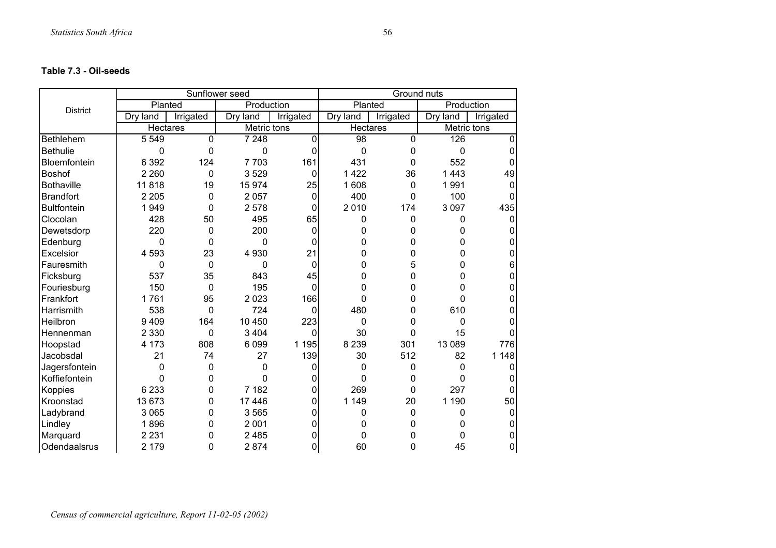|                    |                 |             | Sunflower seed |                | Ground nuts     |           |             |           |  |
|--------------------|-----------------|-------------|----------------|----------------|-----------------|-----------|-------------|-----------|--|
| <b>District</b>    | Planted         |             | Production     |                | Planted         |           | Production  |           |  |
|                    | Dry land        | Irrigated   | Dry land       | Irrigated      | Dry land        | Irrigated | Dry land    | Irrigated |  |
|                    | <b>Hectares</b> |             | Metric tons    |                | <b>Hectares</b> |           | Metric tons |           |  |
| Bethlehem          | 5 5 4 9         | $\mathbf 0$ | 7 2 4 8        | $\mathbf 0$    | 98              | 0         | 126         | 0         |  |
| <b>Bethulie</b>    | 0               | $\Omega$    | 0              | 0              | $\mathbf 0$     | 0         | $\mathbf 0$ |           |  |
| Bloemfontein       | 6 3 9 2         | 124         | 7703           | 161            | 431             | 0         | 552         |           |  |
| <b>Boshof</b>      | 2 2 6 0         | 0           | 3529           | 0              | 1422            | 36        | 1443        | 49        |  |
| <b>Bothaville</b>  | 11818           | 19          | 15974          | 25             | 1608            | 0         | 1 9 9 1     | 0         |  |
| Brandfort          | 2 2 0 5         | 0           | 2057           | 0              | 400             | 0         | 100         | 0         |  |
| <b>Bultfontein</b> | 1949            | 0           | 2 5 7 8        | 0              | 2010            | 174       | 3 0 9 7     | 435       |  |
| Clocolan           | 428             | 50          | 495            | 65             | 0               | 0         | 0           | 0         |  |
| Dewetsdorp         | 220             | 0           | 200            | 0              | 0               | 0         | 0           |           |  |
| Edenburg           | 0               | 0           | 0              | 0              | 0               | 0         | 0           |           |  |
| Excelsior          | 4 5 9 3         | 23          | 4 9 3 0        | 21             | 0               | 0         | 0           |           |  |
| Fauresmith         | 0               | $\mathbf 0$ | 0              | $\mathbf 0$    | 0               | 5         | 0           | 6         |  |
| Ficksburg          | 537             | 35          | 843            | 45             | 0               | 0         | 0           | 0         |  |
| Fouriesburg        | 150             | $\mathbf 0$ | 195            | $\Omega$       | 0               | 0         | 0           | 0         |  |
| Frankfort          | 1761            | 95          | 2 0 2 3        | 166            | 0               | 0         | 0           |           |  |
| Harrismith         | 538             | $\mathbf 0$ | 724            | $\mathbf 0$    | 480             | 0         | 610         |           |  |
| Heilbron           | 9409            | 164         | 10 450         | 223            | $\mathbf 0$     | 0         | 0           |           |  |
| Hennenman          | 2 3 3 0         | 0           | 3 4 0 4        | 0              | 30              | 0         | 15          |           |  |
| Hoopstad           | 4 173           | 808         | 6 0 9 9        | 1 1 9 5        | 8 2 3 9         | 301       | 13 089      | 776       |  |
| Jacobsdal          | 21              | 74          | 27             | 139            | 30              | 512       | 82          | 1 1 4 8   |  |
| Jagersfontein      | 0               | 0           | 0              | 0              | 0               | 0         | 0           |           |  |
| Koffiefontein      | 0               | 0           | 0              | 0              | 0               | 0         | 0           |           |  |
| Koppies            | 6 2 3 3         | 0           | 7 182          | 0              | 269             | 0         | 297         |           |  |
| Kroonstad          | 13673           | 0           | 17 446         | 0              | 1 1 4 9         | 20        | 1 1 9 0     | 50        |  |
| Ladybrand          | 3 0 6 5         | 0           | 3565           | 0              | 0               | 0         | 0           | 0         |  |
| Lindley            | 1896            | 0           | 2 0 0 1        | 0              | 0               | 0         | 0           |           |  |
| Marquard           | 2 2 3 1         | 0           | 2 4 8 5        | 0              | 0               | 0         | 0           |           |  |
| Odendaalsrus       | 2 1 7 9         | 0           | 2874           | $\overline{0}$ | 60              | 0         | 45          | 0         |  |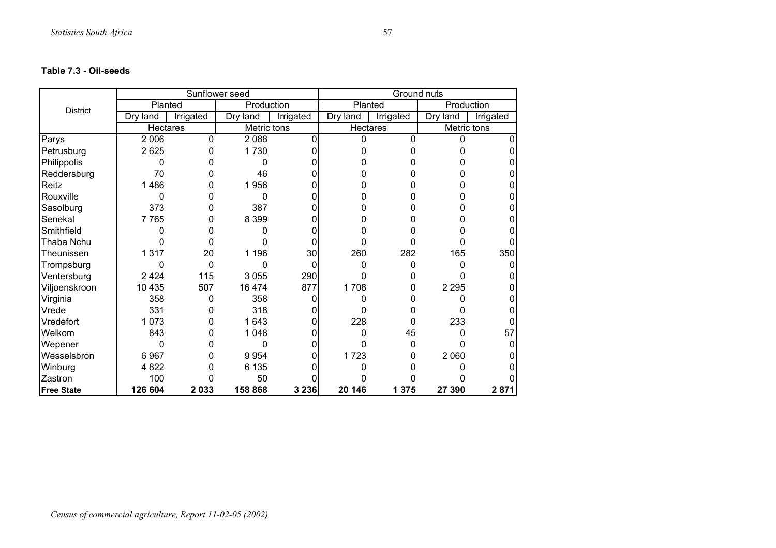|                   |                 |           | Sunflower seed |           |          | Ground nuts |             |           |
|-------------------|-----------------|-----------|----------------|-----------|----------|-------------|-------------|-----------|
| <b>District</b>   | Planted         |           | Production     |           | Planted  |             | Production  |           |
|                   | Dry land        | Irrigated | Dry<br>land    | Irrigated | Dry land | Irrigated   | Dry land    | Irrigated |
|                   | <b>Hectares</b> |           | Metric tons    |           | Hectares |             | Metric tons |           |
| Parys             | 2 0 0 6         | 0         | 2088           | 0         | $\Omega$ | 0           | 0           |           |
| Petrusburg        | 2625            | 0         | 1730           |           |          | 0           |             |           |
| Philippolis       | 0               | n         | O              |           |          |             |             |           |
| Reddersburg       | 70              |           | 46             |           |          |             |             |           |
| Reitz             | 1486            | 0         | 1956           |           |          | 0           |             | 0         |
| Rouxville         | 0               | 0         | 0              |           |          | ი           |             |           |
| Sasolburg         | 373             | 0         | 387            |           | ი        | 0           |             |           |
| Senekal           | 7765            | 0         | 8 3 9 9        |           |          | ი           |             |           |
| Smithfield        | 0               |           | 0              |           |          | 0           |             |           |
| Thaba Nchu        | N               | 0         | n              | 0         | 0        | 0           | ი           |           |
| Theunissen        | 1317            | 20        | 1 1 9 6        | 30        | 260      | 282         | 165         | 350       |
| Trompsburg        | 0               | 0         | 0              | 0         | 0        | 0           |             | 0         |
| Ventersburg       | 2 4 2 4         | 115       | 3 0 5 5        | 290       | 0        | 0           |             |           |
| Viljoenskroon     | 10 4 35         | 507       | 16 474         | 877       | 1708     | 0           | 2 2 9 5     |           |
| Virginia          | 358             | 0         | 358            | ი         | 0        | 0           | n           |           |
| Vrede             | 331             | 0         | 318            |           |          |             |             |           |
| Vredefort         | 1073            | 0         | 1643           | ი         | 228      | 0           | 233         |           |
| Welkom            | 843             | 0         | 1 0 4 8        |           | 0        | 45          |             | 57        |
| Wepener           | 0               | ი         | 0              |           |          | 0           |             |           |
| Wesselsbron       | 6967            | 0         | 9954           |           | 1723     | 0           | 2 0 6 0     |           |
| Winburg           | 4 8 2 2         | 0         | 6 1 3 5        |           |          |             |             |           |
| Zastron           | 100             | ი         | 50             |           |          |             |             |           |
| <b>Free State</b> | 126 604         | 2033      | 158 868        | 3 2 3 6   | 20 146   | 1 3 7 5     | 27 390      | 2871      |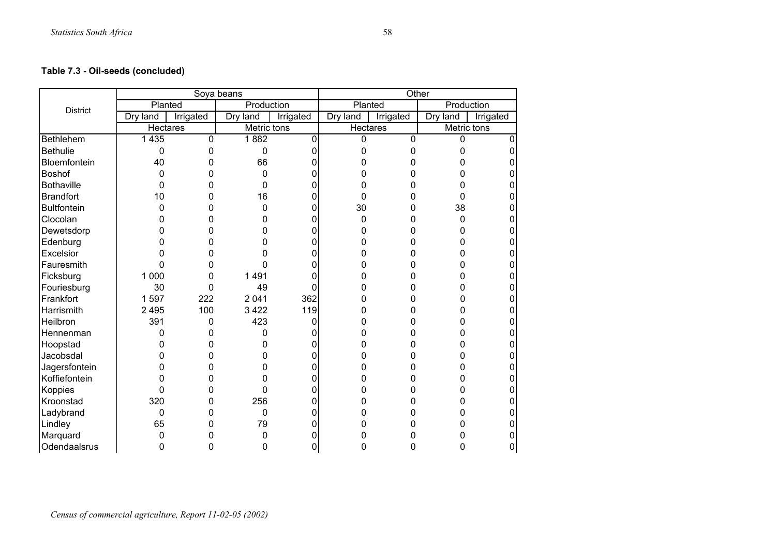# **Table 7.3 - Oil-seeds (concluded)**

|                    |                 |           | Soya beans  |           | Other           |           |             |           |  |
|--------------------|-----------------|-----------|-------------|-----------|-----------------|-----------|-------------|-----------|--|
| <b>District</b>    | Planted         |           | Production  |           | Planted         |           | Production  |           |  |
|                    | Dry land        | Irrigated | Dry land    | Irrigated | Dry land        | Irrigated | Dry land    | Irrigated |  |
|                    | <b>Hectares</b> |           | Metric tons |           | <b>Hectares</b> |           | Metric tons |           |  |
| Bethlehem          | 1 4 3 5         | 0         | 1882        | 0         | $\Omega$        | 0         | 0           | ∩         |  |
| <b>Bethulie</b>    | 0               | 0         | 0           | 0         | 0               | 0         | 0           | 0         |  |
| Bloemfontein       | 40              | 0         | 66          | ი         | O               | 0         | ი           | 0         |  |
| Boshof             | 0               | 0         | 0           | ი         | n               | ი         | 0           | O         |  |
| <b>Bothaville</b>  | 0               | 0         | 0           | ი         | 0               | 0         | 0           | 0         |  |
| <b>Brandfort</b>   | 10              | 0         | 16          | 0         | 0               | 0         | 0           |           |  |
| <b>Bultfontein</b> | 0               | 0         | 0           | 0         | 30              | 0         | 38          |           |  |
| Clocolan           | 0               | 0         | 0           | 0         | 0               | 0         | 0           | 0         |  |
| Dewetsdorp         | 0               | 0         | 0           | ი         | ი               | 0         | 0           | n         |  |
| Edenburg           |                 | 0         | 0           | ი         | O               | 0         | 0           |           |  |
| Excelsior          | 0               | 0         | 0           | 0         |                 | 0         | 0           |           |  |
| Fauresmith         | 0               | 0         | 0           |           |                 | O         | O           | ∩         |  |
| Ficksburg          | 1 000           | 0         | 1491        | ი         |                 | 0         | ი           |           |  |
| Fouriesburg        | 30              | 0         | 49          | 0         |                 | 0         | 0           | 0         |  |
| Frankfort          | 1597            | 222       | 2 0 4 1     | 362       | O               | 0         | 0           | 0         |  |
| Harrismith         | 2 4 9 5         | 100       | 3 4 2 2     | 119       | ი               | 0         | 0           |           |  |
| Heilbron           | 391             | 0         | 423         | 0         | 0               | 0         | 0           |           |  |
| Hennenman          | 0               | 0         | 0           | 0         |                 | 0         | 0           | 0         |  |
| Hoopstad           | ი               | 0         | 0           | ი         |                 | ი         | 0           |           |  |
| Jacobsdal          | 0               | 0         | 0           | ი         |                 | 0         | 0           |           |  |
| Jagersfontein      | 0               | 0         | 0           | n         | O               | 0         | 0           | 0         |  |
| Koffiefontein      | 0               | 0         | 0           | ი         | 0               | 0         | 0           | 0         |  |
| Koppies            | 0               | 0         | 0           | 0         |                 | 0         | 0           |           |  |
| Kroonstad          | 320             | 0         | 256         | 0         |                 | 0         | 0           | 0         |  |
| Ladybrand          | 0               | 0         | 0           | ი         |                 | 0         | 0           | ი         |  |
| Lindley            | 65              | 0         | 79          | ი         |                 | 0         | ი           | 0         |  |
| Marquard           | 0               | 0         | 0           |           |                 | 0         |             | 0         |  |
| Odendaalsrus       | 0               | 0         | 0           | 0         | 0               | 0         | 0           | 0         |  |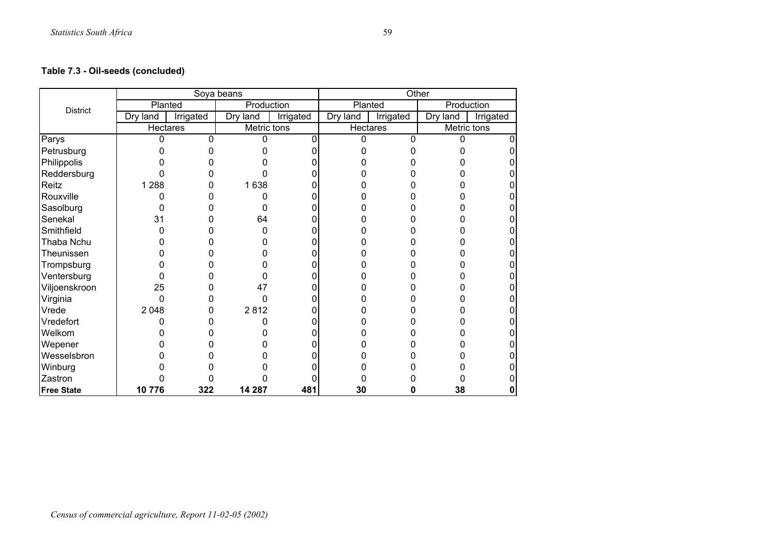## **Table 7.3 - Oil-seeds (concluded)**

|                   |          |           | Soya beans  |           |          | Other     |             |           |
|-------------------|----------|-----------|-------------|-----------|----------|-----------|-------------|-----------|
| <b>District</b>   |          | Planted   | Production  |           | Planted  |           | Production  |           |
|                   | Dry land | Irrigated | Dry<br>land | Irrigated | Dry land | Irrigated | Dry land    | Irrigated |
|                   |          | Hectares  | Metric tons |           | Hectares |           | Metric tons |           |
| Parys             | 0        | 0         | 0           |           | 0        | $\Omega$  | 0           | 0         |
| Petrusburg        |          |           |             |           |          |           |             | ი         |
| Philippolis       |          |           |             |           |          |           |             |           |
| Reddersburg       |          |           |             |           |          |           |             |           |
| Reitz             | 1 2 8 8  | 0         | 1638        |           |          |           |             |           |
| Rouxville         |          |           |             |           |          |           |             |           |
| Sasolburg         | 0        |           | O           |           |          |           |             |           |
| Senekal           | 31       |           | 64          |           |          |           |             |           |
| Smithfield        |          |           | ი           |           |          |           |             |           |
| Thaba Nchu        |          |           |             |           |          |           |             |           |
| Theunissen        |          |           |             |           |          |           |             |           |
| Trompsburg        |          |           |             |           |          |           |             |           |
| Ventersburg       |          |           |             |           |          |           |             |           |
| Viljoenskroon     | 25       |           | 47          |           |          |           |             |           |
| Virginia          | 0        |           | 0           |           |          |           |             |           |
| Vrede             | 2 0 4 8  | 0         | 2812        |           |          |           |             |           |
| Vredefort         |          |           |             |           |          |           |             | 0         |
| Welkom            |          |           |             |           |          |           |             |           |
| Wepener           |          |           |             |           |          |           |             |           |
| Wesselsbron       |          |           |             |           |          |           |             |           |
| Winburg           |          |           |             |           |          |           |             |           |
| Zastron           |          |           |             |           |          |           |             |           |
| <b>Free State</b> | 10776    | 322       | 14 287      | 481       | 30       | O         | 38          | 0         |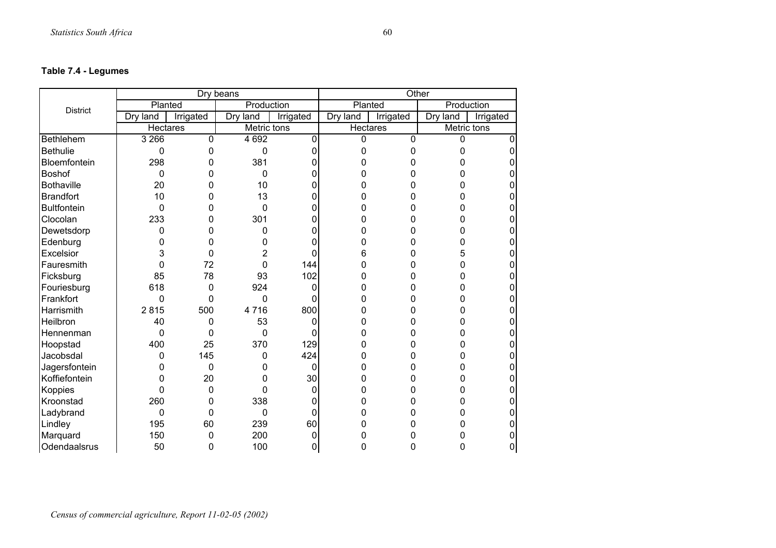# **Table 7.4 - Legumes**

|                    |          |           | Dry beans    |           | Other          |           |             |           |
|--------------------|----------|-----------|--------------|-----------|----------------|-----------|-------------|-----------|
| <b>District</b>    | Planted  |           | Production   |           | Planted        |           | Production  |           |
|                    | Dry land | Irrigated | Dry land     | Irrigated | Dry land       | Irrigated | Dry land    | Irrigated |
|                    | Hectares |           | Metric tons  |           | Hectares       |           | Metric tons |           |
| Bethlehem          | 3 2 6 6  | 0         | 4 6 9 2      | 0         | $\overline{0}$ | 0         | 0           |           |
| <b>Bethulie</b>    | 0        | 0         | $\mathbf 0$  | 0         | 0              | 0         | 0           | O         |
| Bloemfontein       | 298      | 0         | 381          | 0         | 0              | 0         | ი           |           |
| <b>Boshof</b>      | 0        | 0         | $\mathbf 0$  | 0         | 0              | 0         | 0           |           |
| <b>Bothaville</b>  | 20       | 0         | 10           | 0         | 0              | 0         | ი           |           |
| <b>Brandfort</b>   | 10       | 0         | 13           | 0         | 0              | 0         | 0           |           |
| <b>Bultfontein</b> | 0        | 0         | 0            | 0         | 0              | 0         | 0           | 0         |
| Clocolan           | 233      | 0         | 301          | 0         | 0              | 0         | 0           | 0         |
| Dewetsdorp         | 0        | 0         | 0            | 0         | 0              | 0         | 0           |           |
| Edenburg           | 0        | 0         | 0            | 0         | 0              | 0         | 0           | 0         |
| Excelsior          | 3        | 0         | 2            | 0         | 6              | 0         | 5           |           |
| Fauresmith         | 0        | 72        | 0            | 144       | 0              | 0         | 0           |           |
| Ficksburg          | 85       | 78        | 93           | 102       | 0              | 0         | 0           | 0         |
| Fouriesburg        | 618      | 0         | 924          | 0         | 0              | 0         | 0           | ი         |
| Frankfort          | 0        | 0         | 0            | 0         | 0              | 0         | 0           |           |
| Harrismith         | 2815     | 500       | 4716         | 800       | 0              | 0         | 0           | ი         |
| Heilbron           | 40       | 0         | 53           | 0         | O              | 0         | 0           |           |
| Hennenman          | 0        | 0         | $\mathbf{0}$ | 0         | 0              | 0         | 0           |           |
| Hoopstad           | 400      | 25        | 370          | 129       | 0              | 0         | 0           | 0         |
| Jacobsdal          | 0        | 145       | 0            | 424       | 0              | 0         | 0           | ი         |
| Jagersfontein      | 0        | 0         | 0            | 0         | 0              | 0         | 0           | ი         |
| Koffiefontein      | 0        | 20        | 0            | 30        |                | 0         | 0           | ი         |
| Koppies            | 0        | 0         | 0            | 0         | 0              | 0         | 0           |           |
| Kroonstad          | 260      | 0         | 338          | 0         | ი              | 0         | 0           |           |
| Ladybrand          | 0        | 0         | $\mathbf 0$  | 0         |                | 0         | 0           | 0         |
| Lindley            | 195      | 60        | 239          | 60        | ი              | O         | 0           | ი         |
| Marquard           | 150      | 0         | 200          | 0         |                | n         |             | 0         |
| Odendaalsrus       | 50       | 0         | 100          | 0         | O              | 0         |             | 0         |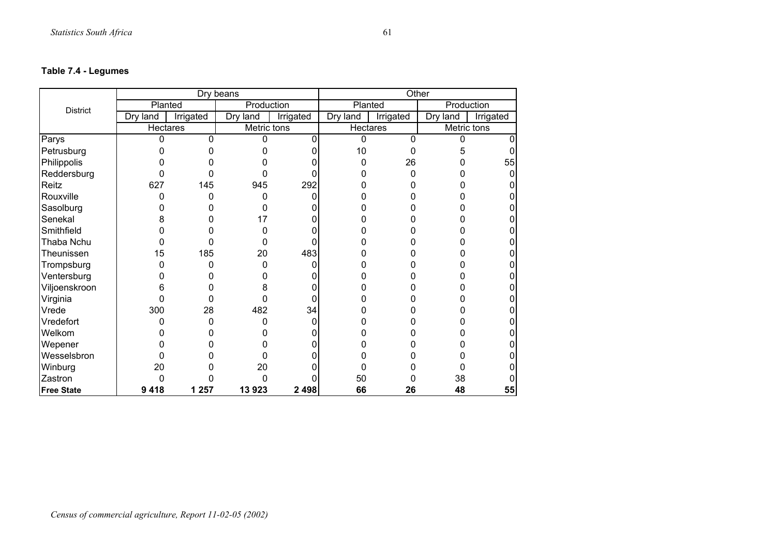# **Table 7.4 - Legumes**

|                   |          |           | Dry beans   |           |          | Other     |            |             |
|-------------------|----------|-----------|-------------|-----------|----------|-----------|------------|-------------|
| <b>District</b>   | Planted  |           | Production  |           | Planted  |           | Production |             |
|                   | Dry land | Irrigated | Dry<br>land | Irrigated | Dry land | Irrigated | Dry land   | Irrigated   |
|                   | Hectares |           | Metric tons |           | Hectares |           |            | Metric tons |
| Parys             | 0        | 0         | 0           | 0         | 0        | 0         | 0          | 0           |
| Petrusburg        |          |           |             |           | 10       | 0         | 5          |             |
| Philippolis       |          |           |             |           | 0        | 26        |            | 55          |
| Reddersburg       |          | 0         |             |           |          | 0         |            |             |
| Reitz             | 627      | 145       | 945         | 292       |          |           |            |             |
| Rouxville         | ŋ        | 0         | n           |           |          |           |            |             |
| Sasolburg         | O        | O         | 0           |           |          |           |            |             |
| Senekal           | 8        | O         | 17          |           |          |           |            |             |
| Smithfield        |          |           | 0           |           |          |           |            |             |
| Thaba Nchu        | ი        | 0         | 0           |           |          |           |            |             |
| Theunissen        | 15       | 185       | 20          | 483       |          |           |            |             |
| Trompsburg        | ი        | 0         | 0           |           |          |           |            |             |
| Ventersburg       |          |           | O           |           |          |           |            |             |
| Viljoenskroon     | 6        | ი         | 8           |           |          |           |            |             |
| Virginia          | 0        | 0         | 0           | ŋ         |          |           |            |             |
| Vrede             | 300      | 28        | 482         | 34        |          |           |            |             |
| Vredefort         | 0        | 0         | 0           | 0         |          |           |            |             |
| Welkom            |          | ი         |             |           |          |           |            |             |
| Wepener           |          |           |             |           |          |           |            |             |
| Wesselsbron       | 0        |           | 0           |           |          |           |            |             |
| Winburg           | 20       |           | 20          |           |          |           |            |             |
| Zastron           | 0        |           | 0           |           | 50       |           | 38         |             |
| <b>Free State</b> | 9418     | 1 2 5 7   | 13923       | 2 4 9 8   | 66       | 26        | 48         | 55          |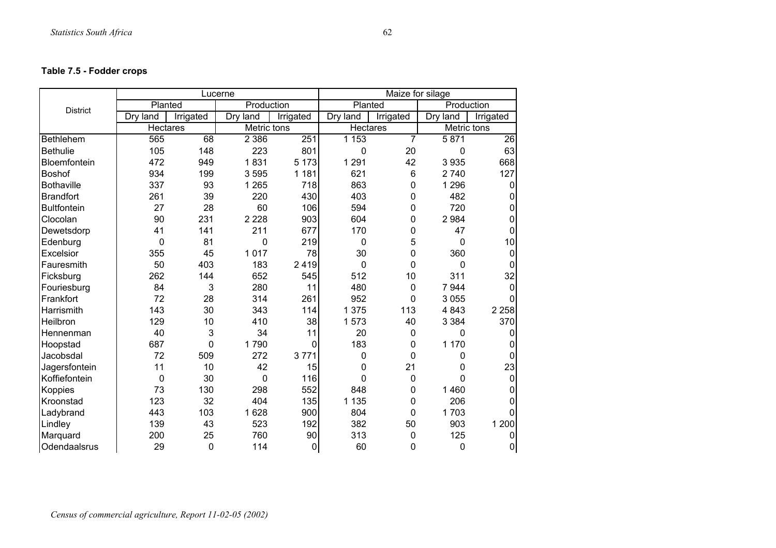## **Table 7.5 - Fodder crops**

|                    |                 |                 | Lucerne     |           |                 | Maize for silage |             |              |
|--------------------|-----------------|-----------------|-------------|-----------|-----------------|------------------|-------------|--------------|
| <b>District</b>    | Planted         |                 | Production  |           | Planted         |                  | Production  |              |
|                    | Dry land        | Irrigated       | Dry land    | Irrigated | Dry land        | Irrigated        | Dry<br>land | Irrigated    |
|                    | <b>Hectares</b> |                 | Metric tons |           | <b>Hectares</b> |                  | Metric tons |              |
| <b>Bethlehem</b>   | 565             | $\overline{68}$ | 2 3 8 6     | 251       | 1153            | $\overline{7}$   | 5 8 7 1     | 26           |
| <b>Bethulie</b>    | 105             | 148             | 223         | 801       | 0               | 20               | 0           | 63           |
| Bloemfontein       | 472             | 949             | 1831        | 5 1 7 3   | 1 2 9 1         | 42               | 3935        | 668          |
| <b>Boshof</b>      | 934             | 199             | 3595        | 1 1 8 1   | 621             | 6                | 2 7 4 0     | 127          |
| <b>Bothaville</b>  | 337             | 93              | 1 2 6 5     | 718       | 863             | 0                | 1 2 9 6     | 0            |
| <b>Brandfort</b>   | 261             | 39              | 220         | 430       | 403             | 0                | 482         | 0            |
| <b>Bultfontein</b> | 27              | 28              | 60          | 106       | 594             | 0                | 720         | 0            |
| Clocolan           | 90              | 231             | 2 2 2 8     | 903       | 604             | 0                | 2 9 8 4     | 0            |
| Dewetsdorp         | 41              | 141             | 211         | 677       | 170             | 0                | 47          | $\mathbf 0$  |
| Edenburg           | 0               | 81              | 0           | 219       | 0               | 5                | 0           | 10           |
| Excelsior          | 355             | 45              | 1017        | 78        | 30              | 0                | 360         | 0            |
| Fauresmith         | 50              | 403             | 183         | 2419      | 0               | 0                | 0           | $\Omega$     |
| Ficksburg          | 262             | 144             | 652         | 545       | 512             | 10               | 311         | 32           |
| Fouriesburg        | 84              | 3               | 280         | 11        | 480             | $\mathbf 0$      | 7 9 4 4     | $\Omega$     |
| Frankfort          | 72              | 28              | 314         | 261       | 952             | 0                | 3 0 5 5     | ∩            |
| Harrismith         | 143             | 30              | 343         | 114       | 1 375           | 113              | 4843        | 2 2 5 8      |
| Heilbron           | 129             | 10              | 410         | 38        | 1573            | 40               | 3 3 8 4     | 370          |
| Hennenman          | 40              | 3               | 34          | 11        | 20              | $\mathbf 0$      | 0           | 0            |
| Hoopstad           | 687             | 0               | 1790        | 0         | 183             | 0                | 1 170       | 0            |
| Jacobsdal          | 72              | 509             | 272         | 3771      | 0               | 0                | 0           | $\mathbf{0}$ |
| Jagersfontein      | 11              | 10              | 42          | 15        | 0               | 21               | 0           | 23           |
| Koffiefontein      | 0               | 30              | 0           | 116       | 0               | 0                | 0           | $\mathbf 0$  |
| Koppies            | 73              | 130             | 298         | 552       | 848             | 0                | 1 4 6 0     | 0            |
| Kroonstad          | 123             | 32              | 404         | 135       | 1 1 3 5         | $\mathbf 0$      | 206         | $\Omega$     |
| Ladybrand          | 443             | 103             | 1628        | 900       | 804             | 0                | 1703        |              |
| Lindley            | 139             | 43              | 523         | 192       | 382             | 50               | 903         | 1 200        |
| Marquard           | 200             | 25              | 760         | 90        | 313             | $\mathbf 0$      | 125         | 0            |
| Odendaalsrus       | 29              | 0               | 114         | $\pmb{0}$ | 60              | 0                | 0           | 0            |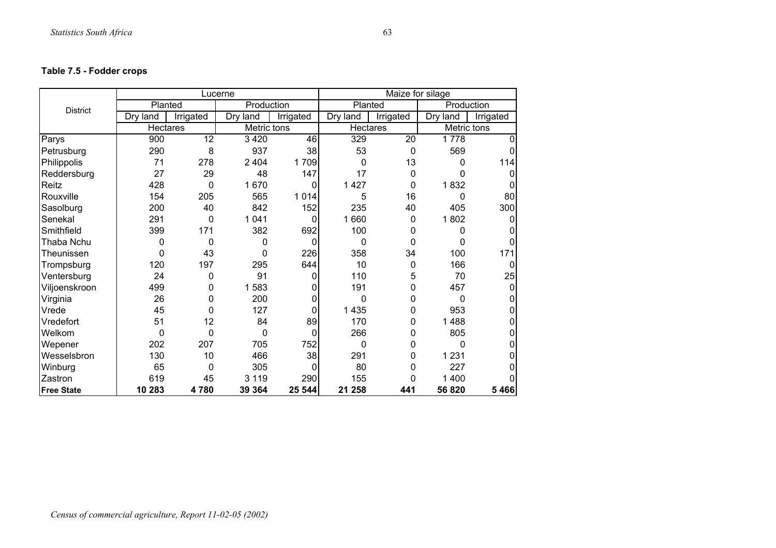## **Table 7.5 - Fodder crops**

|                   |                 |           | Lucerne     |           |                 | Maize for silage |             |           |
|-------------------|-----------------|-----------|-------------|-----------|-----------------|------------------|-------------|-----------|
| <b>District</b>   | Planted         |           | Production  |           | Planted         |                  | Production  |           |
|                   | Dry land        | Irrigated | Dry<br>land | Irrigated | Dry land        | Irrigated        | Dry land    | Irrigated |
|                   | <b>Hectares</b> |           | Metric tons |           | <b>Hectares</b> |                  | Metric tons |           |
| Parys             | 900             | 12        | 3 4 2 0     | 46        | 329             | 20               | 1778        | 0         |
| Petrusburg        | 290             | 8         | 937         | 38        | 53              | $\mathbf 0$      | 569         | 0         |
| Philippolis       | 71              | 278       | 2 4 0 4     | 1709      | $\Omega$        | 13               | 0           | 114       |
| Reddersburg       | 27              | 29        | 48          | 147       | 17              | 0                | 0           | 0         |
| Reitz             | 428             | 0         | 1 670       | 0         | 1 4 2 7         | 0                | 1832        | 0         |
| Rouxville         | 154             | 205       | 565         | 1014      | 5               | 16               | 0           | 80        |
| Sasolburg         | 200             | 40        | 842         | 152       | 235             | 40               | 405         | 300       |
| Senekal           | 291             | 0         | 1 0 4 1     | 0         | 1660            | 0                | 1802        | 0         |
| Smithfield        | 399             | 171       | 382         | 692       | 100             | 0                | 0           | 0         |
| Thaba Nchu        | 0               | $\Omega$  | 0           | $\Omega$  | $\Omega$        | 0                | 0           | 0         |
| Theunissen        | $\Omega$        | 43        | 0           | 226       | 358             | 34               | 100         | 171       |
| Trompsburg        | 120             | 197       | 295         | 644       | 10              | 0                | 166         | $\Omega$  |
| Ventersburg       | 24              | 0         | 91          | 0         | 110             | 5                | 70          | 25        |
| Viljoenskroon     | 499             | 0         | 1583        | 0         | 191             | 0                | 457         | 0         |
| Virginia          | 26              | 0         | 200         | 0         | 0               | 0                | 0           | 0         |
| Vrede             | 45              | 0         | 127         | 0         | 1 4 3 5         | 0                | 953         | 0         |
| Vredefort         | 51              | 12        | 84          | 89        | 170             | 0                | 488<br>1    | 0         |
| Welkom            | 0               | $\Omega$  | $\Omega$    | $\Omega$  | 266             | 0                | 805         | 0         |
| Wepener           | 202             | 207       | 705         | 752       | $\mathbf 0$     | 0                | 0           | 0         |
| Wesselsbron       | 130             | 10        | 466         | 38        | 291             | 0                | 1 2 3 1     | 0         |
| Winburg           | 65              | 0         | 305         | 0         | 80              | 0                | 227         |           |
| Zastron           | 619             | 45        | 3 1 1 9     | 290       | 155             | 0                | 400<br>1    |           |
| <b>Free State</b> | 10 283          | 4780      | 39 364      | 25 544    | 21 258          | 441              | 56 820      | 5466      |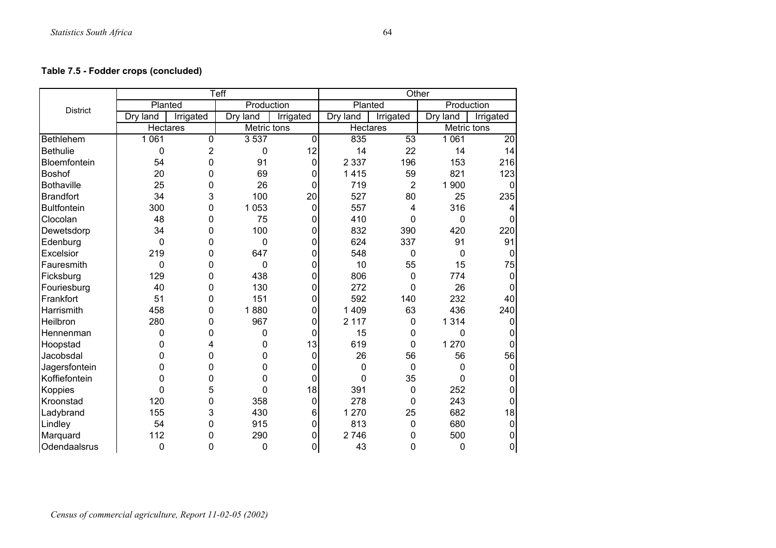# **Table 7.5 - Fodder crops (concluded)**

|                    |          |                | Teff        |             | Other           |                |              |             |
|--------------------|----------|----------------|-------------|-------------|-----------------|----------------|--------------|-------------|
| <b>District</b>    | Planted  |                | Production  |             | Planted         |                | Production   |             |
|                    | Dry land | Irrigated      | Dry land    | Irrigated   | Dry land        | Irrigated      | Dry<br>land  | Irrigated   |
|                    | Hectares |                | Metric tons |             | <b>Hectares</b> |                | Metric tons  |             |
| <b>Bethlehem</b>   | 1 0 6 1  | $\mathbf 0$    | 3 5 3 7     | $\mathbf 0$ | 835             | 53             | 1 0 6 1      | 20          |
| <b>Bethulie</b>    | 0        | $\overline{2}$ | 0           | 12          | 14              | 22             | 14           | 14          |
| Bloemfontein       | 54       | 0              | 91          | $\mathbf 0$ | 2 3 3 7         | 196            | 153          | 216         |
| <b>Boshof</b>      | 20       | 0              | 69          | $\mathbf 0$ | 1415            | 59             | 821          | 123         |
| <b>Bothaville</b>  | 25       | 0              | 26          | 0           | 719             | $\overline{2}$ | 1 900        | $\Omega$    |
| <b>Brandfort</b>   | 34       | 3              | 100         | 20          | 527             | 80             | 25           | 235         |
| <b>Bultfontein</b> | 300      | 0              | 1 0 5 3     | $\mathbf 0$ | 557             | 4              | 316          |             |
| Clocolan           | 48       | 0              | 75          | 0           | 410             | $\mathbf{0}$   | $\mathbf{0}$ | $\Omega$    |
| Dewetsdorp         | 34       | 0              | 100         | 0           | 832             | 390            | 420          | 220         |
| Edenburg           | 0        | 0              | $\mathbf 0$ | 0           | 624             | 337            | 91           | 91          |
| Excelsior          | 219      | 0              | 647         | 0           | 548             | $\mathbf 0$    | $\mathbf 0$  | $\Omega$    |
| Fauresmith         | 0        | 0              | 0           | 0           | 10              | 55             | 15           | 75          |
| Ficksburg          | 129      | 0              | 438         | 0           | 806             | 0              | 774          | $\mathbf 0$ |
| Fouriesburg        | 40       | 0              | 130         | 0           | 272             | $\mathbf 0$    | 26           | $\Omega$    |
| Frankfort          | 51       | 0              | 151         | 0           | 592             | 140            | 232          | 40          |
| Harrismith         | 458      | 0              | 1880        | 0           | 1 4 0 9         | 63             | 436          | 240         |
| Heilbron           | 280      | 0              | 967         | 0           | 2 1 1 7         | 0              | 1 3 1 4      | $\Omega$    |
| Hennenman          | 0        | 0              | 0           | 0           | 15              | 0              | 0            | 0           |
| Hoopstad           | 0        | 4              | 0           | 13          | 619             | $\mathbf 0$    | 1 270        | 0           |
| Jacobsdal          | 0        | 0              | 0           | 0           | 26              | 56             | 56           | 56          |
| Jagersfontein      | 0        | 0              | $\mathbf 0$ | 0           | $\mathbf 0$     | $\mathbf 0$    | 0            | 0           |
| Koffiefontein      | 0        | 0              | 0           | 0           | 0               | 35             | 0            | 0           |
| Koppies            | 0        | 5              | 0           | 18          | 391             | $\mathbf 0$    | 252          | $\Omega$    |
| Kroonstad          | 120      | 0              | 358         | $\pmb{0}$   | 278             | 0              | 243          | 0           |
| Ladybrand          | 155      | 3              | 430         | 6           | 1 270           | 25             | 682          | 18          |
| Lindley            | 54       | 0              | 915         | 0           | 813             | 0              | 680          | $\Omega$    |
| Marquard           | 112      | 0              | 290         | 0           | 2746            | 0              | 500          | 0           |
| Odendaalsrus       | 0        | 0              | 0           | 0           | 43              | $\mathbf 0$    | 0            | 0           |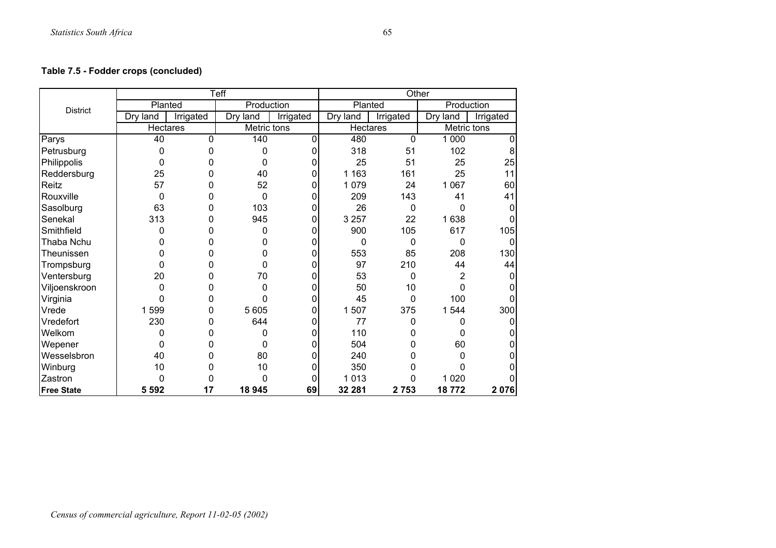# **Table 7.5 - Fodder crops (concluded)**

|                   |                 |           | <b>Teff</b> |           |                 | Other        |             |           |
|-------------------|-----------------|-----------|-------------|-----------|-----------------|--------------|-------------|-----------|
| <b>District</b>   | Planted         |           | Production  |           | Planted         |              | Production  |           |
|                   | Dry land        | Irrigated | Dry land    | Irrigated | Dry land        | Irrigated    | Dry<br>land | Irrigated |
|                   | <b>Hectares</b> |           | Metric tons |           | <b>Hectares</b> |              | Metric tons |           |
| Parys             | 40              | $\Omega$  | 140         | 0         | 480             | $\mathbf{0}$ | 1 0 0 0     | $\Omega$  |
| Petrusburg        | 0               | O         | $\Omega$    | 0         | 318             | 51           | 102         | 8         |
| Philippolis       | 0               | O         | 0           | 0         | 25              | 51           | 25          | 25        |
| Reddersburg       | 25              | 0         | 40          | 0         | 1 1 6 3         | 161          | 25          | 11        |
| Reitz             | 57              | 0         | 52          | 0         | 1079            | 24           | 1 0 6 7     | 60        |
| Rouxville         | 0               | 0         | $\Omega$    | 0         | 209             | 143          | 41          | 41        |
| Sasolburg         | 63              | 0         | 103         | 0         | 26              | $\mathbf{0}$ | 0           |           |
| Senekal           | 313             | 0         | 945         | 0         | 3 2 5 7         | 22           | 1638        |           |
| Smithfield        | 0               | 0         | 0           | 0         | 900             | 105          | 617         | 105       |
| Thaba Nchu        | 0               | 0         | 0           | 0         | 0               | 0            | 0           |           |
| Theunissen        | 0               | O         | 0           | 0         | 553             | 85           | 208         | 130       |
| Trompsburg        | 0               | 0         | 0           | 0         | 97              | 210          | 44          | 44        |
| Ventersburg       | 20              | 0         | 70          | 0         | 53              | 0            | 2           | 0         |
| Viljoenskroon     | 0               | O         | 0           | 0         | 50              | 10           | 0           |           |
| Virginia          | 0               | 0         | 0           | 0         | 45              | 0            | 100         |           |
| Vrede             | 1599            | 0         | 5 6 0 5     | 0         | 1507            | 375          | 1 544       | 300       |
| Vredefort         | 230             | 0         | 644         | 0         | 77              | 0            | 0           | 0         |
| Welkom            | $\Omega$        | 0         | 0           | 0         | 110             | 0            | $\Omega$    |           |
| Wepener           | 0               | 0         | 0           | 0         | 504             | 0            | 60          |           |
| Wesselsbron       | 40              | 0         | 80          | 0         | 240             | 0            | 0           |           |
| Winburg           | 10              | 0         | 10          | 0         | 350             | 0            | 0           |           |
| Zastron           | $\Omega$        | 0         | $\Omega$    | 0         | 1013            | 0            | 1 0 2 0     |           |
| <b>Free State</b> | 5 5 9 2         | 17        | 18 945      | 69        | 32 281          | 2753         | 18772       | 2076      |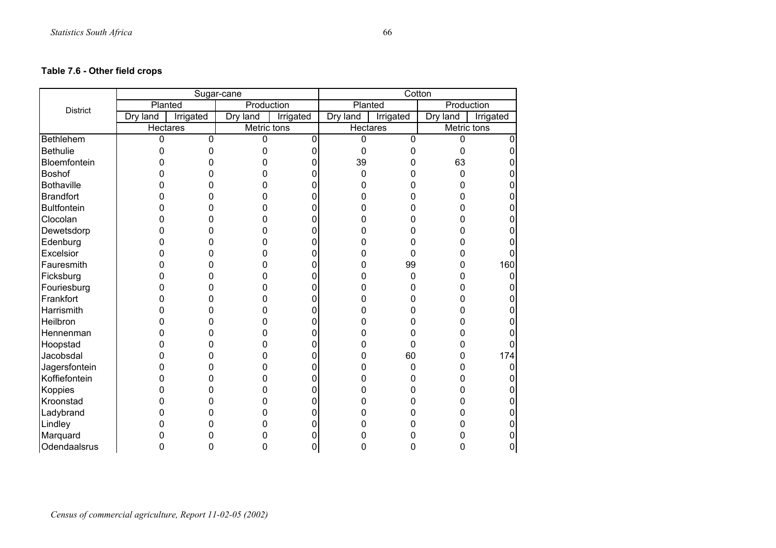# **Table 7.6 - Other field crops**

|                    |                 |           | Sugar-cane  |           |                 | Cotton    |             |           |
|--------------------|-----------------|-----------|-------------|-----------|-----------------|-----------|-------------|-----------|
| <b>District</b>    | Planted         |           | Production  |           | Planted         |           | Production  |           |
|                    | Dry land        | Irrigated | Dry land    | Irrigated | Dry land        | Irrigated | Dry land    | Irrigated |
|                    | <b>Hectares</b> |           | Metric tons |           | <b>Hectares</b> |           | Metric tons |           |
| Bethlehem          | 0               | 0         | 0           | 0         | $\Omega$        | 0         | 0           |           |
| <b>Bethulie</b>    | 0               | 0         | 0           | 0         | 0               | 0         | 0           |           |
| Bloemfontein       | 0               | 0         | 0           | 0         | 39              | 0         | 63          |           |
| Boshof             | 0               | 0         | 0           | 0         | $\mathbf 0$     | 0         | 0           |           |
| <b>Bothaville</b>  | 0               | 0         | 0           | 0         | 0               | 0         | 0           |           |
| <b>Brandfort</b>   | 0               | 0         | 0           | 0         | ი               | n         | 0           |           |
| <b>Bultfontein</b> | 0               | ი         | 0           | ი         |                 | ი         | 0           |           |
| Clocolan           | 0               | 0         | 0           | 0         |                 | 0         | 0           |           |
| Dewetsdorp         | 0               | O         | 0           | ი         |                 | n         | 0           |           |
| Edenburg           | 0               | 0         | 0           | 0         |                 | O         | 0           |           |
| Excelsior          | 0               | 0         | 0           | 0         |                 | 0         | 0           |           |
| Fauresmith         | 0               | O         | 0           | 0         | O               | 99        | 0           | 160       |
| Ficksburg          | 0               | 0         | 0           | 0         |                 | 0         | 0           |           |
| Fouriesburg        | 0               | 0         | 0           | 0         |                 | 0         | 0           |           |
| Frankfort          | 0               | 0         | 0           | 0         | O               | O         | 0           |           |
| Harrismith         | 0               | 0         | 0           | 0         | ი               | ი         | 0           |           |
| Heilbron           | 0               | 0         | 0           | 0         |                 | 0         | 0           |           |
| Hennenman          | 0               | 0         | 0           | 0         |                 | 0         | 0           |           |
| Hoopstad           | 0               | 0         | 0           | 0         | 0               | 0         | 0           |           |
| Jacobsdal          | 0               | 0         | 0           | 0         | ი               | 60        | 0           | 174       |
| Jagersfontein      | 0               | 0         | 0           | 0         |                 | 0         | 0           |           |
| Koffiefontein      | 0               | 0         | 0           | 0         | ი               | 0         | 0           |           |
| Koppies            | 0               | 0         | 0           | 0         |                 | ი         | 0           |           |
| Kroonstad          | 0               | 0         | 0           | 0         |                 | 0         | 0           |           |
| Ladybrand          | 0               | 0         | 0           | 0         |                 | n         | 0           |           |
| Lindley            | 0               | 0         | 0           | 0         |                 |           | ი           |           |
| Marquard           | 0               | 0         | 0           |           |                 |           | 0           | 0         |
| Odendaalsrus       | 0               | 0         | 0           | 0         | 0               | 0         | 0           | 0         |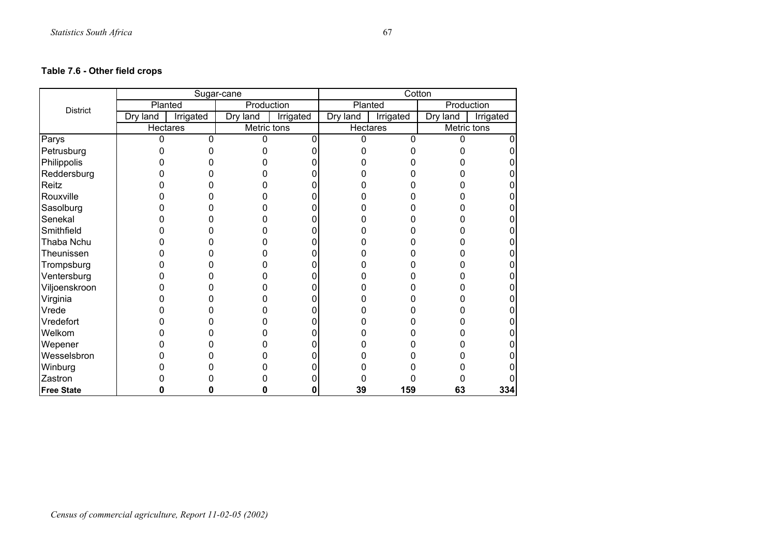## **Table 7.6 - Other field crops**

|                   |          |           | Sugar-cane  |           |          | Cotton    |             |           |
|-------------------|----------|-----------|-------------|-----------|----------|-----------|-------------|-----------|
| <b>District</b>   |          | Planted   | Production  |           | Planted  |           | Production  |           |
|                   | Dry land | Irrigated | Dry<br>land | Irrigated | Dry land | Irrigated | Dry land    | Irrigated |
|                   | Hectares |           | Metric tons |           | Hectares |           | Metric tons |           |
| Parys             | $\Omega$ | 0         | 0           | 0         | 0        | 0         | ი           |           |
| Petrusburg        |          |           |             |           |          | ი         |             |           |
| Philippolis       |          |           |             |           |          |           |             |           |
| Reddersburg       |          |           |             |           |          |           |             |           |
| Reitz             |          |           |             |           |          |           |             |           |
| Rouxville         |          |           |             |           |          |           |             |           |
| Sasolburg         |          |           |             |           |          |           |             |           |
| Senekal           |          |           |             |           |          |           |             |           |
| Smithfield        |          |           |             |           |          |           |             |           |
| Thaba Nchu        |          |           |             |           |          |           |             |           |
| Theunissen        |          |           |             |           |          |           |             |           |
| Trompsburg        |          |           |             |           |          |           |             |           |
| Ventersburg       |          |           |             |           |          |           |             |           |
| Viljoenskroon     |          |           |             |           |          |           |             |           |
| Virginia          |          |           |             |           |          |           |             |           |
| Vrede             |          |           |             |           |          |           |             |           |
| Vredefort         |          |           |             |           |          |           |             |           |
| Welkom            |          |           |             |           |          |           |             |           |
| Wepener           |          |           |             |           |          |           |             |           |
| Wesselsbron       |          |           |             |           |          |           |             |           |
| Winburg           |          |           |             |           |          |           |             |           |
| Zastron           |          |           |             |           |          |           |             |           |
| <b>Free State</b> |          |           | O           | 0         | 39       | 159       | 63          | 334       |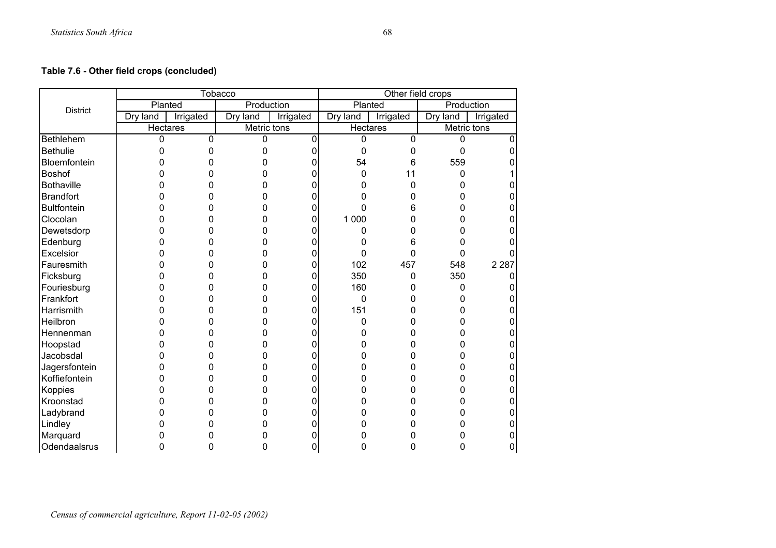# **Table 7.6 - Other field crops (concluded)**

|                    |          |           | Tobacco     |           | Other field crops |             |             |           |
|--------------------|----------|-----------|-------------|-----------|-------------------|-------------|-------------|-----------|
| <b>District</b>    | Planted  |           | Production  |           | Planted           |             | Production  |           |
|                    | Dry land | Irrigated | Dry land    | Irrigated | Dry land          | Irrigated   | Dry land    | Irrigated |
|                    | Hectares |           | Metric tons |           | <b>Hectares</b>   |             | Metric tons |           |
| Bethlehem          | 0        | 0         | 0           | 0         | 0                 | $\mathbf 0$ | 0           |           |
| <b>Bethulie</b>    | 0        | 0         | 0           | 0         | 0                 | 0           | 0           |           |
| Bloemfontein       | 0        | 0         | 0           | 0         | 54                | 6           | 559         |           |
| Boshof             | 0        | 0         | 0           | 0         | 0                 | 11          | 0           |           |
| <b>Bothaville</b>  | 0        | 0         | 0           | 0         | ი                 | 0           | 0           |           |
| <b>Brandfort</b>   | 0        | 0         | 0           | 0         | n                 | 0           | 0           |           |
| <b>Bultfontein</b> | 0        | 0         | 0           | 0         | n                 | 6           | 0           |           |
| Clocolan           | 0        | 0         | 0           | 0         | 1 0 0 0           | 0           | 0           |           |
| Dewetsdorp         | 0        | 0         | 0           | 0         | 0                 | 0           | 0           |           |
| Edenburg           | 0        | 0         | 0           | 0         | ŋ                 | 6           | 0           |           |
| Excelsior          | 0        | 0         | 0           | 0         | 0                 | 0           | 0           |           |
| Fauresmith         | O        | 0         | 0           | 0         | 102               | 457         | 548         | 2 2 8 7   |
| Ficksburg          | 0        | 0         | 0           | 0         | 350               | $\pmb{0}$   | 350         |           |
| Fouriesburg        | 0        | 0         | 0           | 0         | 160               | 0           | 0           |           |
| Frankfort          | O        | 0         | 0           | 0         | 0                 | 0           | 0           |           |
| Harrismith         | 0        | 0         | 0           | 0         | 151               | 0           | 0           |           |
| Heilbron           | 0        | 0         | 0           | 0         | 0                 | 0           | 0           |           |
| Hennenman          | 0        | 0         | 0           | 0         | O                 |             | 0           |           |
| Hoopstad           | 0        | 0         | 0           | 0         |                   |             | 0           |           |
| Jacobsdal          | 0        | 0         | 0           | 0         |                   |             | 0           |           |
| Jagersfontein      | 0        | 0         | 0           | 0         |                   |             | 0           |           |
| Koffiefontein      | 0        | 0         | 0           | 0         | n                 | 0           | 0           |           |
| Koppies            | 0        | 0         | 0           | 0         | ი                 |             | 0           |           |
| Kroonstad          | 0        | 0         | 0           | 0         |                   |             | 0           |           |
| Ladybrand          | 0        | 0         | 0           | 0         |                   |             | 0           |           |
| Lindley            | ი        | 0         | 0           | 0         |                   |             | 0           |           |
| Marquard           | 0        | 0         | 0           | 0         |                   |             | 0           |           |
| Odendaalsrus       | 0        | 0         | 0           | 0         | 0                 | 0           | 0           | 0         |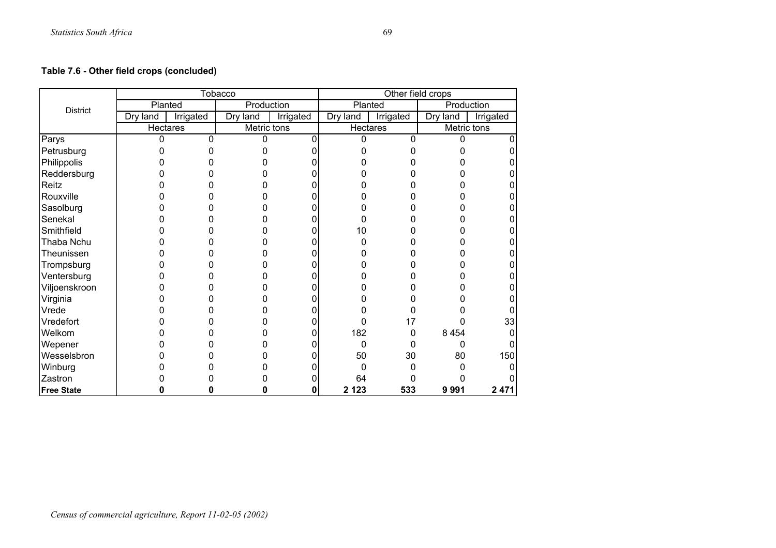# **Table 7.6 - Other field crops (concluded)**

|                   |                 |           | Tobacco     |           | Other field crops |           |             |           |
|-------------------|-----------------|-----------|-------------|-----------|-------------------|-----------|-------------|-----------|
| <b>District</b>   |                 | Planted   | Production  |           | Planted           |           | Production  |           |
|                   | Dry land        | Irrigated | Dry land    | Irrigated | Dry land          | Irrigated | Dry land    | Irrigated |
|                   | <b>Hectares</b> |           | Metric tons |           | Hectares          |           | Metric tons |           |
| Parys             | 0               | 0         | 0           | 0         | 0                 | $\Omega$  | 0           |           |
| Petrusburg        |                 |           |             |           |                   |           |             |           |
| Philippolis       |                 |           |             |           |                   |           |             |           |
| Reddersburg       |                 |           |             |           |                   |           |             |           |
| Reitz             |                 |           |             |           |                   |           |             |           |
| Rouxville         |                 |           |             |           |                   |           |             |           |
| Sasolburg         |                 | O         | 0           |           |                   |           |             |           |
| Senekal           |                 |           |             |           |                   |           |             |           |
| Smithfield        |                 |           | 0           |           | 10                |           |             |           |
| Thaba Nchu        |                 | O         | 0           |           | 0                 |           |             |           |
| Theunissen        |                 |           | 0           |           |                   |           |             |           |
| Trompsburg        |                 |           |             |           |                   |           |             |           |
| Ventersburg       |                 |           |             |           |                   |           |             |           |
| Viljoenskroon     |                 |           |             |           |                   |           |             |           |
| Virginia          |                 |           |             |           |                   |           |             |           |
| Vrede             |                 |           |             |           |                   |           |             |           |
| Vredefort         |                 |           |             |           | 0                 | 17        |             | 33        |
| Welkom            |                 |           |             | o         | 182               | 0         | 8 4 5 4     |           |
| Wepener           |                 |           |             |           | 0                 | 0         | 0           |           |
| Wesselsbron       |                 |           |             |           | 50                | 30        | 80          | 150       |
| Winburg           |                 |           |             |           | 0                 | 0         | n           |           |
| Zastron           |                 |           |             |           | 64                |           |             |           |
| <b>Free State</b> |                 |           | O           | 0         | 2 1 2 3           | 533       | 9991        | 2 4 7 1   |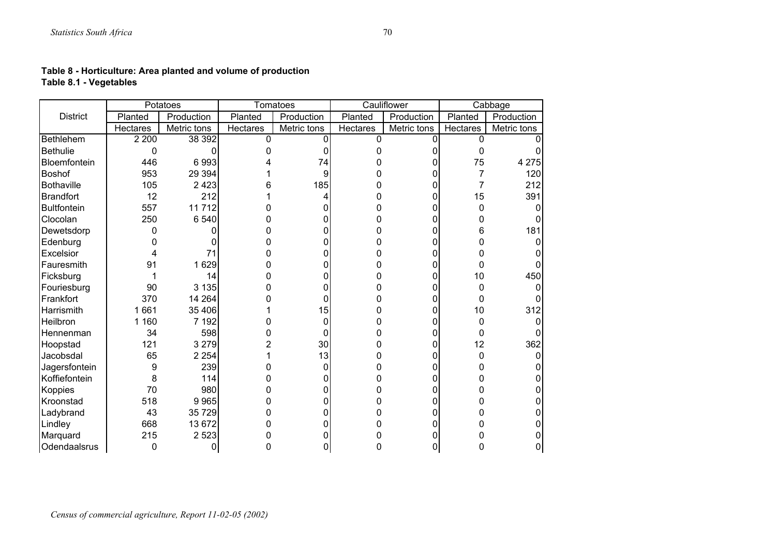| Table 8 - Horticulture: Area planted and volume of production |
|---------------------------------------------------------------|
| Table 8.1 - Vegetables                                        |

|                    | Potatoes        |             |                 | <b>Tomatoes</b> |          | Cauliflower |          | Cabbage     |
|--------------------|-----------------|-------------|-----------------|-----------------|----------|-------------|----------|-------------|
| <b>District</b>    | Planted         | Production  | Planted         | Production      | Planted  | Production  | Planted  | Production  |
|                    | <b>Hectares</b> | Metric tons | <b>Hectares</b> | Metric tons     | Hectares | Metric tons | Hectares | Metric tons |
| <b>Bethlehem</b>   | 2 2 0 0         | 38 392      | ŋ               | 0               | n        | 0           | O        |             |
| <b>Bethulie</b>    | 0               | 0           |                 | 0               |          |             | 0        |             |
| Bloemfontein       | 446             | 6993        |                 | 74              |          |             | 75       | 4 2 7 5     |
| <b>Boshof</b>      | 953             | 29 3 94     |                 | 9               |          | 0           | 7        | 120         |
| <b>Bothaville</b>  | 105             | 2 4 2 3     |                 | 185             |          |             | 7        | 212         |
| <b>Brandfort</b>   | 12              | 212         |                 | 4               |          | 0           | 15       | 391         |
| <b>Bultfontein</b> | 557             | 11712       |                 |                 |          | 0           | 0        |             |
| Clocolan           | 250             | 6 5 4 0     |                 | O               |          | 0           | 0        |             |
| Dewetsdorp         |                 |             |                 | 0               |          | 0           | 6        | 181         |
| Edenburg           |                 |             |                 | 0               |          | 0           |          |             |
| Excelsior          |                 | 71          |                 | 0               |          | 0           | n        |             |
| Fauresmith         | 91              | 1629        |                 | 0               |          | 0           | 0        |             |
| Ficksburg          |                 | 14          |                 | O               |          | 0           | 10       | 450         |
| Fouriesburg        | 90              | 3 1 3 5     |                 | 0               |          | 0           | ი        |             |
| Frankfort          | 370             | 14 2 64     |                 | 0               |          | 0           | 0        |             |
| Harrismith         | 1661            | 35 406      |                 | 15              |          | 0           | 10       | 312         |
| Heilbron           | 1 160           | 7 192       |                 | 0               |          | 0           | 0        |             |
| Hennenman          | 34              | 598         |                 | 0               |          | 0           | 0        |             |
| Hoopstad           | 121             | 3 2 7 9     |                 | 30              |          | 0           | 12       | 362         |
| Jacobsdal          | 65              | 2 2 5 4     |                 | 13              |          | 0           | 0        |             |
| Jagersfontein      | 9               | 239         |                 | 0               |          | 0           | o        |             |
| Koffiefontein      | 8               | 114         |                 | 0               |          | 0           |          |             |
| Koppies            | 70              | 980         |                 | 0               |          | 0           | Ω        |             |
| Kroonstad          | 518             | 9965        |                 | 0               |          | 0           | n        |             |
| Ladybrand          | 43              | 35 729      |                 | 0               |          | 0           |          |             |
| Lindley            | 668             | 13 672      |                 | 0               |          | 0           |          |             |
| Marquard           | 215             | 2 5 2 3     |                 |                 |          |             |          |             |
| Odendaalsrus       | 0               | 0           |                 |                 |          |             | ი        |             |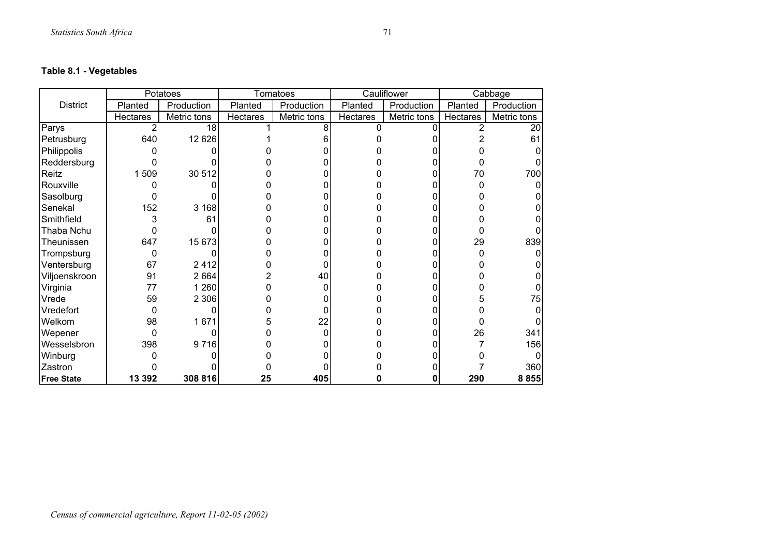# **Table 8.1 - Vegetables**

|                   |                 | Potatoes    |                 | <b>Tomatoes</b> |                 | Cauliflower |                 | Cabbage     |
|-------------------|-----------------|-------------|-----------------|-----------------|-----------------|-------------|-----------------|-------------|
| <b>District</b>   | Planted         | Production  | Planted         | Production      | Planted         | Production  | Planted         | Production  |
|                   | <b>Hectares</b> | Metric tons | <b>Hectares</b> | Metric tons     | <b>Hectares</b> | Metric tons | <b>Hectares</b> | Metric tons |
| Parys             | $\overline{2}$  | 18          |                 | 8               | n               |             |                 | 20          |
| Petrusburg        | 640             | 12 6 26     |                 |                 |                 |             |                 | 61          |
| Philippolis       |                 |             |                 |                 |                 |             |                 |             |
| Reddersburg       |                 |             |                 |                 |                 |             |                 |             |
| Reitz             | 1509            | 30 512      |                 |                 |                 |             | 70              | 700         |
| Rouxville         |                 |             |                 |                 |                 |             |                 |             |
| Sasolburg         |                 |             |                 |                 |                 |             |                 |             |
| Senekal           | 152             | 3 1 6 8     |                 |                 |                 |             |                 |             |
| Smithfield        | 3               | 61          |                 |                 |                 |             |                 |             |
| Thaba Nchu        |                 |             |                 |                 |                 |             |                 |             |
| Theunissen        | 647             | 15 673      |                 |                 |                 |             | 29              | 839         |
| Trompsburg        | Ω               |             |                 |                 |                 |             |                 |             |
| Ventersburg       | 67              | 2412        |                 |                 |                 |             |                 |             |
| Viljoenskroon     | 91              | 2664        |                 | 40              |                 |             |                 |             |
| Virginia          | 77              | 1 2 6 0     |                 |                 |                 |             |                 |             |
| Vrede             | 59              | 2 3 0 6     |                 |                 |                 |             |                 | 75          |
| Vredefort         | 0               |             |                 |                 |                 |             |                 |             |
| Welkom            | 98              | 1671        |                 | 22              |                 |             |                 |             |
| Wepener           |                 |             |                 |                 |                 |             | 26              | 341         |
| Wesselsbron       | 398             | 9716        |                 |                 |                 |             |                 | 156         |
| Winburg           |                 |             |                 |                 |                 |             |                 |             |
| Zastron           |                 |             |                 |                 |                 |             |                 | 360         |
| <b>Free State</b> | 13 392          | 308 816     | 25              | 405             |                 |             | 290             | 8 8 5 5     |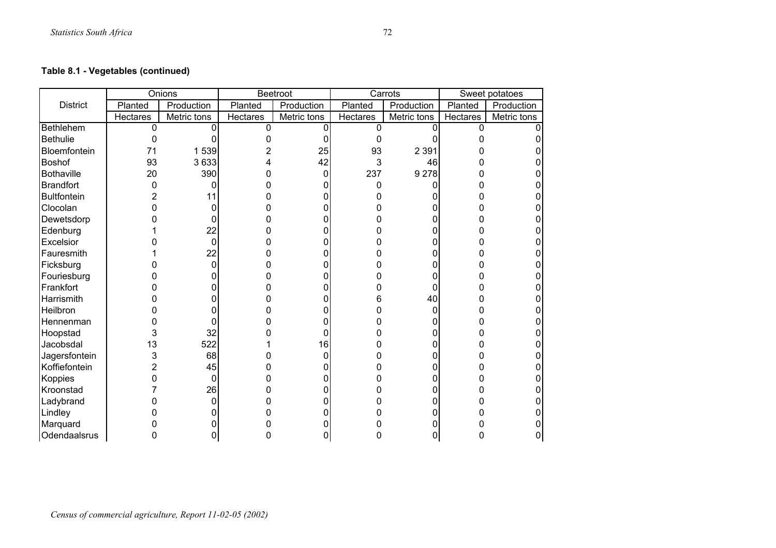# **Table 8.1 - Vegetables (continued)**

|                    |                 | Onions      |          | <b>Beetroot</b> |          | Carrots     |          | Sweet potatoes |
|--------------------|-----------------|-------------|----------|-----------------|----------|-------------|----------|----------------|
| <b>District</b>    | Planted         | Production  | Planted  | Production      | Planted  | Production  | Planted  | Production     |
|                    | <b>Hectares</b> | Metric tons | Hectares | Metric tons     | Hectares | Metric tons | Hectares | Metric tons    |
| Bethlehem          | $\Omega$        |             | 0        | O               | $\Omega$ |             | 0        |                |
| <b>Bethulie</b>    | O               |             |          |                 | O        |             |          |                |
| Bloemfontein       | 71              | 1539        | 2        | 25              | 93       | 2 3 9 1     |          |                |
| Boshof             | 93              | 3633        |          | 42              | 3        | 46          |          |                |
| <b>Bothaville</b>  | 20              | 390         | 0        | 0               | 237      | 9 2 7 8     |          |                |
| Brandfort          | 0               | 0           |          |                 | 0        |             |          |                |
| <b>Bultfontein</b> |                 | 11          |          |                 |          |             |          |                |
| Clocolan           |                 | 0           |          |                 |          |             |          |                |
| Dewetsdorp         |                 | 0           |          |                 |          |             |          |                |
| Edenburg           |                 | 22          |          |                 |          |             |          |                |
| Excelsior          |                 | 0           |          |                 |          |             |          |                |
| Fauresmith         |                 | 22          |          |                 |          |             |          |                |
| Ficksburg          |                 | 0           |          |                 |          |             |          |                |
| Fouriesburg        |                 | 0           |          |                 |          |             |          |                |
| Frankfort          |                 | 0           |          |                 |          | ſ           |          |                |
| Harrismith         |                 |             |          |                 |          | 40          |          |                |
| Heilbron           |                 |             |          |                 |          | O           |          |                |
| Hennenman          |                 | 0           |          |                 |          |             |          |                |
| Hoopstad           | 3               | 32          |          | 0               |          |             |          |                |
| Jacobsdal          | 13              | 522         |          | 16              |          |             |          |                |
| Jagersfontein      | 3               | 68          |          | ი               |          |             |          |                |
| Koffiefontein      | 2               | 45          | C        |                 |          |             |          |                |
| Koppies            |                 | 0           |          |                 |          |             |          |                |
| Kroonstad          |                 | 26          |          |                 |          |             |          |                |
| Ladybrand          |                 | 0           |          |                 |          |             |          |                |
| Lindley            |                 | 0           |          |                 |          |             |          |                |
| Marquard           |                 |             |          |                 |          |             |          |                |
| Odendaalsrus       |                 | ი           |          | 0               |          |             |          |                |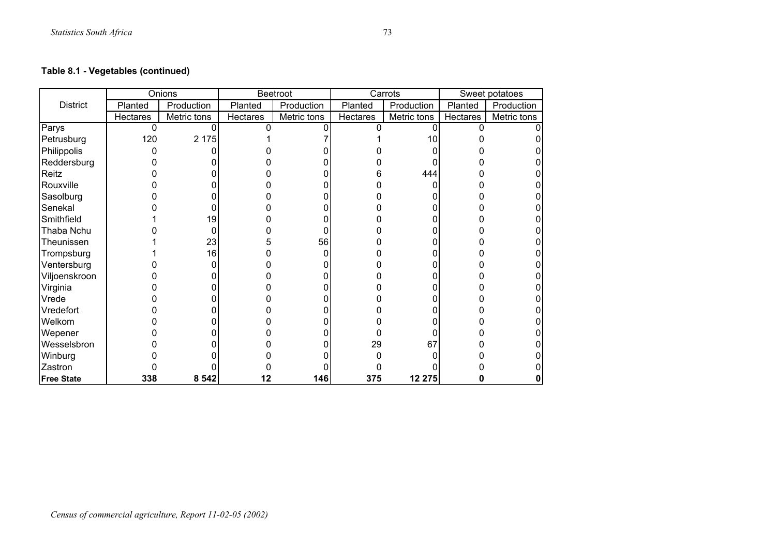# **Table 8.1 - Vegetables (continued)**

|                   |                 | <b>Onions</b> |                 | Beetroot    |                 | Carrots     |          | Sweet potatoes |
|-------------------|-----------------|---------------|-----------------|-------------|-----------------|-------------|----------|----------------|
| <b>District</b>   | Planted         | Production    | Planted         | Production  | Planted         | Production  | Planted  | Production     |
|                   | <b>Hectares</b> | Metric tons   | <b>Hectares</b> | Metric tons | <b>Hectares</b> | Metric tons | Hectares | Metric tons    |
| Parys             | $\Omega$        |               |                 |             |                 |             | ŋ        |                |
| Petrusburg        | 120             | 2 1 7 5       |                 |             |                 |             |          |                |
| Philippolis       |                 |               |                 |             |                 |             |          |                |
| Reddersburg       |                 |               |                 |             |                 |             |          |                |
| Reitz             |                 |               |                 |             |                 | 444         |          |                |
| Rouxville         |                 |               |                 |             |                 |             |          |                |
| Sasolburg         |                 |               |                 |             |                 |             |          |                |
| Senekal           |                 |               |                 |             |                 |             |          |                |
| Smithfield        |                 | 19            |                 |             |                 |             |          |                |
| Thaba Nchu        |                 |               |                 |             |                 |             |          |                |
| Theunissen        |                 | 23            |                 | 56          |                 |             |          |                |
| Trompsburg        |                 | 16            |                 |             |                 |             |          |                |
| Ventersburg       |                 |               |                 |             |                 |             |          |                |
| Viljoenskroon     |                 |               |                 |             |                 |             |          |                |
| Virginia          |                 |               |                 |             |                 |             |          |                |
| Vrede             |                 |               |                 |             |                 |             |          |                |
| Vredefort         |                 |               |                 |             |                 |             |          |                |
| Welkom            |                 |               |                 |             |                 |             |          |                |
| Wepener           |                 |               |                 |             |                 |             |          |                |
| Wesselsbron       |                 |               |                 |             | 29              | 67          |          |                |
| Winburg           |                 |               |                 |             |                 |             |          |                |
| Zastron           |                 |               |                 |             |                 |             |          |                |
| <b>Free State</b> | 338             | 8 5 4 2       | 12              | 146         | 375             | 12 275      |          |                |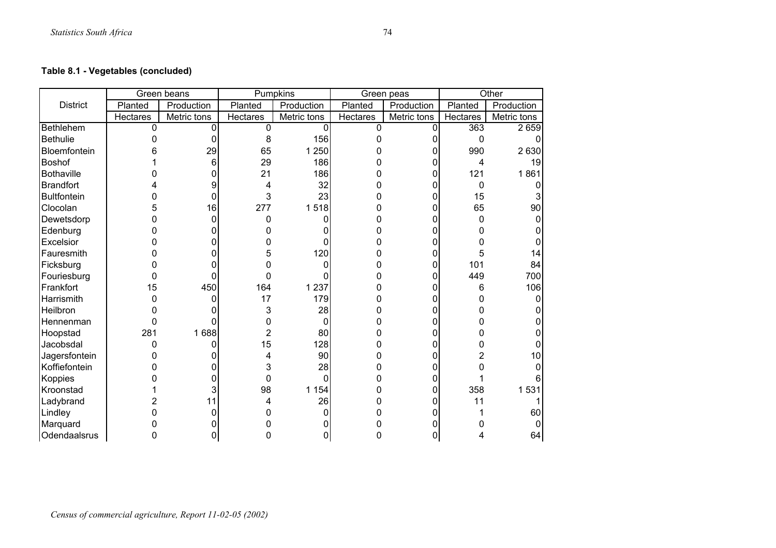# **Table 8.1 - Vegetables (concluded)**

|                    |                 | Green beans |                 | <b>Pumpkins</b> |          | Green peas  |          | Other       |
|--------------------|-----------------|-------------|-----------------|-----------------|----------|-------------|----------|-------------|
| <b>District</b>    | Planted         | Production  | Planted         | Production      | Planted  | Production  | Planted  | Production  |
|                    | <b>Hectares</b> | Metric tons | <b>Hectares</b> | Metric tons     | Hectares | Metric tons | Hectares | Metric tons |
| Bethlehem          | $\Omega$        | 0           | 0               | 0               | $\Omega$ | $\Omega$    | 363      | 2659        |
| <b>Bethulie</b>    |                 | 0           | 8               | 156             |          |             | 0        |             |
| Bloemfontein       |                 | 29          | 65              | 1 250           |          | O           | 990      | 2630        |
| Boshof             |                 | 6           | 29              | 186             |          | 0           | 4        | 19          |
| <b>Bothaville</b>  |                 | 0           | 21              | 186             |          | O           | 121      | 1861        |
| <b>Brandfort</b>   |                 | 9           | 4               | 32              |          |             | 0        |             |
| <b>Bultfontein</b> |                 | 0           | 3               | 23              |          |             | 15       |             |
| Clocolan           | 5               | 16          | 277             | 1518            |          | ი           | 65       | 90          |
| Dewetsdorp         |                 | 0           | 0               | 0               |          | ი           | 0        |             |
| Edenburg           |                 | 0           |                 |                 |          |             |          |             |
| Excelsior          |                 | 0           | ი               |                 |          |             |          |             |
| Fauresmith         |                 | 0           | 5               | 120             |          |             | 5        | 14          |
| Ficksburg          |                 | ი           | 0               |                 |          | 0           | 101      | 84          |
| Fouriesburg        |                 | 0           | 0               |                 |          | 0           | 449      | 700         |
| Frankfort          | 15              | 450         | 164             | 1 2 3 7         |          |             | 6        | 106         |
| Harrismith         |                 | 0           | 17              | 179             |          |             | O        |             |
| Heilbron           |                 |             | 3               | 28              |          |             |          |             |
| Hennenman          | 0               | n           | 0               | 0               |          |             |          |             |
| Hoopstad           | 281             | 1688        | $\overline{2}$  | 80              |          |             |          |             |
| Jacobsdal          | 0               | ი           | 15              | 128             |          |             |          |             |
| Jagersfontein      |                 | 0           | 4               | 90              |          |             |          | 10          |
| Koffiefontein      |                 |             | 3               | 28              |          |             |          |             |
| Koppies            |                 | 0           | 0               | $\Omega$        |          | 0           |          |             |
| Kroonstad          |                 | 3           | 98              | 1 1 5 4         |          | 0           | 358      | 1531        |
| Ladybrand          |                 | 11          | 4               | 26              |          |             | 11       |             |
| Lindley            |                 | 0           | 0               |                 |          |             |          | 60          |
| Marquard           |                 | 0           |                 |                 |          |             |          |             |
| Odendaalsrus       |                 | 0           | 0               | 0               |          | 0           |          | 64          |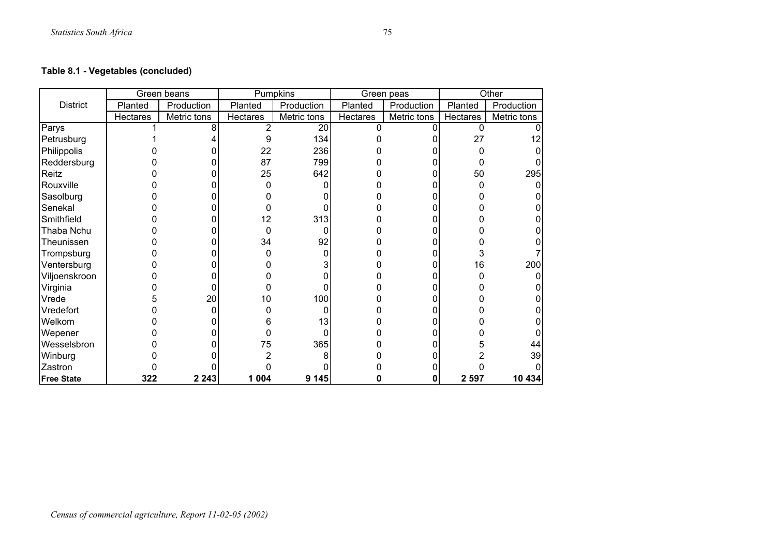# **Table 8.1 - Vegetables (concluded)**

|                   |          | Green beans |          | Pumpkins    |          | Green peas  |          | Other       |
|-------------------|----------|-------------|----------|-------------|----------|-------------|----------|-------------|
| <b>District</b>   | Planted  | Production  | Planted  | Production  | Planted  | Production  | Planted  | Production  |
|                   | Hectares | Metric tons | Hectares | Metric tons | Hectares | Metric tons | Hectares | Metric tons |
| Parys             |          | 8           |          | 20          | 0        |             | $\Omega$ |             |
| Petrusburg        |          |             | 9        | 134         |          |             | 27       | 12          |
| Philippolis       |          |             | 22       | 236         |          |             |          |             |
| Reddersburg       |          |             | 87       | 799         |          |             |          |             |
| Reitz             |          |             | 25       | 642         |          |             | 50       | 295         |
| Rouxville         |          |             | 0        |             |          |             |          | 0           |
| Sasolburg         |          |             |          |             |          |             |          |             |
| Senekal           |          |             |          |             |          |             |          |             |
| Smithfield        |          |             | 12       | 313         |          |             |          |             |
| Thaba Nchu        |          |             | 0        |             |          |             |          |             |
| Theunissen        |          |             | 34       | 92          |          |             |          |             |
| Trompsburg        |          |             |          |             |          |             |          |             |
| Ventersburg       |          |             |          |             |          |             | 16       | 200         |
| Viljoenskroon     |          |             |          |             |          |             |          | 0           |
| Virginia          |          |             |          |             |          |             |          |             |
| Vrede             |          | 20          | 10       | 100         |          |             |          |             |
| Vredefort         |          | ŋ           |          |             |          |             |          |             |
| Welkom            |          |             |          | 13          |          |             |          |             |
| Wepener           |          |             |          |             |          |             |          |             |
| Wesselsbron       |          |             | 75       | 365         |          |             |          | 44          |
| Winburg           |          |             |          |             |          |             |          | 39          |
| Zastron           |          |             |          |             |          |             |          |             |
| <b>Free State</b> | 322      | 2 2 4 3     | 1 0 0 4  | 9 1 4 5     |          |             | 2 5 9 7  | 10 434      |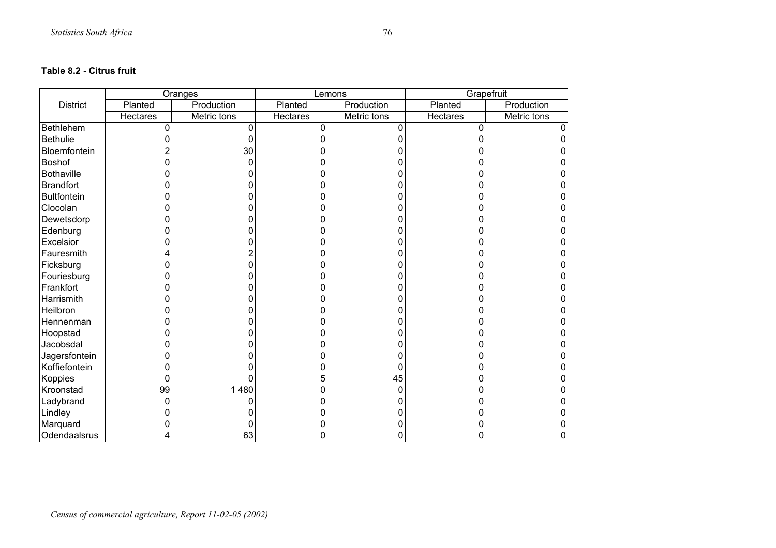#### **Table 8.2 - Citrus fruit**

|                    | <b>Oranges</b> |             |          | Lemons      | Grapefruit      |             |
|--------------------|----------------|-------------|----------|-------------|-----------------|-------------|
| <b>District</b>    | Planted        | Production  | Planted  | Production  | Planted         | Production  |
|                    | Hectares       | Metric tons | Hectares | Metric tons | <b>Hectares</b> | Metric tons |
| Bethlehem          | $\Omega$       |             | n        |             | n               |             |
| Bethulie           |                |             |          |             |                 |             |
| Bloemfontein       |                | 30          |          |             |                 |             |
| <b>Boshof</b>      |                |             |          |             |                 |             |
| <b>Bothaville</b>  |                |             |          |             |                 |             |
| <b>Brandfort</b>   |                |             |          |             |                 |             |
| <b>Bultfontein</b> |                |             |          |             |                 |             |
| Clocolan           |                |             |          |             |                 |             |
| Dewetsdorp         |                |             |          |             |                 |             |
| Edenburg           |                |             |          |             |                 |             |
| Excelsior          |                |             |          |             |                 |             |
| Fauresmith         |                |             |          |             |                 |             |
| Ficksburg          |                |             |          |             |                 |             |
| Fouriesburg        |                |             |          |             |                 |             |
| Frankfort          |                |             |          |             |                 |             |
| Harrismith         |                |             |          |             |                 |             |
| Heilbron           |                |             |          |             |                 |             |
| Hennenman          |                |             |          |             |                 |             |
| Hoopstad           |                |             |          |             |                 |             |
| Jacobsdal          |                |             |          |             |                 |             |
| Jagersfontein      |                |             |          |             |                 |             |
| Koffiefontein      |                |             |          |             |                 |             |
| Koppies            | 0              |             |          | 45          |                 |             |
| Kroonstad          | 99             | 1480        |          |             |                 |             |
| Ladybrand          |                |             |          |             |                 |             |
| Lindley            |                |             |          |             |                 |             |
| Marquard           |                |             |          |             |                 |             |
| Odendaalsrus       |                | 63          |          |             |                 |             |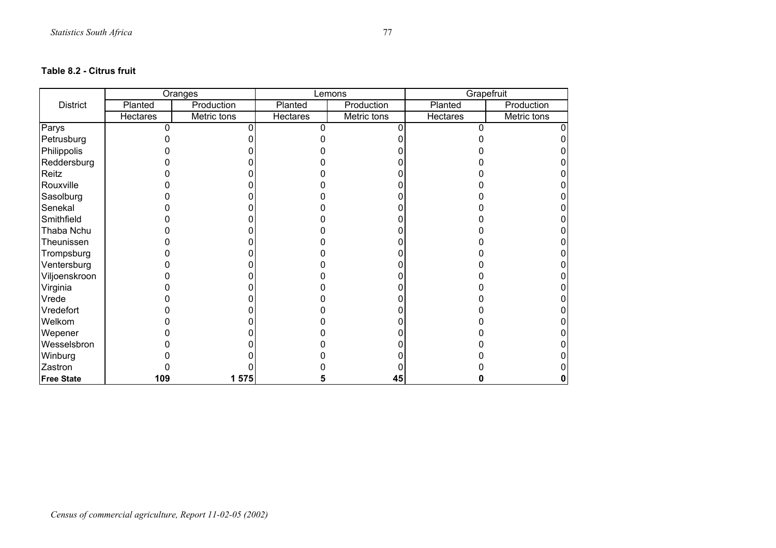#### **Table 8.2 - Citrus fruit**

|                   |          | <b>Oranges</b> |                 | Lemons      | Grapefruit |             |
|-------------------|----------|----------------|-----------------|-------------|------------|-------------|
| <b>District</b>   | Planted  | Production     | Planted         | Production  | Planted    | Production  |
|                   | Hectares | Metric tons    | <b>Hectares</b> | Metric tons | Hectares   | Metric tons |
| Parys             |          |                |                 |             |            |             |
| Petrusburg        |          |                |                 |             |            |             |
| Philippolis       |          |                |                 |             |            |             |
| Reddersburg       |          |                |                 |             |            |             |
| Reitz             |          |                |                 |             |            |             |
| Rouxville         |          |                |                 |             |            |             |
| Sasolburg         |          |                |                 |             |            |             |
| Senekal           |          |                |                 |             |            |             |
| Smithfield        |          |                |                 |             |            |             |
| Thaba Nchu        |          |                |                 |             |            |             |
| Theunissen        |          |                |                 |             |            |             |
| Trompsburg        |          |                |                 |             |            |             |
| Ventersburg       |          |                |                 |             |            |             |
| Viljoenskroon     |          |                |                 |             |            |             |
| Virginia          |          |                |                 |             |            |             |
| Vrede             |          |                |                 |             |            |             |
| Vredefort         |          |                |                 |             |            |             |
| Welkom            |          |                |                 |             |            |             |
| Wepener           |          |                |                 |             |            |             |
| Wesselsbron       |          |                |                 |             |            |             |
| Winburg           |          |                |                 |             |            |             |
| Zastron           |          |                |                 |             |            |             |
| <b>Free State</b> | 109      | 1 575          |                 | 45          |            |             |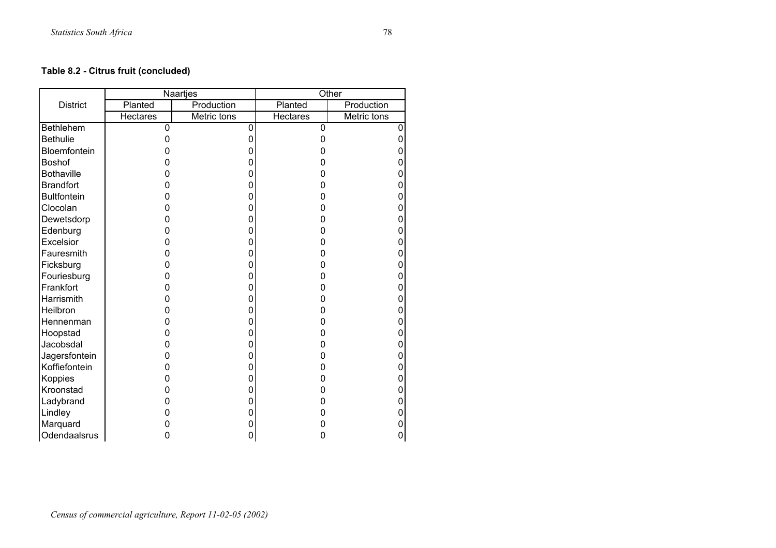# **Table 8.2 - Citrus fruit (concluded)**

|                    |                 | Naartjes    |                 | Other       |
|--------------------|-----------------|-------------|-----------------|-------------|
| <b>District</b>    | Planted         | Production  | Planted         | Production  |
|                    | <b>Hectares</b> | Metric tons | <b>Hectares</b> | Metric tons |
| <b>Bethlehem</b>   | 0               | $\mathbf 0$ | 0               | 0           |
| <b>Bethulie</b>    | 0               | 0           | 0               | 0           |
| Bloemfontein       | 0               | 0           | 0               | 0           |
| Boshof             | 0               | 0           | O               | 0           |
| <b>Bothaville</b>  | 0               | 0           | 0               | 0           |
| <b>Brandfort</b>   | 0               | 0           | 0               | 0           |
| <b>Bultfontein</b> | 0               | 0           | 0               | 0           |
| Clocolan           | 0               | 0           | 0               | 0           |
| Dewetsdorp         | 0               | 0           | 0               | 0           |
| Edenburg           | 0               | 0           | 0               | 0           |
| Excelsior          | 0               | 0           | 0               | 0           |
| Fauresmith         | 0               | 0           | 0               | 0           |
| Ficksburg          | 0               | 0           | 0               | 0           |
| Fouriesburg        | 0               | 0           | 0               | 0           |
| Frankfort          | 0               | 0           | 0               | 0           |
| Harrismith         | 0               | 0           | 0               | 0           |
| Heilbron           | 0               | 0           | 0               | 0           |
| Hennenman          | 0               | 0           | 0               | 0           |
| Hoopstad           | 0               | 0           | 0               | 0           |
| Jacobsdal          | 0               | 0           | 0               | 0           |
| Jagersfontein      | 0               | 0           | O               | 0           |
| Koffiefontein      | 0               | 0           | 0               | 0           |
| Koppies            | 0               | 0           | 0               | 0           |
| Kroonstad          | 0               | 0           | 0               | 0           |
| Ladybrand          | ი               | 0           | ი               | 0           |
| Lindley            | 0               | 0           | 0               | 0           |
| Marquard           | 0               | 0           | ი               | 0           |
| Odendaalsrus       | 0               | 0           | 0               | 0           |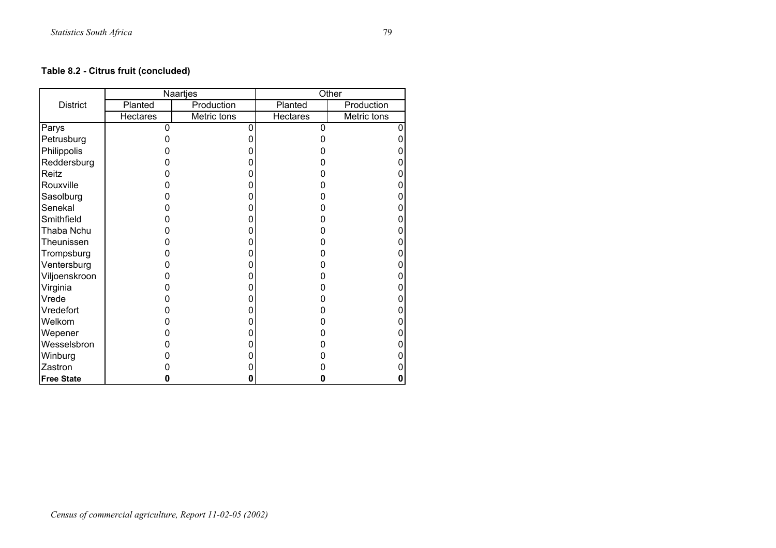# **Table 8.2 - Citrus fruit (concluded)**

|                   |                 | Naartjes    | Other           |             |  |
|-------------------|-----------------|-------------|-----------------|-------------|--|
| <b>District</b>   | Planted         | Production  | Planted         | Production  |  |
|                   | <b>Hectares</b> | Metric tons | <b>Hectares</b> | Metric tons |  |
| Parys             | 0               |             | 0               |             |  |
| Petrusburg        |                 |             | O               |             |  |
| Philippolis       |                 |             |                 |             |  |
| Reddersburg       |                 |             |                 |             |  |
| Reitz             |                 |             |                 |             |  |
| Rouxville         |                 |             |                 |             |  |
| Sasolburg         |                 |             |                 |             |  |
| Senekal           |                 |             |                 |             |  |
| Smithfield        |                 |             |                 |             |  |
| Thaba Nchu        |                 |             |                 |             |  |
| Theunissen        |                 |             |                 |             |  |
| Trompsburg        |                 |             |                 |             |  |
| Ventersburg       | 0               |             |                 |             |  |
| Viljoenskroon     |                 |             | O               |             |  |
| Virginia          |                 |             |                 |             |  |
| Vrede             |                 |             |                 |             |  |
| Vredefort         |                 |             |                 |             |  |
| Welkom            |                 |             |                 |             |  |
| Wepener           |                 |             |                 |             |  |
| Wesselsbron       |                 |             |                 |             |  |
| Winburg           |                 |             |                 |             |  |
| Zastron           |                 |             |                 |             |  |
| <b>Free State</b> | O               |             | 0               |             |  |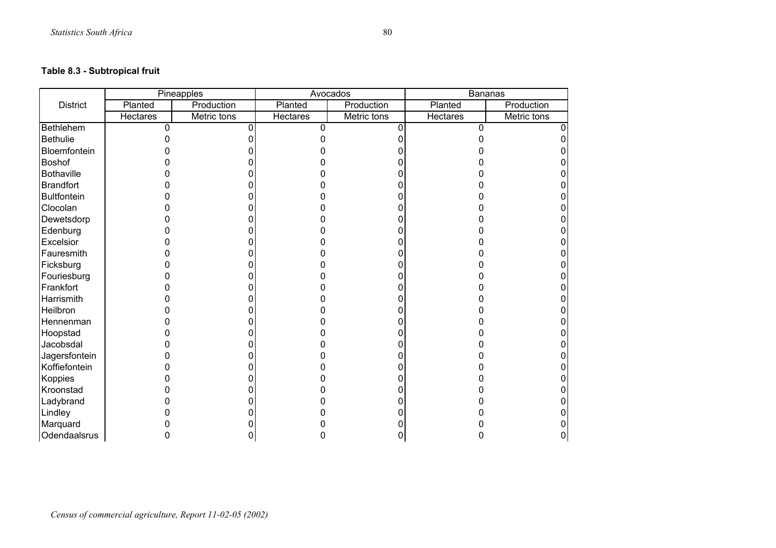# **Table 8.3 - Subtropical fruit**

|                    |                 | Pineapples  |                 | Avocados    | Bananas  |             |
|--------------------|-----------------|-------------|-----------------|-------------|----------|-------------|
| <b>District</b>    | Planted         | Production  | Planted         | Production  | Planted  | Production  |
|                    | <b>Hectares</b> | Metric tons | <b>Hectares</b> | Metric tons | Hectares | Metric tons |
| Bethlehem          | O               |             | n               |             |          |             |
| <b>Bethulie</b>    |                 |             |                 |             |          |             |
| Bloemfontein       |                 |             |                 |             |          |             |
| Boshof             |                 |             |                 |             |          |             |
| <b>Bothaville</b>  |                 |             |                 |             |          |             |
| <b>Brandfort</b>   |                 |             |                 |             |          |             |
| <b>Bultfontein</b> |                 |             |                 |             |          |             |
| Clocolan           |                 |             |                 |             |          |             |
| Dewetsdorp         |                 |             |                 |             |          |             |
| Edenburg           |                 |             |                 |             |          |             |
| Excelsior          |                 |             |                 |             |          |             |
| Fauresmith         |                 |             |                 |             |          |             |
| Ficksburg          |                 |             |                 |             |          |             |
| Fouriesburg        |                 |             |                 |             |          |             |
| Frankfort          |                 |             |                 |             |          |             |
| Harrismith         |                 |             |                 |             |          |             |
| Heilbron           |                 |             |                 |             |          |             |
| Hennenman          |                 |             |                 |             |          |             |
| Hoopstad           |                 |             |                 |             |          |             |
| Jacobsdal          |                 |             |                 |             |          |             |
| Jagersfontein      |                 |             |                 |             |          |             |
| Koffiefontein      |                 |             |                 |             |          |             |
| Koppies            |                 |             |                 |             |          |             |
| Kroonstad          |                 |             |                 |             |          |             |
| Ladybrand          |                 |             |                 |             |          |             |
| Lindley            |                 |             |                 |             |          |             |
| Marquard           |                 |             |                 |             |          |             |
| Odendaalsrus       |                 |             |                 |             |          |             |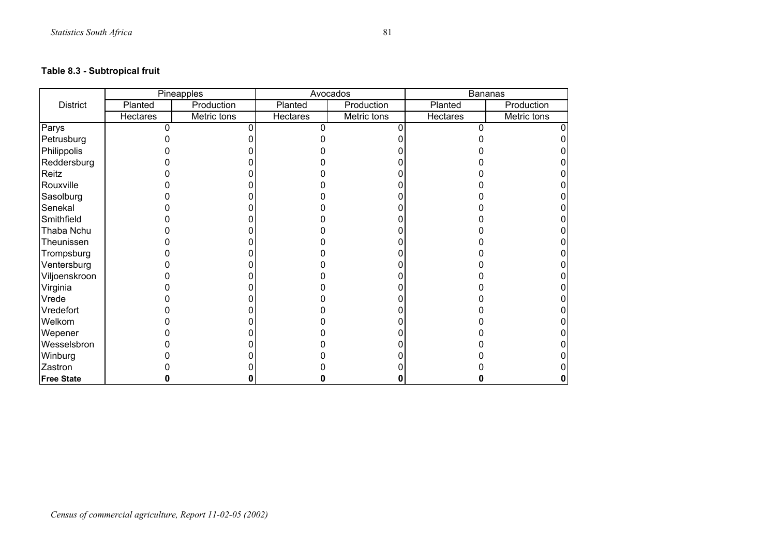## **Table 8.3 - Subtropical fruit**

|                   |          | Pineapples  |          | Avocados    | Bananas  |             |
|-------------------|----------|-------------|----------|-------------|----------|-------------|
| <b>District</b>   | Planted  | Production  | Planted  | Production  | Planted  | Production  |
|                   | Hectares | Metric tons | Hectares | Metric tons | Hectares | Metric tons |
| Parys             |          |             |          |             |          |             |
| Petrusburg        |          |             |          |             |          |             |
| Philippolis       |          |             |          |             |          |             |
| Reddersburg       |          |             |          |             |          |             |
| Reitz             |          |             |          |             |          |             |
| Rouxville         |          |             |          |             |          |             |
| Sasolburg         |          |             |          |             |          |             |
| Senekal           |          |             |          |             |          |             |
| Smithfield        |          |             |          |             |          |             |
| Thaba Nchu        |          |             |          |             |          |             |
| Theunissen        |          |             |          |             |          |             |
| Trompsburg        |          |             |          |             |          |             |
| Ventersburg       |          |             |          |             |          |             |
| Viljoenskroon     |          |             |          |             |          |             |
| Virginia          |          |             |          |             |          |             |
| Vrede             |          |             |          |             |          |             |
| Vredefort         |          |             |          |             |          |             |
| Welkom            |          |             |          |             |          |             |
| Wepener           |          |             |          |             |          |             |
| Wesselsbron       |          |             |          |             |          |             |
| Winburg           |          |             |          |             |          |             |
| Zastron           |          |             |          |             |          |             |
| <b>Free State</b> |          |             |          |             |          |             |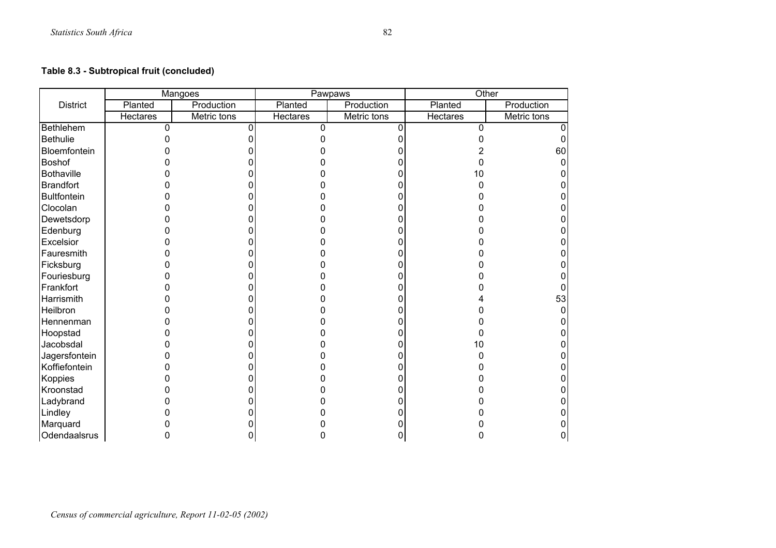## **Table 8.3 - Subtropical fruit (concluded)**

|                    |                 | <b>Mangoes</b> |          | Pawpaws     | Other    |             |
|--------------------|-----------------|----------------|----------|-------------|----------|-------------|
| <b>District</b>    | Planted         | Production     | Planted  | Production  | Planted  | Production  |
|                    | <b>Hectares</b> | Metric tons    | Hectares | Metric tons | Hectares | Metric tons |
| Bethlehem          | $\Omega$        |                | U        |             | n        |             |
| <b>Bethulie</b>    |                 |                |          |             |          |             |
| Bloemfontein       |                 |                |          |             |          | 60          |
| Boshof             |                 |                |          |             |          |             |
| <b>Bothaville</b>  |                 |                |          |             | 10       |             |
| <b>Brandfort</b>   |                 |                |          |             |          |             |
| <b>Bultfontein</b> |                 |                |          |             |          |             |
| Clocolan           |                 |                |          |             |          |             |
| Dewetsdorp         |                 |                |          |             |          |             |
| Edenburg           |                 |                |          |             |          |             |
| Excelsior          |                 |                |          |             |          |             |
| Fauresmith         |                 |                |          |             |          |             |
| Ficksburg          |                 |                |          |             |          |             |
| Fouriesburg        |                 |                |          |             |          |             |
| Frankfort          |                 |                |          |             |          |             |
| Harrismith         |                 |                |          |             |          | 53          |
| Heilbron           |                 |                |          |             |          |             |
| Hennenman          |                 |                |          |             |          |             |
| Hoopstad           |                 |                |          |             |          |             |
| Jacobsdal          |                 |                |          |             | 10       |             |
| Jagersfontein      |                 |                |          |             |          |             |
| Koffiefontein      |                 |                |          |             |          |             |
| Koppies            |                 |                |          |             |          |             |
| Kroonstad          |                 |                |          |             |          |             |
| Ladybrand          |                 |                |          |             |          |             |
| Lindley            |                 |                |          |             |          |             |
| Marquard           |                 |                |          |             |          |             |
| Odendaalsrus       |                 |                |          |             |          |             |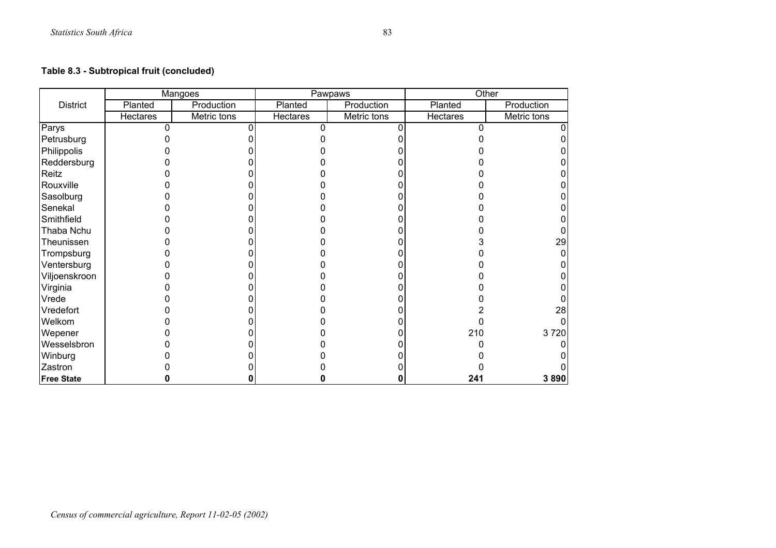## **Table 8.3 - Subtropical fruit (concluded)**

|                   |          | Mangoes     |          | Pawpaws     |          | Other       |
|-------------------|----------|-------------|----------|-------------|----------|-------------|
| <b>District</b>   | Planted  | Production  | Planted  | Production  | Planted  | Production  |
|                   | Hectares | Metric tons | Hectares | Metric tons | Hectares | Metric tons |
| Parys             |          |             |          |             |          |             |
| Petrusburg        |          |             |          |             |          |             |
| Philippolis       |          |             |          |             |          |             |
| Reddersburg       |          |             |          |             |          |             |
| Reitz             |          |             |          |             |          |             |
| Rouxville         |          |             |          |             |          |             |
| Sasolburg         |          |             |          |             |          |             |
| Senekal           |          |             |          |             |          |             |
| Smithfield        |          |             |          |             |          |             |
| Thaba Nchu        |          |             |          |             |          |             |
| Theunissen        |          |             |          |             |          | 29          |
| Trompsburg        |          |             |          |             |          |             |
| Ventersburg       |          |             |          |             |          |             |
| Viljoenskroon     |          |             |          |             |          |             |
| Virginia          |          |             |          |             |          |             |
| Vrede             |          |             |          |             |          |             |
| Vredefort         |          |             |          |             |          | 28          |
| Welkom            |          |             |          |             |          |             |
| Wepener           |          |             |          |             | 210      | 3720        |
| Wesselsbron       |          |             |          |             |          |             |
| Winburg           |          |             |          |             |          |             |
| Zastron           |          |             |          |             |          |             |
| <b>Free State</b> |          |             |          | 0           | 241      | 3890        |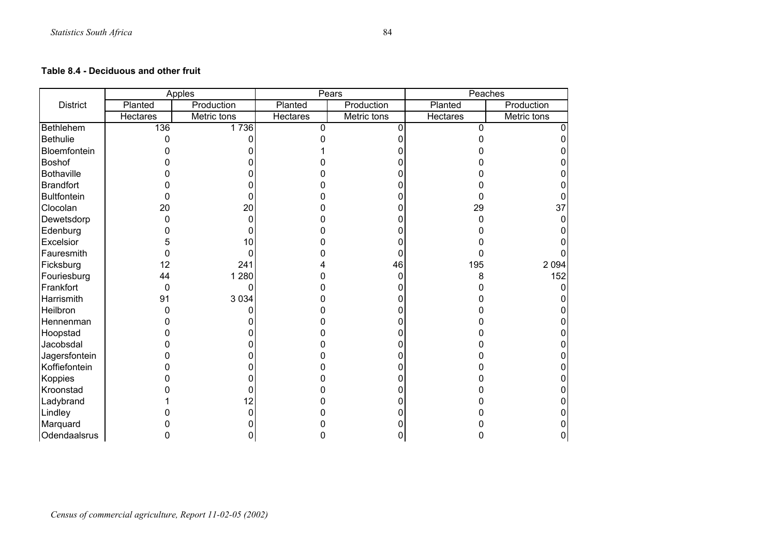#### **Table 8.4 - Deciduous and other fruit**

|                    |                 | Apples      |                 | Pears       | Peaches         |             |
|--------------------|-----------------|-------------|-----------------|-------------|-----------------|-------------|
| <b>District</b>    | Planted         | Production  | Planted         | Production  | Planted         | Production  |
|                    | <b>Hectares</b> | Metric tons | <b>Hectares</b> | Metric tons | <b>Hectares</b> | Metric tons |
| Bethlehem          | 136             | 1736        | $\Omega$        | n           | n               |             |
| <b>Bethulie</b>    | ი               |             |                 |             |                 |             |
| Bloemfontein       |                 |             |                 |             |                 |             |
| <b>Boshof</b>      |                 |             |                 |             |                 |             |
| <b>Bothaville</b>  |                 |             |                 |             |                 |             |
| <b>Brandfort</b>   |                 |             |                 |             |                 |             |
| <b>Bultfontein</b> | 0               |             |                 |             |                 |             |
| Clocolan           | 20              | 20          |                 |             | 29              | 37          |
| Dewetsdorp         | 0               |             |                 |             |                 |             |
| Edenburg           |                 |             |                 |             |                 |             |
| Excelsior          |                 | 10          |                 |             |                 |             |
| Fauresmith         | 0               |             |                 |             |                 |             |
| Ficksburg          | 12              | 241         |                 | 46          | 195             | 2 0 9 4     |
| Fouriesburg        | 44              | 1 2 8 0     |                 |             |                 | 152         |
| Frankfort          | $\mathbf 0$     |             |                 |             |                 |             |
| Harrismith         | 91              | 3 0 3 4     |                 |             |                 |             |
| Heilbron           | 0               |             |                 |             |                 |             |
| Hennenman          |                 |             |                 |             |                 |             |
| Hoopstad           |                 |             |                 |             |                 |             |
| Jacobsdal          |                 |             |                 |             |                 |             |
| Jagersfontein      |                 |             |                 |             |                 |             |
| Koffiefontein      |                 |             |                 |             |                 |             |
| Koppies            |                 |             |                 |             |                 |             |
| Kroonstad          |                 |             |                 |             |                 |             |
| Ladybrand          |                 | 2           |                 |             |                 |             |
| Lindley            |                 |             |                 |             |                 |             |
| Marquard           |                 |             |                 |             |                 |             |
| Odendaalsrus       |                 |             |                 |             |                 |             |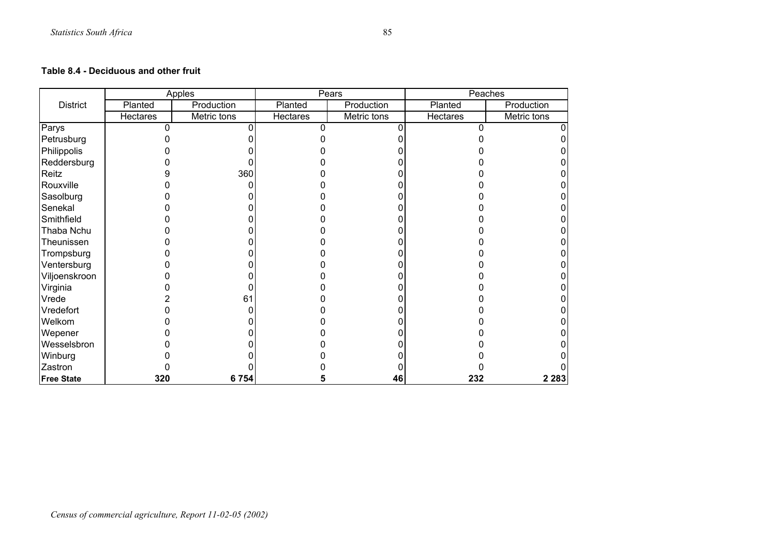#### **Table 8.4 - Deciduous and other fruit**

|                   |          | <b>Apples</b> |          | Pears       | Peaches  |             |
|-------------------|----------|---------------|----------|-------------|----------|-------------|
| <b>District</b>   | Planted  | Production    | Planted  | Production  | Planted  | Production  |
|                   | Hectares | Metric tons   | Hectares | Metric tons | Hectares | Metric tons |
| Parys             |          |               |          |             |          |             |
| Petrusburg        |          |               |          |             |          |             |
| Philippolis       |          |               |          |             |          |             |
| Reddersburg       |          |               |          |             |          |             |
| Reitz             |          | 360           |          |             |          |             |
| Rouxville         |          |               |          |             |          |             |
| Sasolburg         |          |               |          |             |          |             |
| Senekal           |          |               |          |             |          |             |
| Smithfield        |          |               |          |             |          |             |
| Thaba Nchu        |          |               |          |             |          |             |
| Theunissen        |          |               |          |             |          |             |
| Trompsburg        |          |               |          |             |          |             |
| Ventersburg       |          |               |          |             |          |             |
| Viljoenskroon     |          |               |          |             |          |             |
| Virginia          |          |               |          |             |          |             |
| Vrede             |          | 61            |          |             |          |             |
| Vredefort         |          |               |          |             |          |             |
| Welkom            |          |               |          |             |          |             |
| Wepener           |          |               |          |             |          |             |
| Wesselsbron       |          |               |          |             |          |             |
| Winburg           |          |               |          |             |          |             |
| Zastron           |          |               |          |             |          |             |
| <b>Free State</b> | 320      | 6754          |          | 46          | 232      | 2 2 8 3     |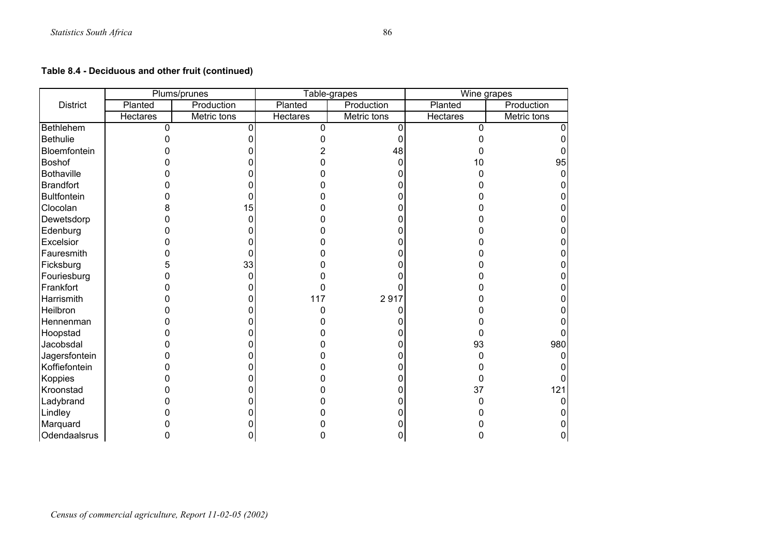## **Table 8.4 - Deciduous and other fruit (continued)**

|                    |                 | Plums/prunes |                 | Table-grapes | Wine grapes     |             |
|--------------------|-----------------|--------------|-----------------|--------------|-----------------|-------------|
| <b>District</b>    | Planted         | Production   | Planted         | Production   | Planted         | Production  |
|                    | <b>Hectares</b> | Metric tons  | <b>Hectares</b> | Metric tons  | <b>Hectares</b> | Metric tons |
| <b>Bethlehem</b>   | 0               | 0            | U               |              | U               |             |
| <b>Bethulie</b>    |                 |              |                 |              |                 |             |
| Bloemfontein       |                 |              |                 | 48           |                 |             |
| <b>Boshof</b>      |                 |              |                 | 0            | 10              | 95          |
| <b>Bothaville</b>  |                 |              |                 |              |                 |             |
| <b>Brandfort</b>   |                 |              |                 |              |                 |             |
| <b>Bultfontein</b> |                 |              |                 |              |                 |             |
| Clocolan           |                 | 15           |                 |              |                 |             |
| Dewetsdorp         |                 | 0            |                 |              |                 |             |
| Edenburg           |                 | 0            |                 |              |                 |             |
| Excelsior          |                 | 0            |                 |              |                 |             |
| Fauresmith         |                 | 0            |                 |              |                 |             |
| Ficksburg          |                 | 33           |                 |              |                 |             |
| Fouriesburg        |                 | 0            |                 |              |                 |             |
| Frankfort          |                 | 0            |                 |              |                 |             |
| Harrismith         |                 | 0            | 117             | 2917         |                 |             |
| Heilbron           |                 | 0            |                 |              |                 |             |
| Hennenman          |                 | 0            |                 |              |                 |             |
| Hoopstad           |                 |              |                 |              |                 |             |
| Jacobsdal          |                 | ი            |                 |              | 93              | 980         |
| Jagersfontein      |                 | 0            |                 |              |                 |             |
| Koffiefontein      |                 | 0            |                 |              |                 |             |
| Koppies            |                 | ი            |                 |              |                 |             |
| Kroonstad          |                 |              |                 |              | 37              | 121         |
| Ladybrand          |                 | 0            |                 |              |                 |             |
| Lindley            |                 |              |                 |              |                 |             |
| Marquard           |                 |              |                 |              |                 |             |
| Odendaalsrus       |                 |              |                 |              |                 |             |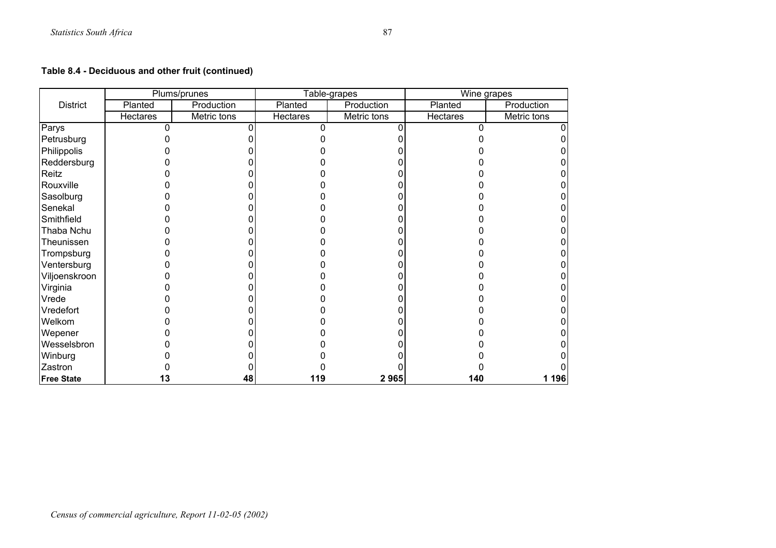## **Table 8.4 - Deciduous and other fruit (continued)**

|                   |                 | Plums/prunes |          | Table-grapes | Wine grapes |             |
|-------------------|-----------------|--------------|----------|--------------|-------------|-------------|
| <b>District</b>   | Planted         | Production   | Planted  | Production   | Planted     | Production  |
|                   | <b>Hectares</b> | Metric tons  | Hectares | Metric tons  | Hectares    | Metric tons |
| Parys             |                 |              |          |              |             |             |
| Petrusburg        |                 |              |          |              |             |             |
| Philippolis       |                 |              |          |              |             |             |
| Reddersburg       |                 |              |          |              |             |             |
| Reitz             |                 |              |          |              |             |             |
| Rouxville         |                 |              |          |              |             |             |
| Sasolburg         |                 |              |          |              |             |             |
| Senekal           |                 |              |          |              |             |             |
| Smithfield        |                 |              |          |              |             |             |
| Thaba Nchu        |                 |              |          |              |             |             |
| Theunissen        |                 |              |          |              |             |             |
| Trompsburg        |                 |              |          |              |             |             |
| Ventersburg       |                 |              |          |              |             |             |
| Viljoenskroon     |                 |              |          |              |             |             |
| Virginia          |                 |              |          |              |             |             |
| Vrede             |                 |              |          |              |             |             |
| Vredefort         |                 |              |          |              |             |             |
| Welkom            |                 |              |          |              |             |             |
| Wepener           |                 |              |          |              |             |             |
| Wesselsbron       |                 |              |          |              |             |             |
| Winburg           |                 |              |          |              |             |             |
| Zastron           |                 |              |          |              |             |             |
| <b>Free State</b> | 13              | 48           | 119      | 2965         | 140         | 1 196       |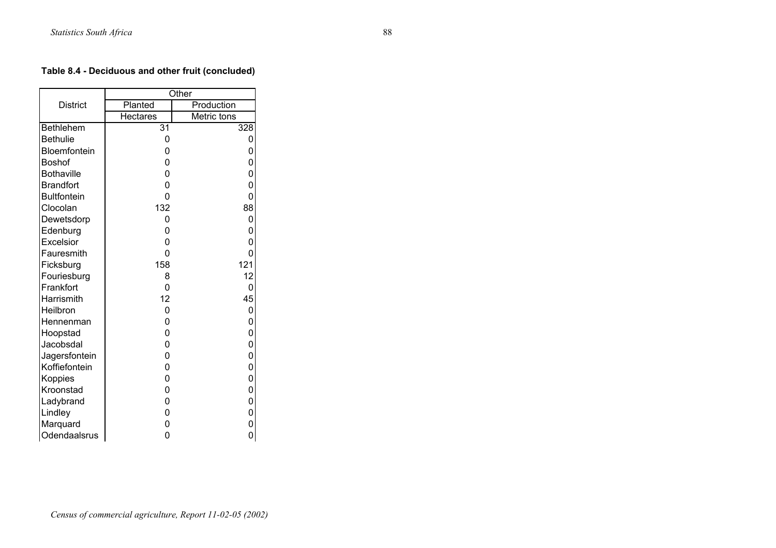## **Table 8.4 - Deciduous and other fruit (concluded)**

|                    |                 | Other       |
|--------------------|-----------------|-------------|
| <b>District</b>    | Planted         | Production  |
|                    | <b>Hectares</b> | Metric tons |
| Bethlehem          | $\overline{3}1$ | 328         |
| <b>Bethulie</b>    | 0               | 0           |
| Bloemfontein       | 0               | 0           |
| <b>Boshof</b>      | 0               | 0           |
| <b>Bothaville</b>  | 0               | 0           |
| <b>Brandfort</b>   | 0               | 0           |
| <b>Bultfontein</b> | 0               | 0           |
| Clocolan           | 132             | 88          |
| Dewetsdorp         | 0               | 0           |
| Edenburg           | 0               | 0           |
| Excelsior          | 0               | 0           |
| Fauresmith         | 0               | 0           |
| Ficksburg          | 158             | 121         |
| Fouriesburg        | 8               | 12          |
| Frankfort          | 0               | 0           |
| Harrismith         | 12              | 45          |
| Heilbron           | 0               | 0           |
| Hennenman          | 0               | 0           |
| Hoopstad           | 0               | 0           |
| Jacobsdal          | 0               | 0           |
| Jagersfontein      | 0               | 0           |
| Koffiefontein      | 0               | 0           |
| Koppies            | 0               | 0           |
| Kroonstad          | 0               | 0           |
| Ladybrand          | 0               | 0           |
| Lindley            | 0               | 0           |
| Marquard           | 0               | 0           |
| Odendaalsrus       | 0               | 0           |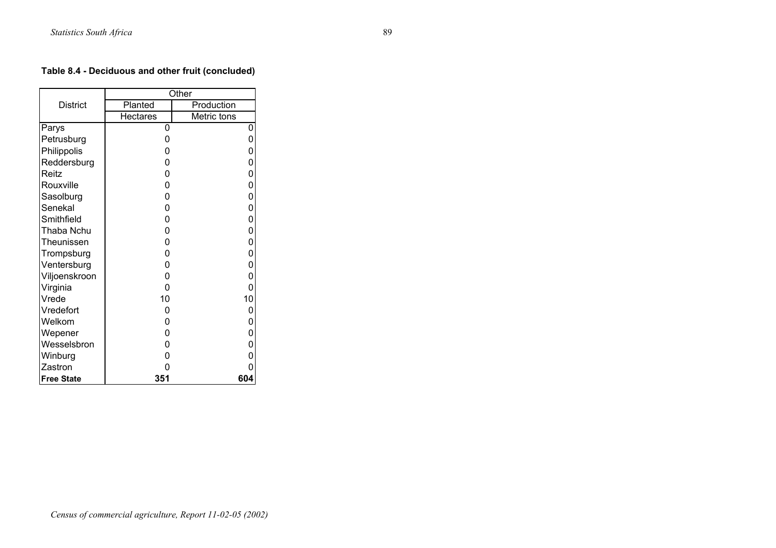## **Table 8.4 - Deciduous and other fruit (concluded)**

|                   |                 | Other       |
|-------------------|-----------------|-------------|
| <b>District</b>   | Planted         | Production  |
|                   | <b>Hectares</b> | Metric tons |
| Parys             | 0               | 0           |
| Petrusburg        | 0               | 0           |
| Philippolis       | 0               | 0           |
| Reddersburg       | 0               | 0           |
| Reitz             | 0               | 0           |
| Rouxville         | 0               | 0           |
| Sasolburg         | 0               | 0           |
| Senekal           | 0               | 0           |
| Smithfield        | 0               | 0           |
| Thaba Nchu        | 0               | 0           |
| Theunissen        | 0               | 0           |
| Trompsburg        | 0               | 0           |
| Ventersburg       | 0               | 0           |
| Viljoenskroon     | 0               | 0           |
| Virginia          | 0               | 0           |
| Vrede             | 10              | 10          |
| Vredefort         | 0               | 0           |
| Welkom            | 0               | 0           |
| Wepener           | 0               | 0           |
| Wesselsbron       | 0               | 0           |
| Winburg           | 0               | 0           |
| Zastron           | 0               | 0           |
| <b>Free State</b> | 351             | 604         |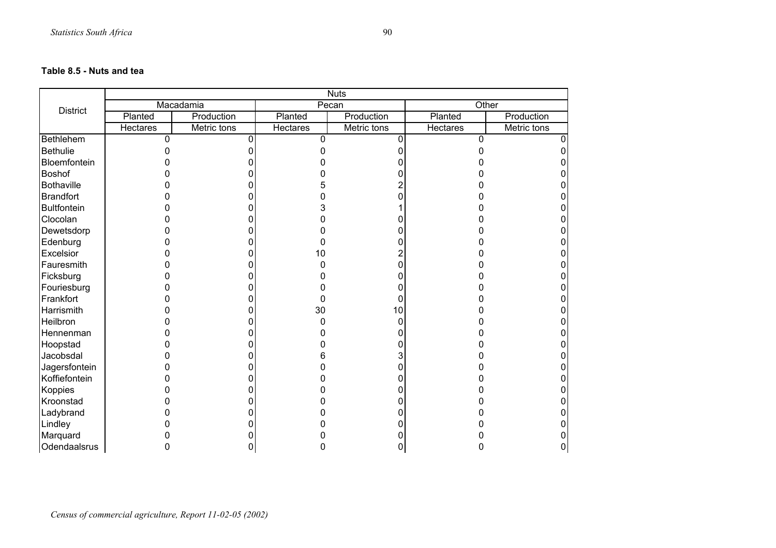#### **Table 8.5 - Nuts and tea**

|                    | <b>Nuts</b> |             |          |             |                 |             |  |
|--------------------|-------------|-------------|----------|-------------|-----------------|-------------|--|
| <b>District</b>    |             | Macadamia   | Pecan    |             | Other           |             |  |
|                    | Planted     | Production  | Planted  | Production  | Planted         | Production  |  |
|                    | Hectares    | Metric tons | Hectares | Metric tons | <b>Hectares</b> | Metric tons |  |
| Bethlehem          | $\mathbf 0$ |             | 0        |             | 0               |             |  |
| <b>Bethulie</b>    |             |             |          |             |                 |             |  |
| Bloemfontein       |             |             |          |             |                 |             |  |
| <b>Boshof</b>      |             |             |          |             |                 |             |  |
| <b>Bothaville</b>  |             |             |          |             |                 |             |  |
| <b>Brandfort</b>   |             |             |          |             |                 |             |  |
| <b>Bultfontein</b> |             |             |          |             |                 |             |  |
| Clocolan           |             |             |          |             |                 |             |  |
| Dewetsdorp         |             |             |          |             |                 |             |  |
| Edenburg           |             |             |          |             |                 |             |  |
| Excelsior          |             |             | 10       |             |                 |             |  |
| Fauresmith         |             |             |          |             |                 |             |  |
| Ficksburg          |             |             |          |             |                 |             |  |
| Fouriesburg        |             |             |          |             |                 |             |  |
| Frankfort          |             |             |          |             |                 |             |  |
| Harrismith         |             |             | 30       | 10          |                 |             |  |
| Heilbron           |             |             |          |             |                 |             |  |
| Hennenman          |             |             |          |             |                 |             |  |
| Hoopstad           |             |             |          |             |                 |             |  |
| Jacobsdal          |             |             | h        |             |                 |             |  |
| Jagersfontein      |             |             |          |             |                 |             |  |
| Koffiefontein      |             |             |          |             |                 |             |  |
| Koppies            |             |             |          |             |                 |             |  |
| Kroonstad          |             |             |          |             |                 |             |  |
| Ladybrand          |             |             |          |             |                 |             |  |
| Lindley            |             |             |          |             |                 |             |  |
| Marquard           |             |             |          |             |                 |             |  |
| Odendaalsrus       |             |             |          |             |                 |             |  |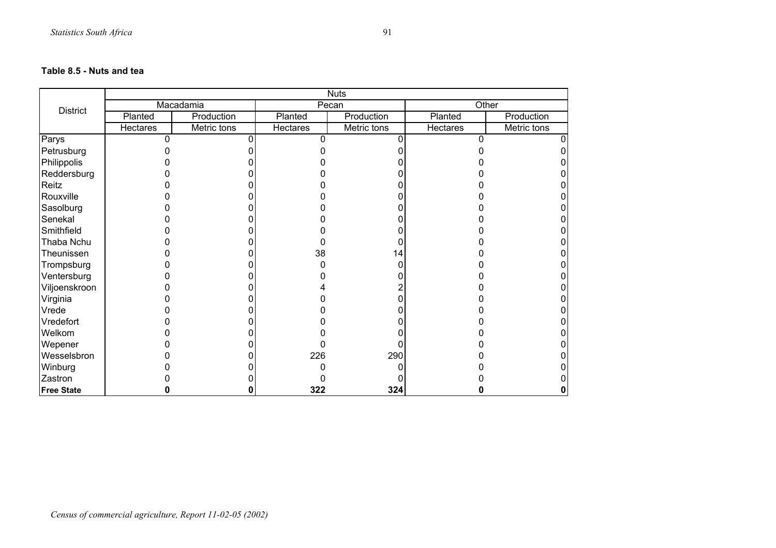#### **Table 8.5 - Nuts and tea**

|                   | <b>Nuts</b>     |             |                 |             |                 |             |
|-------------------|-----------------|-------------|-----------------|-------------|-----------------|-------------|
| <b>District</b>   |                 | Macadamia   |                 | Pecan       |                 | Other       |
|                   | Planted         | Production  | Planted         | Production  | Planted         | Production  |
|                   | <b>Hectares</b> | Metric tons | <b>Hectares</b> | Metric tons | <b>Hectares</b> | Metric tons |
| Parys             | 0               |             | n               |             | n               |             |
| Petrusburg        |                 |             |                 |             |                 |             |
| Philippolis       |                 |             |                 |             |                 |             |
| Reddersburg       |                 |             |                 |             |                 |             |
| Reitz             |                 |             |                 |             |                 |             |
| Rouxville         |                 |             |                 |             |                 |             |
| Sasolburg         |                 |             |                 |             |                 |             |
| Senekal           |                 |             |                 |             |                 |             |
| Smithfield        |                 |             |                 |             |                 |             |
| Thaba Nchu        |                 |             |                 |             |                 |             |
| Theunissen        |                 |             | 38              | 14          |                 |             |
| Trompsburg        |                 |             |                 |             |                 |             |
| Ventersburg       |                 |             |                 |             |                 |             |
| Viljoenskroon     |                 |             |                 |             |                 |             |
| Virginia          |                 |             |                 |             |                 |             |
| Vrede             |                 |             |                 |             |                 |             |
| Vredefort         |                 |             |                 |             |                 |             |
| Welkom            |                 |             |                 |             |                 |             |
| Wepener           |                 |             |                 |             |                 |             |
| Wesselsbron       |                 |             | 226             | 290         |                 |             |
| Winburg           |                 |             |                 |             |                 |             |
| Zastron           |                 |             |                 |             |                 |             |
| <b>Free State</b> |                 |             | 322             | 324         |                 |             |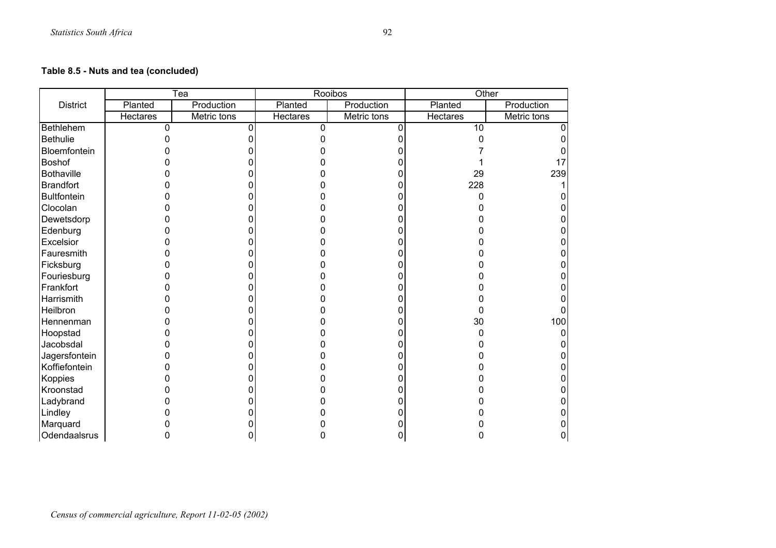## **Table 8.5 - Nuts and tea (concluded)**

|                    |          | $\overline{\text{Tea}}$ |                 | Rooibos     | Other           |             |
|--------------------|----------|-------------------------|-----------------|-------------|-----------------|-------------|
| <b>District</b>    | Planted  | Production              | Planted         | Production  | Planted         | Production  |
|                    | Hectares | Metric tons             | <b>Hectares</b> | Metric tons | Hectares        | Metric tons |
| Bethlehem          | $\Omega$ |                         | <sup>0</sup>    |             | $\overline{10}$ |             |
| <b>Bethulie</b>    |          |                         |                 |             |                 |             |
| Bloemfontein       |          |                         |                 |             |                 |             |
| <b>Boshof</b>      |          |                         |                 |             |                 |             |
| <b>Bothaville</b>  |          |                         |                 |             | 29              | 239         |
| <b>Brandfort</b>   |          |                         |                 |             | 228             |             |
| <b>Bultfontein</b> |          |                         |                 |             | n               |             |
| Clocolan           |          |                         |                 |             |                 |             |
| Dewetsdorp         |          |                         |                 |             |                 |             |
| Edenburg           |          |                         |                 |             |                 |             |
| Excelsior          |          |                         |                 |             |                 |             |
| Fauresmith         |          |                         |                 |             |                 |             |
| Ficksburg          |          |                         |                 |             |                 |             |
| Fouriesburg        |          |                         |                 |             |                 |             |
| Frankfort          |          |                         |                 |             |                 |             |
| Harrismith         |          |                         |                 |             |                 |             |
| Heilbron           |          |                         |                 |             | O               |             |
| Hennenman          |          |                         |                 |             | 30              | 100         |
| Hoopstad           |          |                         |                 |             |                 |             |
| Jacobsdal          |          |                         |                 |             |                 |             |
| Jagersfontein      |          |                         |                 |             |                 |             |
| Koffiefontein      |          |                         |                 |             |                 |             |
| Koppies            |          |                         |                 |             |                 |             |
| Kroonstad          |          |                         |                 |             |                 |             |
| Ladybrand          |          |                         |                 |             |                 |             |
| Lindley            |          |                         |                 |             |                 |             |
| Marquard           |          |                         |                 |             |                 |             |
| Odendaalsrus       |          |                         |                 |             |                 |             |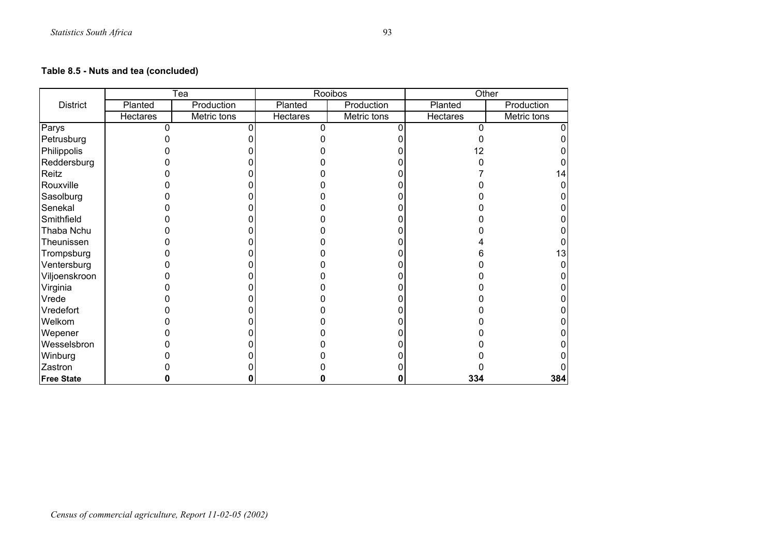## **Table 8.5 - Nuts and tea (concluded)**

|                   |          | Tea         |          | Rooibos     | Other    |             |
|-------------------|----------|-------------|----------|-------------|----------|-------------|
| <b>District</b>   | Planted  | Production  | Planted  | Production  | Planted  | Production  |
|                   | Hectares | Metric tons | Hectares | Metric tons | Hectares | Metric tons |
| Parys             |          |             |          |             |          |             |
| Petrusburg        |          |             |          |             |          |             |
| Philippolis       |          |             |          |             |          |             |
| Reddersburg       |          |             |          |             |          |             |
| Reitz             |          |             |          |             |          |             |
| Rouxville         |          |             |          |             |          |             |
| Sasolburg         |          |             |          |             |          |             |
| Senekal           |          |             |          |             |          |             |
| Smithfield        |          |             |          |             |          |             |
| Thaba Nchu        |          |             |          |             |          |             |
| Theunissen        |          |             |          |             |          |             |
| Trompsburg        |          |             |          |             |          | 13          |
| Ventersburg       |          |             |          |             |          |             |
| Viljoenskroon     |          |             |          |             |          |             |
| Virginia          |          |             |          |             |          |             |
| Vrede             |          |             |          |             |          |             |
| Vredefort         |          |             |          |             |          |             |
| Welkom            |          |             |          |             |          |             |
| Wepener           |          |             |          |             |          |             |
| Wesselsbron       |          |             |          |             |          |             |
| Winburg           |          |             |          |             |          |             |
| Zastron           |          |             |          |             |          |             |
| <b>Free State</b> |          |             |          |             | 334      | 384         |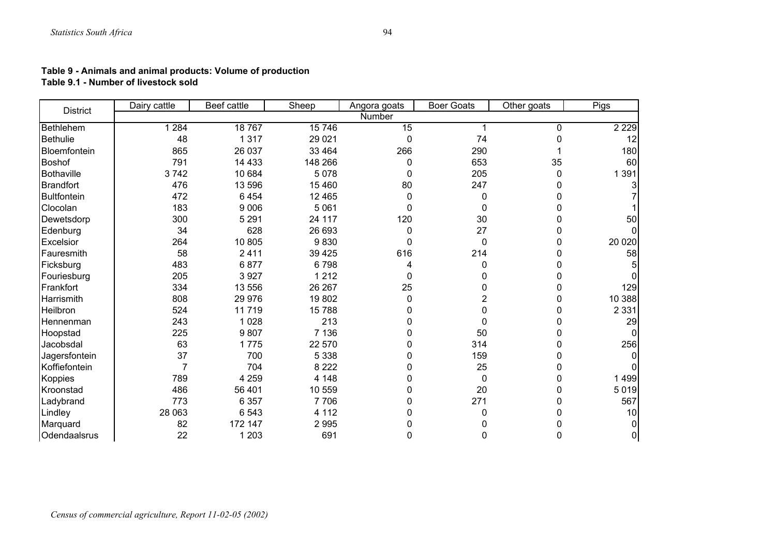#### **Table 9 - Animals and animal products: Volume of production Table 9.1 - Number of livestock sold**

| <b>District</b>  | Dairy cattle   | Beef cattle | Sheep   | Angora goats | <b>Boer Goats</b> | Other goats | Pigs     |
|------------------|----------------|-------------|---------|--------------|-------------------|-------------|----------|
|                  |                |             |         | Number       |                   |             |          |
| Bethlehem        | 284            | 18767       | 15746   | 15           |                   | 0           | 2 2 2 9  |
| <b>Bethulie</b>  | 48             | 1 3 1 7     | 29 0 21 | 0            | 74                | $\Omega$    | 12       |
| Bloemfontein     | 865            | 26 037      | 33 4 64 | 266          | 290               |             | 180      |
| <b>Boshof</b>    | 791            | 14 4 33     | 148 266 | 0            | 653               | 35          | 60       |
| Bothaville       | 3742           | 10 684      | 5 0 7 8 | $\Omega$     | 205               | 0           | 1 3 9 1  |
| <b>Brandfort</b> | 476            | 13 596      | 15 4 60 | 80           | 247               | 0           |          |
| Bultfontein      | 472            | 6 4 5 4     | 12 4 65 | 0            | 0                 | 0           |          |
| Clocolan         | 183            | 9 0 0 6     | 5 0 6 1 | 0            | $\mathbf 0$       | 0           |          |
| Dewetsdorp       | 300            | 5 2 9 1     | 24 117  | 120          | 30                | 0           | 50       |
| Edenburg         | 34             | 628         | 26 693  | 0            | 27                | 0           |          |
| Excelsior        | 264            | 10 805      | 9830    | $\Omega$     | 0                 | 0           | 20 0 20  |
| Fauresmith       | 58             | 2411        | 39 4 25 | 616          | 214               | $\Omega$    | 58       |
| Ficksburg        | 483            | 6877        | 6798    | 4            | 0                 | 0           |          |
| Fouriesburg      | 205            | 3 9 27      | 1 2 1 2 | $\Omega$     | 0                 | 0           |          |
| Frankfort        | 334            | 13 556      | 26 267  | 25           | 0                 | $\Omega$    | 129      |
| Harrismith       | 808            | 29 976      | 19802   | 0            | 2                 | 0           | 10 388   |
| Heilbron         | 524            | 11719       | 15 788  | 0            | 0                 | 0           | 2 3 3 1  |
| <b>Hennenman</b> | 243            | 1 0 28      | 213     | 0            | $\Omega$          | $\Omega$    | 29       |
| Hoopstad         | 225            | 9807        | 7 1 3 6 | 0            | 50                | 0           |          |
| Jacobsdal        | 63             | 1775        | 22 570  | 0            | 314               | 0           | 256      |
| Jagersfontein    | 37             | 700         | 5 3 3 8 | 0            | 159               | 0           |          |
| Koffiefontein    | $\overline{7}$ | 704         | 8 2 2 2 | 0            | 25                | $\Omega$    |          |
| <b>Koppies</b>   | 789            | 4 2 5 9     | 4 1 4 8 | 0            | 0                 | 0           | 1499     |
| Kroonstad        | 486            | 56 401      | 10 559  | 0            | 20                | 0           | 5 0 1 9  |
| Ladybrand        | 773            | 6 3 5 7     | 7 7 0 6 | 0            | 271               | 0           | 567      |
| Lindley          | 28 063         | 6 5 4 3     | 4 1 1 2 | 0            | $\Omega$          | $\Omega$    | 10       |
| Marquard         | 82             | 172 147     | 2 9 9 5 | 0            | 0                 | 0           | 01       |
| Odendaalsrus     | 22             | 1 2 0 3     | 691     | 0            | $\mathbf{0}$      | 0           | $\Omega$ |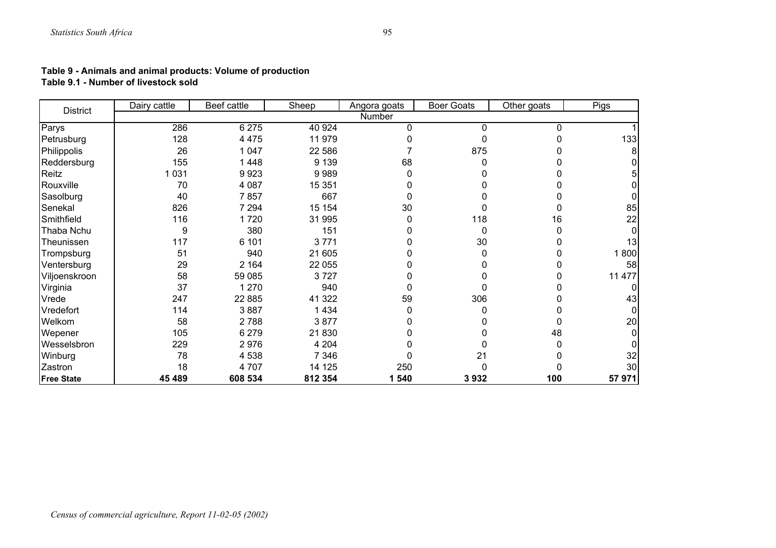#### **Table 9 - Animals and animal products: Volume of production Table 9.1 - Number of livestock sold**

| <b>District</b>   | Dairy cattle | Beef cattle | Sheep   | Angora goats | <b>Boer Goats</b> | Other goats | Pigs   |
|-------------------|--------------|-------------|---------|--------------|-------------------|-------------|--------|
|                   |              |             |         | Number       |                   |             |        |
| Parys             | 286          | 6 2 7 5     | 40 924  | 0            | 0                 | 0           |        |
| Petrusburg        | 128          | 4 4 7 5     | 11 979  |              | 0                 |             | 133    |
| Philippolis       | 26           | 1 0 4 7     | 22 586  |              | 875               |             |        |
| Reddersburg       | 155          | 1448        | 9 1 3 9 | 68           | 0                 |             |        |
| Reitz             | 031          | 9923        | 9989    | 0            |                   |             |        |
| Rouxville         | 70           | 4 0 8 7     | 15 351  | 0            |                   |             |        |
| Sasolburg         | 40           | 7857        | 667     | 0            |                   |             |        |
| Senekal           | 826          | 7 2 9 4     | 15 154  | 30           | 0                 |             | 85     |
| Smithfield        | 116          | 1720        | 31 995  | 0            | 118               | 16          | 22     |
| Thaba Nchu        | 9            | 380         | 151     |              | $\mathbf 0$       | 0           |        |
| Theunissen        | 117          | 6 101       | 3771    | 0            | 30                | O           | 13     |
| Trompsburg        | 51           | 940         | 21 605  |              | 0                 |             | 1800   |
| Ventersburg       | 29           | 2 1 6 4     | 22 055  | ი            | 0                 | 0           | 58     |
| Viljoenskroon     | 58           | 59 085      | 3727    |              |                   | O           | 11 477 |
| Virginia          | 37           | 1 2 7 0     | 940     | O            | $\Omega$          | O           |        |
| Vrede             | 247          | 22 885      | 41 322  | 59           | 306               | 0           | 43     |
| Vredefort         | 114          | 3887        | 1 4 3 4 | 0            | 0                 | 0           |        |
| Welkom            | 58           | 2 7 8 8     | 3877    |              |                   | 0           | 20     |
| Wepener           | 105          | 6 2 7 9     | 21830   | 0            | 0                 | 48          |        |
| Wesselsbron       | 229          | 2976        | 4 2 0 4 |              | 0                 | 0           |        |
| Winburg           | 78           | 4 5 3 8     | 7 3 4 6 |              | 21                | 0           | 32     |
| Zastron           | 18           | 4 707       | 14 125  | 250          | 0                 |             | 30     |
| <b>Free State</b> | 45 489       | 608 534     | 812 354 | 540<br>1     | 3932              | 100         | 57 971 |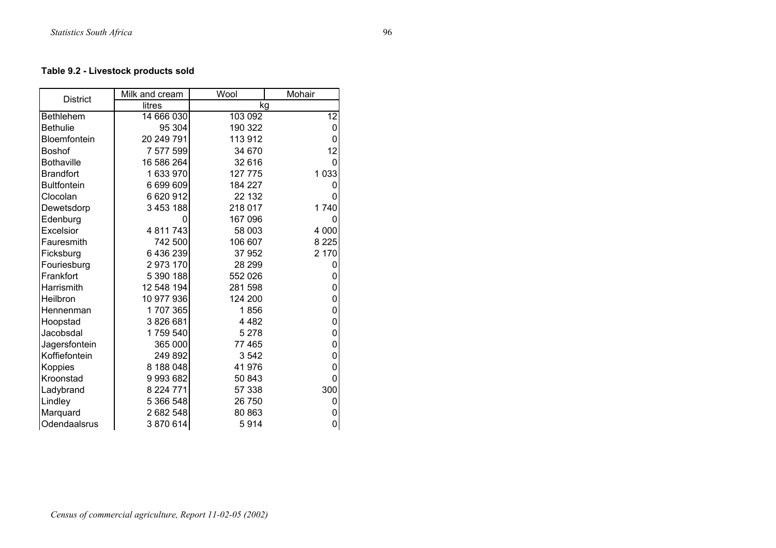## **Table 9.2 - Livestock products sold**

| <b>District</b>    | Milk and cream | Wool    | Mohair      |
|--------------------|----------------|---------|-------------|
|                    | litres         | kg      |             |
| <b>Bethlehem</b>   | 14 666 030     | 103 092 | 12          |
| <b>Bethulie</b>    | 95 304         | 190 322 | 0           |
| Bloemfontein       | 20 249 791     | 113 912 | 0           |
| <b>Boshof</b>      | 7 577 599      | 34 670  | 12          |
| <b>Bothaville</b>  | 16 586 264     | 32 616  | 0           |
| <b>Brandfort</b>   | 1 633 970      | 127 775 | 1 0 3 3     |
| <b>Bultfontein</b> | 6 699 609      | 184 227 | 0           |
| Clocolan           | 6 620 912      | 22 132  | 0           |
| Dewetsdorp         | 3 453 188      | 218 017 | 1740        |
| Edenburg           | 0              | 167 096 | 0           |
| Excelsior          | 4 811 743      | 58 003  | 4 0 0 0     |
| Fauresmith         | 742 500        | 106 607 | 8 2 2 5     |
| Ficksburg          | 6436239        | 37 952  | 2 170       |
| Fouriesburg        | 2973170        | 28 299  | 0           |
| Frankfort          | 5 390 188      | 552 026 | 0           |
| Harrismith         | 12 548 194     | 281 598 | 0           |
| Heilbron           | 10 977 936     | 124 200 | $\mathbf 0$ |
| Hennenman          | 1707365        | 1856    | 0           |
| Hoopstad           | 3826681        | 4 4 8 2 | $\mathbf 0$ |
| Jacobsdal          | 1759 540       | 5 2 7 8 | $\pmb{0}$   |
| Jagersfontein      | 365 000        | 77 465  | 0           |
| Koffiefontein      | 249 892        | 3542    | 0           |
| Koppies            | 8 188 048      | 41 976  | 0           |
| Kroonstad          | 9993682        | 50 843  | 0           |
| Ladybrand          | 8 2 2 4 7 7 1  | 57 338  | 300         |
| Lindley            | 5 366 548      | 26 750  | 0           |
| Marquard           | 2682548        | 80 863  | 0           |
| Odendaalsrus       | 3870614        | 5914    | 0           |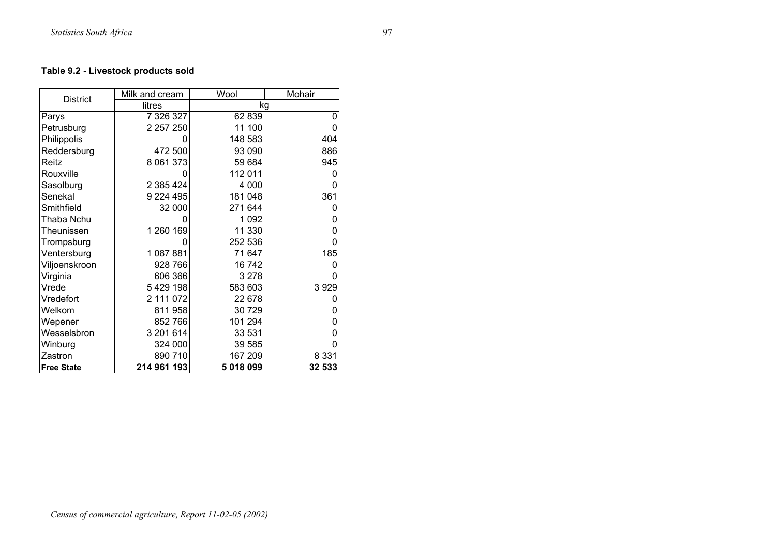## **Table 9.2 - Livestock products sold**

| <b>District</b>   | Milk and cream | Wool      | Mohair  |
|-------------------|----------------|-----------|---------|
|                   | litres         |           | kg      |
| Parys             | 7 326 327      | 62 839    | 0       |
| Petrusburg        | 2 2 5 7 2 5 0  | 11 100    | 0       |
| Philippolis       | O              | 148 583   | 404     |
| Reddersburg       | 472 500        | 93 090    | 886     |
| Reitz             | 8 061 373      | 59 684    | 945     |
| Rouxville         | 0              | 112 011   | 0       |
| Sasolburg         | 2 385 424      | 4 0 0 0   | 0       |
| Senekal           | 9 2 2 4 4 9 5  | 181 048   | 361     |
| Smithfield        | 32 000         | 271 644   | 0       |
| Thaba Nchu        | 0              | 1 0 9 2   | 0       |
| Theunissen        | 1 260 169      | 11 330    | 0       |
| Trompsburg        | 0              | 252 536   | 0       |
| Ventersburg       | 1087881        | 71 647    | 185     |
| Viljoenskroon     | 928 766        | 16742     | 0       |
| Virginia          | 606 366        | 3 2 7 8   |         |
| Vrede             | 5429198        | 583 603   | 3929    |
| Vredefort         | 2 111 072      | 22 678    |         |
| Welkom            | 811 958        | 30 729    | 0       |
| Wepener           | 852 766        | 101 294   | 0       |
| Wesselsbron       | 3 201 614      | 33 531    | 0       |
| Winburg           | 324 000        | 39 585    | 0       |
| Zastron           | 890 710        | 167 209   | 8 3 3 1 |
| <b>Free State</b> | 214 961 193    | 5 018 099 | 32 533  |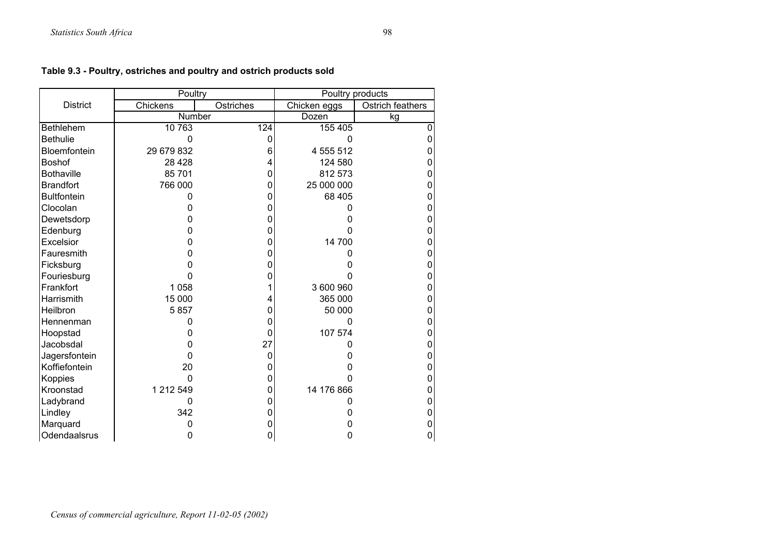|                    | Poultry    |                  | Poultry products |                  |  |
|--------------------|------------|------------------|------------------|------------------|--|
| <b>District</b>    | Chickens   | Ostriches        | Chicken eggs     | Ostrich feathers |  |
|                    | Number     |                  | Dozen            | kg               |  |
| <b>Bethlehem</b>   | 10 763     | $\overline{124}$ | 155 405          | $\Omega$         |  |
| <b>Bethulie</b>    | $\Omega$   | 0                | $\Omega$         |                  |  |
| Bloemfontein       | 29 679 832 | 6                | 4 555 512        | O                |  |
| Boshof             | 28 4 28    |                  | 124 580          | 0                |  |
| <b>Bothaville</b>  | 85 701     | O                | 812 573          |                  |  |
| <b>Brandfort</b>   | 766 000    | 0                | 25 000 000       |                  |  |
| <b>Bultfontein</b> | 0          | 0                | 68 405           |                  |  |
| Clocolan           | ი          | O                | 0                | 0                |  |
| Dewetsdorp         | 0          | 0                | 0                | 0                |  |
| Edenburg           | O          | O                | O                | 0                |  |
| Excelsior          | 0          | 0                | 14 700           | 0                |  |
| Fauresmith         | 0          | 0                | 0                |                  |  |
| Ficksburg          | ი          | 0                | 0                | 0                |  |
| Fouriesburg        | 0          | 0                |                  | 0                |  |
| Frankfort          | 1 0 5 8    |                  | 3 600 960        |                  |  |
| Harrismith         | 15 000     |                  | 365 000          |                  |  |
| Heilbron           | 5857       | 0                | 50 000           |                  |  |
| Hennenman          | $\Omega$   | O                | 0                | 0                |  |
| Hoopstad           | 0          | 0                | 107 574          | 0                |  |
| Jacobsdal          | O          | 27               |                  | ი                |  |
| Jagersfontein      | O          | 0                | 0                | 0                |  |
| Koffiefontein      | 20         | 0                | 0                | 0                |  |
| Koppies            | $\Omega$   | 0                | 0                | 0                |  |
| Kroonstad          | 1 212 549  | 0                | 14 176 866       |                  |  |
| Ladybrand          | 0          | O                |                  | 0                |  |
| Lindley            | 342        | 0                | 0                | 0                |  |
| Marquard           | 0          | 0                | 0                | 0                |  |
| Odendaalsrus       | 0          | 0                | 0                | $\overline{0}$   |  |

## **Table 9.3 - Poultry, ostriches and poultry and ostrich products sold**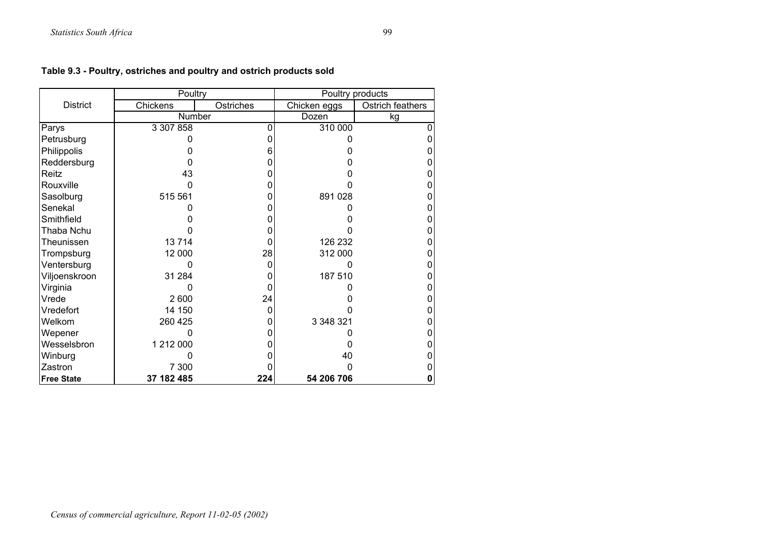|                   | Poultry    |           | Poultry products |                  |  |
|-------------------|------------|-----------|------------------|------------------|--|
| <b>District</b>   | Chickens   | Ostriches | Chicken eggs     | Ostrich feathers |  |
|                   | Number     |           | Dozen            | kg               |  |
| Parys             | 3 307 858  |           | 310 000          |                  |  |
| Petrusburg        |            |           |                  |                  |  |
| Philippolis       |            | 6         |                  |                  |  |
| Reddersburg       |            |           |                  |                  |  |
| Reitz             | 43         |           |                  |                  |  |
| Rouxville         | 0          | 0         |                  |                  |  |
| Sasolburg         | 515 561    | 0         | 891 028          |                  |  |
| Senekal           |            |           |                  |                  |  |
| Smithfield        |            |           |                  |                  |  |
| Thaba Nchu        |            |           |                  |                  |  |
| Theunissen        | 13714      | 0         | 126 232          |                  |  |
| Trompsburg        | 12 000     | 28        | 312 000          |                  |  |
| Ventersburg       |            | 0         |                  |                  |  |
| Viljoenskroon     | 31 284     | 0         | 187 510          |                  |  |
| Virginia          |            | 0         |                  |                  |  |
| Vrede             | 2 600      | 24        |                  |                  |  |
| Vredefort         | 14 150     | 0         |                  |                  |  |
| Welkom            | 260 425    | ი         | 3 348 321        |                  |  |
| Wepener           |            |           |                  |                  |  |
| Wesselsbron       | 1 212 000  |           | n                |                  |  |
| Winburg           |            |           | 40               |                  |  |
| Zastron           | 7 300      |           |                  |                  |  |
| <b>Free State</b> | 37 182 485 | 224       | 54 206 706       | $\mathbf 0$      |  |

## **Table 9.3 - Poultry, ostriches and poultry and ostrich products sold**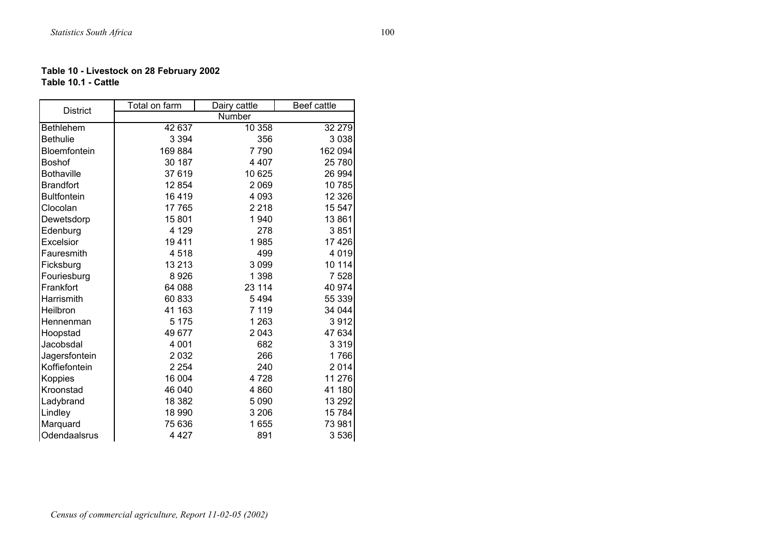#### **Table 10 - Livestock on 28 February 2002 Table 10.1 - Cattle**

| <b>District</b>    | Total on farm | Dairy cattle | Beef cattle |
|--------------------|---------------|--------------|-------------|
|                    |               | Number       |             |
| Bethlehem          | 42 637        | 10 358       | 32 279      |
| <b>Bethulie</b>    | 3 3 9 4       | 356          | 3 0 38      |
| Bloemfontein       | 169884        | 7790         | 162 094     |
| <b>Boshof</b>      | 30 187        | 4 4 0 7      | 25 780      |
| <b>Bothaville</b>  | 37 619        | 10 625       | 26 994      |
| <b>Brandfort</b>   | 12 854        | 2 0 6 9      | 10 785      |
| <b>Bultfontein</b> | 16419         | 4 0 9 3      | 12 3 26     |
| Clocolan           | 17765         | 2 2 1 8      | 15 547      |
| Dewetsdorp         | 15801         | 1940         | 13861       |
| Edenburg           | 4 1 2 9       | 278          | 3851        |
| Excelsior          | 19411         | 1985         | 17 4 26     |
| Fauresmith         | 4518          | 499          | 4 0 1 9     |
| Ficksburg          | 13 213        | 3 0 9 9      | 10 114      |
| Fouriesburg        | 8926          | 1 3 9 8      | 7 5 28      |
| Frankfort          | 64 088        | 23 114       | 40 974      |
| Harrismith         | 60 833        | 5494         | 55 339      |
| Heilbron           | 41 163        | 7 1 1 9      | 34 044      |
| Hennenman          | 5 1 7 5       | 1 2 6 3      | 3912        |
| Hoopstad           | 49 677        | 2 0 4 3      | 47 634      |
| Jacobsdal          | 4 0 0 1       | 682          | 3 3 1 9     |
| Jagersfontein      | 2 0 3 2       | 266          | 1766        |
| Koffiefontein      | 2 2 5 4       | 240          | 2014        |
| Koppies            | 16 004        | 4728         | 11 276      |
| Kroonstad          | 46 040        | 4 8 6 0      | 41 180      |
| Ladybrand          | 18 3 8 2      | 5 0 9 0      | 13 29 2     |
| Lindley            | 18 990        | 3 2 0 6      | 15784       |
| Marquard           | 75 636        | 1655         | 73 981      |
| Odendaalsrus       | 4 4 2 7       | 891          | 3536        |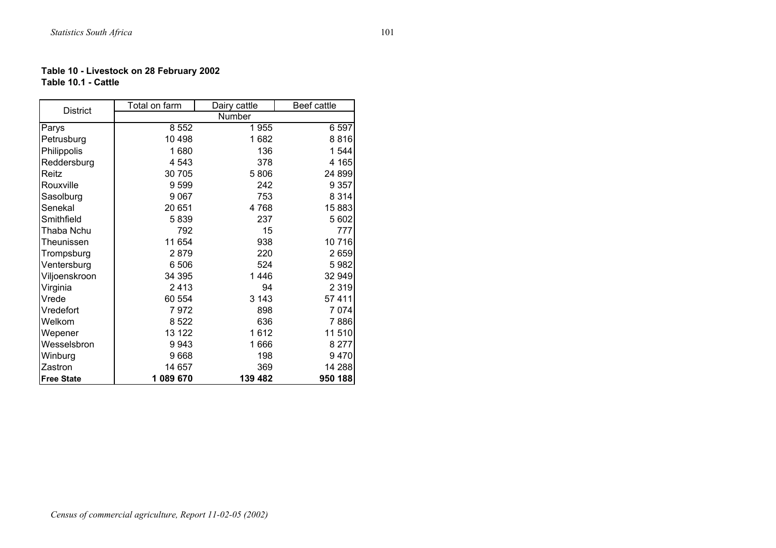#### **Table 10 - Livestock on 28 February 2002 Table 10.1 - Cattle**

| <b>District</b>   | Total on farm | Dairy cattle | Beef cattle |
|-------------------|---------------|--------------|-------------|
|                   | Number        |              |             |
| Parys             | 8 5 5 2       | 1955         | 6 5 9 7     |
| Petrusburg        | 10 4 98       | 1682         | 8816        |
| Philippolis       | 1680          | 136          | 1 544       |
| Reddersburg       | 4 5 4 3       | 378          | 4 1 6 5     |
| Reitz             | 30 705        | 5806         | 24 899      |
| Rouxville         | 9599          | 242          | 9 3 5 7     |
| Sasolburg         | 9 0 6 7       | 753          | 8 3 1 4     |
| Senekal           | 20 651        | 4768         | 15 883      |
| Smithfield        | 5839          | 237          | 5 602       |
| Thaba Nchu        | 792           | 15           | 777         |
| Theunissen        | 11 654        | 938          | 10716       |
| Trompsburg        | 2879          | 220          | 2659        |
| Ventersburg       | 6 506         | 524          | 5982        |
| Viljoenskroon     | 34 395        | 1446         | 32 949      |
| Virginia          | 2413          | 94           | 2 3 1 9     |
| Vrede             | 60 554        | 3 1 4 3      | 57 411      |
| Vredefort         | 7972          | 898          | 7074        |
| Welkom            | 8522          | 636          | 7886        |
| Wepener           | 13 122        | 1612         | 11 510      |
| Wesselsbron       | 9943          | 1666         | 8 2 7 7     |
| Winburg           | 9668          | 198          | 9470        |
| Zastron           | 14 657        | 369          | 14 288      |
| <b>Free State</b> | 1 089 670     | 139 482      | 950 188     |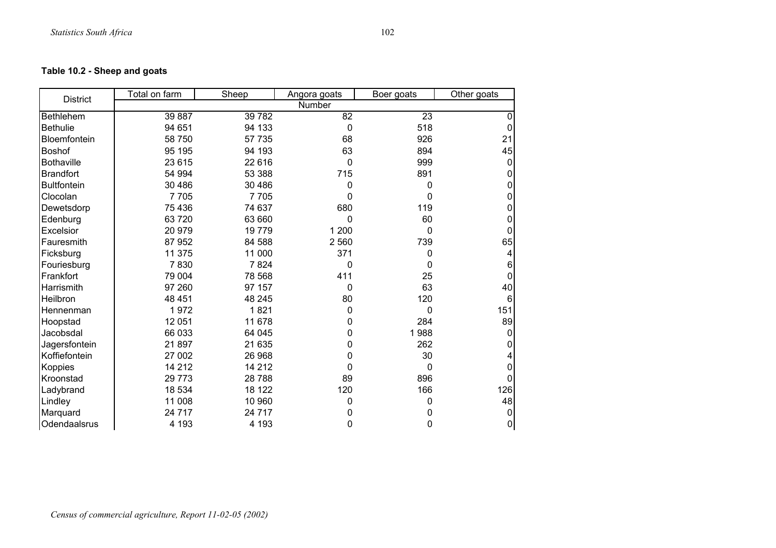## **Table 10.2 - Sheep and goats**

| <b>District</b>    | Total on farm | Sheep    | Angora goats | Boer goats | Other goats  |
|--------------------|---------------|----------|--------------|------------|--------------|
|                    |               |          | Number       |            |              |
| <b>Bethlehem</b>   | 39 887        | 39782    | 82           | 23         | 0            |
| <b>Bethulie</b>    | 94 651        | 94 133   | $\mathbf 0$  | 518        | $\mathbf{0}$ |
| Bloemfontein       | 58 750        | 57 735   | 68           | 926        | 21           |
| Boshof             | 95 195        | 94 193   | 63           | 894        | 45           |
| <b>Bothaville</b>  | 23 615        | 22 616   | $\Omega$     | 999        | 0            |
| <b>Brandfort</b>   | 54 994        | 53 388   | 715          | 891        | 0            |
| <b>Bultfontein</b> | 30 486        | 30 486   | 0            | 0          | 0            |
| Clocolan           | 7705          | 7705     | 0            | 0          | 0            |
| Dewetsdorp         | 75 436        | 74 637   | 680          | 119        | U            |
| Edenburg           | 63720         | 63 660   | 0            | 60         | 0            |
| Excelsior          | 20 979        | 19779    | 1 200        | 0          | $\Omega$     |
| Fauresmith         | 87 952        | 84 588   | 2 5 6 0      | 739        | 65           |
| Ficksburg          | 11 375        | 11 000   | 371          | 0          | 4            |
| Fouriesburg        | 7830          | 7824     | 0            | 0          | 6            |
| Frankfort          | 79 004        | 78 568   | 411          | 25         | $\Omega$     |
| Harrismith         | 97 260        | 97 157   | 0            | 63         | 40           |
| Heilbron           | 48 451        | 48 245   | 80           | 120        | 6            |
| Hennenman          | 1972          | 1821     | 0            | 0          | 151          |
| Hoopstad           | 12 051        | 11 678   | 0            | 284        | 89           |
| Jacobsdal          | 66 033        | 64 045   | 0            | 1988       | 0            |
| Jagersfontein      | 21897         | 21 635   | 0            | 262        | 0            |
| Koffiefontein      | 27 002        | 26 968   | 0            | 30         |              |
| Koppies            | 14 212        | 14 212   | 0            | 0          | 0            |
| Kroonstad          | 29 773        | 28788    | 89           | 896        |              |
| Ladybrand          | 18 534        | 18 122   | 120          | 166        | 126          |
| Lindley            | 11 008        | 10 960   | 0            | 0          | 48           |
| Marquard           | 24 717        | 24 7 1 7 | 0            | 0          | 0            |
| Odendaalsrus       | 4 193         | 4 193    | 0            | 0          | 0            |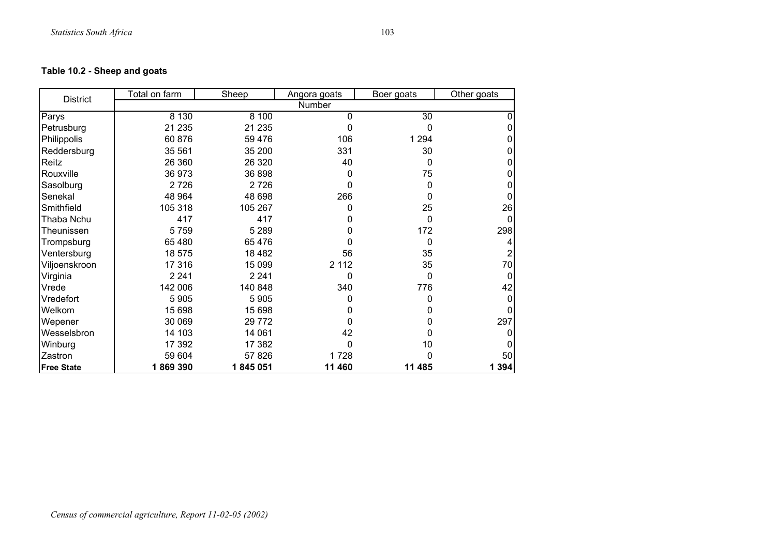## **Table 10.2 - Sheep and goats**

| <b>District</b>   | Total on farm | Sheep    | Angora goats | Boer goats | Other goats |
|-------------------|---------------|----------|--------------|------------|-------------|
|                   |               |          | Number       |            |             |
| Parys             | 8 1 3 0       | 8 100    | 0            | 30         | 0           |
| Petrusburg        | 21 235        | 21 235   | O            | 0          | 0           |
| Philippolis       | 60 876        | 59 4 76  | 106          | 1 2 9 4    |             |
| Reddersburg       | 35 561        | 35 200   | 331          | 30         |             |
| Reitz             | 26 360        | 26 3 20  | 40           | 0          |             |
| Rouxville         | 36 973        | 36 898   | 0            | 75         |             |
| Sasolburg         | 2726          | 2726     | 0            | 0          |             |
| Senekal           | 48 964        | 48 698   | 266          | 0          |             |
| Smithfield        | 105 318       | 105 267  | 0            | 25         | 26          |
| Thaba Nchu        | 417           | 417      |              | 0          | 0           |
| Theunissen        | 5759          | 5 2 8 9  |              | 172        | 298         |
| Trompsburg        | 65 480        | 65 476   |              | 0          |             |
| Ventersburg       | 18 575        | 18 4 8 2 | 56           | 35         |             |
| Viljoenskroon     | 17 316        | 15 0 99  | 2 1 1 2      | 35         | 70          |
| Virginia          | 2 2 4 1       | 2 2 4 1  | 0            | 0          |             |
| Vrede             | 142 006       | 140 848  | 340          | 776        | 42          |
| Vredefort         | 5 9 0 5       | 5 9 0 5  |              | O          |             |
| Welkom            | 15 698        | 15 698   |              |            |             |
| Wepener           | 30 069        | 29 7 7 2 |              | O          | 297         |
| Wesselsbron       | 14 103        | 14 061   | 42           | 0          |             |
| Winburg           | 17 392        | 17 382   | 0            | 10         | 0           |
| Zastron           | 59 604        | 57 826   | 1728         | ი          | 50          |
| <b>Free State</b> | 1869390       | 1845051  | 11 460       | 11 485     | 1 3 9 4     |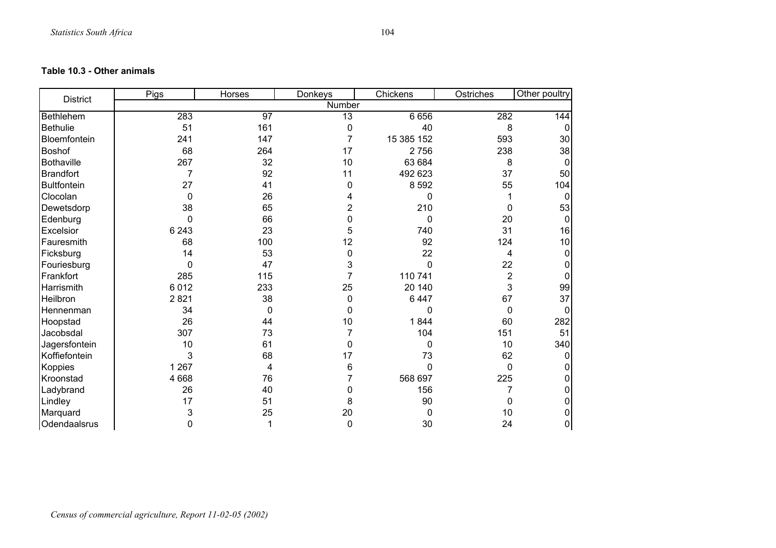#### **Table 10.3 - Other animals**

| <b>District</b>    | Pigs           | Horses          | Donkeys | Chickens   | Ostriches      | Other poultry  |
|--------------------|----------------|-----------------|---------|------------|----------------|----------------|
|                    |                |                 | Number  |            |                |                |
| <b>Bethlehem</b>   | 283            | $\overline{97}$ | 13      | 6 6 5 6    | 282            | 144            |
| <b>Bethulie</b>    | 51             | 161             | 0       | 40         | 8              | 0              |
| Bloemfontein       | 241            | 147             |         | 15 385 152 | 593            | 30             |
| Boshof             | 68             | 264             | 17      | 2756       | 238            | 38             |
| <b>Bothaville</b>  | 267            | 32              | 10      | 63 684     | 8              | $\Omega$       |
| <b>Brandfort</b>   | $\overline{7}$ | 92              | 11      | 492 623    | 37             | 50             |
| <b>Bultfontein</b> | 27             | 41              | 0       | 8 5 9 2    | 55             | 104            |
| Clocolan           | $\mathbf 0$    | 26              |         | 0          |                | 0              |
| Dewetsdorp         | 38             | 65              | 2       | 210        | 0              | 53             |
| Edenburg           | $\mathbf{0}$   | 66              | 0       | 0          | 20             | $\mathbf{0}$   |
| Excelsior          | 6 2 4 3        | 23              | 5       | 740        | 31             | 16             |
| Fauresmith         | 68             | 100             | 12      | 92         | 124            | 10             |
| Ficksburg          | 14             | 53              | 0       | 22         | 4              | $\Omega$       |
| Fouriesburg        | $\mathbf{0}$   | 47              | 3       | $\Omega$   | 22             | 0              |
| Frankfort          | 285            | 115             | 7       | 110 741    | $\overline{2}$ | $\Omega$       |
| Harrismith         | 6012           | 233             | 25      | 20 140     | 3              | 99             |
| Heilbron           | 2821           | 38              | 0       | 6 4 4 7    | 67             | 37             |
| Hennenman          | 34             | 0               | 0       | 0          | $\Omega$       | 0              |
| Hoopstad           | 26             | 44              | 10      | 1844       | 60             | 282            |
| Jacobsdal          | 307            | 73              | 7       | 104        | 151            | 51             |
| Jagersfontein      | 10             | 61              | 0       | 0          | 10             | 340            |
| Koffiefontein      | 3              | 68              | 17      | 73         | 62             | 0              |
| Koppies            | 1 2 6 7        | 4               | 6       | 0          | $\mathbf 0$    |                |
| Kroonstad          | 4 6 6 8        | 76              | 7       | 568 697    | 225            |                |
| Ladybrand          | 26             | 40              | 0       | 156        |                | 0              |
| Lindley            | 17             | 51              | 8       | 90         | 0              | 0              |
| Marquard           | 3              | 25              | 20      | 0          | 10             | 0              |
| Odendaalsrus       | $\mathbf{0}$   |                 | 0       | 30         | 24             | $\overline{0}$ |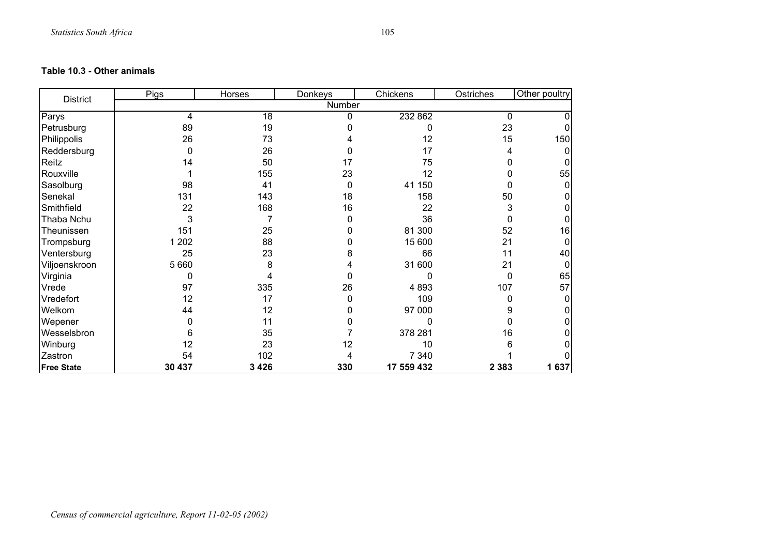#### **Table 10.3 - Other animals**

| <b>District</b>   | Pigs    | Horses  | Donkeys  | Chickens   | Ostriches | Other poultry |
|-------------------|---------|---------|----------|------------|-----------|---------------|
|                   |         |         | Number   |            |           |               |
| Parys             | 4       | 18      | 0        | 232 862    | 0         |               |
| Petrusburg        | 89      | 19      |          | 0          | 23        |               |
| Philippolis       | 26      | 73      |          | 12         | 15        | 150           |
| Reddersburg       | 0       | 26      |          | 17         | 4         |               |
| Reitz             | 14      | 50      | 17       | 75         |           |               |
| Rouxville         |         | 155     | 23       | 12         |           | 55            |
| Sasolburg         | 98      | 41      | 0        | 41 150     |           |               |
| Senekal           | 131     | 143     | 18       | 158        | 50        |               |
| Smithfield        | 22      | 168     | 16       | 22         | 3         |               |
| Thaba Nchu        | 3       |         | 0        | 36         |           |               |
| Theunissen        | 151     | 25      | O        | 81 300     | 52        | 16            |
| Trompsburg        | 1 2 0 2 | 88      | O        | 15 600     | 21        |               |
| Ventersburg       | 25      | 23      | 8        | 66         | 11        | 40            |
| Viljoenskroon     | 5 6 6 0 | 8       |          | 31 600     | 21        |               |
| Virginia          | 0       | 4       | 0        | 0          | 0         | 65            |
| Vrede             | 97      | 335     | 26       | 4 8 9 3    | 107       | 57            |
| Vredefort         | 12      | 17      | $\Omega$ | 109        |           |               |
| Welkom            | 44      | 12      | O        | 97 000     |           |               |
| Wepener           | 0       | 11      |          | 0          |           |               |
| Wesselsbron       | 6       | 35      |          | 378 281    | 16        |               |
| Winburg           | 12      | 23      | 12       | 10         |           |               |
| Zastron           | 54      | 102     |          | 7 3 4 0    |           |               |
| <b>Free State</b> | 30 437  | 3 4 2 6 | 330      | 17 559 432 | 2 3 8 3   | 1637          |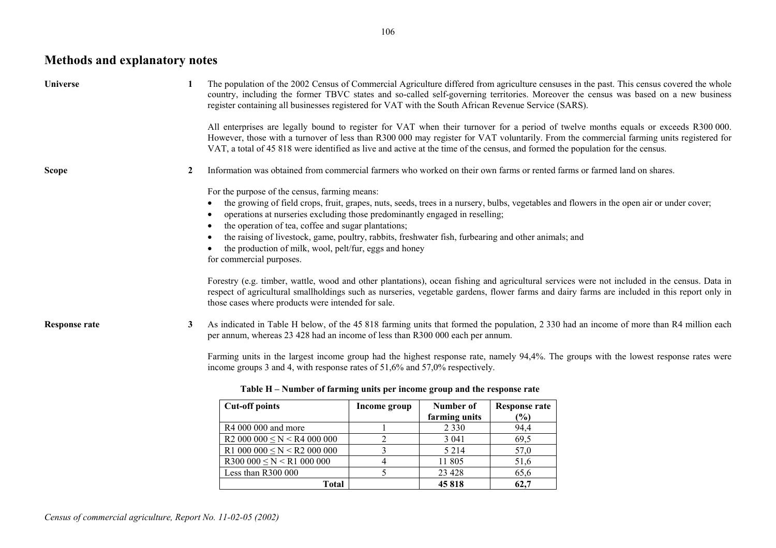# **Methods and explanatory notes**

| <b>Universe</b>      |   | The population of the 2002 Census of Commercial Agriculture differed from agriculture censuses in the past. This census covered the whole<br>country, including the former TBVC states and so-called self-governing territories. Moreover the census was based on a new business<br>register containing all businesses registered for VAT with the South African Revenue Service (SARS).<br>All enterprises are legally bound to register for VAT when their turnover for a period of twelve months equals or exceeds R300 000.<br>However, those with a turnover of less than R300 000 may register for VAT voluntarily. From the commercial farming units registered for<br>VAT, a total of 45 818 were identified as live and active at the time of the census, and formed the population for the census. |
|----------------------|---|--------------------------------------------------------------------------------------------------------------------------------------------------------------------------------------------------------------------------------------------------------------------------------------------------------------------------------------------------------------------------------------------------------------------------------------------------------------------------------------------------------------------------------------------------------------------------------------------------------------------------------------------------------------------------------------------------------------------------------------------------------------------------------------------------------------|
| <b>Scope</b>         |   | Information was obtained from commercial farmers who worked on their own farms or rented farms or farmed land on shares.<br>For the purpose of the census, farming means:<br>the growing of field crops, fruit, grapes, nuts, seeds, trees in a nursery, bulbs, vegetables and flowers in the open air or under cover;<br>operations at nurseries excluding those predominantly engaged in reselling;<br>the operation of tea, coffee and sugar plantations;<br>the raising of livestock, game, poultry, rabbits, freshwater fish, furbearing and other animals; and<br>the production of milk, wool, pelt/fur, eggs and honey<br>for commercial purposes.                                                                                                                                                   |
| <b>Response rate</b> | 3 | Forestry (e.g. timber, wattle, wood and other plantations), ocean fishing and agricultural services were not included in the census. Data in<br>respect of agricultural smallholdings such as nurseries, vegetable gardens, flower farms and dairy farms are included in this report only in<br>those cases where products were intended for sale.<br>As indicated in Table H below, of the 45 818 farming units that formed the population, 2 330 had an income of more than R4 million each<br>per annum, whereas 23 428 had an income of less than R300 000 each per annum.<br>Farming units in the largest income group had the highest response rate, namely 94,4%. The groups with the lowest response rates were<br>income groups 3 and 4, with response rates of 51,6% and 57,0% respectively.       |

| <b>Cut-off points</b>                 | Income group | Number of     | <b>Response rate</b> |
|---------------------------------------|--------------|---------------|----------------------|
|                                       |              | farming units | (%)                  |
| R4 000 000 and more                   |              | 2 3 3 0       | 94,4                 |
| $R2000000 \leq N \leq R4000000$       |              | 3 0 4 1       | 69,5                 |
| R1 000 000 $\leq$ N $\leq$ R2 000 000 |              | 5 2 1 4       | 57,0                 |
| $R300\ 000 \leq N \leq R1\ 000\ 000$  |              | 11 805        | 51,6                 |
| Less than $R300000$                   |              | 23 4 28       | 65,6                 |
| Total                                 |              | 45818         | 62,7                 |

### **Table H – Number of farming units per income group and the response rate**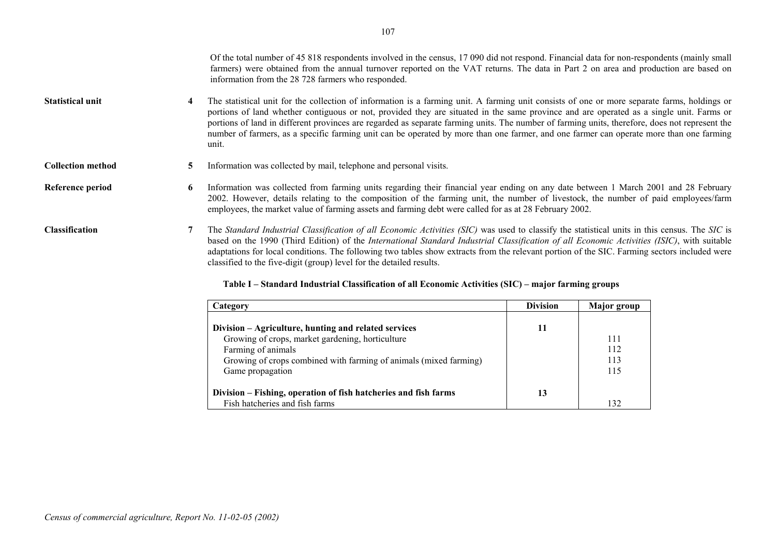classified to the five-digit (group) level for the detailed results.

| Category                                                                                                                                                                                                                | <b>Division</b> | <b>Major</b> group       |
|-------------------------------------------------------------------------------------------------------------------------------------------------------------------------------------------------------------------------|-----------------|--------------------------|
| Division – Agriculture, hunting and related services<br>Growing of crops, market gardening, horticulture<br>Farming of animals<br>Growing of crops combined with farming of animals (mixed farming)<br>Game propagation | 11              | 111<br>112<br>113<br>115 |
| Division – Fishing, operation of fish hatcheries and fish farms<br>Fish hatcheries and fish farms                                                                                                                       | 13              | 132                      |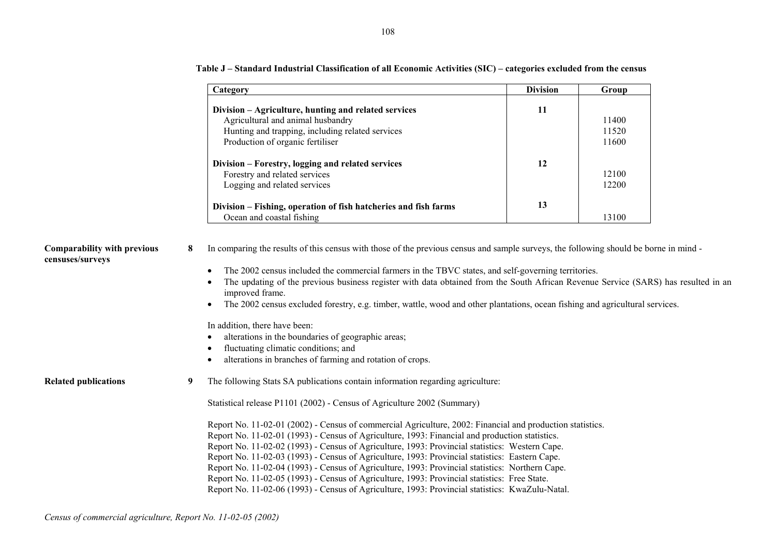|                                                        |   | Category                                                                                                                                                                                                                                                                                                                                                                                                                                                                                                                                                                                                                                                                                                                                                                                         | <b>Division</b> | Group                   |  |
|--------------------------------------------------------|---|--------------------------------------------------------------------------------------------------------------------------------------------------------------------------------------------------------------------------------------------------------------------------------------------------------------------------------------------------------------------------------------------------------------------------------------------------------------------------------------------------------------------------------------------------------------------------------------------------------------------------------------------------------------------------------------------------------------------------------------------------------------------------------------------------|-----------------|-------------------------|--|
|                                                        |   | Division – Agriculture, hunting and related services<br>Agricultural and animal husbandry<br>Hunting and trapping, including related services<br>Production of organic fertiliser                                                                                                                                                                                                                                                                                                                                                                                                                                                                                                                                                                                                                | 11              | 11400<br>11520<br>11600 |  |
|                                                        |   | Division - Forestry, logging and related services<br>Forestry and related services<br>Logging and related services                                                                                                                                                                                                                                                                                                                                                                                                                                                                                                                                                                                                                                                                               | 12              | 12100<br>12200          |  |
|                                                        |   | Division - Fishing, operation of fish hatcheries and fish farms<br>Ocean and coastal fishing                                                                                                                                                                                                                                                                                                                                                                                                                                                                                                                                                                                                                                                                                                     | 13              | 13100                   |  |
| <b>Comparability with previous</b><br>censuses/surveys | 8 | In comparing the results of this census with those of the previous census and sample surveys, the following should be borne in mind-<br>The 2002 census included the commercial farmers in the TBVC states, and self-governing territories.<br>The updating of the previous business register with data obtained from the South African Revenue Service (SARS) has resulted in an<br>improved frame.<br>The 2002 census excluded forestry, e.g. timber, wattle, wood and other plantations, ocean fishing and agricultural services.<br>$\bullet$<br>In addition, there have been:<br>alterations in the boundaries of geographic areas;<br>fluctuating climatic conditions; and<br>alterations in branches of farming and rotation of crops.<br>$\bullet$                                       |                 |                         |  |
| <b>Related publications</b>                            | 9 | The following Stats SA publications contain information regarding agriculture:                                                                                                                                                                                                                                                                                                                                                                                                                                                                                                                                                                                                                                                                                                                   |                 |                         |  |
|                                                        |   | Statistical release P1101 (2002) - Census of Agriculture 2002 (Summary)<br>Report No. 11-02-01 (2002) - Census of commercial Agriculture, 2002: Financial and production statistics.<br>Report No. 11-02-01 (1993) - Census of Agriculture, 1993: Financial and production statistics.<br>Report No. 11-02-02 (1993) - Census of Agriculture, 1993: Provincial statistics: Western Cape.<br>Report No. 11-02-03 (1993) - Census of Agriculture, 1993: Provincial statistics: Eastern Cape.<br>Report No. 11-02-04 (1993) - Census of Agriculture, 1993: Provincial statistics: Northern Cape.<br>Report No. 11-02-05 (1993) - Census of Agriculture, 1993: Provincial statistics: Free State.<br>Report No. 11-02-06 (1993) - Census of Agriculture, 1993: Provincial statistics: KwaZulu-Natal. |                 |                         |  |

**Table J – Standard Industrial Classification of all Economic Activities (SIC) – categories excluded from the census**